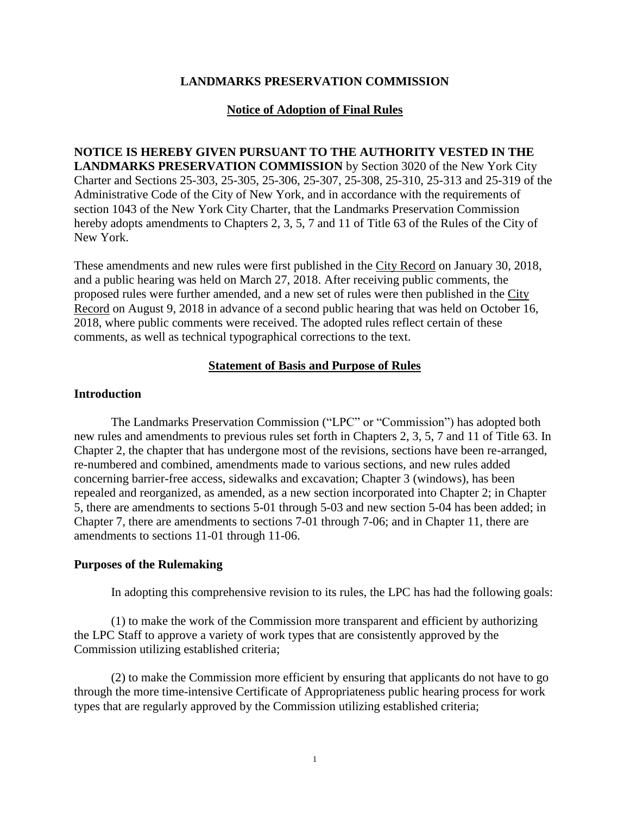### **LANDMARKS PRESERVATION COMMISSION**

### **Notice of Adoption of Final Rules**

## **NOTICE IS HEREBY GIVEN PURSUANT TO THE AUTHORITY VESTED IN THE LANDMARKS PRESERVATION COMMISSION** by Section 3020 of the New York City Charter and Sections 25-303, 25-305, 25-306, 25-307, 25-308, 25-310, 25-313 and 25-319 of the Administrative Code of the City of New York, and in accordance with the requirements of section 1043 of the New York City Charter, that the Landmarks Preservation Commission hereby adopts amendments to Chapters 2, 3, 5, 7 and 11 of Title 63 of the Rules of the City of New York.

These amendments and new rules were first published in the City Record on January 30, 2018, and a public hearing was held on March 27, 2018. After receiving public comments, the proposed rules were further amended, and a new set of rules were then published in the City Record on August 9, 2018 in advance of a second public hearing that was held on October 16, 2018, where public comments were received. The adopted rules reflect certain of these comments, as well as technical typographical corrections to the text.

### **Statement of Basis and Purpose of Rules**

### **Introduction**

The Landmarks Preservation Commission ("LPC" or "Commission") has adopted both new rules and amendments to previous rules set forth in Chapters 2, 3, 5, 7 and 11 of Title 63. In Chapter 2, the chapter that has undergone most of the revisions, sections have been re-arranged, re-numbered and combined, amendments made to various sections, and new rules added concerning barrier-free access, sidewalks and excavation; Chapter 3 (windows), has been repealed and reorganized, as amended, as a new section incorporated into Chapter 2; in Chapter 5, there are amendments to sections 5-01 through 5-03 and new section 5-04 has been added; in Chapter 7, there are amendments to sections 7-01 through 7-06; and in Chapter 11, there are amendments to sections 11-01 through 11-06.

### **Purposes of the Rulemaking**

In adopting this comprehensive revision to its rules, the LPC has had the following goals:

(1) to make the work of the Commission more transparent and efficient by authorizing the LPC Staff to approve a variety of work types that are consistently approved by the Commission utilizing established criteria;

(2) to make the Commission more efficient by ensuring that applicants do not have to go through the more time-intensive Certificate of Appropriateness public hearing process for work types that are regularly approved by the Commission utilizing established criteria;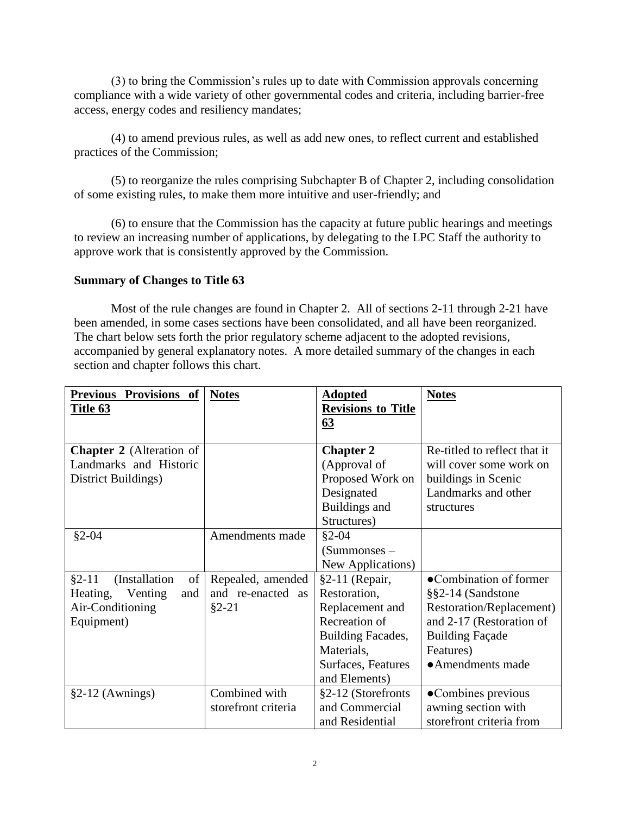(3) to bring the Commission's rules up to date with Commission approvals concerning compliance with a wide variety of other governmental codes and criteria, including barrier-free access, energy codes and resiliency mandates;

(4) to amend previous rules, as well as add new ones, to reflect current and established practices of the Commission;

(5) to reorganize the rules comprising Subchapter B of Chapter 2, including consolidation of some existing rules, to make them more intuitive and user-friendly; and

(6) to ensure that the Commission has the capacity at future public hearings and meetings to review an increasing number of applications, by delegating to the LPC Staff the authority to approve work that is consistently approved by the Commission.

## **Summary of Changes to Title 63**

Most of the rule changes are found in Chapter 2. All of sections 2-11 through 2-21 have been amended, in some cases sections have been consolidated, and all have been reorganized. The chart below sets forth the prior regulatory scheme adjacent to the adopted revisions, accompanied by general explanatory notes. A more detailed summary of the changes in each section and chapter follows this chart.

| <b>Previous</b><br>Provisions of | <b>Notes</b>        | <b>Adopted</b>            | <b>Notes</b>                 |
|----------------------------------|---------------------|---------------------------|------------------------------|
| Title 63                         |                     | <b>Revisions to Title</b> |                              |
|                                  |                     | 63                        |                              |
|                                  |                     |                           |                              |
| <b>Chapter 2</b> (Alteration of  |                     | <b>Chapter 2</b>          | Re-titled to reflect that it |
| Landmarks and Historic           |                     | (Approval of              | will cover some work on      |
| District Buildings)              |                     | Proposed Work on          | buildings in Scenic          |
|                                  |                     | Designated                | Landmarks and other          |
|                                  |                     | Buildings and             | structures                   |
|                                  |                     | Structures)               |                              |
| $§2 - 04$                        | Amendments made     | $§2-04$                   |                              |
|                                  |                     | $(Summones -$             |                              |
|                                  |                     | New Applications)         |                              |
| (Installation<br>of<br>$§2 - 11$ | Repealed, amended   | $§2-11$ (Repair,          | •Combination of former       |
| Heating, Venting<br>and          | and re-enacted as   | Restoration,              | §§2-14 (Sandstone            |
| Air-Conditioning                 | $$2-21$             | Replacement and           | Restoration/Replacement)     |
| Equipment)                       |                     | Recreation of             | and 2-17 (Restoration of     |
|                                  |                     | Building Facades,         | <b>Building Façade</b>       |
|                                  |                     | Materials,                | Features)                    |
|                                  |                     | Surfaces, Features        | • Amendments made            |
|                                  |                     | and Elements)             |                              |
| $§2-12$ (Awnings)                | Combined with       | §2-12 (Storefronts        | •Combines previous           |
|                                  | storefront criteria | and Commercial            | awning section with          |
|                                  |                     | and Residential           | storefront criteria from     |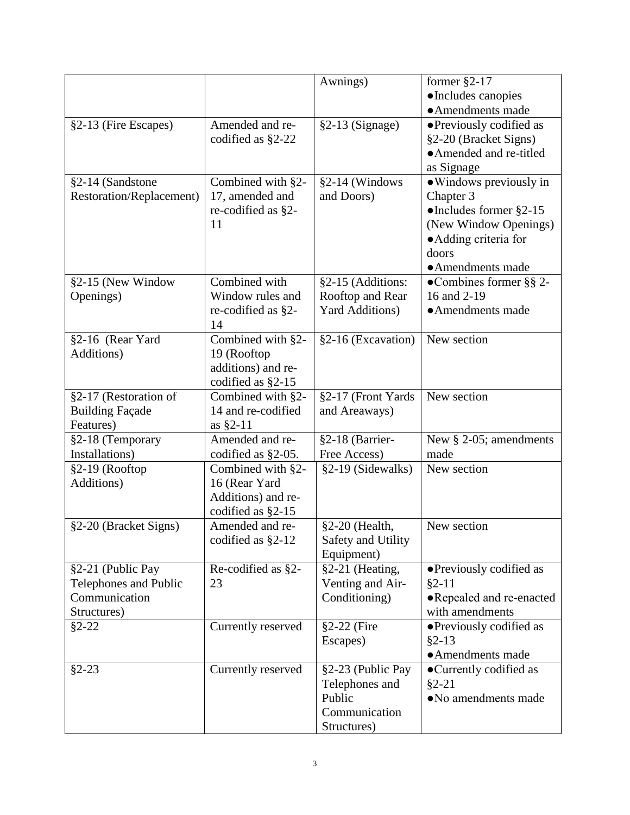|                          |                      | Awnings)               | former $\S$ 2-17                |
|--------------------------|----------------------|------------------------|---------------------------------|
|                          |                      |                        | ·Includes canopies              |
|                          |                      |                        | • Amendments made               |
| §2-13 (Fire Escapes)     | Amended and re-      | $§2-13$ (Signage)      | • Previously codified as        |
|                          | codified as §2-22    |                        | §2-20 (Bracket Signs)           |
|                          |                      |                        | • Amended and re-titled         |
|                          |                      |                        | as Signage                      |
| §2-14 (Sandstone         | Combined with §2-    | §2-14 (Windows         | • Windows previously in         |
| Restoration/Replacement) | 17, amended and      | and Doors)             | Chapter 3                       |
|                          | re-codified as §2-   |                        | $\bullet$ Includes former §2-15 |
|                          | 11                   |                        | (New Window Openings)           |
|                          |                      |                        | • Adding criteria for           |
|                          |                      |                        | doors                           |
|                          |                      |                        | • Amendments made               |
| §2-15 (New Window        | Combined with        | §2-15 (Additions:      | •Combines former $\S$ § 2-      |
| Openings)                | Window rules and     | Rooftop and Rear       | 16 and 2-19                     |
|                          | re-codified as §2-   | <b>Yard Additions)</b> | • Amendments made               |
|                          | 14                   |                        |                                 |
| §2-16 (Rear Yard         | Combined with §2-    | §2-16 (Excavation)     | New section                     |
| Additions)               | 19 (Rooftop          |                        |                                 |
|                          | additions) and re-   |                        |                                 |
|                          | codified as §2-15    |                        |                                 |
| §2-17 (Restoration of    | Combined with §2-    | §2-17 (Front Yards     | New section                     |
| <b>Building Façade</b>   | 14 and re-codified   | and Areaways)          |                                 |
| Features)                | as $§2-11$           |                        |                                 |
| §2-18 (Temporary         | Amended and re-      | §2-18 (Barrier-        | New § 2-05; amendments          |
| Installations)           | codified as §2-05.   | Free Access)           | made                            |
| §2-19 (Rooftop           | Combined with §2-    | §2-19 (Sidewalks)      | New section                     |
| Additions)               | 16 (Rear Yard        |                        |                                 |
|                          | Additions) and re-   |                        |                                 |
|                          | codified as $\S2-15$ |                        |                                 |
| §2-20 (Bracket Signs)    | Amended and re-      | §2-20 (Health,         | New section                     |
|                          | codified as §2-12    | Safety and Utility     |                                 |
|                          |                      | Equipment)             |                                 |
| §2-21 (Public Pay        | Re-codified as §2-   | §2-21 (Heating,        | • Previously codified as        |
| Telephones and Public    | 23                   | Venting and Air-       | $§2-11$                         |
| Communication            |                      | Conditioning)          | • Repealed and re-enacted       |
| Structures)              |                      |                        | with amendments                 |
| $§2 - 22$                | Currently reserved   | §2-22 (Fire            | • Previously codified as        |
|                          |                      | Escapes)               | $§2-13$                         |
|                          |                      |                        | • Amendments made               |
| $§2 - 23$                | Currently reserved   | §2-23 (Public Pay      | • Currently codified as         |
|                          |                      | Telephones and         | $§2 - 21$                       |
|                          |                      | Public                 | • No amendments made            |
|                          |                      | Communication          |                                 |
|                          |                      | Structures)            |                                 |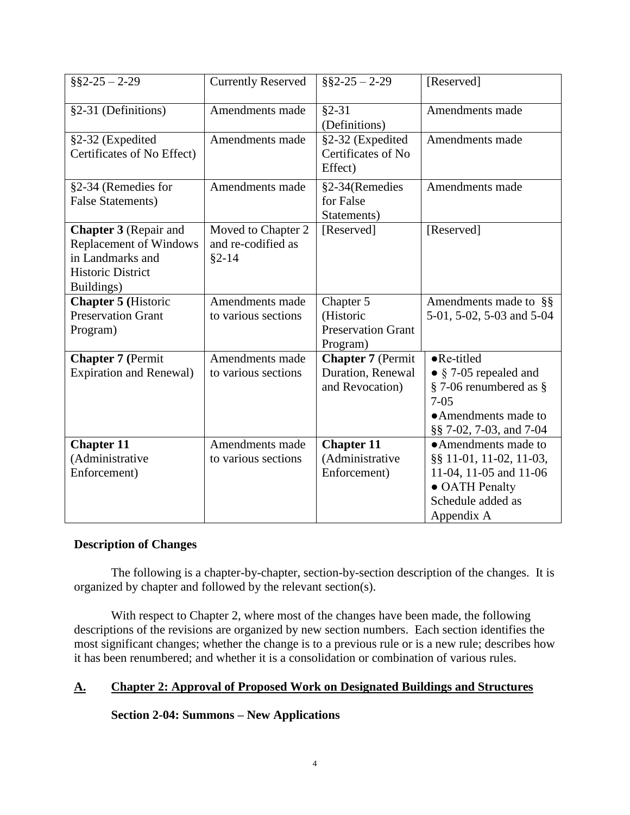| $\S$ §2-25 - 2-29                                                                                                           | <b>Currently Reserved</b>                             | $\S$ §2-25 - 2-29                                                | [Reserved]                                                                                                                                      |
|-----------------------------------------------------------------------------------------------------------------------------|-------------------------------------------------------|------------------------------------------------------------------|-------------------------------------------------------------------------------------------------------------------------------------------------|
| §2-31 (Definitions)                                                                                                         | Amendments made                                       | $§2 - 31$<br>(Definitions)                                       | Amendments made                                                                                                                                 |
| §2-32 (Expedited<br>Certificates of No Effect)                                                                              | Amendments made                                       | §2-32 (Expedited<br>Certificates of No<br>Effect)                | Amendments made                                                                                                                                 |
| §2-34 (Remedies for<br><b>False Statements)</b>                                                                             | Amendments made                                       | §2-34(Remedies<br>for False<br>Statements)                       | Amendments made                                                                                                                                 |
| <b>Chapter 3</b> (Repair and<br><b>Replacement of Windows</b><br>in Landmarks and<br><b>Historic District</b><br>Buildings) | Moved to Chapter 2<br>and re-codified as<br>$§2 - 14$ | [Reserved]                                                       | [Reserved]                                                                                                                                      |
| <b>Chapter 5 (Historic</b><br><b>Preservation Grant</b><br>Program)                                                         | Amendments made<br>to various sections                | Chapter 5<br>(Historic<br><b>Preservation Grant</b><br>Program)  | Amendments made to $\S$<br>5-01, 5-02, 5-03 and 5-04                                                                                            |
| <b>Chapter 7 (Permit</b><br><b>Expiration and Renewal)</b>                                                                  | Amendments made<br>to various sections                | <b>Chapter 7</b> (Permit<br>Duration, Renewal<br>and Revocation) | $\bullet$ Re-titled<br>• $\S$ 7-05 repealed and<br>$\S$ 7-06 renumbered as $\S$<br>$7 - 0.5$<br>• Amendments made to<br>§§ 7-02, 7-03, and 7-04 |
| <b>Chapter 11</b><br>(Administrative<br>Enforcement)                                                                        | Amendments made<br>to various sections                | <b>Chapter 11</b><br>(Administrative<br>Enforcement)             | • Amendments made to<br>§§ 11-01, 11-02, 11-03,<br>11-04, 11-05 and 11-06<br>• OATH Penalty<br>Schedule added as<br>Appendix A                  |

### **Description of Changes**

The following is a chapter-by-chapter, section-by-section description of the changes. It is organized by chapter and followed by the relevant section(s).

With respect to Chapter 2, where most of the changes have been made, the following descriptions of the revisions are organized by new section numbers. Each section identifies the most significant changes; whether the change is to a previous rule or is a new rule; describes how it has been renumbered; and whether it is a consolidation or combination of various rules.

### **A. Chapter 2: Approval of Proposed Work on Designated Buildings and Structures**

**Section 2-04: Summons – New Applications**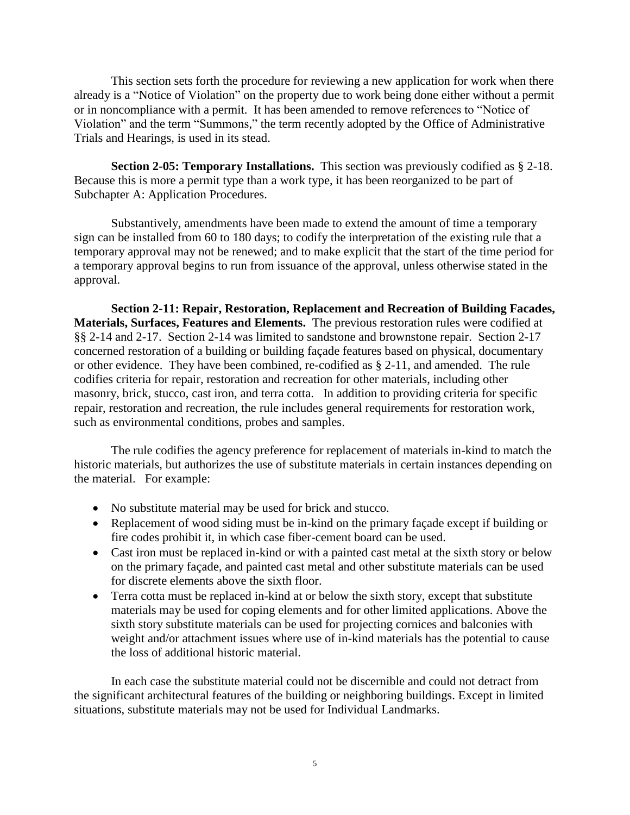This section sets forth the procedure for reviewing a new application for work when there already is a "Notice of Violation" on the property due to work being done either without a permit or in noncompliance with a permit. It has been amended to remove references to "Notice of Violation" and the term "Summons," the term recently adopted by the Office of Administrative Trials and Hearings, is used in its stead.

**Section 2-05: Temporary Installations.** This section was previously codified as § 2-18. Because this is more a permit type than a work type, it has been reorganized to be part of Subchapter A: Application Procedures.

Substantively, amendments have been made to extend the amount of time a temporary sign can be installed from 60 to 180 days; to codify the interpretation of the existing rule that a temporary approval may not be renewed; and to make explicit that the start of the time period for a temporary approval begins to run from issuance of the approval, unless otherwise stated in the approval.

**Section 2-11: Repair, Restoration, Replacement and Recreation of Building Facades, Materials, Surfaces, Features and Elements.** The previous restoration rules were codified at §§ 2-14 and 2-17. Section 2-14 was limited to sandstone and brownstone repair. Section 2-17 concerned restoration of a building or building façade features based on physical, documentary or other evidence. They have been combined, re-codified as § 2-11, and amended. The rule codifies criteria for repair, restoration and recreation for other materials, including other masonry, brick, stucco, cast iron, and terra cotta. In addition to providing criteria for specific repair, restoration and recreation, the rule includes general requirements for restoration work, such as environmental conditions, probes and samples.

The rule codifies the agency preference for replacement of materials in-kind to match the historic materials, but authorizes the use of substitute materials in certain instances depending on the material. For example:

- No substitute material may be used for brick and stucco.
- Replacement of wood siding must be in-kind on the primary façade except if building or fire codes prohibit it, in which case fiber-cement board can be used.
- Cast iron must be replaced in-kind or with a painted cast metal at the sixth story or below on the primary façade, and painted cast metal and other substitute materials can be used for discrete elements above the sixth floor.
- Terra cotta must be replaced in-kind at or below the sixth story, except that substitute materials may be used for coping elements and for other limited applications. Above the sixth story substitute materials can be used for projecting cornices and balconies with weight and/or attachment issues where use of in-kind materials has the potential to cause the loss of additional historic material.

In each case the substitute material could not be discernible and could not detract from the significant architectural features of the building or neighboring buildings. Except in limited situations, substitute materials may not be used for Individual Landmarks.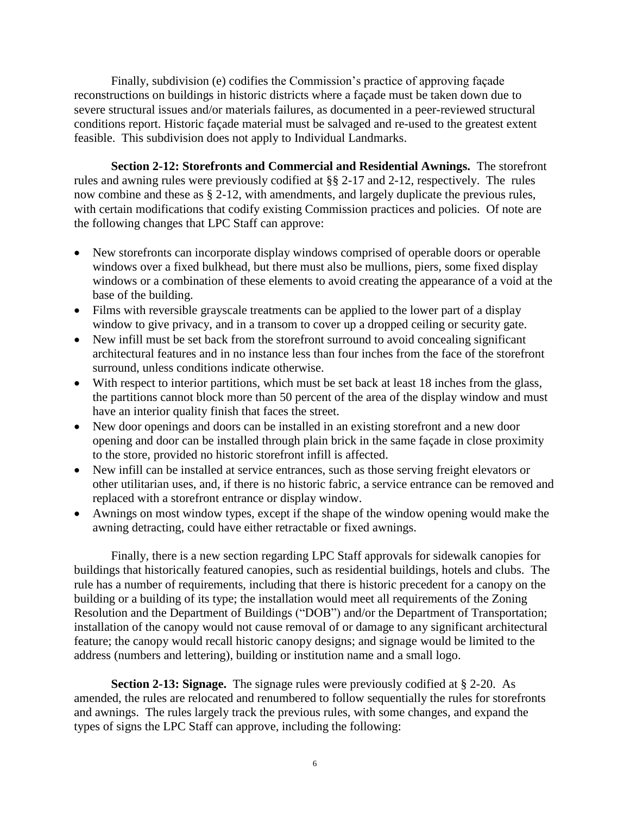Finally, subdivision (e) codifies the Commission's practice of approving façade reconstructions on buildings in historic districts where a façade must be taken down due to severe structural issues and/or materials failures, as documented in a peer-reviewed structural conditions report. Historic façade material must be salvaged and re-used to the greatest extent feasible. This subdivision does not apply to Individual Landmarks.

**Section 2-12: Storefronts and Commercial and Residential Awnings.** The storefront rules and awning rules were previously codified at §§ 2-17 and 2-12, respectively. The rules now combine and these as § 2-12, with amendments, and largely duplicate the previous rules, with certain modifications that codify existing Commission practices and policies. Of note are the following changes that LPC Staff can approve:

- New storefronts can incorporate display windows comprised of operable doors or operable windows over a fixed bulkhead, but there must also be mullions, piers, some fixed display windows or a combination of these elements to avoid creating the appearance of a void at the base of the building.
- Films with reversible grayscale treatments can be applied to the lower part of a display window to give privacy, and in a transom to cover up a dropped ceiling or security gate.
- New infill must be set back from the storefront surround to avoid concealing significant architectural features and in no instance less than four inches from the face of the storefront surround, unless conditions indicate otherwise.
- With respect to interior partitions, which must be set back at least 18 inches from the glass, the partitions cannot block more than 50 percent of the area of the display window and must have an interior quality finish that faces the street.
- New door openings and doors can be installed in an existing storefront and a new door opening and door can be installed through plain brick in the same façade in close proximity to the store, provided no historic storefront infill is affected.
- New infill can be installed at service entrances, such as those serving freight elevators or other utilitarian uses, and, if there is no historic fabric, a service entrance can be removed and replaced with a storefront entrance or display window.
- Awnings on most window types, except if the shape of the window opening would make the awning detracting, could have either retractable or fixed awnings.

Finally, there is a new section regarding LPC Staff approvals for sidewalk canopies for buildings that historically featured canopies, such as residential buildings, hotels and clubs. The rule has a number of requirements, including that there is historic precedent for a canopy on the building or a building of its type; the installation would meet all requirements of the Zoning Resolution and the Department of Buildings ("DOB") and/or the Department of Transportation; installation of the canopy would not cause removal of or damage to any significant architectural feature; the canopy would recall historic canopy designs; and signage would be limited to the address (numbers and lettering), building or institution name and a small logo.

**Section 2-13: Signage.** The signage rules were previously codified at § 2-20. As amended, the rules are relocated and renumbered to follow sequentially the rules for storefronts and awnings. The rules largely track the previous rules, with some changes, and expand the types of signs the LPC Staff can approve, including the following: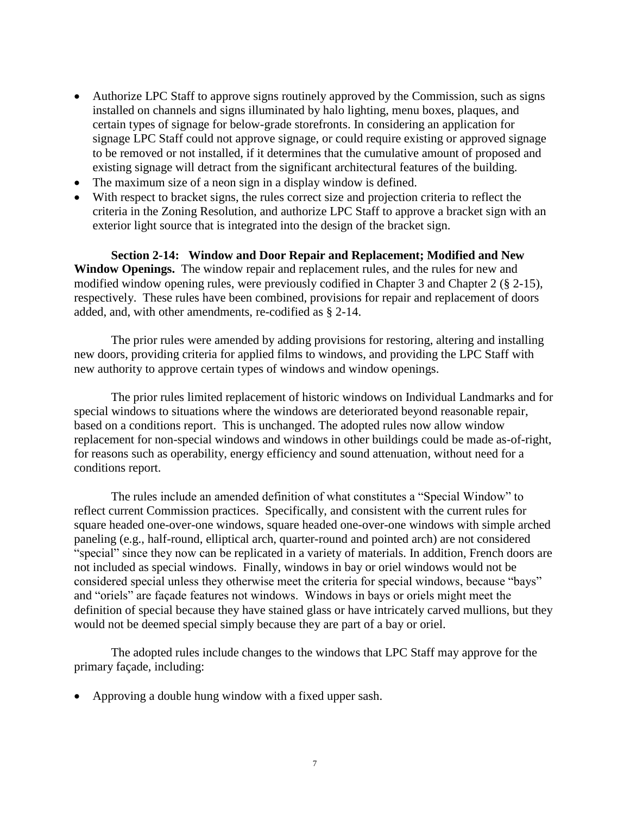- Authorize LPC Staff to approve signs routinely approved by the Commission, such as signs installed on channels and signs illuminated by halo lighting, menu boxes, plaques, and certain types of signage for below-grade storefronts. In considering an application for signage LPC Staff could not approve signage, or could require existing or approved signage to be removed or not installed, if it determines that the cumulative amount of proposed and existing signage will detract from the significant architectural features of the building.
- The maximum size of a neon sign in a display window is defined.
- With respect to bracket signs, the rules correct size and projection criteria to reflect the criteria in the Zoning Resolution, and authorize LPC Staff to approve a bracket sign with an exterior light source that is integrated into the design of the bracket sign.

**Section 2-14: Window and Door Repair and Replacement; Modified and New Window Openings.** The window repair and replacement rules, and the rules for new and modified window opening rules, were previously codified in Chapter 3 and Chapter 2 (§ 2-15), respectively. These rules have been combined, provisions for repair and replacement of doors added, and, with other amendments, re-codified as § 2-14.

The prior rules were amended by adding provisions for restoring, altering and installing new doors, providing criteria for applied films to windows, and providing the LPC Staff with new authority to approve certain types of windows and window openings.

The prior rules limited replacement of historic windows on Individual Landmarks and for special windows to situations where the windows are deteriorated beyond reasonable repair, based on a conditions report. This is unchanged. The adopted rules now allow window replacement for non-special windows and windows in other buildings could be made as-of-right, for reasons such as operability, energy efficiency and sound attenuation, without need for a conditions report.

The rules include an amended definition of what constitutes a "Special Window" to reflect current Commission practices. Specifically, and consistent with the current rules for square headed one-over-one windows, square headed one-over-one windows with simple arched paneling (e.g., half-round, elliptical arch, quarter-round and pointed arch) are not considered "special" since they now can be replicated in a variety of materials. In addition, French doors are not included as special windows. Finally, windows in bay or oriel windows would not be considered special unless they otherwise meet the criteria for special windows, because "bays" and "oriels" are façade features not windows. Windows in bays or oriels might meet the definition of special because they have stained glass or have intricately carved mullions, but they would not be deemed special simply because they are part of a bay or oriel.

The adopted rules include changes to the windows that LPC Staff may approve for the primary façade, including:

Approving a double hung window with a fixed upper sash.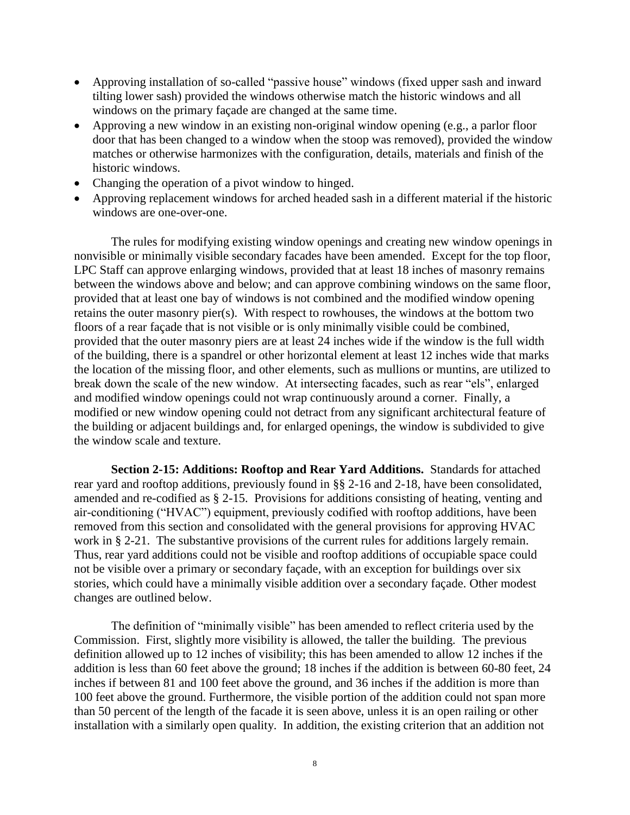- Approving installation of so-called "passive house" windows (fixed upper sash and inward tilting lower sash) provided the windows otherwise match the historic windows and all windows on the primary façade are changed at the same time.
- Approving a new window in an existing non-original window opening (e.g., a parlor floor door that has been changed to a window when the stoop was removed), provided the window matches or otherwise harmonizes with the configuration, details, materials and finish of the historic windows.
- Changing the operation of a pivot window to hinged.
- Approving replacement windows for arched headed sash in a different material if the historic windows are one-over-one.

 The rules for modifying existing window openings and creating new window openings in nonvisible or minimally visible secondary facades have been amended. Except for the top floor, LPC Staff can approve enlarging windows, provided that at least 18 inches of masonry remains between the windows above and below; and can approve combining windows on the same floor, provided that at least one bay of windows is not combined and the modified window opening retains the outer masonry pier(s). With respect to rowhouses, the windows at the bottom two floors of a rear façade that is not visible or is only minimally visible could be combined, provided that the outer masonry piers are at least 24 inches wide if the window is the full width of the building, there is a spandrel or other horizontal element at least 12 inches wide that marks the location of the missing floor, and other elements, such as mullions or muntins, are utilized to break down the scale of the new window. At intersecting facades, such as rear "els", enlarged and modified window openings could not wrap continuously around a corner. Finally, a modified or new window opening could not detract from any significant architectural feature of the building or adjacent buildings and, for enlarged openings, the window is subdivided to give the window scale and texture.

**Section 2-15: Additions: Rooftop and Rear Yard Additions.** Standards for attached rear yard and rooftop additions, previously found in §§ 2-16 and 2-18, have been consolidated, amended and re-codified as § 2-15. Provisions for additions consisting of heating, venting and air-conditioning ("HVAC") equipment, previously codified with rooftop additions, have been removed from this section and consolidated with the general provisions for approving HVAC work in § 2-21. The substantive provisions of the current rules for additions largely remain. Thus, rear yard additions could not be visible and rooftop additions of occupiable space could not be visible over a primary or secondary façade, with an exception for buildings over six stories, which could have a minimally visible addition over a secondary façade. Other modest changes are outlined below.

The definition of "minimally visible" has been amended to reflect criteria used by the Commission. First, slightly more visibility is allowed, the taller the building. The previous definition allowed up to 12 inches of visibility; this has been amended to allow 12 inches if the addition is less than 60 feet above the ground; 18 inches if the addition is between 60-80 feet, 24 inches if between 81 and 100 feet above the ground, and 36 inches if the addition is more than 100 feet above the ground. Furthermore, the visible portion of the addition could not span more than 50 percent of the length of the facade it is seen above, unless it is an open railing or other installation with a similarly open quality. In addition, the existing criterion that an addition not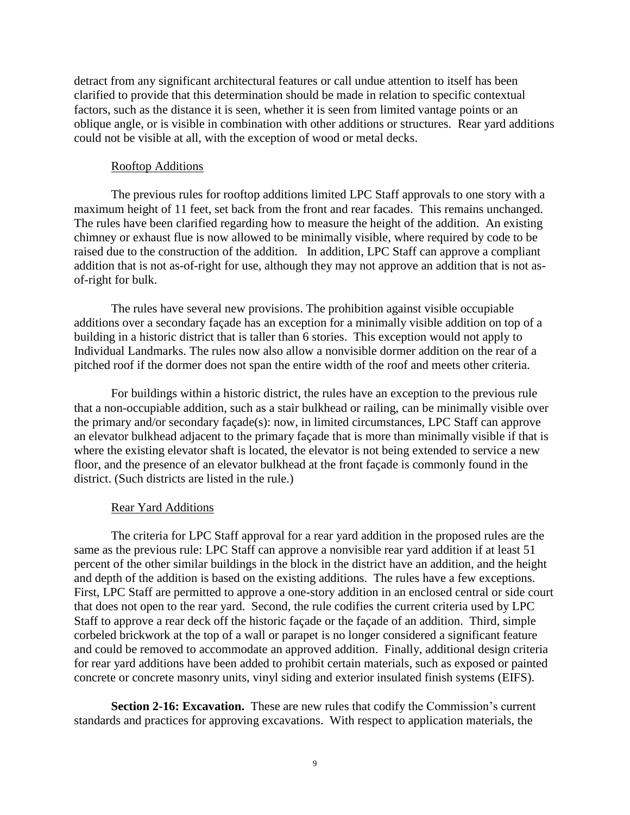detract from any significant architectural features or call undue attention to itself has been clarified to provide that this determination should be made in relation to specific contextual factors, such as the distance it is seen, whether it is seen from limited vantage points or an oblique angle, or is visible in combination with other additions or structures. Rear yard additions could not be visible at all, with the exception of wood or metal decks.

### Rooftop Additions

The previous rules for rooftop additions limited LPC Staff approvals to one story with a maximum height of 11 feet, set back from the front and rear facades. This remains unchanged. The rules have been clarified regarding how to measure the height of the addition. An existing chimney or exhaust flue is now allowed to be minimally visible, where required by code to be raised due to the construction of the addition. In addition, LPC Staff can approve a compliant addition that is not as-of-right for use, although they may not approve an addition that is not asof-right for bulk.

The rules have several new provisions. The prohibition against visible occupiable additions over a secondary façade has an exception for a minimally visible addition on top of a building in a historic district that is taller than 6 stories. This exception would not apply to Individual Landmarks. The rules now also allow a nonvisible dormer addition on the rear of a pitched roof if the dormer does not span the entire width of the roof and meets other criteria.

For buildings within a historic district, the rules have an exception to the previous rule that a non-occupiable addition, such as a stair bulkhead or railing, can be minimally visible over the primary and/or secondary façade(s): now, in limited circumstances, LPC Staff can approve an elevator bulkhead adjacent to the primary façade that is more than minimally visible if that is where the existing elevator shaft is located, the elevator is not being extended to service a new floor, and the presence of an elevator bulkhead at the front façade is commonly found in the district. (Such districts are listed in the rule.)

#### Rear Yard Additions

The criteria for LPC Staff approval for a rear yard addition in the proposed rules are the same as the previous rule: LPC Staff can approve a nonvisible rear yard addition if at least 51 percent of the other similar buildings in the block in the district have an addition, and the height and depth of the addition is based on the existing additions. The rules have a few exceptions. First, LPC Staff are permitted to approve a one-story addition in an enclosed central or side court that does not open to the rear yard. Second, the rule codifies the current criteria used by LPC Staff to approve a rear deck off the historic façade or the façade of an addition. Third, simple corbeled brickwork at the top of a wall or parapet is no longer considered a significant feature and could be removed to accommodate an approved addition. Finally, additional design criteria for rear yard additions have been added to prohibit certain materials, such as exposed or painted concrete or concrete masonry units, vinyl siding and exterior insulated finish systems (EIFS).

**Section 2-16: Excavation.** These are new rules that codify the Commission's current standards and practices for approving excavations. With respect to application materials, the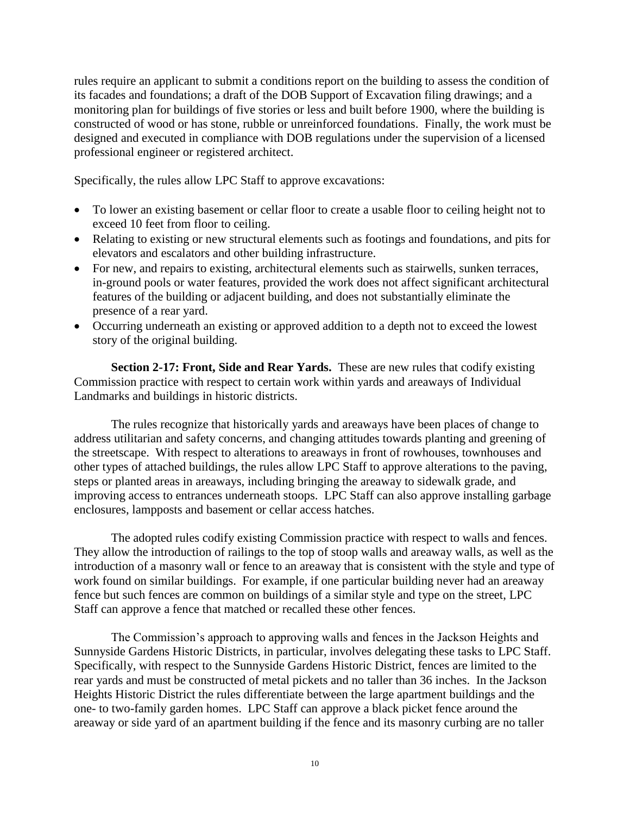rules require an applicant to submit a conditions report on the building to assess the condition of its facades and foundations; a draft of the DOB Support of Excavation filing drawings; and a monitoring plan for buildings of five stories or less and built before 1900, where the building is constructed of wood or has stone, rubble or unreinforced foundations. Finally, the work must be designed and executed in compliance with DOB regulations under the supervision of a licensed professional engineer or registered architect.

Specifically, the rules allow LPC Staff to approve excavations:

- To lower an existing basement or cellar floor to create a usable floor to ceiling height not to exceed 10 feet from floor to ceiling.
- Relating to existing or new structural elements such as footings and foundations, and pits for elevators and escalators and other building infrastructure.
- For new, and repairs to existing, architectural elements such as stairwells, sunken terraces, in-ground pools or water features, provided the work does not affect significant architectural features of the building or adjacent building, and does not substantially eliminate the presence of a rear yard.
- Occurring underneath an existing or approved addition to a depth not to exceed the lowest story of the original building.

**Section 2-17: Front, Side and Rear Yards.** These are new rules that codify existing Commission practice with respect to certain work within yards and areaways of Individual Landmarks and buildings in historic districts.

The rules recognize that historically yards and areaways have been places of change to address utilitarian and safety concerns, and changing attitudes towards planting and greening of the streetscape. With respect to alterations to areaways in front of rowhouses, townhouses and other types of attached buildings, the rules allow LPC Staff to approve alterations to the paving, steps or planted areas in areaways, including bringing the areaway to sidewalk grade, and improving access to entrances underneath stoops. LPC Staff can also approve installing garbage enclosures, lampposts and basement or cellar access hatches.

The adopted rules codify existing Commission practice with respect to walls and fences. They allow the introduction of railings to the top of stoop walls and areaway walls, as well as the introduction of a masonry wall or fence to an areaway that is consistent with the style and type of work found on similar buildings. For example, if one particular building never had an areaway fence but such fences are common on buildings of a similar style and type on the street, LPC Staff can approve a fence that matched or recalled these other fences.

The Commission's approach to approving walls and fences in the Jackson Heights and Sunnyside Gardens Historic Districts, in particular, involves delegating these tasks to LPC Staff. Specifically, with respect to the Sunnyside Gardens Historic District, fences are limited to the rear yards and must be constructed of metal pickets and no taller than 36 inches. In the Jackson Heights Historic District the rules differentiate between the large apartment buildings and the one- to two-family garden homes. LPC Staff can approve a black picket fence around the areaway or side yard of an apartment building if the fence and its masonry curbing are no taller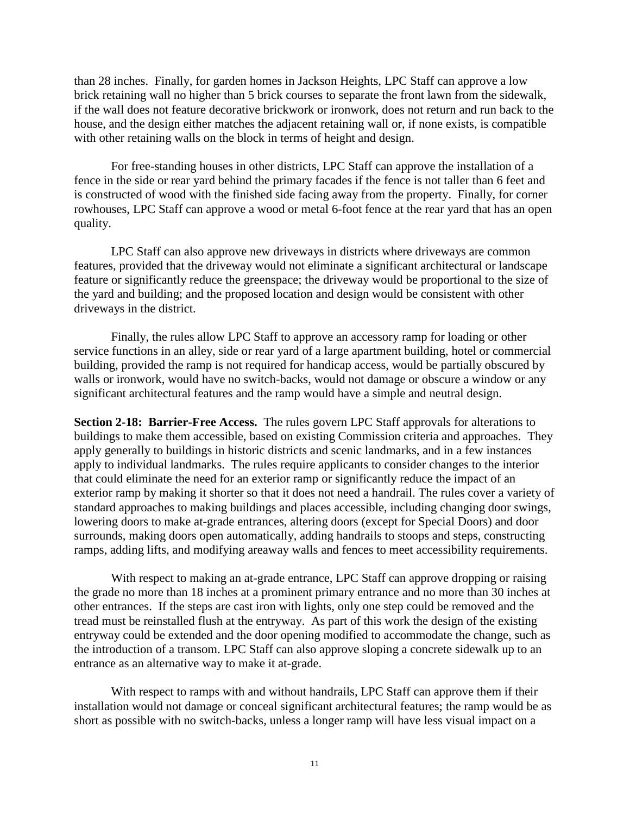than 28 inches. Finally, for garden homes in Jackson Heights, LPC Staff can approve a low brick retaining wall no higher than 5 brick courses to separate the front lawn from the sidewalk, if the wall does not feature decorative brickwork or ironwork, does not return and run back to the house, and the design either matches the adjacent retaining wall or, if none exists, is compatible with other retaining walls on the block in terms of height and design.

For free-standing houses in other districts, LPC Staff can approve the installation of a fence in the side or rear yard behind the primary facades if the fence is not taller than 6 feet and is constructed of wood with the finished side facing away from the property. Finally, for corner rowhouses, LPC Staff can approve a wood or metal 6-foot fence at the rear yard that has an open quality.

LPC Staff can also approve new driveways in districts where driveways are common features, provided that the driveway would not eliminate a significant architectural or landscape feature or significantly reduce the greenspace; the driveway would be proportional to the size of the yard and building; and the proposed location and design would be consistent with other driveways in the district.

Finally, the rules allow LPC Staff to approve an accessory ramp for loading or other service functions in an alley, side or rear yard of a large apartment building, hotel or commercial building, provided the ramp is not required for handicap access, would be partially obscured by walls or ironwork, would have no switch-backs, would not damage or obscure a window or any significant architectural features and the ramp would have a simple and neutral design.

**Section 2-18: Barrier-Free Access.** The rules govern LPC Staff approvals for alterations to buildings to make them accessible, based on existing Commission criteria and approaches. They apply generally to buildings in historic districts and scenic landmarks, and in a few instances apply to individual landmarks. The rules require applicants to consider changes to the interior that could eliminate the need for an exterior ramp or significantly reduce the impact of an exterior ramp by making it shorter so that it does not need a handrail. The rules cover a variety of standard approaches to making buildings and places accessible, including changing door swings, lowering doors to make at-grade entrances, altering doors (except for Special Doors) and door surrounds, making doors open automatically, adding handrails to stoops and steps, constructing ramps, adding lifts, and modifying areaway walls and fences to meet accessibility requirements.

With respect to making an at-grade entrance, LPC Staff can approve dropping or raising the grade no more than 18 inches at a prominent primary entrance and no more than 30 inches at other entrances. If the steps are cast iron with lights, only one step could be removed and the tread must be reinstalled flush at the entryway. As part of this work the design of the existing entryway could be extended and the door opening modified to accommodate the change, such as the introduction of a transom. LPC Staff can also approve sloping a concrete sidewalk up to an entrance as an alternative way to make it at-grade.

With respect to ramps with and without handrails, LPC Staff can approve them if their installation would not damage or conceal significant architectural features; the ramp would be as short as possible with no switch-backs, unless a longer ramp will have less visual impact on a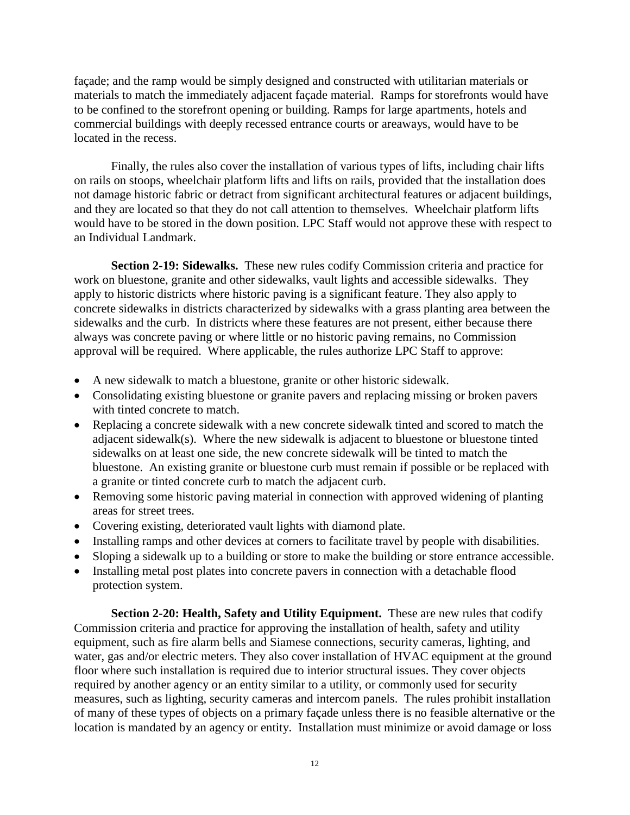façade; and the ramp would be simply designed and constructed with utilitarian materials or materials to match the immediately adjacent façade material. Ramps for storefronts would have to be confined to the storefront opening or building. Ramps for large apartments, hotels and commercial buildings with deeply recessed entrance courts or areaways, would have to be located in the recess.

Finally, the rules also cover the installation of various types of lifts, including chair lifts on rails on stoops, wheelchair platform lifts and lifts on rails, provided that the installation does not damage historic fabric or detract from significant architectural features or adjacent buildings, and they are located so that they do not call attention to themselves. Wheelchair platform lifts would have to be stored in the down position. LPC Staff would not approve these with respect to an Individual Landmark.

**Section 2-19: Sidewalks.** These new rules codify Commission criteria and practice for work on bluestone, granite and other sidewalks, vault lights and accessible sidewalks. They apply to historic districts where historic paving is a significant feature. They also apply to concrete sidewalks in districts characterized by sidewalks with a grass planting area between the sidewalks and the curb. In districts where these features are not present, either because there always was concrete paving or where little or no historic paving remains, no Commission approval will be required. Where applicable, the rules authorize LPC Staff to approve:

- A new sidewalk to match a bluestone, granite or other historic sidewalk.
- Consolidating existing bluestone or granite pavers and replacing missing or broken pavers with tinted concrete to match.
- Replacing a concrete sidewalk with a new concrete sidewalk tinted and scored to match the adjacent sidewalk(s). Where the new sidewalk is adjacent to bluestone or bluestone tinted sidewalks on at least one side, the new concrete sidewalk will be tinted to match the bluestone. An existing granite or bluestone curb must remain if possible or be replaced with a granite or tinted concrete curb to match the adjacent curb.
- Removing some historic paving material in connection with approved widening of planting areas for street trees.
- Covering existing, deteriorated vault lights with diamond plate.
- Installing ramps and other devices at corners to facilitate travel by people with disabilities.
- Sloping a sidewalk up to a building or store to make the building or store entrance accessible.
- Installing metal post plates into concrete pavers in connection with a detachable flood protection system.

**Section 2-20: Health, Safety and Utility Equipment.** These are new rules that codify Commission criteria and practice for approving the installation of health, safety and utility equipment, such as fire alarm bells and Siamese connections, security cameras, lighting, and water, gas and/or electric meters. They also cover installation of HVAC equipment at the ground floor where such installation is required due to interior structural issues. They cover objects required by another agency or an entity similar to a utility, or commonly used for security measures, such as lighting, security cameras and intercom panels. The rules prohibit installation of many of these types of objects on a primary façade unless there is no feasible alternative or the location is mandated by an agency or entity. Installation must minimize or avoid damage or loss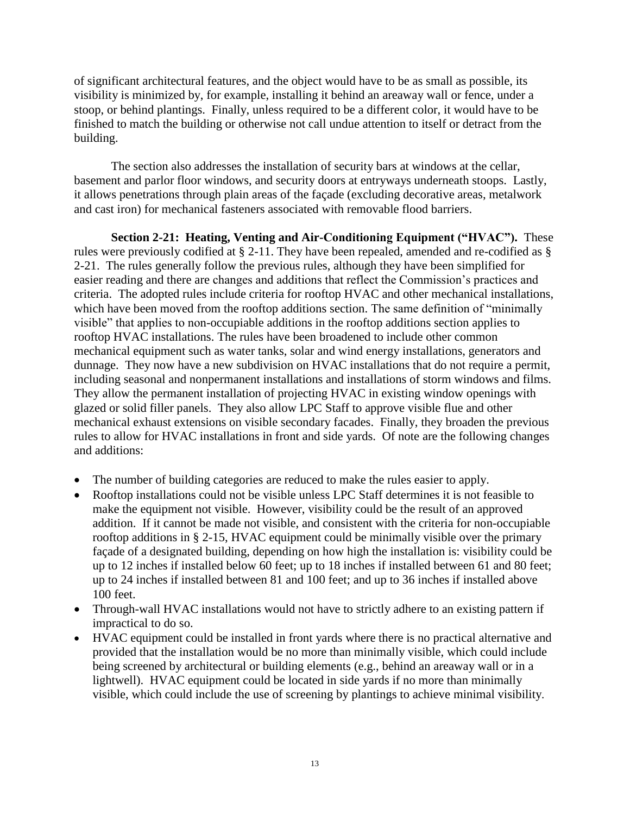of significant architectural features, and the object would have to be as small as possible, its visibility is minimized by, for example, installing it behind an areaway wall or fence, under a stoop, or behind plantings. Finally, unless required to be a different color, it would have to be finished to match the building or otherwise not call undue attention to itself or detract from the building.

The section also addresses the installation of security bars at windows at the cellar, basement and parlor floor windows, and security doors at entryways underneath stoops. Lastly, it allows penetrations through plain areas of the façade (excluding decorative areas, metalwork and cast iron) for mechanical fasteners associated with removable flood barriers.

**Section 2-21: Heating, Venting and Air-Conditioning Equipment ("HVAC").** These rules were previously codified at § 2-11. They have been repealed, amended and re-codified as § 2-21. The rules generally follow the previous rules, although they have been simplified for easier reading and there are changes and additions that reflect the Commission's practices and criteria. The adopted rules include criteria for rooftop HVAC and other mechanical installations, which have been moved from the rooftop additions section. The same definition of "minimally" visible" that applies to non-occupiable additions in the rooftop additions section applies to rooftop HVAC installations. The rules have been broadened to include other common mechanical equipment such as water tanks, solar and wind energy installations, generators and dunnage. They now have a new subdivision on HVAC installations that do not require a permit, including seasonal and nonpermanent installations and installations of storm windows and films. They allow the permanent installation of projecting HVAC in existing window openings with glazed or solid filler panels. They also allow LPC Staff to approve visible flue and other mechanical exhaust extensions on visible secondary facades. Finally, they broaden the previous rules to allow for HVAC installations in front and side yards. Of note are the following changes and additions:

- The number of building categories are reduced to make the rules easier to apply.
- Rooftop installations could not be visible unless LPC Staff determines it is not feasible to make the equipment not visible. However, visibility could be the result of an approved addition. If it cannot be made not visible, and consistent with the criteria for non-occupiable rooftop additions in § 2-15, HVAC equipment could be minimally visible over the primary façade of a designated building, depending on how high the installation is: visibility could be up to 12 inches if installed below 60 feet; up to 18 inches if installed between 61 and 80 feet; up to 24 inches if installed between 81 and 100 feet; and up to 36 inches if installed above 100 feet.
- Through-wall HVAC installations would not have to strictly adhere to an existing pattern if impractical to do so.
- HVAC equipment could be installed in front yards where there is no practical alternative and provided that the installation would be no more than minimally visible, which could include being screened by architectural or building elements (e.g., behind an areaway wall or in a lightwell). HVAC equipment could be located in side yards if no more than minimally visible, which could include the use of screening by plantings to achieve minimal visibility.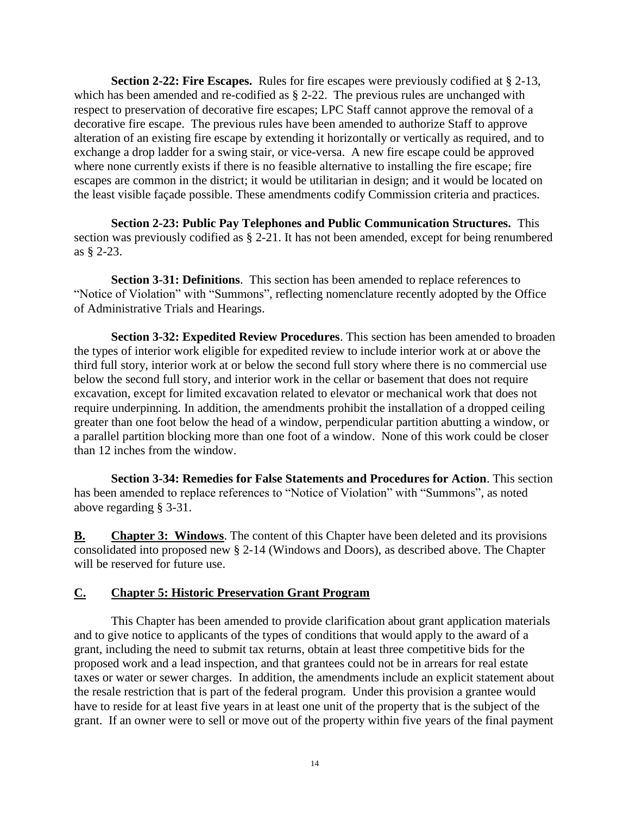**Section 2-22: Fire Escapes.** Rules for fire escapes were previously codified at § 2-13, which has been amended and re-codified as  $\S$  2-22. The previous rules are unchanged with respect to preservation of decorative fire escapes; LPC Staff cannot approve the removal of a decorative fire escape. The previous rules have been amended to authorize Staff to approve alteration of an existing fire escape by extending it horizontally or vertically as required, and to exchange a drop ladder for a swing stair, or vice-versa. A new fire escape could be approved where none currently exists if there is no feasible alternative to installing the fire escape; fire escapes are common in the district; it would be utilitarian in design; and it would be located on the least visible façade possible. These amendments codify Commission criteria and practices.

**Section 2-23: Public Pay Telephones and Public Communication Structures.** This section was previously codified as § 2-21. It has not been amended, except for being renumbered as § 2-23.

**Section 3-31: Definitions**. This section has been amended to replace references to "Notice of Violation" with "Summons", reflecting nomenclature recently adopted by the Office of Administrative Trials and Hearings.

**Section 3-32: Expedited Review Procedures**. This section has been amended to broaden the types of interior work eligible for expedited review to include interior work at or above the third full story, interior work at or below the second full story where there is no commercial use below the second full story, and interior work in the cellar or basement that does not require excavation, except for limited excavation related to elevator or mechanical work that does not require underpinning. In addition, the amendments prohibit the installation of a dropped ceiling greater than one foot below the head of a window, perpendicular partition abutting a window, or a parallel partition blocking more than one foot of a window. None of this work could be closer than 12 inches from the window.

**Section 3-34: Remedies for False Statements and Procedures for Action**. This section has been amended to replace references to "Notice of Violation" with "Summons", as noted above regarding § 3-31.

**B. Chapter 3: Windows**. The content of this Chapter have been deleted and its provisions consolidated into proposed new § 2-14 (Windows and Doors), as described above. The Chapter will be reserved for future use.

# **C. Chapter 5: Historic Preservation Grant Program**

This Chapter has been amended to provide clarification about grant application materials and to give notice to applicants of the types of conditions that would apply to the award of a grant, including the need to submit tax returns, obtain at least three competitive bids for the proposed work and a lead inspection, and that grantees could not be in arrears for real estate taxes or water or sewer charges. In addition, the amendments include an explicit statement about the resale restriction that is part of the federal program. Under this provision a grantee would have to reside for at least five years in at least one unit of the property that is the subject of the grant. If an owner were to sell or move out of the property within five years of the final payment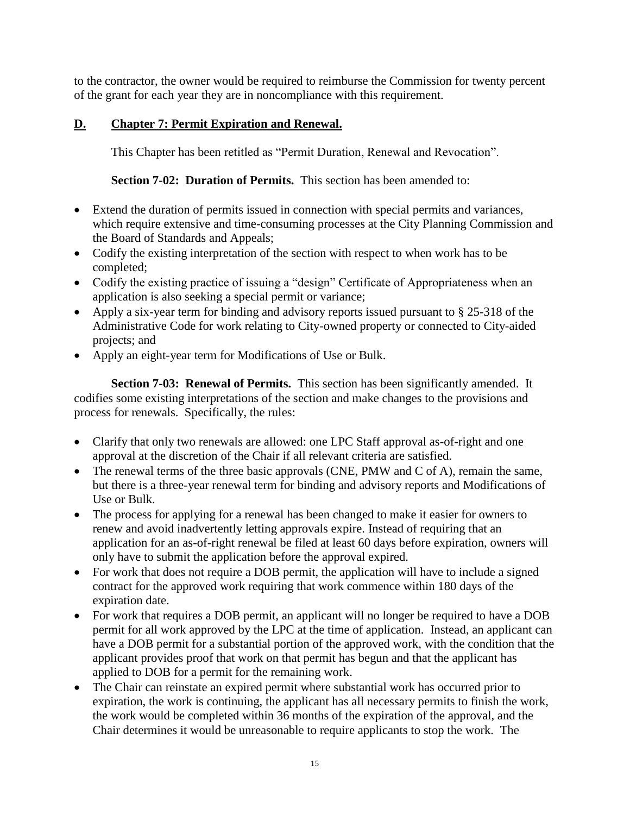to the contractor, the owner would be required to reimburse the Commission for twenty percent of the grant for each year they are in noncompliance with this requirement.

# **D. Chapter 7: Permit Expiration and Renewal.**

This Chapter has been retitled as "Permit Duration, Renewal and Revocation".

**Section 7-02: Duration of Permits.** This section has been amended to:

- Extend the duration of permits issued in connection with special permits and variances, which require extensive and time-consuming processes at the City Planning Commission and the Board of Standards and Appeals;
- Codify the existing interpretation of the section with respect to when work has to be completed;
- Codify the existing practice of issuing a "design" Certificate of Appropriateness when an application is also seeking a special permit or variance;
- Apply a six-year term for binding and advisory reports issued pursuant to § 25-318 of the Administrative Code for work relating to City-owned property or connected to City-aided projects; and
- Apply an eight-year term for Modifications of Use or Bulk.

**Section 7-03: Renewal of Permits.** This section has been significantly amended. It codifies some existing interpretations of the section and make changes to the provisions and process for renewals. Specifically, the rules:

- Clarify that only two renewals are allowed: one LPC Staff approval as-of-right and one approval at the discretion of the Chair if all relevant criteria are satisfied.
- The renewal terms of the three basic approvals (CNE, PMW and C of A), remain the same, but there is a three-year renewal term for binding and advisory reports and Modifications of Use or Bulk.
- The process for applying for a renewal has been changed to make it easier for owners to renew and avoid inadvertently letting approvals expire. Instead of requiring that an application for an as-of-right renewal be filed at least 60 days before expiration, owners will only have to submit the application before the approval expired.
- For work that does not require a DOB permit, the application will have to include a signed contract for the approved work requiring that work commence within 180 days of the expiration date.
- For work that requires a DOB permit, an applicant will no longer be required to have a DOB permit for all work approved by the LPC at the time of application. Instead, an applicant can have a DOB permit for a substantial portion of the approved work, with the condition that the applicant provides proof that work on that permit has begun and that the applicant has applied to DOB for a permit for the remaining work.
- The Chair can reinstate an expired permit where substantial work has occurred prior to expiration, the work is continuing, the applicant has all necessary permits to finish the work, the work would be completed within 36 months of the expiration of the approval, and the Chair determines it would be unreasonable to require applicants to stop the work. The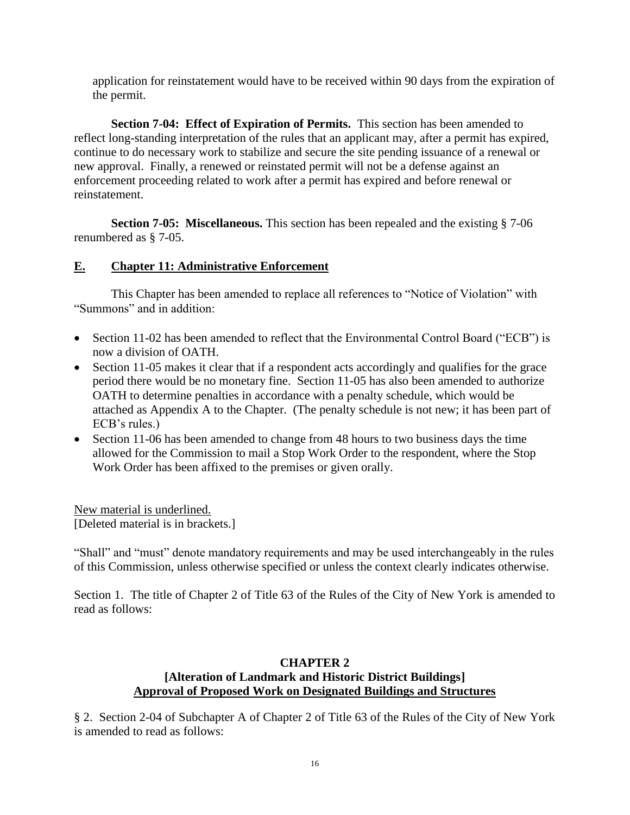application for reinstatement would have to be received within 90 days from the expiration of the permit.

**Section 7-04: Effect of Expiration of Permits.** This section has been amended to reflect long-standing interpretation of the rules that an applicant may, after a permit has expired, continue to do necessary work to stabilize and secure the site pending issuance of a renewal or new approval. Finally, a renewed or reinstated permit will not be a defense against an enforcement proceeding related to work after a permit has expired and before renewal or reinstatement.

**Section 7-05: Miscellaneous.** This section has been repealed and the existing § 7-06 renumbered as § 7-05.

# **E. Chapter 11: Administrative Enforcement**

This Chapter has been amended to replace all references to "Notice of Violation" with "Summons" and in addition:

- Section 11-02 has been amended to reflect that the Environmental Control Board ("ECB") is now a division of OATH.
- Section 11-05 makes it clear that if a respondent acts accordingly and qualifies for the grace period there would be no monetary fine. Section 11-05 has also been amended to authorize OATH to determine penalties in accordance with a penalty schedule, which would be attached as Appendix A to the Chapter. (The penalty schedule is not new; it has been part of ECB's rules.)
- Section 11-06 has been amended to change from 48 hours to two business days the time allowed for the Commission to mail a Stop Work Order to the respondent, where the Stop Work Order has been affixed to the premises or given orally.

New material is underlined. [Deleted material is in brackets.]

"Shall" and "must" denote mandatory requirements and may be used interchangeably in the rules of this Commission, unless otherwise specified or unless the context clearly indicates otherwise.

Section 1. The title of Chapter 2 of Title 63 of the Rules of the City of New York is amended to read as follows:

## **CHAPTER 2 [Alteration of Landmark and Historic District Buildings] Approval of Proposed Work on Designated Buildings and Structures**

§ 2. Section 2-04 of Subchapter A of Chapter 2 of Title 63 of the Rules of the City of New York is amended to read as follows: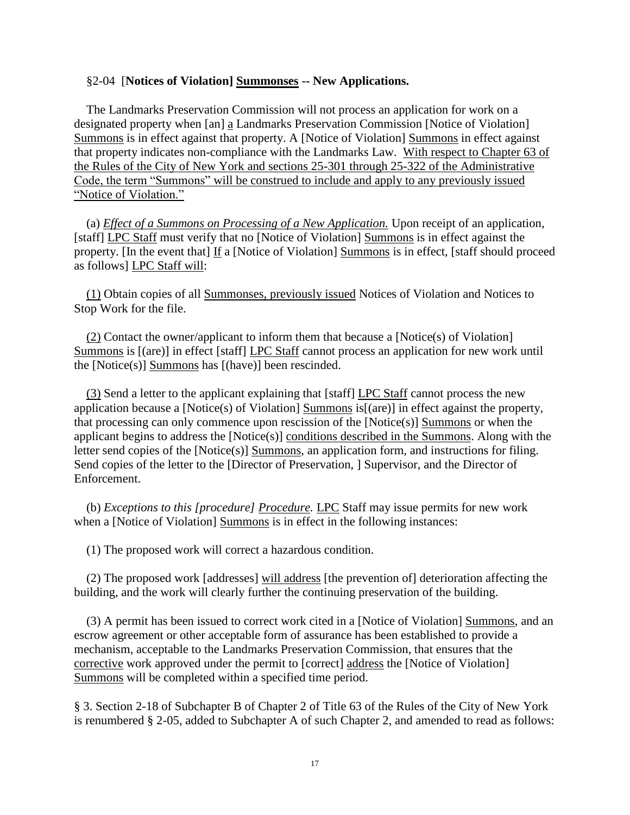#### §2-04 [**Notices of Violation] Summonses -- New Applications.**

The Landmarks Preservation Commission will not process an application for work on a designated property when [an] a Landmarks Preservation Commission [Notice of Violation] Summons is in effect against that property. A [Notice of Violation] Summons in effect against that property indicates non-compliance with the Landmarks Law. With respect to Chapter 63 of the Rules of the City of New York and sections 25-301 through 25-322 of the Administrative Code, the term "Summons" will be construed to include and apply to any previously issued "Notice of Violation."

(a) *Effect of a Summons on Processing of a New Application.* Upon receipt of an application, [staff] LPC Staff must verify that no [Notice of Violation] Summons is in effect against the property. [In the event that] If a [Notice of Violation] Summons is in effect, [staff should proceed as follows] LPC Staff will:

(1) Obtain copies of all Summonses, previously issued Notices of Violation and Notices to Stop Work for the file.

(2) Contact the owner/applicant to inform them that because a [Notice(s) of Violation] Summons is [(are)] in effect [staff] LPC Staff cannot process an application for new work until the [Notice(s)] Summons has [(have)] been rescinded.

(3) Send a letter to the applicant explaining that [staff] LPC Staff cannot process the new application because a [Notice(s) of Violation] Summons is[(are)] in effect against the property, that processing can only commence upon rescission of the [Notice(s)] Summons or when the applicant begins to address the [Notice(s)] conditions described in the Summons. Along with the letter send copies of the [Notice(s)] Summons, an application form, and instructions for filing. Send copies of the letter to the [Director of Preservation, ] Supervisor, and the Director of Enforcement.

(b) *Exceptions to this [procedure] Procedure.* LPC Staff may issue permits for new work when a [Notice of Violation] Summons is in effect in the following instances:

(1) The proposed work will correct a hazardous condition.

(2) The proposed work [addresses] will address [the prevention of] deterioration affecting the building, and the work will clearly further the continuing preservation of the building.

(3) A permit has been issued to correct work cited in a [Notice of Violation] Summons, and an escrow agreement or other acceptable form of assurance has been established to provide a mechanism, acceptable to the Landmarks Preservation Commission, that ensures that the corrective work approved under the permit to [correct] address the [Notice of Violation] Summons will be completed within a specified time period.

§ 3. Section 2-18 of Subchapter B of Chapter 2 of Title 63 of the Rules of the City of New York is renumbered § 2-05, added to Subchapter A of such Chapter 2, and amended to read as follows: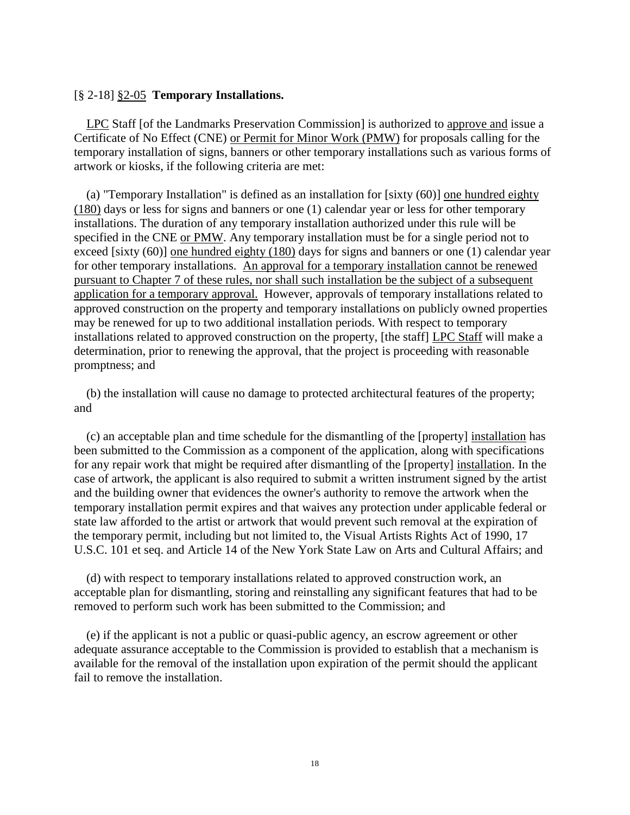### [§ 2-18] §2-05 **Temporary Installations.**

LPC Staff [of the Landmarks Preservation Commission] is authorized to approve and issue a Certificate of No Effect (CNE) or Permit for Minor Work (PMW) for proposals calling for the temporary installation of signs, banners or other temporary installations such as various forms of artwork or kiosks, if the following criteria are met:

(a) "Temporary Installation" is defined as an installation for [sixty (60)] one hundred eighty (180) days or less for signs and banners or one (1) calendar year or less for other temporary installations. The duration of any temporary installation authorized under this rule will be specified in the CNE or PMW. Any temporary installation must be for a single period not to exceed [sixty (60)] one hundred eighty (180) days for signs and banners or one (1) calendar year for other temporary installations. An approval for a temporary installation cannot be renewed pursuant to Chapter 7 of these rules, nor shall such installation be the subject of a subsequent application for a temporary approval. However, approvals of temporary installations related to approved construction on the property and temporary installations on publicly owned properties may be renewed for up to two additional installation periods. With respect to temporary installations related to approved construction on the property, [the staff] LPC Staff will make a determination, prior to renewing the approval, that the project is proceeding with reasonable promptness; and

(b) the installation will cause no damage to protected architectural features of the property; and

(c) an acceptable plan and time schedule for the dismantling of the [property] installation has been submitted to the Commission as a component of the application, along with specifications for any repair work that might be required after dismantling of the [property] installation. In the case of artwork, the applicant is also required to submit a written instrument signed by the artist and the building owner that evidences the owner's authority to remove the artwork when the temporary installation permit expires and that waives any protection under applicable federal or state law afforded to the artist or artwork that would prevent such removal at the expiration of the temporary permit, including but not limited to, the Visual Artists Rights Act of 1990, 17 U.S.C. 101 et seq. and Article 14 of the New York State Law on Arts and Cultural Affairs; and

(d) with respect to temporary installations related to approved construction work, an acceptable plan for dismantling, storing and reinstalling any significant features that had to be removed to perform such work has been submitted to the Commission; and

(e) if the applicant is not a public or quasi-public agency, an escrow agreement or other adequate assurance acceptable to the Commission is provided to establish that a mechanism is available for the removal of the installation upon expiration of the permit should the applicant fail to remove the installation.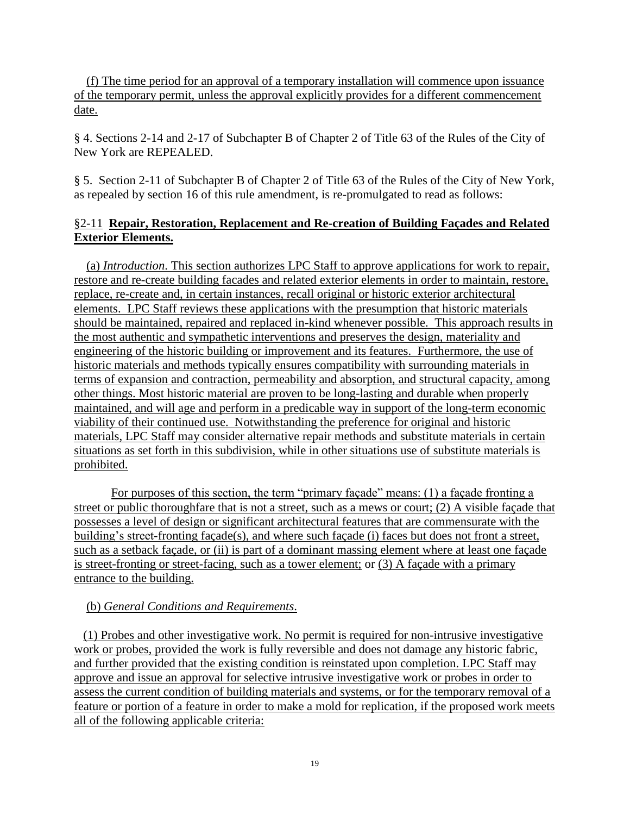(f) The time period for an approval of a temporary installation will commence upon issuance of the temporary permit, unless the approval explicitly provides for a different commencement date.

§ 4. Sections 2-14 and 2-17 of Subchapter B of Chapter 2 of Title 63 of the Rules of the City of New York are REPEALED.

§ 5. Section 2-11 of Subchapter B of Chapter 2 of Title 63 of the Rules of the City of New York, as repealed by section 16 of this rule amendment, is re-promulgated to read as follows:

# §2-11 **Repair, Restoration, Replacement and Re-creation of Building Façades and Related Exterior Elements.**

 (a) *Introduction*. This section authorizes LPC Staff to approve applications for work to repair, restore and re-create building facades and related exterior elements in order to maintain, restore, replace, re-create and, in certain instances, recall original or historic exterior architectural elements. LPC Staff reviews these applications with the presumption that historic materials should be maintained, repaired and replaced in-kind whenever possible. This approach results in the most authentic and sympathetic interventions and preserves the design, materiality and engineering of the historic building or improvement and its features. Furthermore, the use of historic materials and methods typically ensures compatibility with surrounding materials in terms of expansion and contraction, permeability and absorption, and structural capacity, among other things. Most historic material are proven to be long-lasting and durable when properly maintained, and will age and perform in a predicable way in support of the long-term economic viability of their continued use. Notwithstanding the preference for original and historic materials, LPC Staff may consider alternative repair methods and substitute materials in certain situations as set forth in this subdivision, while in other situations use of substitute materials is prohibited.

 For purposes of this section, the term "primary façade" means: (1) a façade fronting a street or public thoroughfare that is not a street, such as a mews or court; (2) A visible façade that possesses a level of design or significant architectural features that are commensurate with the building's street-fronting façade(s), and where such façade (i) faces but does not front a street, such as a setback façade, or (ii) is part of a dominant massing element where at least one façade is street-fronting or street-facing, such as a tower element; or (3) A façade with a primary entrance to the building.

# (b) *General Conditions and Requirements*.

 (1) Probes and other investigative work. No permit is required for non-intrusive investigative work or probes, provided the work is fully reversible and does not damage any historic fabric, and further provided that the existing condition is reinstated upon completion. LPC Staff may approve and issue an approval for selective intrusive investigative work or probes in order to assess the current condition of building materials and systems, or for the temporary removal of a feature or portion of a feature in order to make a mold for replication, if the proposed work meets all of the following applicable criteria: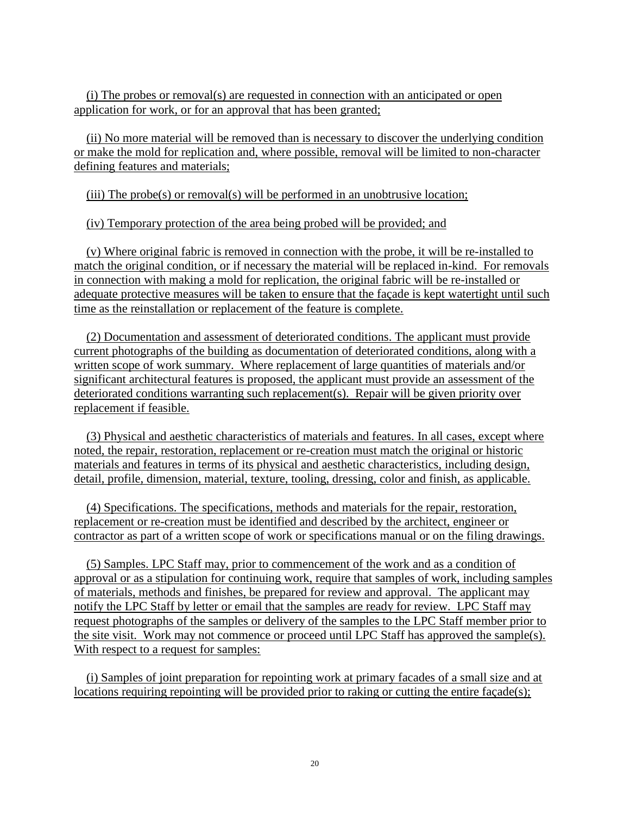(i) The probes or removal(s) are requested in connection with an anticipated or open application for work, or for an approval that has been granted;

 (ii) No more material will be removed than is necessary to discover the underlying condition or make the mold for replication and, where possible, removal will be limited to non-character defining features and materials;

(iii) The probe(s) or removal(s) will be performed in an unobtrusive location;

(iv) Temporary protection of the area being probed will be provided; and

 (v) Where original fabric is removed in connection with the probe, it will be re-installed to match the original condition, or if necessary the material will be replaced in-kind. For removals in connection with making a mold for replication, the original fabric will be re-installed or adequate protective measures will be taken to ensure that the façade is kept watertight until such time as the reinstallation or replacement of the feature is complete.

 (2) Documentation and assessment of deteriorated conditions. The applicant must provide current photographs of the building as documentation of deteriorated conditions, along with a written scope of work summary. Where replacement of large quantities of materials and/or significant architectural features is proposed, the applicant must provide an assessment of the deteriorated conditions warranting such replacement(s). Repair will be given priority over replacement if feasible.

 (3) Physical and aesthetic characteristics of materials and features. In all cases, except where noted, the repair, restoration, replacement or re-creation must match the original or historic materials and features in terms of its physical and aesthetic characteristics, including design, detail, profile, dimension, material, texture, tooling, dressing, color and finish, as applicable.

 (4) Specifications. The specifications, methods and materials for the repair, restoration, replacement or re-creation must be identified and described by the architect, engineer or contractor as part of a written scope of work or specifications manual or on the filing drawings.

 (5) Samples. LPC Staff may, prior to commencement of the work and as a condition of approval or as a stipulation for continuing work, require that samples of work, including samples of materials, methods and finishes, be prepared for review and approval. The applicant may notify the LPC Staff by letter or email that the samples are ready for review. LPC Staff may request photographs of the samples or delivery of the samples to the LPC Staff member prior to the site visit. Work may not commence or proceed until LPC Staff has approved the sample(s). With respect to a request for samples:

 (i) Samples of joint preparation for repointing work at primary facades of a small size and at locations requiring repointing will be provided prior to raking or cutting the entire façade(s);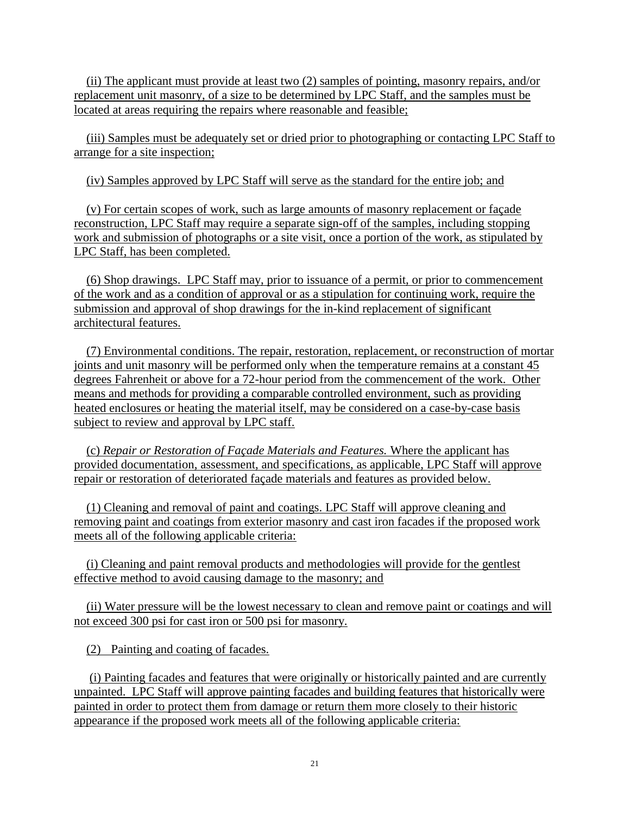(ii) The applicant must provide at least two (2) samples of pointing, masonry repairs, and/or replacement unit masonry, of a size to be determined by LPC Staff, and the samples must be located at areas requiring the repairs where reasonable and feasible;

 (iii) Samples must be adequately set or dried prior to photographing or contacting LPC Staff to arrange for a site inspection;

(iv) Samples approved by LPC Staff will serve as the standard for the entire job; and

 (v) For certain scopes of work, such as large amounts of masonry replacement or façade reconstruction, LPC Staff may require a separate sign-off of the samples, including stopping work and submission of photographs or a site visit, once a portion of the work, as stipulated by LPC Staff, has been completed.

 (6) Shop drawings. LPC Staff may, prior to issuance of a permit, or prior to commencement of the work and as a condition of approval or as a stipulation for continuing work, require the submission and approval of shop drawings for the in-kind replacement of significant architectural features.

 (7) Environmental conditions. The repair, restoration, replacement, or reconstruction of mortar joints and unit masonry will be performed only when the temperature remains at a constant 45 degrees Fahrenheit or above for a 72-hour period from the commencement of the work. Other means and methods for providing a comparable controlled environment, such as providing heated enclosures or heating the material itself, may be considered on a case-by-case basis subject to review and approval by LPC staff.

 (c) *Repair or Restoration of Façade Materials and Features.* Where the applicant has provided documentation, assessment, and specifications, as applicable, LPC Staff will approve repair or restoration of deteriorated façade materials and features as provided below.

 (1) Cleaning and removal of paint and coatings. LPC Staff will approve cleaning and removing paint and coatings from exterior masonry and cast iron facades if the proposed work meets all of the following applicable criteria:

 (i) Cleaning and paint removal products and methodologies will provide for the gentlest effective method to avoid causing damage to the masonry; and

 (ii) Water pressure will be the lowest necessary to clean and remove paint or coatings and will not exceed 300 psi for cast iron or 500 psi for masonry.

(2) Painting and coating of facades.

 (i) Painting facades and features that were originally or historically painted and are currently unpainted. LPC Staff will approve painting facades and building features that historically were painted in order to protect them from damage or return them more closely to their historic appearance if the proposed work meets all of the following applicable criteria: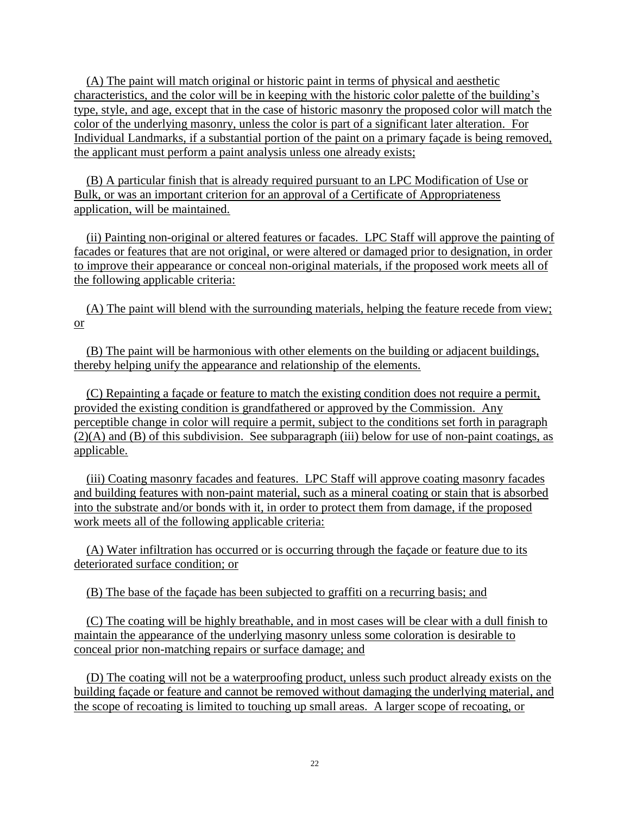(A) The paint will match original or historic paint in terms of physical and aesthetic characteristics, and the color will be in keeping with the historic color palette of the building's type, style, and age, except that in the case of historic masonry the proposed color will match the color of the underlying masonry, unless the color is part of a significant later alteration. For Individual Landmarks, if a substantial portion of the paint on a primary façade is being removed, the applicant must perform a paint analysis unless one already exists;

 (B) A particular finish that is already required pursuant to an LPC Modification of Use or Bulk, or was an important criterion for an approval of a Certificate of Appropriateness application, will be maintained.

 (ii) Painting non-original or altered features or facades. LPC Staff will approve the painting of facades or features that are not original, or were altered or damaged prior to designation, in order to improve their appearance or conceal non-original materials, if the proposed work meets all of the following applicable criteria:

 (A) The paint will blend with the surrounding materials, helping the feature recede from view; or

 (B) The paint will be harmonious with other elements on the building or adjacent buildings, thereby helping unify the appearance and relationship of the elements.

 (C) Repainting a façade or feature to match the existing condition does not require a permit, provided the existing condition is grandfathered or approved by the Commission. Any perceptible change in color will require a permit, subject to the conditions set forth in paragraph (2)(A) and (B) of this subdivision. See subparagraph (iii) below for use of non-paint coatings, as applicable.

 (iii) Coating masonry facades and features. LPC Staff will approve coating masonry facades and building features with non-paint material, such as a mineral coating or stain that is absorbed into the substrate and/or bonds with it, in order to protect them from damage, if the proposed work meets all of the following applicable criteria:

 (A) Water infiltration has occurred or is occurring through the façade or feature due to its deteriorated surface condition; or

(B) The base of the façade has been subjected to graffiti on a recurring basis; and

 (C) The coating will be highly breathable, and in most cases will be clear with a dull finish to maintain the appearance of the underlying masonry unless some coloration is desirable to conceal prior non-matching repairs or surface damage; and

 (D) The coating will not be a waterproofing product, unless such product already exists on the building façade or feature and cannot be removed without damaging the underlying material, and the scope of recoating is limited to touching up small areas. A larger scope of recoating, or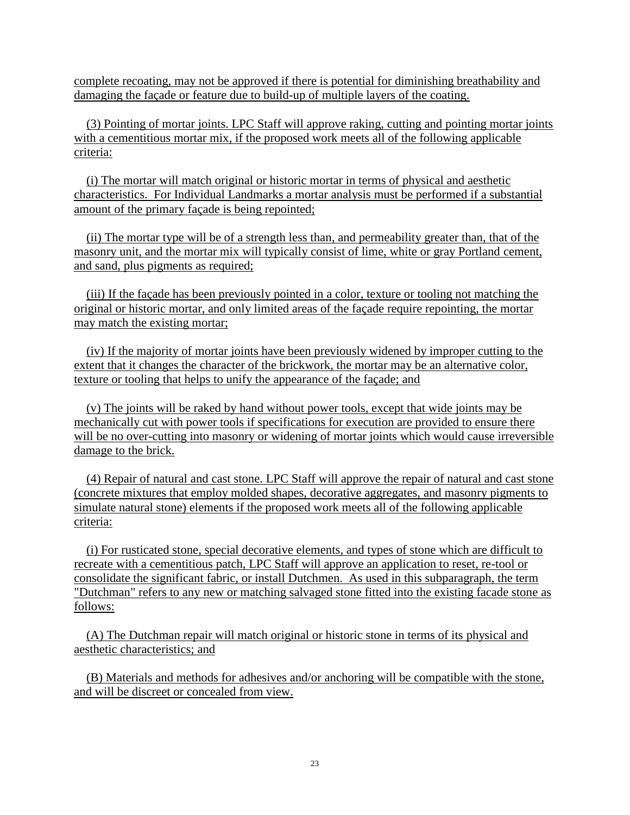complete recoating, may not be approved if there is potential for diminishing breathability and damaging the façade or feature due to build-up of multiple layers of the coating.

 (3) Pointing of mortar joints. LPC Staff will approve raking, cutting and pointing mortar joints with a cementitious mortar mix, if the proposed work meets all of the following applicable criteria:

 (i) The mortar will match original or historic mortar in terms of physical and aesthetic characteristics. For Individual Landmarks a mortar analysis must be performed if a substantial amount of the primary façade is being repointed;

 (ii) The mortar type will be of a strength less than, and permeability greater than, that of the masonry unit, and the mortar mix will typically consist of lime, white or gray Portland cement, and sand, plus pigments as required;

 (iii) If the façade has been previously pointed in a color, texture or tooling not matching the original or historic mortar, and only limited areas of the façade require repointing, the mortar may match the existing mortar;

 (iv) If the majority of mortar joints have been previously widened by improper cutting to the extent that it changes the character of the brickwork, the mortar may be an alternative color, texture or tooling that helps to unify the appearance of the façade; and

 (v) The joints will be raked by hand without power tools, except that wide joints may be mechanically cut with power tools if specifications for execution are provided to ensure there will be no over-cutting into masonry or widening of mortar joints which would cause irreversible damage to the brick.

 (4) Repair of natural and cast stone. LPC Staff will approve the repair of natural and cast stone (concrete mixtures that employ molded shapes, decorative aggregates, and masonry pigments to simulate natural stone) elements if the proposed work meets all of the following applicable criteria:

 (i) For rusticated stone, special decorative elements, and types of stone which are difficult to recreate with a cementitious patch, LPC Staff will approve an application to reset, re-tool or consolidate the significant fabric, or install Dutchmen. As used in this subparagraph, the term "Dutchman" refers to any new or matching salvaged stone fitted into the existing facade stone as follows:

 (A) The Dutchman repair will match original or historic stone in terms of its physical and aesthetic characteristics; and

 (B) Materials and methods for adhesives and/or anchoring will be compatible with the stone, and will be discreet or concealed from view.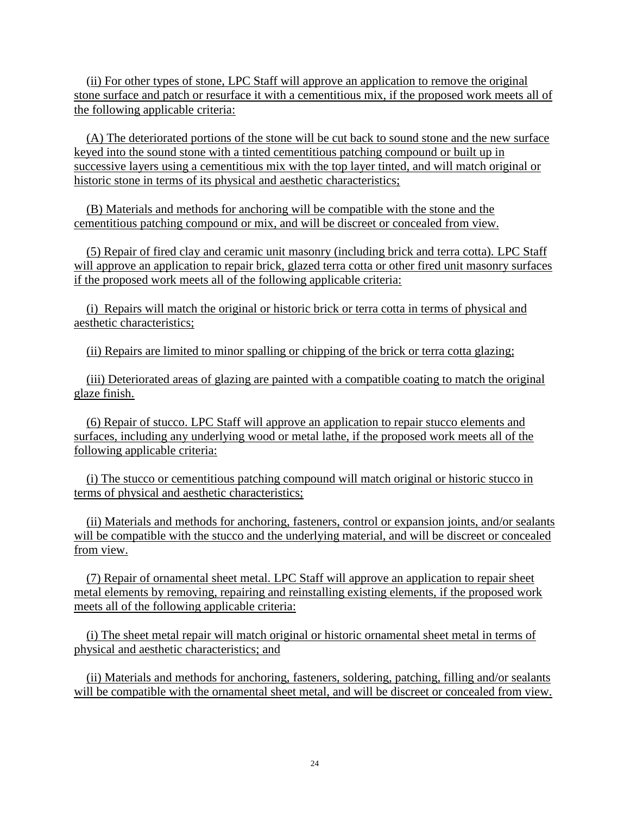(ii) For other types of stone, LPC Staff will approve an application to remove the original stone surface and patch or resurface it with a cementitious mix, if the proposed work meets all of the following applicable criteria:

 (A) The deteriorated portions of the stone will be cut back to sound stone and the new surface keyed into the sound stone with a tinted cementitious patching compound or built up in successive layers using a cementitious mix with the top layer tinted, and will match original or historic stone in terms of its physical and aesthetic characteristics;

 (B) Materials and methods for anchoring will be compatible with the stone and the cementitious patching compound or mix, and will be discreet or concealed from view.

 (5) Repair of fired clay and ceramic unit masonry (including brick and terra cotta). LPC Staff will approve an application to repair brick, glazed terra cotta or other fired unit masonry surfaces if the proposed work meets all of the following applicable criteria:

 (i) Repairs will match the original or historic brick or terra cotta in terms of physical and aesthetic characteristics;

(ii) Repairs are limited to minor spalling or chipping of the brick or terra cotta glazing;

 (iii) Deteriorated areas of glazing are painted with a compatible coating to match the original glaze finish.

 (6) Repair of stucco. LPC Staff will approve an application to repair stucco elements and surfaces, including any underlying wood or metal lathe, if the proposed work meets all of the following applicable criteria:

 (i) The stucco or cementitious patching compound will match original or historic stucco in terms of physical and aesthetic characteristics;

 (ii) Materials and methods for anchoring, fasteners, control or expansion joints, and/or sealants will be compatible with the stucco and the underlying material, and will be discreet or concealed from view.

 (7) Repair of ornamental sheet metal. LPC Staff will approve an application to repair sheet metal elements by removing, repairing and reinstalling existing elements, if the proposed work meets all of the following applicable criteria:

 (i) The sheet metal repair will match original or historic ornamental sheet metal in terms of physical and aesthetic characteristics; and

 (ii) Materials and methods for anchoring, fasteners, soldering, patching, filling and/or sealants will be compatible with the ornamental sheet metal, and will be discreet or concealed from view.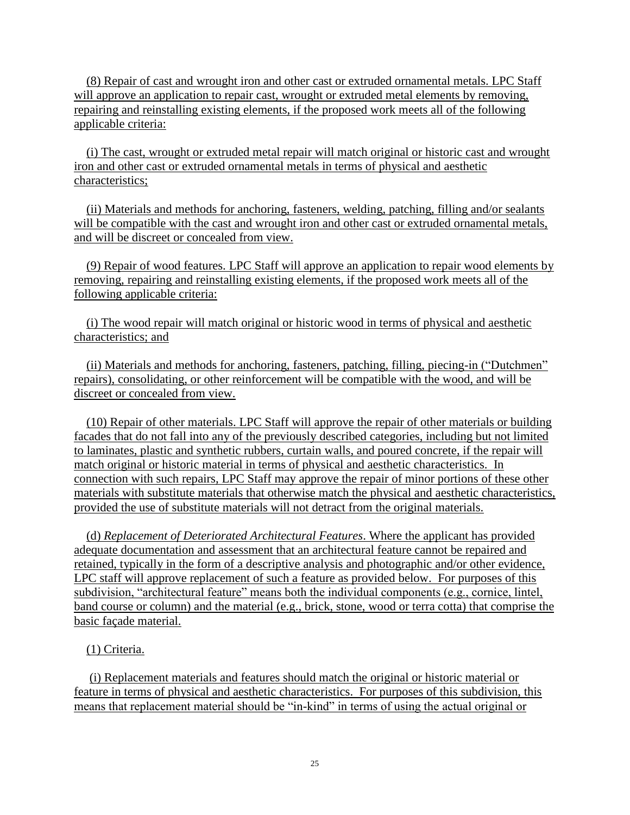(8) Repair of cast and wrought iron and other cast or extruded ornamental metals. LPC Staff will approve an application to repair cast, wrought or extruded metal elements by removing, repairing and reinstalling existing elements, if the proposed work meets all of the following applicable criteria:

 (i) The cast, wrought or extruded metal repair will match original or historic cast and wrought iron and other cast or extruded ornamental metals in terms of physical and aesthetic characteristics;

 (ii) Materials and methods for anchoring, fasteners, welding, patching, filling and/or sealants will be compatible with the cast and wrought iron and other cast or extruded ornamental metals, and will be discreet or concealed from view.

 (9) Repair of wood features. LPC Staff will approve an application to repair wood elements by removing, repairing and reinstalling existing elements, if the proposed work meets all of the following applicable criteria:

 (i) The wood repair will match original or historic wood in terms of physical and aesthetic characteristics; and

 (ii) Materials and methods for anchoring, fasteners, patching, filling, piecing-in ("Dutchmen" repairs), consolidating, or other reinforcement will be compatible with the wood, and will be discreet or concealed from view.

 (10) Repair of other materials. LPC Staff will approve the repair of other materials or building facades that do not fall into any of the previously described categories, including but not limited to laminates, plastic and synthetic rubbers, curtain walls, and poured concrete, if the repair will match original or historic material in terms of physical and aesthetic characteristics. In connection with such repairs, LPC Staff may approve the repair of minor portions of these other materials with substitute materials that otherwise match the physical and aesthetic characteristics, provided the use of substitute materials will not detract from the original materials.

 (d) *Replacement of Deteriorated Architectural Features*. Where the applicant has provided adequate documentation and assessment that an architectural feature cannot be repaired and retained, typically in the form of a descriptive analysis and photographic and/or other evidence, LPC staff will approve replacement of such a feature as provided below. For purposes of this subdivision, "architectural feature" means both the individual components (e.g., cornice, lintel, band course or column) and the material (e.g., brick, stone, wood or terra cotta) that comprise the basic façade material.

# (1) Criteria.

 (i) Replacement materials and features should match the original or historic material or feature in terms of physical and aesthetic characteristics. For purposes of this subdivision, this means that replacement material should be "in-kind" in terms of using the actual original or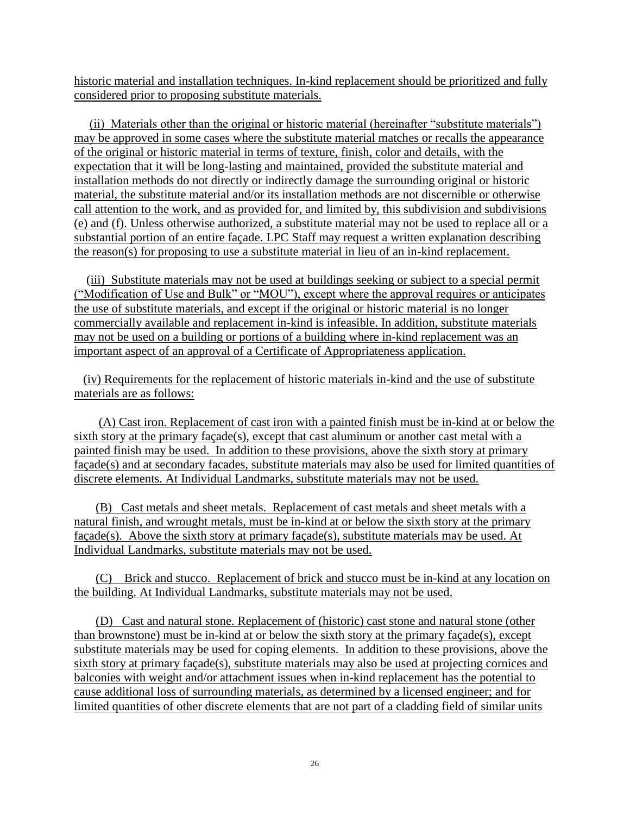historic material and installation techniques. In-kind replacement should be prioritized and fully considered prior to proposing substitute materials.

 (ii) Materials other than the original or historic material (hereinafter "substitute materials") may be approved in some cases where the substitute material matches or recalls the appearance of the original or historic material in terms of texture, finish, color and details, with the expectation that it will be long-lasting and maintained, provided the substitute material and installation methods do not directly or indirectly damage the surrounding original or historic material, the substitute material and/or its installation methods are not discernible or otherwise call attention to the work, and as provided for, and limited by, this subdivision and subdivisions (e) and (f). Unless otherwise authorized, a substitute material may not be used to replace all or a substantial portion of an entire façade. LPC Staff may request a written explanation describing the reason(s) for proposing to use a substitute material in lieu of an in-kind replacement.

 (iii) Substitute materials may not be used at buildings seeking or subject to a special permit ("Modification of Use and Bulk" or "MOU"), except where the approval requires or anticipates the use of substitute materials, and except if the original or historic material is no longer commercially available and replacement in-kind is infeasible. In addition, substitute materials may not be used on a building or portions of a building where in-kind replacement was an important aspect of an approval of a Certificate of Appropriateness application.

 (iv) Requirements for the replacement of historic materials in-kind and the use of substitute materials are as follows:

 (A) Cast iron. Replacement of cast iron with a painted finish must be in-kind at or below the sixth story at the primary façade(s), except that cast aluminum or another cast metal with a painted finish may be used. In addition to these provisions, above the sixth story at primary façade(s) and at secondary facades, substitute materials may also be used for limited quantities of discrete elements. At Individual Landmarks, substitute materials may not be used.

 (B) Cast metals and sheet metals. Replacement of cast metals and sheet metals with a natural finish, and wrought metals, must be in-kind at or below the sixth story at the primary façade(s). Above the sixth story at primary façade(s), substitute materials may be used. At Individual Landmarks, substitute materials may not be used.

 (C) Brick and stucco. Replacement of brick and stucco must be in-kind at any location on the building. At Individual Landmarks, substitute materials may not be used.

 (D) Cast and natural stone. Replacement of (historic) cast stone and natural stone (other than brownstone) must be in-kind at or below the sixth story at the primary façade(s), except substitute materials may be used for coping elements. In addition to these provisions, above the sixth story at primary façade(s), substitute materials may also be used at projecting cornices and balconies with weight and/or attachment issues when in-kind replacement has the potential to cause additional loss of surrounding materials, as determined by a licensed engineer; and for limited quantities of other discrete elements that are not part of a cladding field of similar units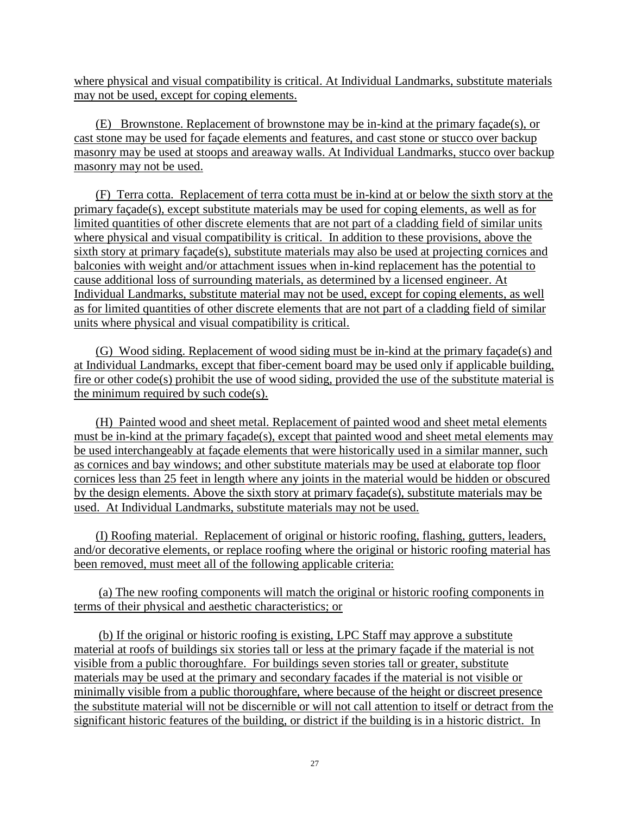where physical and visual compatibility is critical. At Individual Landmarks, substitute materials may not be used, except for coping elements.

 (E) Brownstone. Replacement of brownstone may be in-kind at the primary façade(s), or cast stone may be used for façade elements and features, and cast stone or stucco over backup masonry may be used at stoops and areaway walls. At Individual Landmarks, stucco over backup masonry may not be used.

 (F) Terra cotta. Replacement of terra cotta must be in-kind at or below the sixth story at the primary façade(s), except substitute materials may be used for coping elements, as well as for limited quantities of other discrete elements that are not part of a cladding field of similar units where physical and visual compatibility is critical. In addition to these provisions, above the sixth story at primary façade(s), substitute materials may also be used at projecting cornices and balconies with weight and/or attachment issues when in-kind replacement has the potential to cause additional loss of surrounding materials, as determined by a licensed engineer. At Individual Landmarks, substitute material may not be used, except for coping elements, as well as for limited quantities of other discrete elements that are not part of a cladding field of similar units where physical and visual compatibility is critical.

 (G) Wood siding. Replacement of wood siding must be in-kind at the primary façade(s) and at Individual Landmarks, except that fiber-cement board may be used only if applicable building, fire or other code(s) prohibit the use of wood siding, provided the use of the substitute material is the minimum required by such code(s).

 (H) Painted wood and sheet metal. Replacement of painted wood and sheet metal elements must be in-kind at the primary façade(s), except that painted wood and sheet metal elements may be used interchangeably at façade elements that were historically used in a similar manner, such as cornices and bay windows; and other substitute materials may be used at elaborate top floor cornices less than 25 feet in length where any joints in the material would be hidden or obscured by the design elements. Above the sixth story at primary façade(s), substitute materials may be used. At Individual Landmarks, substitute materials may not be used.

 (I) Roofing material. Replacement of original or historic roofing, flashing, gutters, leaders, and/or decorative elements, or replace roofing where the original or historic roofing material has been removed, must meet all of the following applicable criteria:

 (a) The new roofing components will match the original or historic roofing components in terms of their physical and aesthetic characteristics; or

 (b) If the original or historic roofing is existing, LPC Staff may approve a substitute material at roofs of buildings six stories tall or less at the primary façade if the material is not visible from a public thoroughfare. For buildings seven stories tall or greater, substitute materials may be used at the primary and secondary facades if the material is not visible or minimally visible from a public thoroughfare, where because of the height or discreet presence the substitute material will not be discernible or will not call attention to itself or detract from the significant historic features of the building, or district if the building is in a historic district. In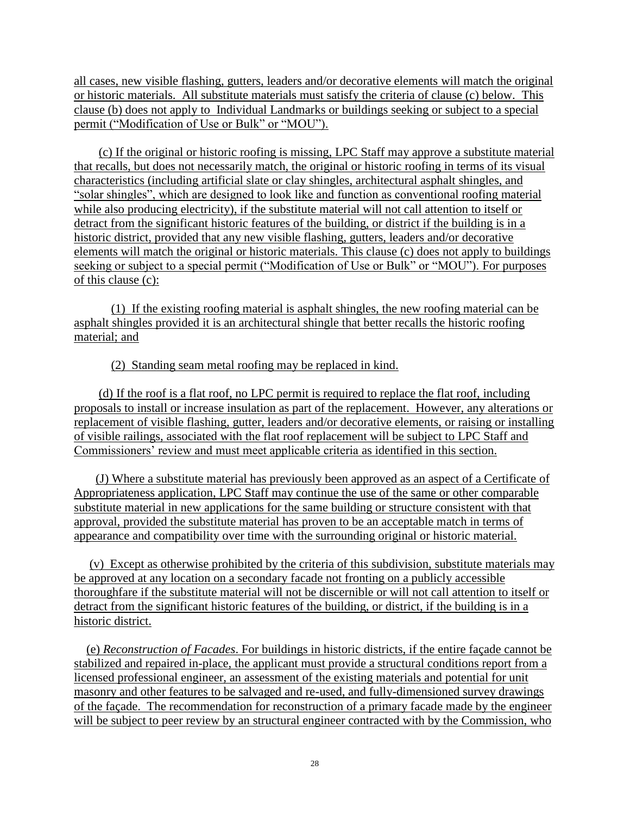all cases, new visible flashing, gutters, leaders and/or decorative elements will match the original or historic materials. All substitute materials must satisfy the criteria of clause (c) below. This clause (b) does not apply to Individual Landmarks or buildings seeking or subject to a special permit ("Modification of Use or Bulk" or "MOU").

 (c) If the original or historic roofing is missing, LPC Staff may approve a substitute material that recalls, but does not necessarily match, the original or historic roofing in terms of its visual characteristics (including artificial slate or clay shingles, architectural asphalt shingles, and "solar shingles", which are designed to look like and function as conventional roofing material while also producing electricity), if the substitute material will not call attention to itself or detract from the significant historic features of the building, or district if the building is in a historic district, provided that any new visible flashing, gutters, leaders and/or decorative elements will match the original or historic materials. This clause (c) does not apply to buildings seeking or subject to a special permit ("Modification of Use or Bulk" or "MOU"). For purposes of this clause (c):

 (1) If the existing roofing material is asphalt shingles, the new roofing material can be asphalt shingles provided it is an architectural shingle that better recalls the historic roofing material; and

(2) Standing seam metal roofing may be replaced in kind.

 (d) If the roof is a flat roof, no LPC permit is required to replace the flat roof, including proposals to install or increase insulation as part of the replacement. However, any alterations or replacement of visible flashing, gutter, leaders and/or decorative elements, or raising or installing of visible railings, associated with the flat roof replacement will be subject to LPC Staff and Commissioners' review and must meet applicable criteria as identified in this section.

 (J) Where a substitute material has previously been approved as an aspect of a Certificate of Appropriateness application, LPC Staff may continue the use of the same or other comparable substitute material in new applications for the same building or structure consistent with that approval, provided the substitute material has proven to be an acceptable match in terms of appearance and compatibility over time with the surrounding original or historic material.

 (v) Except as otherwise prohibited by the criteria of this subdivision, substitute materials may be approved at any location on a secondary facade not fronting on a publicly accessible thoroughfare if the substitute material will not be discernible or will not call attention to itself or detract from the significant historic features of the building, or district, if the building is in a historic district.

 (e) *Reconstruction of Facades*. For buildings in historic districts, if the entire façade cannot be stabilized and repaired in-place, the applicant must provide a structural conditions report from a licensed professional engineer, an assessment of the existing materials and potential for unit masonry and other features to be salvaged and re-used, and fully-dimensioned survey drawings of the façade. The recommendation for reconstruction of a primary facade made by the engineer will be subject to peer review by an structural engineer contracted with by the Commission, who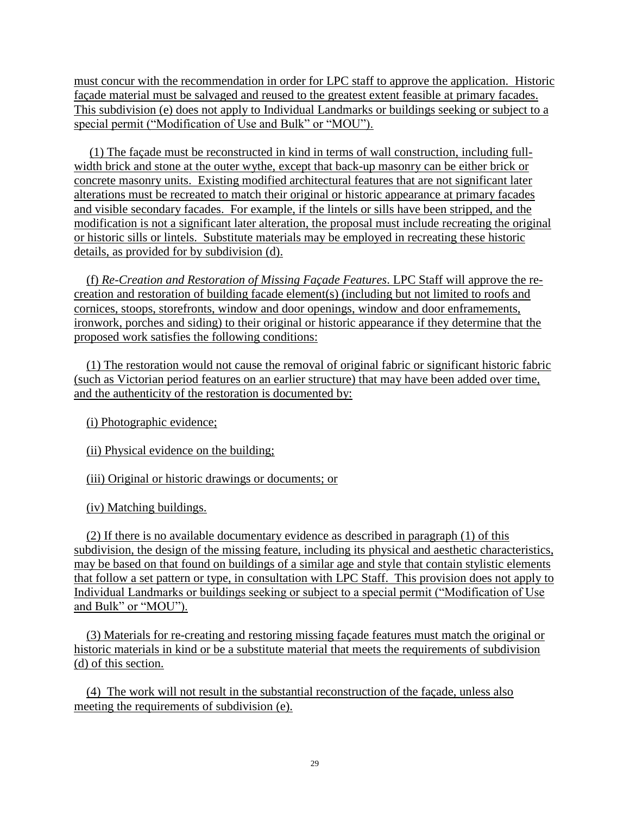must concur with the recommendation in order for LPC staff to approve the application. Historic façade material must be salvaged and reused to the greatest extent feasible at primary facades. This subdivision (e) does not apply to Individual Landmarks or buildings seeking or subject to a special permit ("Modification of Use and Bulk" or "MOU").

 (1) The façade must be reconstructed in kind in terms of wall construction, including fullwidth brick and stone at the outer wythe, except that back-up masonry can be either brick or concrete masonry units. Existing modified architectural features that are not significant later alterations must be recreated to match their original or historic appearance at primary facades and visible secondary facades. For example, if the lintels or sills have been stripped, and the modification is not a significant later alteration, the proposal must include recreating the original or historic sills or lintels. Substitute materials may be employed in recreating these historic details, as provided for by subdivision (d).

 (f) *Re-Creation and Restoration of Missing Façade Features*. LPC Staff will approve the recreation and restoration of building facade element(s) (including but not limited to roofs and cornices, stoops, storefronts, window and door openings, window and door enframements, ironwork, porches and siding) to their original or historic appearance if they determine that the proposed work satisfies the following conditions:

 (1) The restoration would not cause the removal of original fabric or significant historic fabric (such as Victorian period features on an earlier structure) that may have been added over time, and the authenticity of the restoration is documented by:

(i) Photographic evidence;

(ii) Physical evidence on the building;

(iii) Original or historic drawings or documents; or

(iv) Matching buildings.

 (2) If there is no available documentary evidence as described in paragraph (1) of this subdivision, the design of the missing feature, including its physical and aesthetic characteristics, may be based on that found on buildings of a similar age and style that contain stylistic elements that follow a set pattern or type, in consultation with LPC Staff. This provision does not apply to Individual Landmarks or buildings seeking or subject to a special permit ("Modification of Use and Bulk" or "MOU").

 (3) Materials for re-creating and restoring missing façade features must match the original or historic materials in kind or be a substitute material that meets the requirements of subdivision (d) of this section.

 (4) The work will not result in the substantial reconstruction of the façade, unless also meeting the requirements of subdivision (e).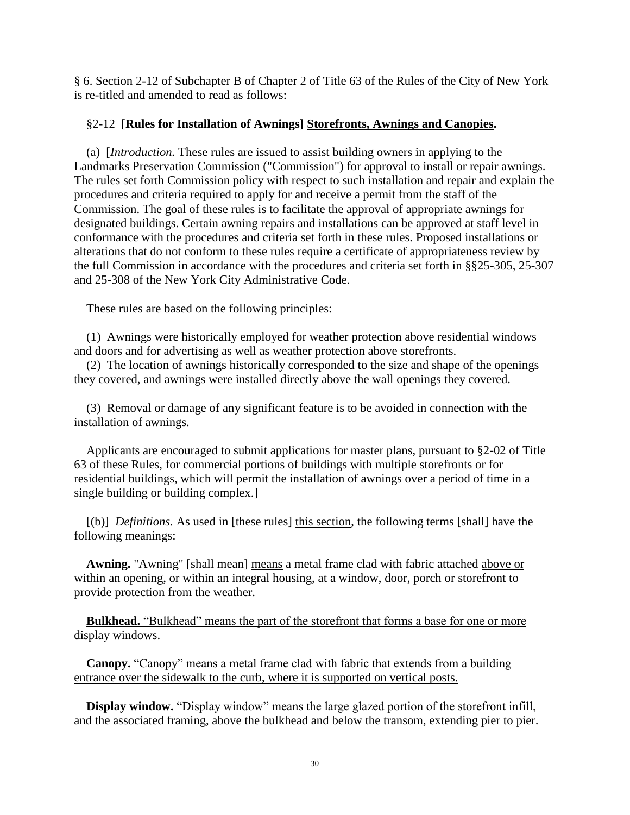§ 6. Section 2-12 of Subchapter B of Chapter 2 of Title 63 of the Rules of the City of New York is re-titled and amended to read as follows:

## §2-12 [**Rules for Installation of Awnings] Storefronts, Awnings and Canopies.**

(a) [*Introduction.* These rules are issued to assist building owners in applying to the Landmarks Preservation Commission ("Commission") for approval to install or repair awnings. The rules set forth Commission policy with respect to such installation and repair and explain the procedures and criteria required to apply for and receive a permit from the staff of the Commission. The goal of these rules is to facilitate the approval of appropriate awnings for designated buildings. Certain awning repairs and installations can be approved at staff level in conformance with the procedures and criteria set forth in these rules. Proposed installations or alterations that do not conform to these rules require a certificate of appropriateness review by the full Commission in accordance with the procedures and criteria set forth in §§25-305, 25-307 and 25-308 of the New York City Administrative Code.

These rules are based on the following principles:

(1) Awnings were historically employed for weather protection above residential windows and doors and for advertising as well as weather protection above storefronts.

(2) The location of awnings historically corresponded to the size and shape of the openings they covered, and awnings were installed directly above the wall openings they covered.

(3) Removal or damage of any significant feature is to be avoided in connection with the installation of awnings.

Applicants are encouraged to submit applications for master plans, pursuant to §2-02 of Title 63 of these Rules, for commercial portions of buildings with multiple storefronts or for residential buildings, which will permit the installation of awnings over a period of time in a single building or building complex.]

[(b)] *Definitions.* As used in [these rules] this section, the following terms [shall] have the following meanings:

**Awning.** "Awning" [shall mean] means a metal frame clad with fabric attached above or within an opening, or within an integral housing, at a window, door, porch or storefront to provide protection from the weather.

 **Bulkhead.** "Bulkhead" means the part of the storefront that forms a base for one or more display windows.

 **Canopy.** "Canopy" means a metal frame clad with fabric that extends from a building entrance over the sidewalk to the curb, where it is supported on vertical posts.

 **Display window.** "Display window" means the large glazed portion of the storefront infill, and the associated framing, above the bulkhead and below the transom, extending pier to pier.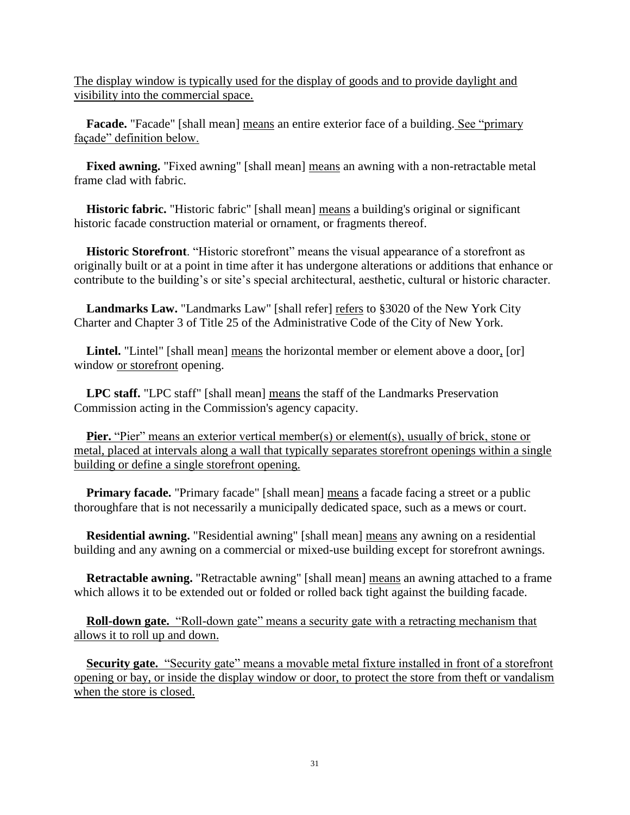The display window is typically used for the display of goods and to provide daylight and visibility into the commercial space.

**Facade.** "Facade" [shall mean] means an entire exterior face of a building. See "primary façade" definition below.

**Fixed awning.** "Fixed awning" [shall mean] means an awning with a non-retractable metal frame clad with fabric.

**Historic fabric.** "Historic fabric" [shall mean] means a building's original or significant historic facade construction material or ornament, or fragments thereof.

 **Historic Storefront**. "Historic storefront" means the visual appearance of a storefront as originally built or at a point in time after it has undergone alterations or additions that enhance or contribute to the building's or site's special architectural, aesthetic, cultural or historic character.

**Landmarks Law.** "Landmarks Law" [shall refer] refers to §3020 of the New York City Charter and Chapter 3 of Title 25 of the Administrative Code of the City of New York.

Lintel. "Lintel" [shall mean] means the horizontal member or element above a door, [or] window or storefront opening.

**LPC staff.** "LPC staff" [shall mean] means the staff of the Landmarks Preservation Commission acting in the Commission's agency capacity.

**Pier.** "Pier" means an exterior vertical member(s) or element(s), usually of brick, stone or metal, placed at intervals along a wall that typically separates storefront openings within a single building or define a single storefront opening.

**Primary facade.** "Primary facade" [shall mean] means a facade facing a street or a public thoroughfare that is not necessarily a municipally dedicated space, such as a mews or court.

**Residential awning.** "Residential awning" [shall mean] means any awning on a residential building and any awning on a commercial or mixed-use building except for storefront awnings.

**Retractable awning.** "Retractable awning" [shall mean] means an awning attached to a frame which allows it to be extended out or folded or rolled back tight against the building facade.

 **Roll-down gate.** "Roll-down gate" means a security gate with a retracting mechanism that allows it to roll up and down.

 **Security gate.** "Security gate" means a movable metal fixture installed in front of a storefront opening or bay, or inside the display window or door, to protect the store from theft or vandalism when the store is closed.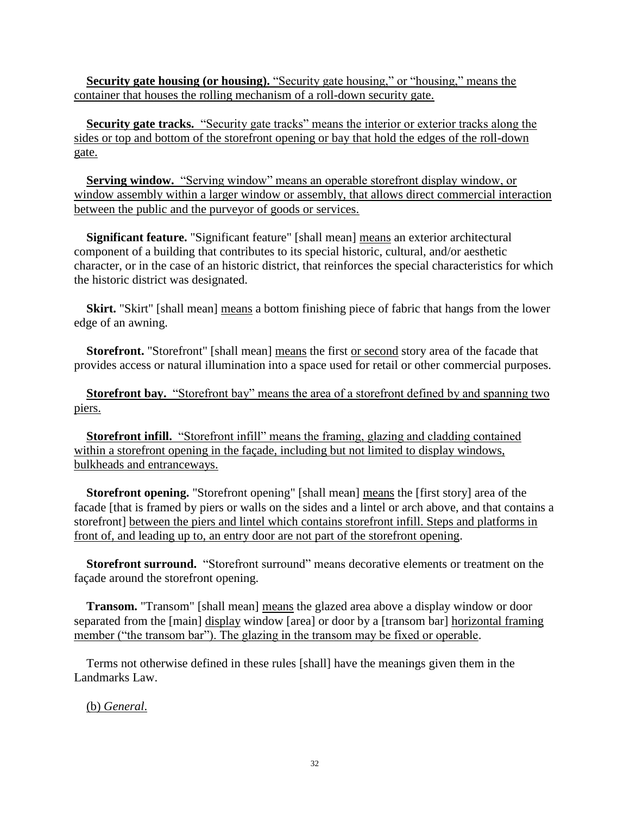**Security gate housing (or housing).** "Security gate housing," or "housing," means the container that houses the rolling mechanism of a roll-down security gate.

 **Security gate tracks.** "Security gate tracks" means the interior or exterior tracks along the sides or top and bottom of the storefront opening or bay that hold the edges of the roll-down gate.

 **Serving window.** "Serving window" means an operable storefront display window, or window assembly within a larger window or assembly, that allows direct commercial interaction between the public and the purveyor of goods or services.

**Significant feature.** "Significant feature" [shall mean] means an exterior architectural component of a building that contributes to its special historic, cultural, and/or aesthetic character, or in the case of an historic district, that reinforces the special characteristics for which the historic district was designated.

**Skirt.** "Skirt" [shall mean] means a bottom finishing piece of fabric that hangs from the lower edge of an awning.

**Storefront.** "Storefront" [shall mean] means the first or second story area of the facade that provides access or natural illumination into a space used for retail or other commercial purposes.

 **Storefront bay.** "Storefront bay" means the area of a storefront defined by and spanning two piers.

 **Storefront infill.** "Storefront infill" means the framing, glazing and cladding contained within a storefront opening in the façade, including but not limited to display windows, bulkheads and entranceways.

**Storefront opening.** "Storefront opening" [shall mean] means the [first story] area of the facade [that is framed by piers or walls on the sides and a lintel or arch above, and that contains a storefront] between the piers and lintel which contains storefront infill. Steps and platforms in front of, and leading up to, an entry door are not part of the storefront opening.

 **Storefront surround.** "Storefront surround" means decorative elements or treatment on the façade around the storefront opening.

**Transom.** "Transom" [shall mean] means the glazed area above a display window or door separated from the [main] display window [area] or door by a [transom bar] horizontal framing member ("the transom bar"). The glazing in the transom may be fixed or operable.

Terms not otherwise defined in these rules [shall] have the meanings given them in the Landmarks Law.

(b) *General*.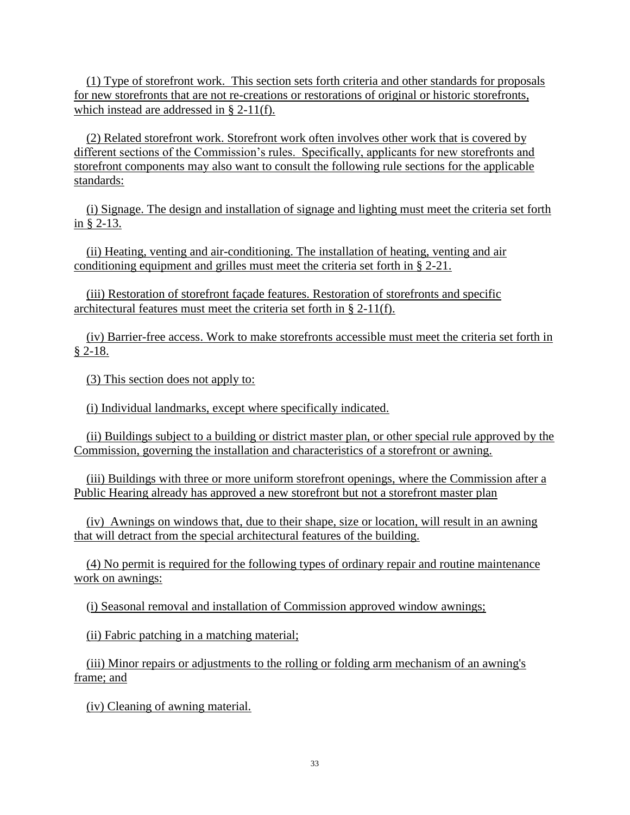(1) Type of storefront work. This section sets forth criteria and other standards for proposals for new storefronts that are not re-creations or restorations of original or historic storefronts, which instead are addressed in § 2-11(f).

 (2) Related storefront work. Storefront work often involves other work that is covered by different sections of the Commission's rules. Specifically, applicants for new storefronts and storefront components may also want to consult the following rule sections for the applicable standards:

 (i) Signage. The design and installation of signage and lighting must meet the criteria set forth in § 2-13.

 (ii) Heating, venting and air-conditioning. The installation of heating, venting and air conditioning equipment and grilles must meet the criteria set forth in § 2-21.

 (iii) Restoration of storefront façade features. Restoration of storefronts and specific architectural features must meet the criteria set forth in § 2-11(f).

 (iv) Barrier-free access. Work to make storefronts accessible must meet the criteria set forth in  $$2-18.$ 

(3) This section does not apply to:

(i) Individual landmarks, except where specifically indicated.

 (ii) Buildings subject to a building or district master plan, or other special rule approved by the Commission, governing the installation and characteristics of a storefront or awning.

 (iii) Buildings with three or more uniform storefront openings, where the Commission after a Public Hearing already has approved a new storefront but not a storefront master plan

 (iv) Awnings on windows that, due to their shape, size or location, will result in an awning that will detract from the special architectural features of the building.

 (4) No permit is required for the following types of ordinary repair and routine maintenance work on awnings:

(i) Seasonal removal and installation of Commission approved window awnings;

(ii) Fabric patching in a matching material;

 (iii) Minor repairs or adjustments to the rolling or folding arm mechanism of an awning's frame; and

(iv) Cleaning of awning material.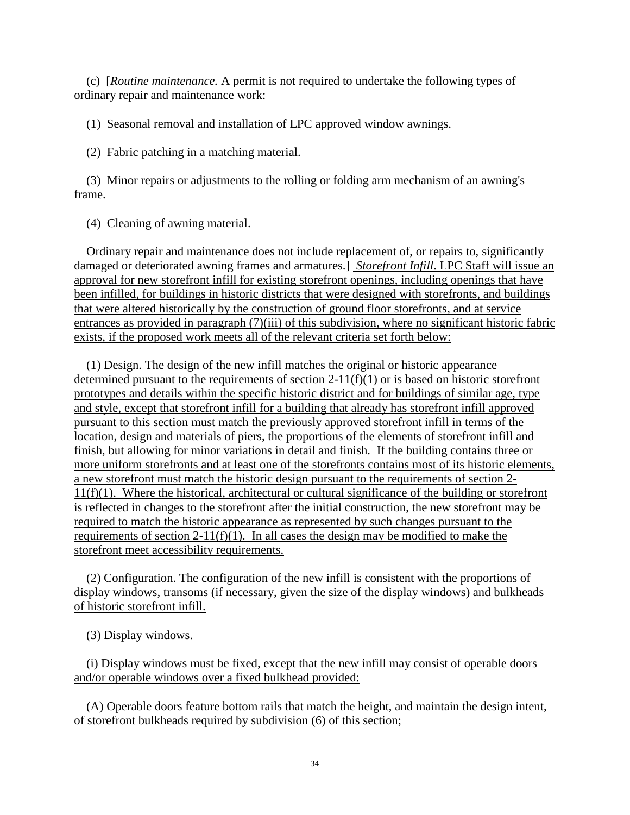(c) [*Routine maintenance.* A permit is not required to undertake the following types of ordinary repair and maintenance work:

(1) Seasonal removal and installation of LPC approved window awnings.

(2) Fabric patching in a matching material.

(3) Minor repairs or adjustments to the rolling or folding arm mechanism of an awning's frame.

(4) Cleaning of awning material.

Ordinary repair and maintenance does not include replacement of, or repairs to, significantly damaged or deteriorated awning frames and armatures.] *Storefront Infill*. LPC Staff will issue an approval for new storefront infill for existing storefront openings, including openings that have been infilled, for buildings in historic districts that were designed with storefronts, and buildings that were altered historically by the construction of ground floor storefronts, and at service entrances as provided in paragraph (7)(iii) of this subdivision, where no significant historic fabric exists, if the proposed work meets all of the relevant criteria set forth below:

 (1) Design. The design of the new infill matches the original or historic appearance determined pursuant to the requirements of section  $2-11(f)(1)$  or is based on historic storefront prototypes and details within the specific historic district and for buildings of similar age, type and style, except that storefront infill for a building that already has storefront infill approved pursuant to this section must match the previously approved storefront infill in terms of the location, design and materials of piers, the proportions of the elements of storefront infill and finish, but allowing for minor variations in detail and finish. If the building contains three or more uniform storefronts and at least one of the storefronts contains most of its historic elements, a new storefront must match the historic design pursuant to the requirements of section 2- 11(f)(1). Where the historical, architectural or cultural significance of the building or storefront is reflected in changes to the storefront after the initial construction, the new storefront may be required to match the historic appearance as represented by such changes pursuant to the requirements of section  $2-11(f)(1)$ . In all cases the design may be modified to make the storefront meet accessibility requirements.

 (2) Configuration. The configuration of the new infill is consistent with the proportions of display windows, transoms (if necessary, given the size of the display windows) and bulkheads of historic storefront infill.

(3) Display windows.

 (i) Display windows must be fixed, except that the new infill may consist of operable doors and/or operable windows over a fixed bulkhead provided:

 (A) Operable doors feature bottom rails that match the height, and maintain the design intent, of storefront bulkheads required by subdivision (6) of this section;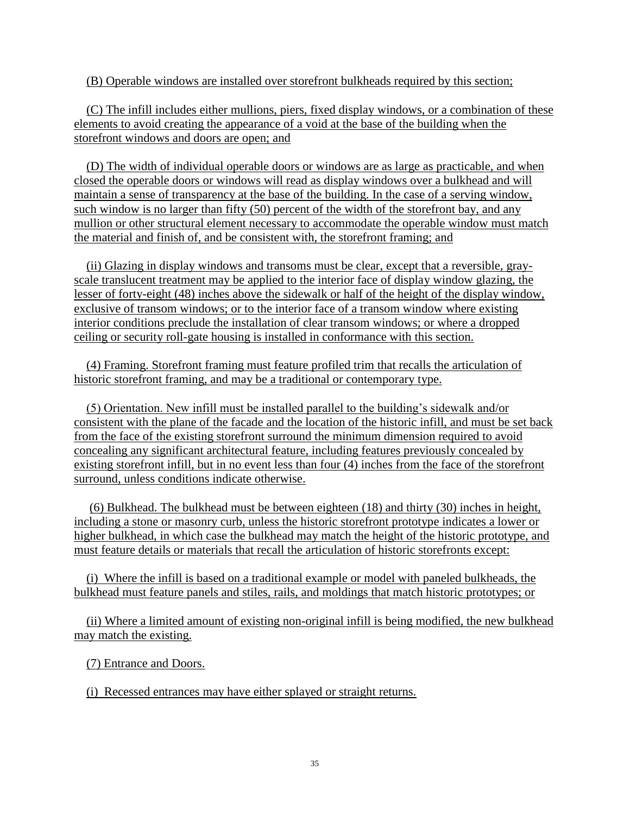(B) Operable windows are installed over storefront bulkheads required by this section;

 (C) The infill includes either mullions, piers, fixed display windows, or a combination of these elements to avoid creating the appearance of a void at the base of the building when the storefront windows and doors are open; and

 (D) The width of individual operable doors or windows are as large as practicable, and when closed the operable doors or windows will read as display windows over a bulkhead and will maintain a sense of transparency at the base of the building. In the case of a serving window, such window is no larger than fifty (50) percent of the width of the storefront bay, and any mullion or other structural element necessary to accommodate the operable window must match the material and finish of, and be consistent with, the storefront framing; and

 (ii) Glazing in display windows and transoms must be clear, except that a reversible, grayscale translucent treatment may be applied to the interior face of display window glazing, the lesser of forty-eight (48) inches above the sidewalk or half of the height of the display window, exclusive of transom windows; or to the interior face of a transom window where existing interior conditions preclude the installation of clear transom windows; or where a dropped ceiling or security roll-gate housing is installed in conformance with this section.

 (4) Framing. Storefront framing must feature profiled trim that recalls the articulation of historic storefront framing, and may be a traditional or contemporary type.

 (5) Orientation. New infill must be installed parallel to the building's sidewalk and/or consistent with the plane of the facade and the location of the historic infill, and must be set back from the face of the existing storefront surround the minimum dimension required to avoid concealing any significant architectural feature, including features previously concealed by existing storefront infill, but in no event less than four (4) inches from the face of the storefront surround, unless conditions indicate otherwise.

 (6) Bulkhead. The bulkhead must be between eighteen (18) and thirty (30) inches in height, including a stone or masonry curb, unless the historic storefront prototype indicates a lower or higher bulkhead, in which case the bulkhead may match the height of the historic prototype, and must feature details or materials that recall the articulation of historic storefronts except:

 (i) Where the infill is based on a traditional example or model with paneled bulkheads, the bulkhead must feature panels and stiles, rails, and moldings that match historic prototypes; or

 (ii) Where a limited amount of existing non-original infill is being modified, the new bulkhead may match the existing.

(7) Entrance and Doors.

(i) Recessed entrances may have either splayed or straight returns.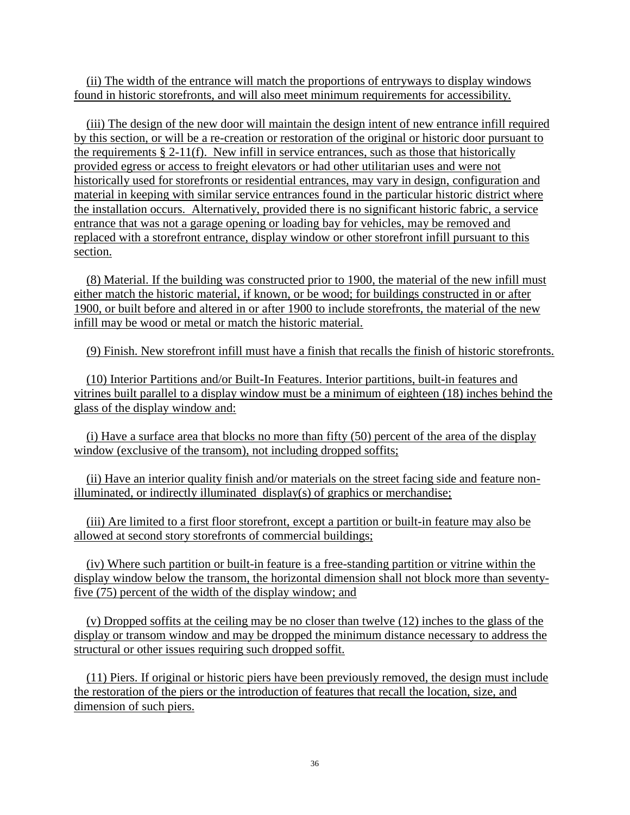(ii) The width of the entrance will match the proportions of entryways to display windows found in historic storefronts, and will also meet minimum requirements for accessibility.

 (iii) The design of the new door will maintain the design intent of new entrance infill required by this section, or will be a re-creation or restoration of the original or historic door pursuant to the requirements  $\S 2-11(f)$ . New infill in service entrances, such as those that historically provided egress or access to freight elevators or had other utilitarian uses and were not historically used for storefronts or residential entrances, may vary in design, configuration and material in keeping with similar service entrances found in the particular historic district where the installation occurs. Alternatively, provided there is no significant historic fabric, a service entrance that was not a garage opening or loading bay for vehicles, may be removed and replaced with a storefront entrance, display window or other storefront infill pursuant to this section.

 (8) Material. If the building was constructed prior to 1900, the material of the new infill must either match the historic material, if known, or be wood; for buildings constructed in or after 1900, or built before and altered in or after 1900 to include storefronts, the material of the new infill may be wood or metal or match the historic material.

(9) Finish. New storefront infill must have a finish that recalls the finish of historic storefronts.

 (10) Interior Partitions and/or Built-In Features. Interior partitions, built-in features and vitrines built parallel to a display window must be a minimum of eighteen (18) inches behind the glass of the display window and:

 (i) Have a surface area that blocks no more than fifty (50) percent of the area of the display window (exclusive of the transom), not including dropped soffits;

 (ii) Have an interior quality finish and/or materials on the street facing side and feature nonilluminated, or indirectly illuminated display(s) of graphics or merchandise;

 (iii) Are limited to a first floor storefront, except a partition or built-in feature may also be allowed at second story storefronts of commercial buildings;

 (iv) Where such partition or built-in feature is a free-standing partition or vitrine within the display window below the transom, the horizontal dimension shall not block more than seventyfive (75) percent of the width of the display window; and

 (v) Dropped soffits at the ceiling may be no closer than twelve (12) inches to the glass of the display or transom window and may be dropped the minimum distance necessary to address the structural or other issues requiring such dropped soffit.

 (11) Piers. If original or historic piers have been previously removed, the design must include the restoration of the piers or the introduction of features that recall the location, size, and dimension of such piers.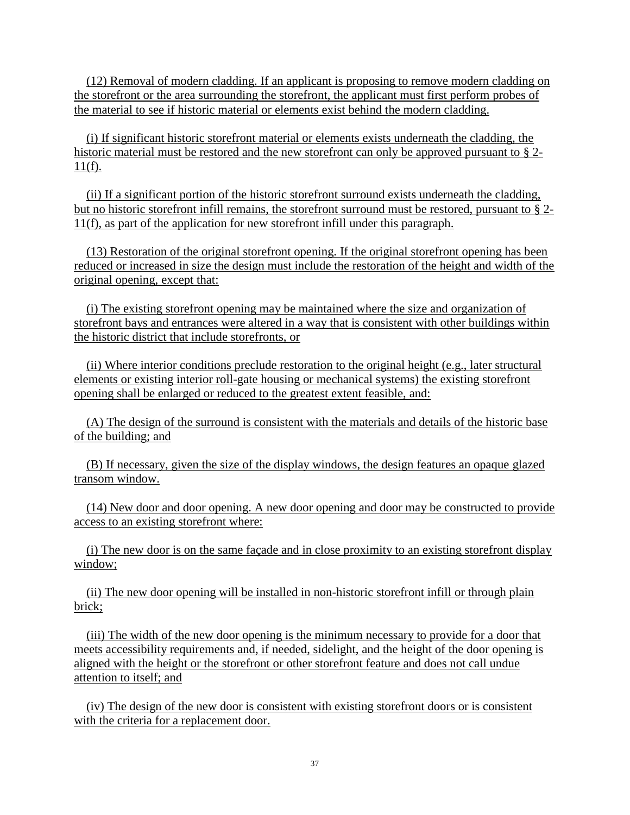(12) Removal of modern cladding. If an applicant is proposing to remove modern cladding on the storefront or the area surrounding the storefront, the applicant must first perform probes of the material to see if historic material or elements exist behind the modern cladding.

 (i) If significant historic storefront material or elements exists underneath the cladding, the historic material must be restored and the new storefront can only be approved pursuant to § 2- $11(f)$ .

 (ii) If a significant portion of the historic storefront surround exists underneath the cladding, but no historic storefront infill remains, the storefront surround must be restored, pursuant to § 2- 11(f), as part of the application for new storefront infill under this paragraph.

 (13) Restoration of the original storefront opening. If the original storefront opening has been reduced or increased in size the design must include the restoration of the height and width of the original opening, except that:

 (i) The existing storefront opening may be maintained where the size and organization of storefront bays and entrances were altered in a way that is consistent with other buildings within the historic district that include storefronts, or

 (ii) Where interior conditions preclude restoration to the original height (e.g., later structural elements or existing interior roll-gate housing or mechanical systems) the existing storefront opening shall be enlarged or reduced to the greatest extent feasible, and:

 (A) The design of the surround is consistent with the materials and details of the historic base of the building; and

 (B) If necessary, given the size of the display windows, the design features an opaque glazed transom window.

 (14) New door and door opening. A new door opening and door may be constructed to provide access to an existing storefront where:

 (i) The new door is on the same façade and in close proximity to an existing storefront display window;

 (ii) The new door opening will be installed in non-historic storefront infill or through plain brick;

 (iii) The width of the new door opening is the minimum necessary to provide for a door that meets accessibility requirements and, if needed, sidelight, and the height of the door opening is aligned with the height or the storefront or other storefront feature and does not call undue attention to itself; and

 (iv) The design of the new door is consistent with existing storefront doors or is consistent with the criteria for a replacement door.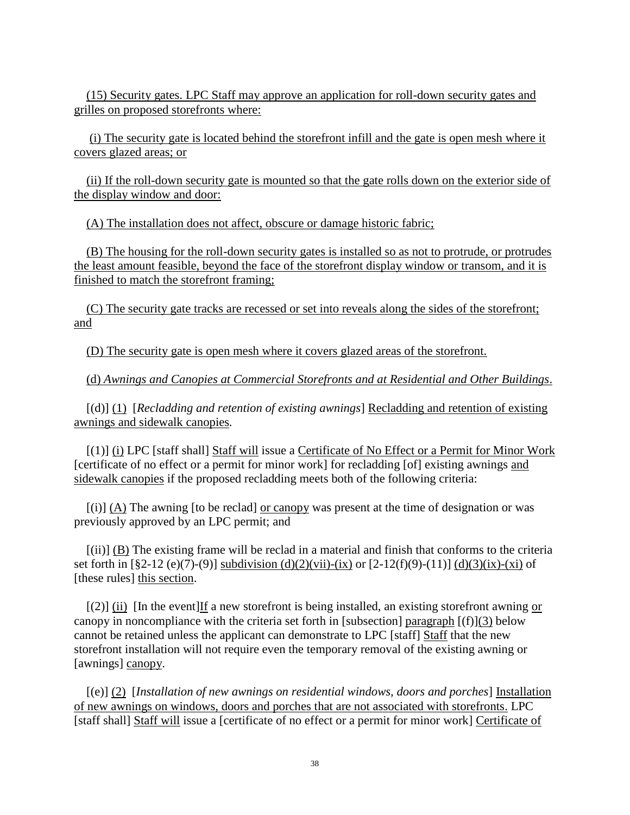(15) Security gates. LPC Staff may approve an application for roll-down security gates and grilles on proposed storefronts where:

 (i) The security gate is located behind the storefront infill and the gate is open mesh where it covers glazed areas; or

 (ii) If the roll-down security gate is mounted so that the gate rolls down on the exterior side of the display window and door:

(A) The installation does not affect, obscure or damage historic fabric;

 (B) The housing for the roll-down security gates is installed so as not to protrude, or protrudes the least amount feasible, beyond the face of the storefront display window or transom, and it is finished to match the storefront framing;

 (C) The security gate tracks are recessed or set into reveals along the sides of the storefront; and

(D) The security gate is open mesh where it covers glazed areas of the storefront.

(d) *Awnings and Canopies at Commercial Storefronts and at Residential and Other Buildings*.

[(d)] (1) [*Recladding and retention of existing awnings*] Recladding and retention of existing awnings and sidewalk canopies*.*

[(1)] (i) LPC [staff shall] Staff will issue a Certificate of No Effect or a Permit for Minor Work [certificate of no effect or a permit for minor work] for recladding [of] existing awnings and sidewalk canopies if the proposed recladding meets both of the following criteria:

[(i)] (A) The awning [to be reclad] or canopy was present at the time of designation or was previously approved by an LPC permit; and

[(ii)] (B) The existing frame will be reclad in a material and finish that conforms to the criteria set forth in  $[\$2-12(e)(7)-(9)]$  subdivision (d)(2)(vii)-(ix) or  $[2-12(f)(9)-(11)]$  (d)(3)(ix)-(xi) of [these rules] this section.

 $[(2)]$  (ii) In the event If a new storefront is being installed, an existing storefront awning or canopy in noncompliance with the criteria set forth in [subsection] paragraph  $[(f)](3)$  below cannot be retained unless the applicant can demonstrate to LPC [staff] Staff that the new storefront installation will not require even the temporary removal of the existing awning or [awnings] canopy.

[(e)] (2) [*Installation of new awnings on residential windows, doors and porches*] Installation of new awnings on windows, doors and porches that are not associated with storefronts. LPC [staff shall] Staff will issue a [certificate of no effect or a permit for minor work] Certificate of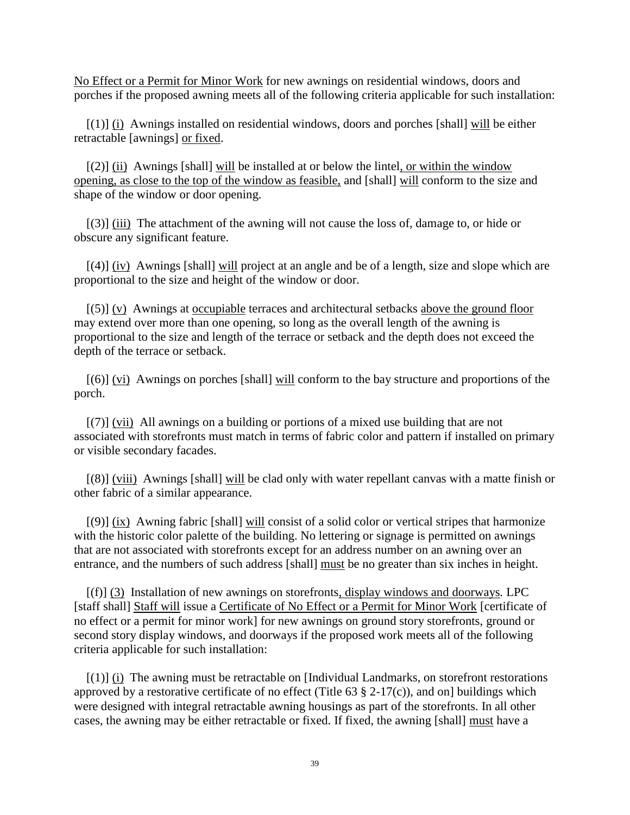No Effect or a Permit for Minor Work for new awnings on residential windows, doors and porches if the proposed awning meets all of the following criteria applicable for such installation:

 $[(1)]$  (i) Awnings installed on residential windows, doors and porches [shall] will be either retractable [awnings] or fixed.

 $[(2)]$  (ii) Awnings [shall] will be installed at or below the lintel, or within the window opening, as close to the top of the window as feasible, and [shall] will conform to the size and shape of the window or door opening.

[(3)] (iii) The attachment of the awning will not cause the loss of, damage to, or hide or obscure any significant feature.

 $[(4)]$  (iv) Awnings [shall] will project at an angle and be of a length, size and slope which are proportional to the size and height of the window or door.

[(5)] (v) Awnings at occupiable terraces and architectural setbacks above the ground floor may extend over more than one opening, so long as the overall length of the awning is proportional to the size and length of the terrace or setback and the depth does not exceed the depth of the terrace or setback.

[(6)] (vi) Awnings on porches [shall] will conform to the bay structure and proportions of the porch.

[(7)] (vii) All awnings on a building or portions of a mixed use building that are not associated with storefronts must match in terms of fabric color and pattern if installed on primary or visible secondary facades.

[(8)] (viii) Awnings [shall] will be clad only with water repellant canvas with a matte finish or other fabric of a similar appearance.

[(9)] (ix) Awning fabric [shall] will consist of a solid color or vertical stripes that harmonize with the historic color palette of the building. No lettering or signage is permitted on awnings that are not associated with storefronts except for an address number on an awning over an entrance, and the numbers of such address [shall] must be no greater than six inches in height.

[(f)] (3) Installation of new awnings on storefronts, display windows and doorways*.* LPC [staff shall] Staff will issue a Certificate of No Effect or a Permit for Minor Work [certificate of no effect or a permit for minor work] for new awnings on ground story storefronts, ground or second story display windows, and doorways if the proposed work meets all of the following criteria applicable for such installation:

 $[(1)]$  (i) The awning must be retractable on [Individual Landmarks, on storefront restorations approved by a restorative certificate of no effect (Title  $63 \text{ § } 2-17(c)$ ), and on] buildings which were designed with integral retractable awning housings as part of the storefronts. In all other cases, the awning may be either retractable or fixed. If fixed, the awning [shall] must have a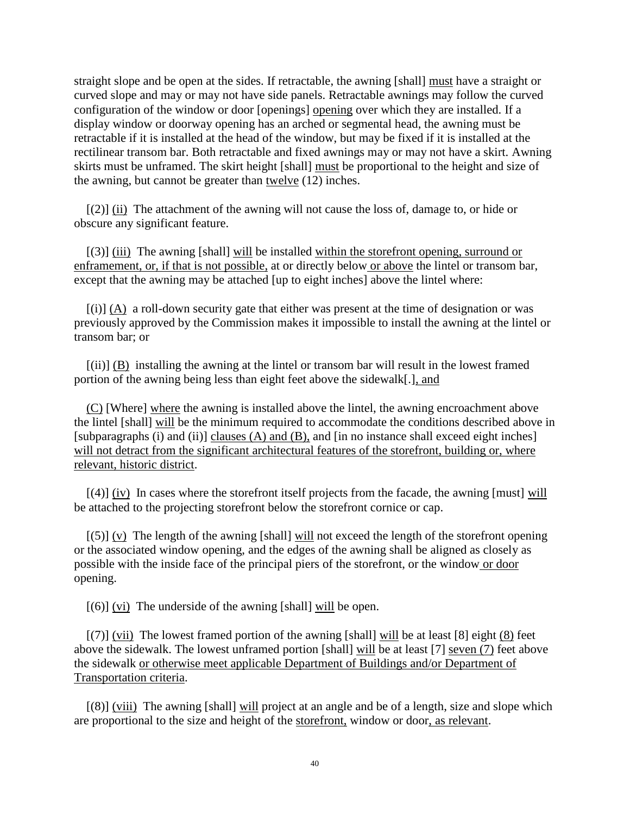straight slope and be open at the sides. If retractable, the awning [shall] must have a straight or curved slope and may or may not have side panels. Retractable awnings may follow the curved configuration of the window or door [openings] opening over which they are installed. If a display window or doorway opening has an arched or segmental head, the awning must be retractable if it is installed at the head of the window, but may be fixed if it is installed at the rectilinear transom bar. Both retractable and fixed awnings may or may not have a skirt. Awning skirts must be unframed. The skirt height [shall] must be proportional to the height and size of the awning, but cannot be greater than twelve (12) inches.

 $[(2)]$  (ii) The attachment of the awning will not cause the loss of, damage to, or hide or obscure any significant feature.

[(3)] (iii) The awning [shall] will be installed within the storefront opening, surround or enframement, or, if that is not possible, at or directly below or above the lintel or transom bar, except that the awning may be attached [up to eight inches] above the lintel where:

 $[(i)]$  (A) a roll-down security gate that either was present at the time of designation or was previously approved by the Commission makes it impossible to install the awning at the lintel or transom bar; or

[(ii)] (B) installing the awning at the lintel or transom bar will result in the lowest framed portion of the awning being less than eight feet above the sidewalk[.], and

(C) [Where] where the awning is installed above the lintel, the awning encroachment above the lintel [shall] will be the minimum required to accommodate the conditions described above in [subparagraphs (i) and (ii)] clauses (A) and (B), and [in no instance shall exceed eight inches] will not detract from the significant architectural features of the storefront, building or, where relevant, historic district.

 $[(4)]$  (iv) In cases where the storefront itself projects from the facade, the awning [must] will be attached to the projecting storefront below the storefront cornice or cap.

 $[(5)] (v)$  The length of the awning [shall] will not exceed the length of the storefront opening or the associated window opening, and the edges of the awning shall be aligned as closely as possible with the inside face of the principal piers of the storefront, or the window or door opening.

 $[(6)]$  (vi) The underside of the awning [shall] will be open.

 $[(7)]$  (vii) The lowest framed portion of the awning [shall] will be at least [8] eight (8) feet above the sidewalk. The lowest unframed portion [shall] will be at least [7] seven (7) feet above the sidewalk or otherwise meet applicable Department of Buildings and/or Department of Transportation criteria.

[(8)] (viii) The awning [shall] will project at an angle and be of a length, size and slope which are proportional to the size and height of the storefront, window or door, as relevant.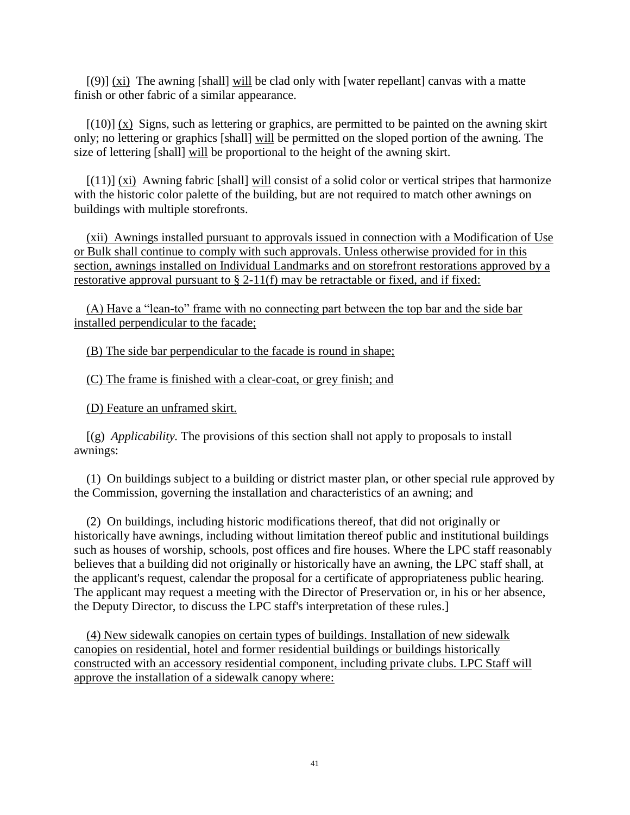$[(9)] (xi)$  The awning [shall] will be clad only with [water repellant] canvas with a matte finish or other fabric of a similar appearance.

 $[(10)] (x)$  Signs, such as lettering or graphics, are permitted to be painted on the awning skirt only; no lettering or graphics [shall] will be permitted on the sloped portion of the awning. The size of lettering [shall] will be proportional to the height of the awning skirt.

 $[(11)]$  (xi) Awning fabric [shall] will consist of a solid color or vertical stripes that harmonize with the historic color palette of the building, but are not required to match other awnings on buildings with multiple storefronts.

 (xii) Awnings installed pursuant to approvals issued in connection with a Modification of Use or Bulk shall continue to comply with such approvals. Unless otherwise provided for in this section, awnings installed on Individual Landmarks and on storefront restorations approved by a restorative approval pursuant to § 2-11(f) may be retractable or fixed, and if fixed:

 (A) Have a "lean-to" frame with no connecting part between the top bar and the side bar installed perpendicular to the facade;

(B) The side bar perpendicular to the facade is round in shape;

(C) The frame is finished with a clear-coat, or grey finish; and

(D) Feature an unframed skirt.

[(g) *Applicability.* The provisions of this section shall not apply to proposals to install awnings:

(1) On buildings subject to a building or district master plan, or other special rule approved by the Commission, governing the installation and characteristics of an awning; and

(2) On buildings, including historic modifications thereof, that did not originally or historically have awnings, including without limitation thereof public and institutional buildings such as houses of worship, schools, post offices and fire houses. Where the LPC staff reasonably believes that a building did not originally or historically have an awning, the LPC staff shall, at the applicant's request, calendar the proposal for a certificate of appropriateness public hearing. The applicant may request a meeting with the Director of Preservation or, in his or her absence, the Deputy Director, to discuss the LPC staff's interpretation of these rules.]

 (4) New sidewalk canopies on certain types of buildings. Installation of new sidewalk canopies on residential, hotel and former residential buildings or buildings historically constructed with an accessory residential component, including private clubs. LPC Staff will approve the installation of a sidewalk canopy where: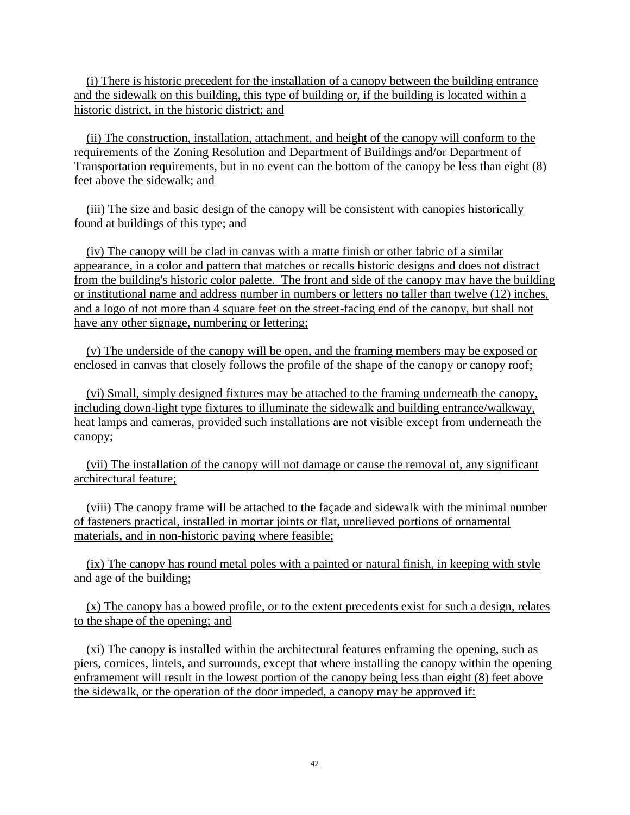(i) There is historic precedent for the installation of a canopy between the building entrance and the sidewalk on this building, this type of building or, if the building is located within a historic district, in the historic district; and

 (ii) The construction, installation, attachment, and height of the canopy will conform to the requirements of the Zoning Resolution and Department of Buildings and/or Department of Transportation requirements, but in no event can the bottom of the canopy be less than eight (8) feet above the sidewalk; and

 (iii) The size and basic design of the canopy will be consistent with canopies historically found at buildings of this type; and

 (iv) The canopy will be clad in canvas with a matte finish or other fabric of a similar appearance, in a color and pattern that matches or recalls historic designs and does not distract from the building's historic color palette. The front and side of the canopy may have the building or institutional name and address number in numbers or letters no taller than twelve (12) inches, and a logo of not more than 4 square feet on the street-facing end of the canopy, but shall not have any other signage, numbering or lettering;

 (v) The underside of the canopy will be open, and the framing members may be exposed or enclosed in canvas that closely follows the profile of the shape of the canopy or canopy roof;

 (vi) Small, simply designed fixtures may be attached to the framing underneath the canopy, including down-light type fixtures to illuminate the sidewalk and building entrance/walkway, heat lamps and cameras, provided such installations are not visible except from underneath the canopy;

 (vii) The installation of the canopy will not damage or cause the removal of, any significant architectural feature;

 (viii) The canopy frame will be attached to the façade and sidewalk with the minimal number of fasteners practical, installed in mortar joints or flat, unrelieved portions of ornamental materials, and in non-historic paving where feasible;

 (ix) The canopy has round metal poles with a painted or natural finish, in keeping with style and age of the building;

 (x) The canopy has a bowed profile, or to the extent precedents exist for such a design, relates to the shape of the opening; and

 (xi) The canopy is installed within the architectural features enframing the opening, such as piers, cornices, lintels, and surrounds, except that where installing the canopy within the opening enframement will result in the lowest portion of the canopy being less than eight (8) feet above the sidewalk, or the operation of the door impeded, a canopy may be approved if: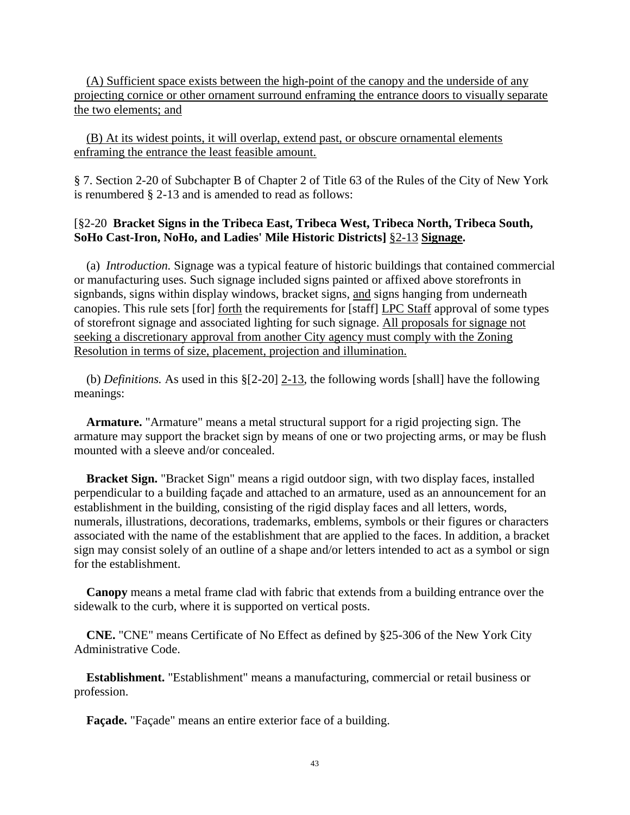(A) Sufficient space exists between the high-point of the canopy and the underside of any projecting cornice or other ornament surround enframing the entrance doors to visually separate the two elements; and

 (B) At its widest points, it will overlap, extend past, or obscure ornamental elements enframing the entrance the least feasible amount.

§ 7. Section 2-20 of Subchapter B of Chapter 2 of Title 63 of the Rules of the City of New York is renumbered § 2-13 and is amended to read as follows:

#### [§2-20 **Bracket Signs in the Tribeca East, Tribeca West, Tribeca North, Tribeca South, SoHo Cast-Iron, NoHo, and Ladies' Mile Historic Districts]** §2-13 **Signage.**

(a) *Introduction.* Signage was a typical feature of historic buildings that contained commercial or manufacturing uses. Such signage included signs painted or affixed above storefronts in signbands, signs within display windows, bracket signs, and signs hanging from underneath canopies. This rule sets [for] forth the requirements for [staff] LPC Staff approval of some types of storefront signage and associated lighting for such signage. All proposals for signage not seeking a discretionary approval from another City agency must comply with the Zoning Resolution in terms of size, placement, projection and illumination.

 (b) *Definitions.* As used in this §[2-20] 2-13, the following words [shall] have the following meanings:

**Armature.** "Armature" means a metal structural support for a rigid projecting sign. The armature may support the bracket sign by means of one or two projecting arms, or may be flush mounted with a sleeve and/or concealed.

**Bracket Sign.** "Bracket Sign" means a rigid outdoor sign, with two display faces, installed perpendicular to a building façade and attached to an armature, used as an announcement for an establishment in the building, consisting of the rigid display faces and all letters, words, numerals, illustrations, decorations, trademarks, emblems, symbols or their figures or characters associated with the name of the establishment that are applied to the faces. In addition, a bracket sign may consist solely of an outline of a shape and/or letters intended to act as a symbol or sign for the establishment.

**Canopy** means a metal frame clad with fabric that extends from a building entrance over the sidewalk to the curb, where it is supported on vertical posts.

**CNE.** "CNE" means Certificate of No Effect as defined by §25-306 of the New York City Administrative Code.

**Establishment.** "Establishment" means a manufacturing, commercial or retail business or profession.

**Façade.** "Façade" means an entire exterior face of a building.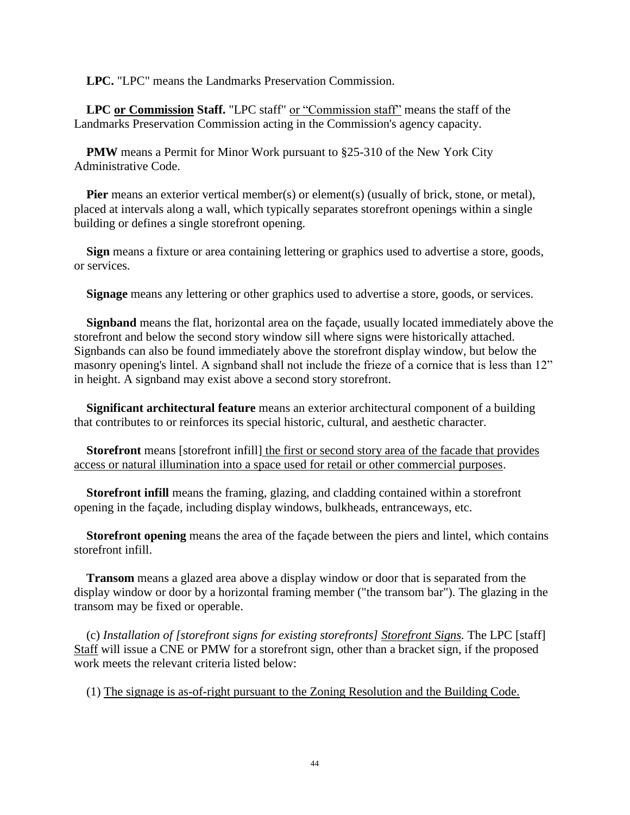**LPC.** "LPC" means the Landmarks Preservation Commission.

**LPC or Commission Staff.** "LPC staff" or "Commission staff" means the staff of the Landmarks Preservation Commission acting in the Commission's agency capacity.

**PMW** means a Permit for Minor Work pursuant to §25-310 of the New York City Administrative Code.

**Pier** means an exterior vertical member(s) or element(s) (usually of brick, stone, or metal), placed at intervals along a wall, which typically separates storefront openings within a single building or defines a single storefront opening.

**Sign** means a fixture or area containing lettering or graphics used to advertise a store, goods, or services.

**Signage** means any lettering or other graphics used to advertise a store, goods, or services.

**Signband** means the flat, horizontal area on the façade, usually located immediately above the storefront and below the second story window sill where signs were historically attached. Signbands can also be found immediately above the storefront display window, but below the masonry opening's lintel. A signband shall not include the frieze of a cornice that is less than 12" in height. A signband may exist above a second story storefront.

**Significant architectural feature** means an exterior architectural component of a building that contributes to or reinforces its special historic, cultural, and aesthetic character.

**Storefront** means [storefront infill] the first or second story area of the facade that provides access or natural illumination into a space used for retail or other commercial purposes.

**Storefront infill** means the framing, glazing, and cladding contained within a storefront opening in the façade, including display windows, bulkheads, entranceways, etc.

**Storefront opening** means the area of the façade between the piers and lintel, which contains storefront infill.

**Transom** means a glazed area above a display window or door that is separated from the display window or door by a horizontal framing member ("the transom bar"). The glazing in the transom may be fixed or operable.

(c) *Installation of [storefront signs for existing storefronts] Storefront Signs.* The LPC [staff] Staff will issue a CNE or PMW for a storefront sign, other than a bracket sign, if the proposed work meets the relevant criteria listed below:

(1) The signage is as-of-right pursuant to the Zoning Resolution and the Building Code.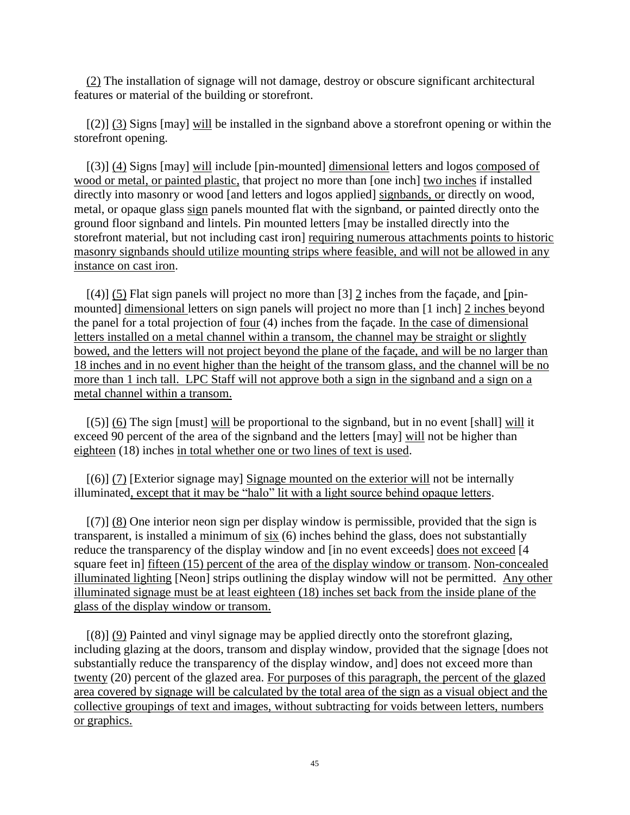(2) The installation of signage will not damage, destroy or obscure significant architectural features or material of the building or storefront.

[(2)] (3) Signs [may] will be installed in the signband above a storefront opening or within the storefront opening.

[(3)] (4) Signs [may] will include [pin-mounted] dimensional letters and logos composed of wood or metal, or painted plastic, that project no more than [one inch] two inches if installed directly into masonry or wood [and letters and logos applied] signbands, or directly on wood, metal, or opaque glass sign panels mounted flat with the signband, or painted directly onto the ground floor signband and lintels. Pin mounted letters [may be installed directly into the storefront material, but not including cast iron] requiring numerous attachments points to historic masonry signbands should utilize mounting strips where feasible, and will not be allowed in any instance on cast iron.

 $[(4)]$  (5) Flat sign panels will project no more than [3] 2 inches from the façade, and [pinmounted] dimensional letters on sign panels will project no more than [1 inch] 2 inches beyond the panel for a total projection of four (4) inches from the façade. In the case of dimensional letters installed on a metal channel within a transom, the channel may be straight or slightly bowed, and the letters will not project beyond the plane of the façade, and will be no larger than 18 inches and in no event higher than the height of the transom glass, and the channel will be no more than 1 inch tall. LPC Staff will not approve both a sign in the signband and a sign on a metal channel within a transom.

 $[(5)]$  (6) The sign [must] will be proportional to the signband, but in no event [shall] will it exceed 90 percent of the area of the signband and the letters [may] will not be higher than eighteen (18) inches in total whether one or two lines of text is used.

[(6)] (7) [Exterior signage may] Signage mounted on the exterior will not be internally illuminated, except that it may be "halo" lit with a light source behind opaque letters.

[(7)] (8) One interior neon sign per display window is permissible, provided that the sign is transparent, is installed a minimum of six (6) inches behind the glass, does not substantially reduce the transparency of the display window and [in no event exceeds] does not exceed [4 square feet in fifteen (15) percent of the area of the display window or transom. Non-concealed illuminated lighting [Neon] strips outlining the display window will not be permitted. Any other illuminated signage must be at least eighteen (18) inches set back from the inside plane of the glass of the display window or transom.

[(8)] (9) Painted and vinyl signage may be applied directly onto the storefront glazing, including glazing at the doors, transom and display window, provided that the signage [does not substantially reduce the transparency of the display window, and] does not exceed more than twenty (20) percent of the glazed area. For purposes of this paragraph, the percent of the glazed area covered by signage will be calculated by the total area of the sign as a visual object and the collective groupings of text and images, without subtracting for voids between letters, numbers or graphics.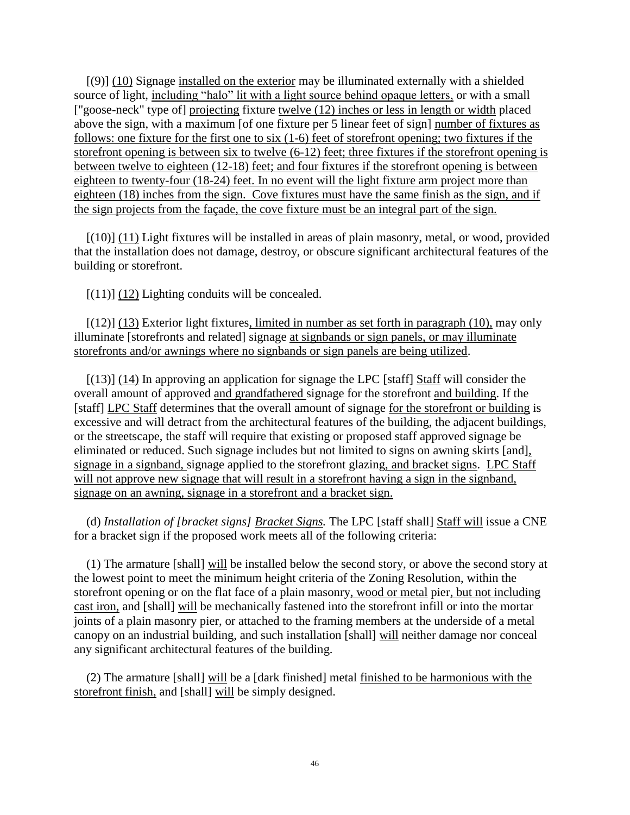[(9)] (10) Signage installed on the exterior may be illuminated externally with a shielded source of light, including "halo" lit with a light source behind opaque letters, or with a small ["goose-neck" type of] projecting fixture twelve (12) inches or less in length or width placed above the sign, with a maximum [of one fixture per 5 linear feet of sign] number of fixtures as follows: one fixture for the first one to six (1-6) feet of storefront opening; two fixtures if the storefront opening is between six to twelve (6-12) feet; three fixtures if the storefront opening is between twelve to eighteen (12-18) feet; and four fixtures if the storefront opening is between eighteen to twenty-four (18-24) feet. In no event will the light fixture arm project more than eighteen (18) inches from the sign. Cove fixtures must have the same finish as the sign, and if the sign projects from the façade, the cove fixture must be an integral part of the sign.

[(10)] (11) Light fixtures will be installed in areas of plain masonry, metal, or wood, provided that the installation does not damage, destroy, or obscure significant architectural features of the building or storefront.

 $[(11)]$   $(12)$  Lighting conduits will be concealed.

 $[(12)]$  (13) Exterior light fixtures, limited in number as set forth in paragraph (10), may only illuminate [storefronts and related] signage at signbands or sign panels, or may illuminate storefronts and/or awnings where no signbands or sign panels are being utilized.

[(13)] (14) In approving an application for signage the LPC [staff] Staff will consider the overall amount of approved and grandfathered signage for the storefront and building. If the [staff] LPC Staff determines that the overall amount of signage for the storefront or building is excessive and will detract from the architectural features of the building, the adjacent buildings, or the streetscape, the staff will require that existing or proposed staff approved signage be eliminated or reduced. Such signage includes but not limited to signs on awning skirts [and], signage in a signband, signage applied to the storefront glazing, and bracket signs. LPC Staff will not approve new signage that will result in a storefront having a sign in the signband, signage on an awning, signage in a storefront and a bracket sign.

(d) *Installation of [bracket signs] Bracket Signs.* The LPC [staff shall] Staff will issue a CNE for a bracket sign if the proposed work meets all of the following criteria:

(1) The armature [shall] will be installed below the second story, or above the second story at the lowest point to meet the minimum height criteria of the Zoning Resolution, within the storefront opening or on the flat face of a plain masonry, wood or metal pier, but not including cast iron, and [shall] will be mechanically fastened into the storefront infill or into the mortar joints of a plain masonry pier, or attached to the framing members at the underside of a metal canopy on an industrial building, and such installation [shall] will neither damage nor conceal any significant architectural features of the building.

(2) The armature [shall] will be a [dark finished] metal finished to be harmonious with the storefront finish, and [shall] will be simply designed.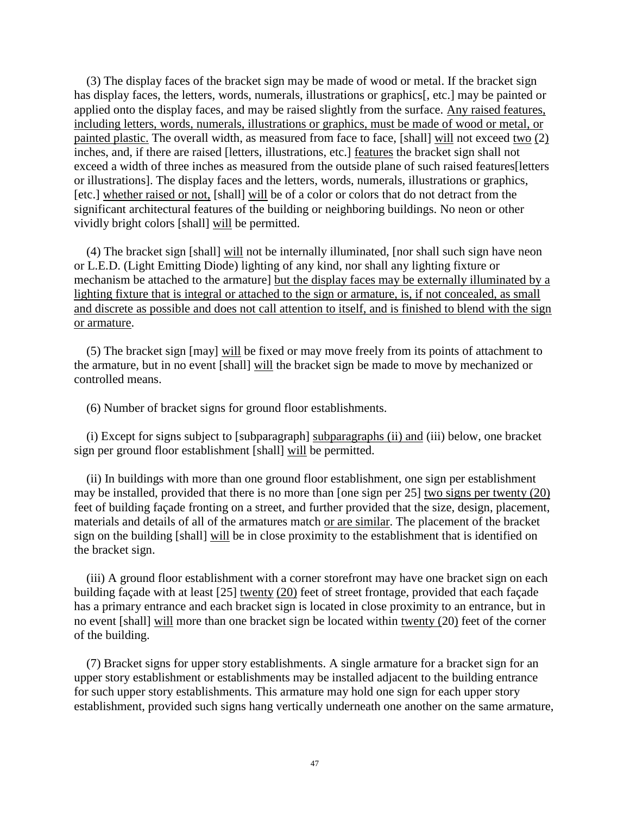(3) The display faces of the bracket sign may be made of wood or metal. If the bracket sign has display faces, the letters, words, numerals, illustrations or graphics[, etc.] may be painted or applied onto the display faces, and may be raised slightly from the surface. Any raised features, including letters, words, numerals, illustrations or graphics, must be made of wood or metal, or painted plastic. The overall width, as measured from face to face, [shall] will not exceed two (2) inches, and, if there are raised [letters, illustrations, etc.] features the bracket sign shall not exceed a width of three inches as measured from the outside plane of such raised features[letters or illustrations]. The display faces and the letters, words, numerals, illustrations or graphics, [etc.] whether raised or not, [shall] will be of a color or colors that do not detract from the significant architectural features of the building or neighboring buildings. No neon or other vividly bright colors [shall] will be permitted.

(4) The bracket sign [shall] will not be internally illuminated, [nor shall such sign have neon or L.E.D. (Light Emitting Diode) lighting of any kind, nor shall any lighting fixture or mechanism be attached to the armature] but the display faces may be externally illuminated by a lighting fixture that is integral or attached to the sign or armature, is, if not concealed, as small and discrete as possible and does not call attention to itself, and is finished to blend with the sign or armature.

(5) The bracket sign [may] will be fixed or may move freely from its points of attachment to the armature, but in no event [shall] will the bracket sign be made to move by mechanized or controlled means.

(6) Number of bracket signs for ground floor establishments.

(i) Except for signs subject to [subparagraph] subparagraphs (ii) and (iii) below, one bracket sign per ground floor establishment [shall] will be permitted.

(ii) In buildings with more than one ground floor establishment, one sign per establishment may be installed, provided that there is no more than [one sign per 25] two signs per twenty (20) feet of building façade fronting on a street, and further provided that the size, design, placement, materials and details of all of the armatures match or are similar. The placement of the bracket sign on the building [shall] will be in close proximity to the establishment that is identified on the bracket sign.

(iii) A ground floor establishment with a corner storefront may have one bracket sign on each building façade with at least [25] twenty (20) feet of street frontage, provided that each façade has a primary entrance and each bracket sign is located in close proximity to an entrance, but in no event [shall] will more than one bracket sign be located within twenty (20) feet of the corner of the building.

(7) Bracket signs for upper story establishments. A single armature for a bracket sign for an upper story establishment or establishments may be installed adjacent to the building entrance for such upper story establishments. This armature may hold one sign for each upper story establishment, provided such signs hang vertically underneath one another on the same armature,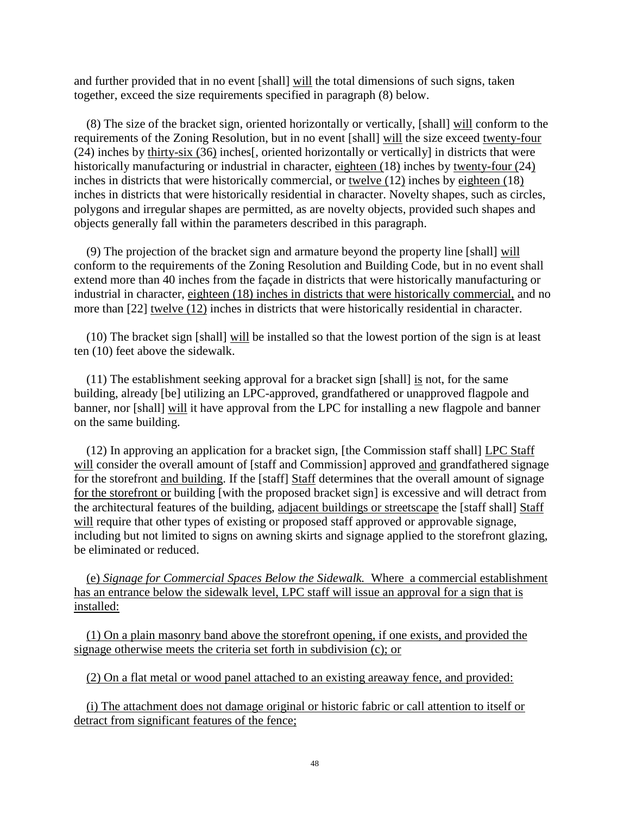and further provided that in no event [shall] will the total dimensions of such signs, taken together, exceed the size requirements specified in paragraph (8) below.

(8) The size of the bracket sign, oriented horizontally or vertically, [shall] will conform to the requirements of the Zoning Resolution, but in no event [shall] will the size exceed twenty-four (24) inches by thirty-six (36) inches[, oriented horizontally or vertically] in districts that were historically manufacturing or industrial in character, eighteen (18) inches by twenty-four (24) inches in districts that were historically commercial, or twelve (12) inches by eighteen (18) inches in districts that were historically residential in character. Novelty shapes, such as circles, polygons and irregular shapes are permitted, as are novelty objects, provided such shapes and objects generally fall within the parameters described in this paragraph.

(9) The projection of the bracket sign and armature beyond the property line [shall] will conform to the requirements of the Zoning Resolution and Building Code, but in no event shall extend more than 40 inches from the façade in districts that were historically manufacturing or industrial in character, eighteen (18) inches in districts that were historically commercial, and no more than [22] twelve (12) inches in districts that were historically residential in character.

(10) The bracket sign [shall] will be installed so that the lowest portion of the sign is at least ten (10) feet above the sidewalk.

(11) The establishment seeking approval for a bracket sign [shall] is not, for the same building, already [be] utilizing an LPC-approved, grandfathered or unapproved flagpole and banner, nor [shall] will it have approval from the LPC for installing a new flagpole and banner on the same building.

(12) In approving an application for a bracket sign, [the Commission staff shall] LPC Staff will consider the overall amount of [staff and Commission] approved and grandfathered signage for the storefront and building. If the [staff] Staff determines that the overall amount of signage for the storefront or building [with the proposed bracket sign] is excessive and will detract from the architectural features of the building, adjacent buildings or streetscape the [staff shall] Staff will require that other types of existing or proposed staff approved or approvable signage, including but not limited to signs on awning skirts and signage applied to the storefront glazing, be eliminated or reduced.

 (e) *Signage for Commercial Spaces Below the Sidewalk.* Where a commercial establishment has an entrance below the sidewalk level, LPC staff will issue an approval for a sign that is installed:

 (1) On a plain masonry band above the storefront opening, if one exists, and provided the signage otherwise meets the criteria set forth in subdivision (c); or

(2) On a flat metal or wood panel attached to an existing areaway fence, and provided:

 (i) The attachment does not damage original or historic fabric or call attention to itself or detract from significant features of the fence;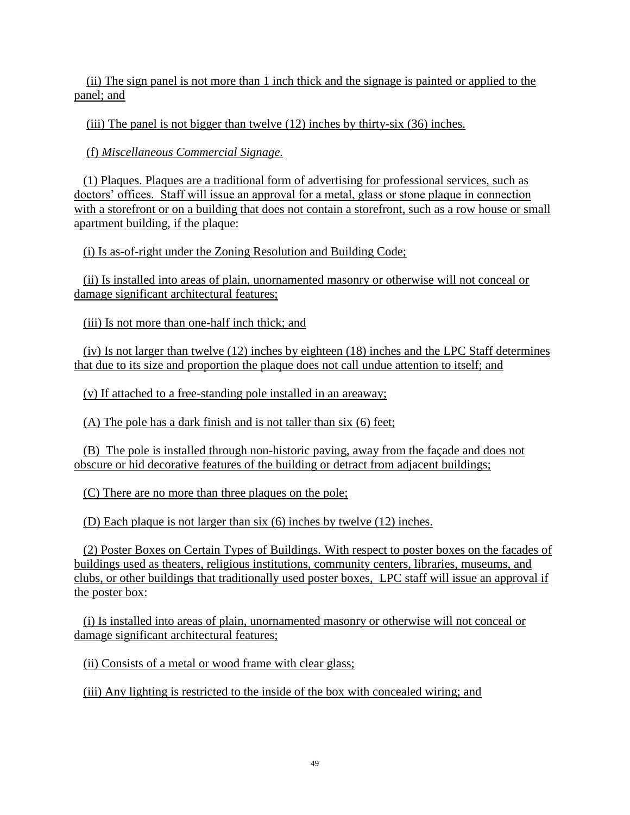(ii) The sign panel is not more than 1 inch thick and the signage is painted or applied to the panel; and

(iii) The panel is not bigger than twelve (12) inches by thirty-six (36) inches.

(f) *Miscellaneous Commercial Signage.*

 (1) Plaques. Plaques are a traditional form of advertising for professional services, such as doctors' offices. Staff will issue an approval for a metal, glass or stone plaque in connection with a storefront or on a building that does not contain a storefront, such as a row house or small apartment building, if the plaque:

(i) Is as-of-right under the Zoning Resolution and Building Code;

 (ii) Is installed into areas of plain, unornamented masonry or otherwise will not conceal or damage significant architectural features;

(iii) Is not more than one-half inch thick; and

 (iv) Is not larger than twelve (12) inches by eighteen (18) inches and the LPC Staff determines that due to its size and proportion the plaque does not call undue attention to itself; and

(v) If attached to a free-standing pole installed in an areaway;

(A) The pole has a dark finish and is not taller than six (6) feet;

 (B) The pole is installed through non-historic paving, away from the façade and does not obscure or hid decorative features of the building or detract from adjacent buildings;

(C) There are no more than three plaques on the pole;

(D) Each plaque is not larger than six (6) inches by twelve (12) inches.

 (2) Poster Boxes on Certain Types of Buildings*.* With respect to poster boxes on the facades of buildings used as theaters, religious institutions, community centers, libraries, museums, and clubs, or other buildings that traditionally used poster boxes, LPC staff will issue an approval if the poster box:

 (i) Is installed into areas of plain, unornamented masonry or otherwise will not conceal or damage significant architectural features;

(ii) Consists of a metal or wood frame with clear glass;

(iii) Any lighting is restricted to the inside of the box with concealed wiring; and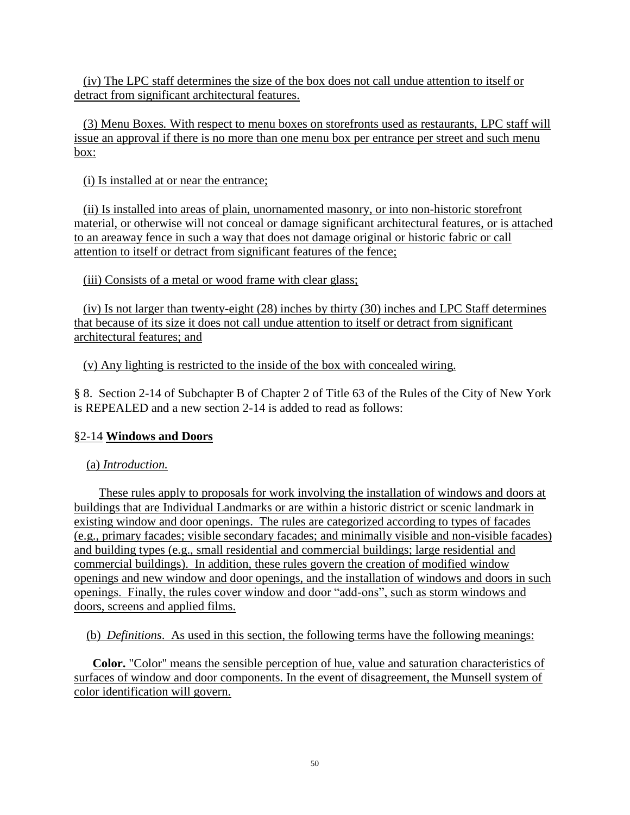(iv) The LPC staff determines the size of the box does not call undue attention to itself or detract from significant architectural features.

 (3) Menu Boxes*.* With respect to menu boxes on storefronts used as restaurants, LPC staff will issue an approval if there is no more than one menu box per entrance per street and such menu box:

(i) Is installed at or near the entrance;

 (ii) Is installed into areas of plain, unornamented masonry, or into non-historic storefront material, or otherwise will not conceal or damage significant architectural features, or is attached to an areaway fence in such a way that does not damage original or historic fabric or call attention to itself or detract from significant features of the fence;

(iii) Consists of a metal or wood frame with clear glass;

 (iv) Is not larger than twenty-eight (28) inches by thirty (30) inches and LPC Staff determines that because of its size it does not call undue attention to itself or detract from significant architectural features; and

(v) Any lighting is restricted to the inside of the box with concealed wiring.

§ 8. Section 2-14 of Subchapter B of Chapter 2 of Title 63 of the Rules of the City of New York is REPEALED and a new section 2-14 is added to read as follows:

# §2-14 **Windows and Doors**

### (a) *Introduction.*

 These rules apply to proposals for work involving the installation of windows and doors at buildings that are Individual Landmarks or are within a historic district or scenic landmark in existing window and door openings. The rules are categorized according to types of facades (e.g., primary facades; visible secondary facades; and minimally visible and non-visible facades) and building types (e.g., small residential and commercial buildings; large residential and commercial buildings). In addition, these rules govern the creation of modified window openings and new window and door openings, and the installation of windows and doors in such openings. Finally, the rules cover window and door "add-ons", such as storm windows and doors, screens and applied films.

(b) *Definitions*. As used in this section, the following terms have the following meanings:

**Color.** "Color" means the sensible perception of hue, value and saturation characteristics of surfaces of window and door components. In the event of disagreement, the Munsell system of color identification will govern.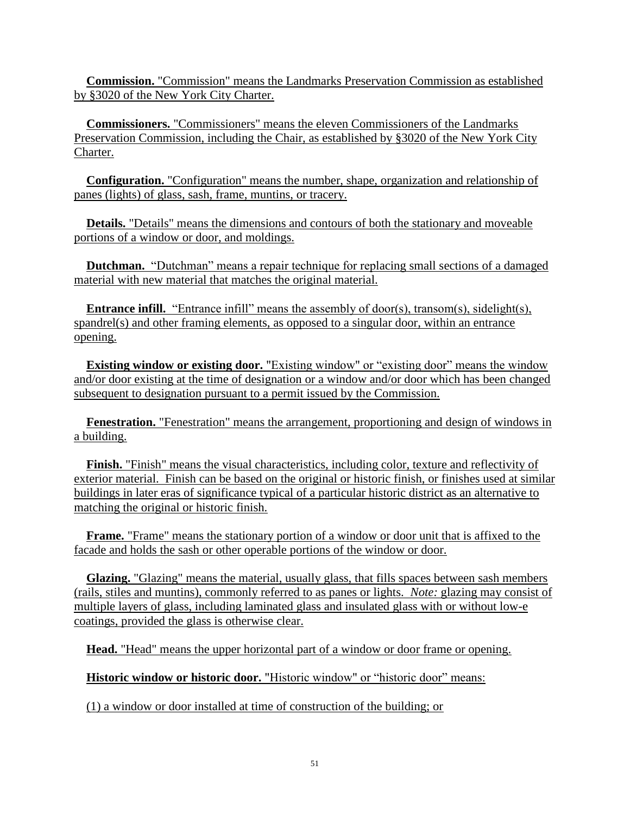**Commission.** "Commission" means the Landmarks Preservation Commission as established by §3020 of the New York City Charter.

**Commissioners.** "Commissioners" means the eleven Commissioners of the Landmarks Preservation Commission, including the Chair, as established by §3020 of the New York City Charter.

**Configuration.** "Configuration" means the number, shape, organization and relationship of panes (lights) of glass, sash, frame, muntins, or tracery.

**Details.** "Details" means the dimensions and contours of both the stationary and moveable portions of a window or door, and moldings.

 **Dutchman.** "Dutchman" means a repair technique for replacing small sections of a damaged material with new material that matches the original material.

**Entrance infill.** "Entrance infill" means the assembly of door(s), transom(s), sidelight(s), spandrel(s) and other framing elements, as opposed to a singular door, within an entrance opening.

**Existing window or existing door.** "Existing window" or "existing door" means the window and/or door existing at the time of designation or a window and/or door which has been changed subsequent to designation pursuant to a permit issued by the Commission.

**Fenestration.** "Fenestration" means the arrangement, proportioning and design of windows in a building.

**Finish.** "Finish" means the visual characteristics, including color, texture and reflectivity of exterior material. Finish can be based on the original or historic finish, or finishes used at similar buildings in later eras of significance typical of a particular historic district as an alternative to matching the original or historic finish.

**Frame.** "Frame" means the stationary portion of a window or door unit that is affixed to the facade and holds the sash or other operable portions of the window or door.

**Glazing.** "Glazing" means the material, usually glass, that fills spaces between sash members (rails, stiles and muntins), commonly referred to as panes or lights. *Note:* glazing may consist of multiple layers of glass, including laminated glass and insulated glass with or without low-e coatings, provided the glass is otherwise clear.

**Head.** "Head" means the upper horizontal part of a window or door frame or opening.

**Historic window or historic door.** "Historic window" or "historic door" means:

(1) a window or door installed at time of construction of the building; or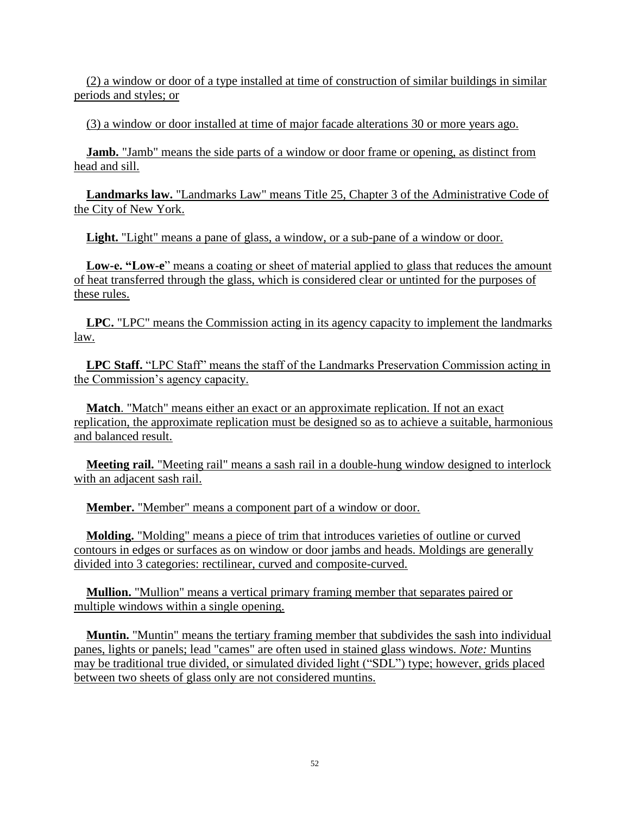(2) a window or door of a type installed at time of construction of similar buildings in similar periods and styles; or

(3) a window or door installed at time of major facade alterations 30 or more years ago.

**Jamb.** "Jamb" means the side parts of a window or door frame or opening, as distinct from head and sill.

**Landmarks law.** "Landmarks Law" means Title 25, Chapter 3 of the Administrative Code of the City of New York.

**Light.** "Light" means a pane of glass, a window, or a sub-pane of a window or door.

 **Low-e. "Low-e**" means a coating or sheet of material applied to glass that reduces the amount of heat transferred through the glass, which is considered clear or untinted for the purposes of these rules.

**LPC.** "LPC" means the Commission acting in its agency capacity to implement the landmarks law.

 **LPC Staff.** "LPC Staff" means the staff of the Landmarks Preservation Commission acting in the Commission's agency capacity.

**Match**. "Match" means either an exact or an approximate replication. If not an exact replication, the approximate replication must be designed so as to achieve a suitable, harmonious and balanced result.

**Meeting rail.** "Meeting rail" means a sash rail in a double-hung window designed to interlock with an adjacent sash rail.

**Member.** "Member" means a component part of a window or door.

**Molding.** "Molding" means a piece of trim that introduces varieties of outline or curved contours in edges or surfaces as on window or door jambs and heads. Moldings are generally divided into 3 categories: rectilinear, curved and composite-curved.

**Mullion.** "Mullion" means a vertical primary framing member that separates paired or multiple windows within a single opening.

**Muntin.** "Muntin" means the tertiary framing member that subdivides the sash into individual panes, lights or panels; lead "cames" are often used in stained glass windows. *Note:* Muntins may be traditional true divided, or simulated divided light ("SDL") type; however, grids placed between two sheets of glass only are not considered muntins.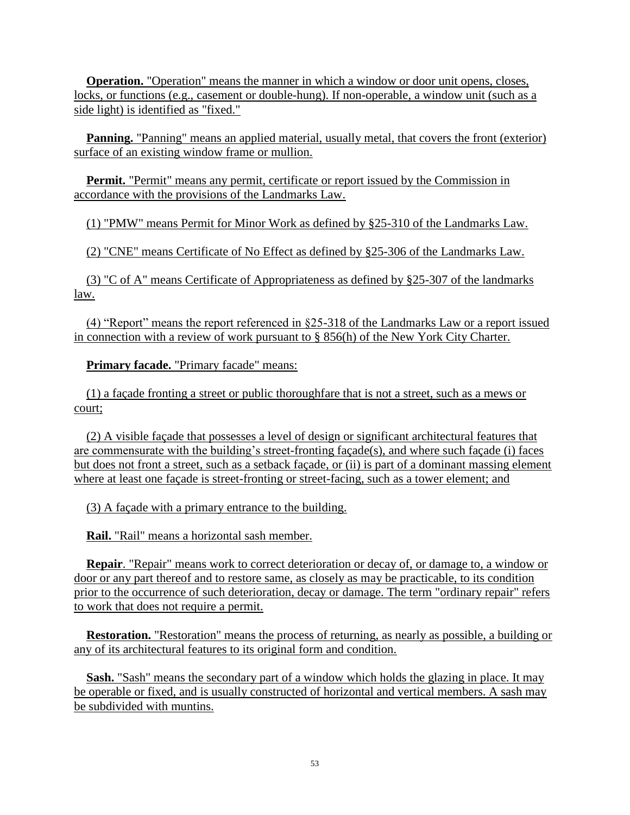**Operation.** "Operation" means the manner in which a window or door unit opens, closes, locks, or functions (e.g., casement or double-hung). If non-operable, a window unit (such as a side light) is identified as "fixed."

**Panning.** "Panning" means an applied material, usually metal, that covers the front (exterior) surface of an existing window frame or mullion.

**Permit.** "Permit" means any permit, certificate or report issued by the Commission in accordance with the provisions of the Landmarks Law.

(1) "PMW" means Permit for Minor Work as defined by §25-310 of the Landmarks Law.

(2) "CNE" means Certificate of No Effect as defined by §25-306 of the Landmarks Law.

(3) "C of A" means Certificate of Appropriateness as defined by §25-307 of the landmarks law.

 (4) "Report" means the report referenced in §25-318 of the Landmarks Law or a report issued in connection with a review of work pursuant to § 856(h) of the New York City Charter.

**Primary facade.** "Primary facade" means:

 (1) a façade fronting a street or public thoroughfare that is not a street, such as a mews or court;

 (2) A visible façade that possesses a level of design or significant architectural features that are commensurate with the building's street-fronting façade(s), and where such façade (i) faces but does not front a street, such as a setback façade, or (ii) is part of a dominant massing element where at least one façade is street-fronting or street-facing, such as a tower element; and

(3) A façade with a primary entrance to the building.

**Rail.** "Rail" means a horizontal sash member.

**Repair**. "Repair" means work to correct deterioration or decay of, or damage to, a window or door or any part thereof and to restore same, as closely as may be practicable, to its condition prior to the occurrence of such deterioration, decay or damage. The term "ordinary repair" refers to work that does not require a permit.

**Restoration.** "Restoration" means the process of returning, as nearly as possible, a building or any of its architectural features to its original form and condition.

**Sash.** "Sash" means the secondary part of a window which holds the glazing in place. It may be operable or fixed, and is usually constructed of horizontal and vertical members. A sash may be subdivided with muntins.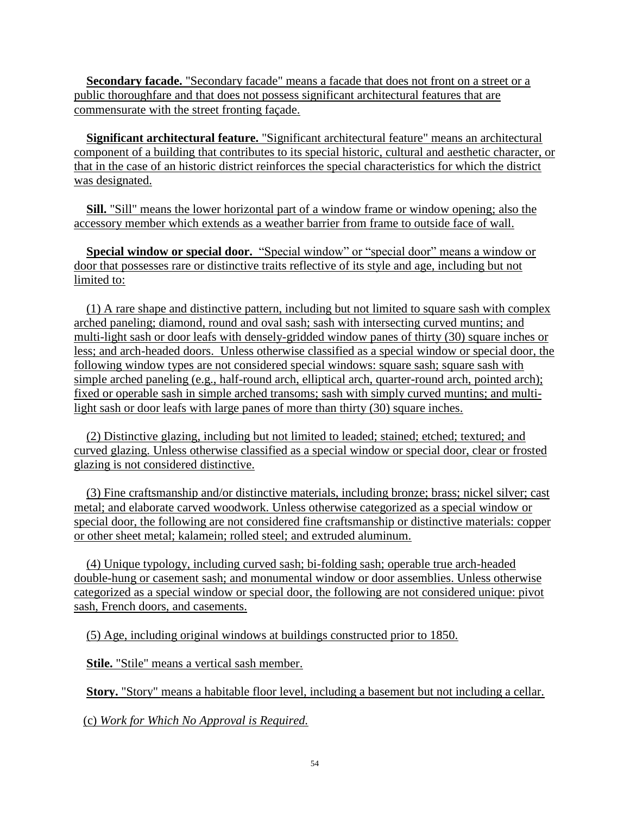**Secondary facade.** "Secondary facade" means a facade that does not front on a street or a public thoroughfare and that does not possess significant architectural features that are commensurate with the street fronting façade.

**Significant architectural feature.** "Significant architectural feature" means an architectural component of a building that contributes to its special historic, cultural and aesthetic character, or that in the case of an historic district reinforces the special characteristics for which the district was designated.

**Sill.** "Sill" means the lower horizontal part of a window frame or window opening; also the accessory member which extends as a weather barrier from frame to outside face of wall.

 **Special window or special door.** "Special window" or "special door" means a window or door that possesses rare or distinctive traits reflective of its style and age, including but not limited to:

 (1) A rare shape and distinctive pattern, including but not limited to square sash with complex arched paneling; diamond, round and oval sash; sash with intersecting curved muntins; and multi-light sash or door leafs with densely-gridded window panes of thirty (30) square inches or less; and arch-headed doors. Unless otherwise classified as a special window or special door, the following window types are not considered special windows: square sash; square sash with simple arched paneling (e.g., half-round arch, elliptical arch, quarter-round arch, pointed arch); fixed or operable sash in simple arched transoms; sash with simply curved muntins; and multilight sash or door leafs with large panes of more than thirty (30) square inches.

 (2) Distinctive glazing, including but not limited to leaded; stained; etched; textured; and curved glazing. Unless otherwise classified as a special window or special door, clear or frosted glazing is not considered distinctive.

 (3) Fine craftsmanship and/or distinctive materials, including bronze; brass; nickel silver; cast metal; and elaborate carved woodwork. Unless otherwise categorized as a special window or special door, the following are not considered fine craftsmanship or distinctive materials: copper or other sheet metal; kalamein; rolled steel; and extruded aluminum.

 (4) Unique typology, including curved sash; bi-folding sash; operable true arch-headed double-hung or casement sash; and monumental window or door assemblies. Unless otherwise categorized as a special window or special door, the following are not considered unique: pivot sash, French doors, and casements.

(5) Age, including original windows at buildings constructed prior to 1850.

**Stile.** "Stile" means a vertical sash member.

**Story.** "Story" means a habitable floor level, including a basement but not including a cellar.

(c) *Work for Which No Approval is Required.*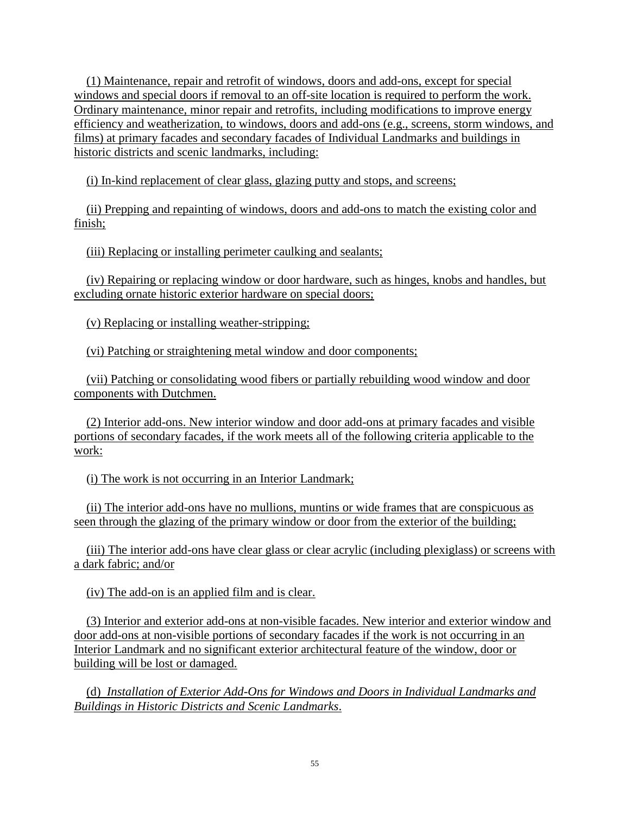(1) Maintenance, repair and retrofit of windows, doors and add-ons, except for special windows and special doors if removal to an off-site location is required to perform the work. Ordinary maintenance, minor repair and retrofits, including modifications to improve energy efficiency and weatherization, to windows, doors and add-ons (e.g., screens, storm windows, and films) at primary facades and secondary facades of Individual Landmarks and buildings in historic districts and scenic landmarks, including:

(i) In-kind replacement of clear glass, glazing putty and stops, and screens;

 (ii) Prepping and repainting of windows, doors and add-ons to match the existing color and finish;

(iii) Replacing or installing perimeter caulking and sealants;

 (iv) Repairing or replacing window or door hardware, such as hinges, knobs and handles, but excluding ornate historic exterior hardware on special doors;

(v) Replacing or installing weather-stripping;

(vi) Patching or straightening metal window and door components;

 (vii) Patching or consolidating wood fibers or partially rebuilding wood window and door components with Dutchmen.

 (2) Interior add-ons. New interior window and door add-ons at primary facades and visible portions of secondary facades, if the work meets all of the following criteria applicable to the work:

(i) The work is not occurring in an Interior Landmark;

 (ii) The interior add-ons have no mullions, muntins or wide frames that are conspicuous as seen through the glazing of the primary window or door from the exterior of the building;

 (iii) The interior add-ons have clear glass or clear acrylic (including plexiglass) or screens with a dark fabric; and/or

(iv) The add-on is an applied film and is clear.

 (3) Interior and exterior add-ons at non-visible facades. New interior and exterior window and door add-ons at non-visible portions of secondary facades if the work is not occurring in an Interior Landmark and no significant exterior architectural feature of the window, door or building will be lost or damaged.

 (d) *Installation of Exterior Add-Ons for Windows and Doors in Individual Landmarks and Buildings in Historic Districts and Scenic Landmarks*.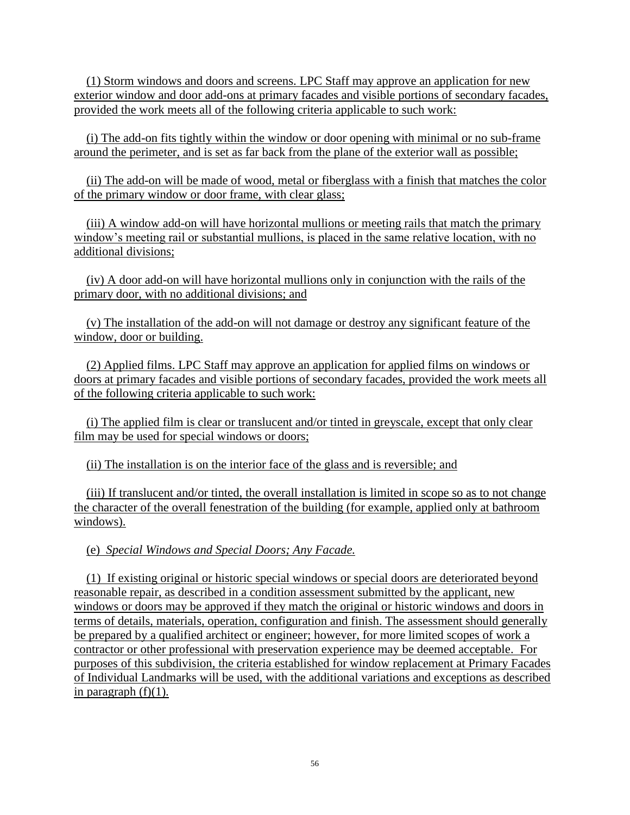(1) Storm windows and doors and screens. LPC Staff may approve an application for new exterior window and door add-ons at primary facades and visible portions of secondary facades, provided the work meets all of the following criteria applicable to such work:

 (i) The add-on fits tightly within the window or door opening with minimal or no sub-frame around the perimeter, and is set as far back from the plane of the exterior wall as possible;

 (ii) The add-on will be made of wood, metal or fiberglass with a finish that matches the color of the primary window or door frame, with clear glass;

 (iii) A window add-on will have horizontal mullions or meeting rails that match the primary window's meeting rail or substantial mullions, is placed in the same relative location, with no additional divisions;

 (iv) A door add-on will have horizontal mullions only in conjunction with the rails of the primary door, with no additional divisions; and

 (v) The installation of the add-on will not damage or destroy any significant feature of the window, door or building.

 (2) Applied films. LPC Staff may approve an application for applied films on windows or doors at primary facades and visible portions of secondary facades, provided the work meets all of the following criteria applicable to such work:

 (i) The applied film is clear or translucent and/or tinted in greyscale, except that only clear film may be used for special windows or doors;

(ii) The installation is on the interior face of the glass and is reversible; and

 (iii) If translucent and/or tinted, the overall installation is limited in scope so as to not change the character of the overall fenestration of the building (for example, applied only at bathroom windows).

(e) *Special Windows and Special Doors; Any Facade.*

(1)If existing original or historic special windows or special doors are deteriorated beyond reasonable repair, as described in a condition assessment submitted by the applicant, new windows or doors may be approved if they match the original or historic windows and doors in terms of details, materials, operation, configuration and finish. The assessment should generally be prepared by a qualified architect or engineer; however, for more limited scopes of work a contractor or other professional with preservation experience may be deemed acceptable. For purposes of this subdivision, the criteria established for window replacement at Primary Facades of Individual Landmarks will be used, with the additional variations and exceptions as described in paragraph  $(f)(1)$ .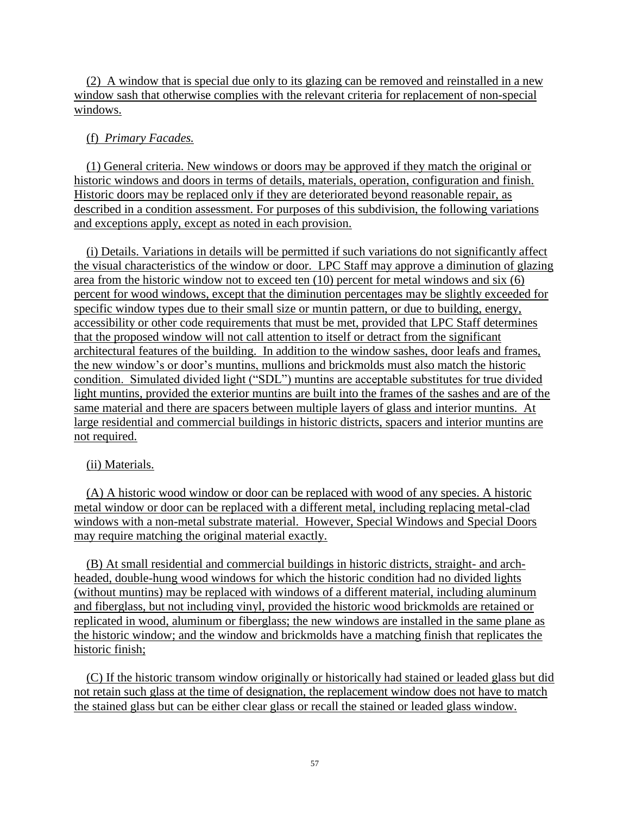(2) A window that is special due only to its glazing can be removed and reinstalled in a new window sash that otherwise complies with the relevant criteria for replacement of non-special windows.

#### (f) *Primary Facades.*

(1) General criteria. New windows or doors may be approved if they match the original or historic windows and doors in terms of details, materials, operation, configuration and finish. Historic doors may be replaced only if they are deteriorated beyond reasonable repair, as described in a condition assessment. For purposes of this subdivision, the following variations and exceptions apply, except as noted in each provision.

 (i) Details. Variations in details will be permitted if such variations do not significantly affect the visual characteristics of the window or door. LPC Staff may approve a diminution of glazing area from the historic window not to exceed ten (10) percent for metal windows and six (6) percent for wood windows, except that the diminution percentages may be slightly exceeded for specific window types due to their small size or muntin pattern, or due to building, energy, accessibility or other code requirements that must be met, provided that LPC Staff determines that the proposed window will not call attention to itself or detract from the significant architectural features of the building. In addition to the window sashes, door leafs and frames, the new window's or door's muntins, mullions and brickmolds must also match the historic condition. Simulated divided light ("SDL") muntins are acceptable substitutes for true divided light muntins, provided the exterior muntins are built into the frames of the sashes and are of the same material and there are spacers between multiple layers of glass and interior muntins. At large residential and commercial buildings in historic districts, spacers and interior muntins are not required.

### (ii) Materials.

 (A) A historic wood window or door can be replaced with wood of any species. A historic metal window or door can be replaced with a different metal, including replacing metal-clad windows with a non-metal substrate material. However, Special Windows and Special Doors may require matching the original material exactly.

 (B) At small residential and commercial buildings in historic districts, straight- and archheaded, double-hung wood windows for which the historic condition had no divided lights (without muntins) may be replaced with windows of a different material, including aluminum and fiberglass, but not including vinyl, provided the historic wood brickmolds are retained or replicated in wood, aluminum or fiberglass; the new windows are installed in the same plane as the historic window; and the window and brickmolds have a matching finish that replicates the historic finish;

 (C) If the historic transom window originally or historically had stained or leaded glass but did not retain such glass at the time of designation, the replacement window does not have to match the stained glass but can be either clear glass or recall the stained or leaded glass window.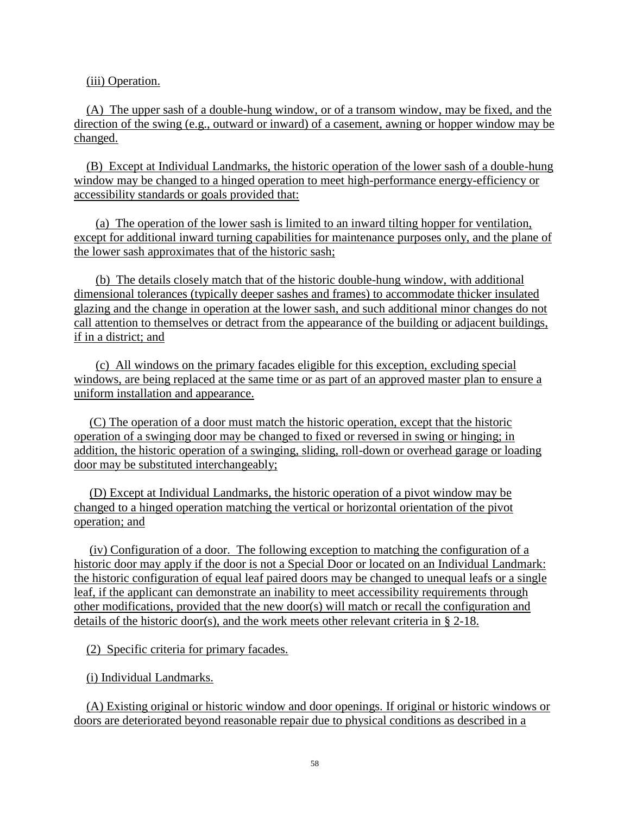(iii) Operation.

 (A) The upper sash of a double-hung window, or of a transom window, may be fixed, and the direction of the swing (e.g., outward or inward) of a casement, awning or hopper window may be changed.

 (B) Except at Individual Landmarks, the historic operation of the lower sash of a double-hung window may be changed to a hinged operation to meet high-performance energy-efficiency or accessibility standards or goals provided that:

 (a) The operation of the lower sash is limited to an inward tilting hopper for ventilation, except for additional inward turning capabilities for maintenance purposes only, and the plane of the lower sash approximates that of the historic sash;

 (b) The details closely match that of the historic double-hung window, with additional dimensional tolerances (typically deeper sashes and frames) to accommodate thicker insulated glazing and the change in operation at the lower sash, and such additional minor changes do not call attention to themselves or detract from the appearance of the building or adjacent buildings, if in a district; and

 (c) All windows on the primary facades eligible for this exception, excluding special windows, are being replaced at the same time or as part of an approved master plan to ensure a uniform installation and appearance.

 (C) The operation of a door must match the historic operation, except that the historic operation of a swinging door may be changed to fixed or reversed in swing or hinging; in addition, the historic operation of a swinging, sliding, roll-down or overhead garage or loading door may be substituted interchangeably;

 (D) Except at Individual Landmarks, the historic operation of a pivot window may be changed to a hinged operation matching the vertical or horizontal orientation of the pivot operation; and

 (iv) Configuration of a door. The following exception to matching the configuration of a historic door may apply if the door is not a Special Door or located on an Individual Landmark: the historic configuration of equal leaf paired doors may be changed to unequal leafs or a single leaf, if the applicant can demonstrate an inability to meet accessibility requirements through other modifications, provided that the new door(s) will match or recall the configuration and details of the historic door(s), and the work meets other relevant criteria in § 2-18.

(2) Specific criteria for primary facades.

(i) Individual Landmarks.

 (A) Existing original or historic window and door openings. If original or historic windows or doors are deteriorated beyond reasonable repair due to physical conditions as described in a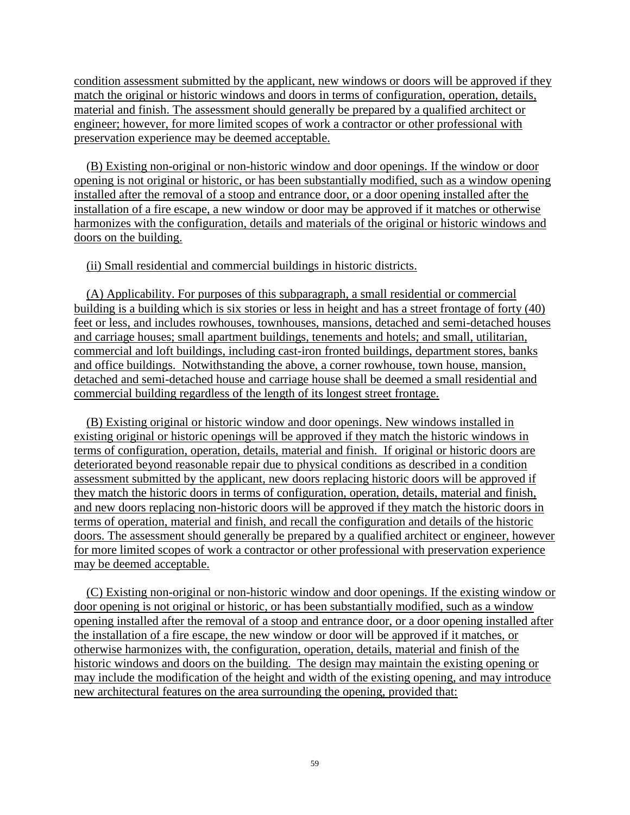condition assessment submitted by the applicant, new windows or doors will be approved if they match the original or historic windows and doors in terms of configuration, operation, details, material and finish. The assessment should generally be prepared by a qualified architect or engineer; however, for more limited scopes of work a contractor or other professional with preservation experience may be deemed acceptable.

 (B) Existing non-original or non-historic window and door openings. If the window or door opening is not original or historic, or has been substantially modified, such as a window opening installed after the removal of a stoop and entrance door, or a door opening installed after the installation of a fire escape, a new window or door may be approved if it matches or otherwise harmonizes with the configuration, details and materials of the original or historic windows and doors on the building.

(ii) Small residential and commercial buildings in historic districts.

 (A) Applicability. For purposes of this subparagraph, a small residential or commercial building is a building which is six stories or less in height and has a street frontage of forty (40) feet or less, and includes rowhouses, townhouses, mansions, detached and semi-detached houses and carriage houses; small apartment buildings, tenements and hotels; and small, utilitarian, commercial and loft buildings, including cast-iron fronted buildings, department stores, banks and office buildings. Notwithstanding the above, a corner rowhouse, town house, mansion, detached and semi-detached house and carriage house shall be deemed a small residential and commercial building regardless of the length of its longest street frontage.

 (B) Existing original or historic window and door openings. New windows installed in existing original or historic openings will be approved if they match the historic windows in terms of configuration, operation, details, material and finish. If original or historic doors are deteriorated beyond reasonable repair due to physical conditions as described in a condition assessment submitted by the applicant, new doors replacing historic doors will be approved if they match the historic doors in terms of configuration, operation, details, material and finish, and new doors replacing non-historic doors will be approved if they match the historic doors in terms of operation, material and finish, and recall the configuration and details of the historic doors. The assessment should generally be prepared by a qualified architect or engineer, however for more limited scopes of work a contractor or other professional with preservation experience may be deemed acceptable.

 (C) Existing non-original or non-historic window and door openings. If the existing window or door opening is not original or historic, or has been substantially modified, such as a window opening installed after the removal of a stoop and entrance door, or a door opening installed after the installation of a fire escape, the new window or door will be approved if it matches, or otherwise harmonizes with, the configuration, operation, details, material and finish of the historic windows and doors on the building. The design may maintain the existing opening or may include the modification of the height and width of the existing opening, and may introduce new architectural features on the area surrounding the opening, provided that: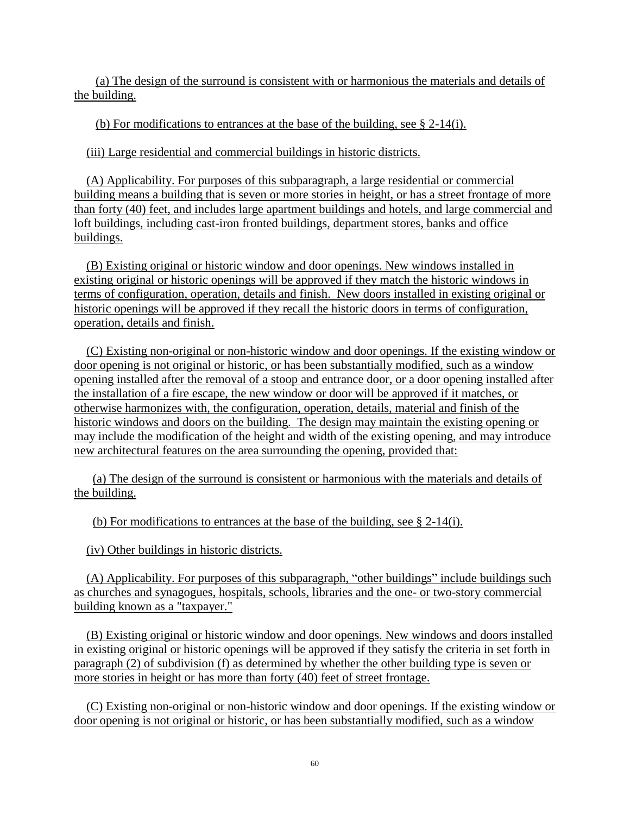(a) The design of the surround is consistent with or harmonious the materials and details of the building.

(b) For modifications to entrances at the base of the building, see § 2-14(i).

(iii) Large residential and commercial buildings in historic districts.

 (A) Applicability. For purposes of this subparagraph, a large residential or commercial building means a building that is seven or more stories in height, or has a street frontage of more than forty (40) feet, and includes large apartment buildings and hotels, and large commercial and loft buildings, including cast-iron fronted buildings, department stores, banks and office buildings.

 (B) Existing original or historic window and door openings. New windows installed in existing original or historic openings will be approved if they match the historic windows in terms of configuration, operation, details and finish. New doors installed in existing original or historic openings will be approved if they recall the historic doors in terms of configuration, operation, details and finish.

 (C) Existing non-original or non-historic window and door openings. If the existing window or door opening is not original or historic, or has been substantially modified, such as a window opening installed after the removal of a stoop and entrance door, or a door opening installed after the installation of a fire escape, the new window or door will be approved if it matches, or otherwise harmonizes with, the configuration, operation, details, material and finish of the historic windows and doors on the building. The design may maintain the existing opening or may include the modification of the height and width of the existing opening, and may introduce new architectural features on the area surrounding the opening, provided that:

 (a) The design of the surround is consistent or harmonious with the materials and details of the building.

(b) For modifications to entrances at the base of the building, see § 2-14(i).

(iv) Other buildings in historic districts.

 (A) Applicability. For purposes of this subparagraph, "other buildings" include buildings such as churches and synagogues, hospitals, schools, libraries and the one- or two-story commercial building known as a "taxpayer."

 (B) Existing original or historic window and door openings. New windows and doors installed in existing original or historic openings will be approved if they satisfy the criteria in set forth in paragraph (2) of subdivision (f) as determined by whether the other building type is seven or more stories in height or has more than forty (40) feet of street frontage.

 (C) Existing non-original or non-historic window and door openings. If the existing window or door opening is not original or historic, or has been substantially modified, such as a window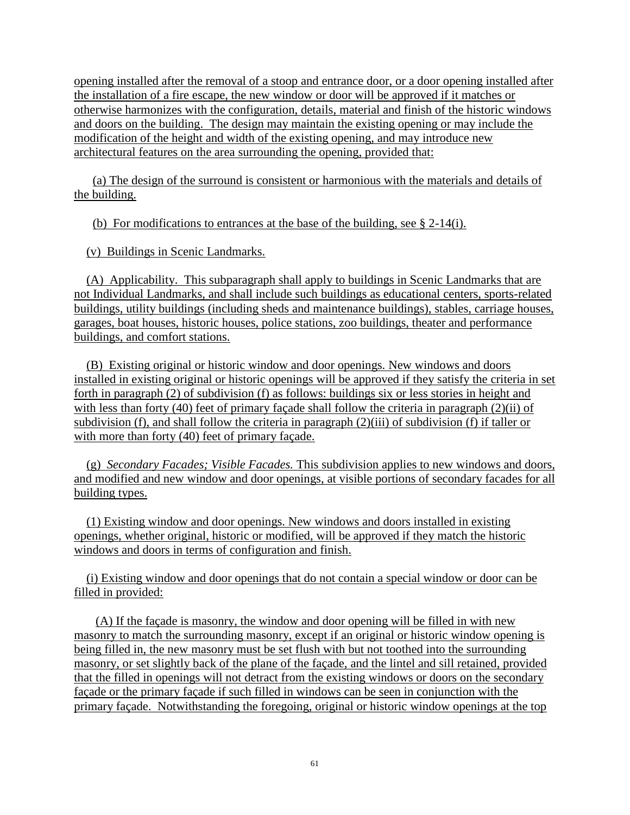opening installed after the removal of a stoop and entrance door, or a door opening installed after the installation of a fire escape, the new window or door will be approved if it matches or otherwise harmonizes with the configuration, details, material and finish of the historic windows and doors on the building. The design may maintain the existing opening or may include the modification of the height and width of the existing opening, and may introduce new architectural features on the area surrounding the opening, provided that:

 (a) The design of the surround is consistent or harmonious with the materials and details of the building.

(b) For modifications to entrances at the base of the building, see § 2-14(i).

(v) Buildings in Scenic Landmarks.

 (A) Applicability. This subparagraph shall apply to buildings in Scenic Landmarks that are not Individual Landmarks, and shall include such buildings as educational centers, sports-related buildings, utility buildings (including sheds and maintenance buildings), stables, carriage houses, garages, boat houses, historic houses, police stations, zoo buildings, theater and performance buildings, and comfort stations.

 (B) Existing original or historic window and door openings. New windows and doors installed in existing original or historic openings will be approved if they satisfy the criteria in set forth in paragraph (2) of subdivision (f) as follows: buildings six or less stories in height and with less than forty (40) feet of primary façade shall follow the criteria in paragraph (2)(ii) of subdivision (f), and shall follow the criteria in paragraph (2)(iii) of subdivision (f) if taller or with more than forty (40) feet of primary façade.

 (g) *Secondary Facades; Visible Facades.* This subdivision applies to new windows and doors, and modified and new window and door openings, at visible portions of secondary facades for all building types.

 (1) Existing window and door openings. New windows and doors installed in existing openings, whether original, historic or modified, will be approved if they match the historic windows and doors in terms of configuration and finish.

 (i) Existing window and door openings that do not contain a special window or door can be filled in provided:

 (A) If the façade is masonry, the window and door opening will be filled in with new masonry to match the surrounding masonry, except if an original or historic window opening is being filled in, the new masonry must be set flush with but not toothed into the surrounding masonry, or set slightly back of the plane of the façade, and the lintel and sill retained, provided that the filled in openings will not detract from the existing windows or doors on the secondary façade or the primary façade if such filled in windows can be seen in conjunction with the primary façade. Notwithstanding the foregoing, original or historic window openings at the top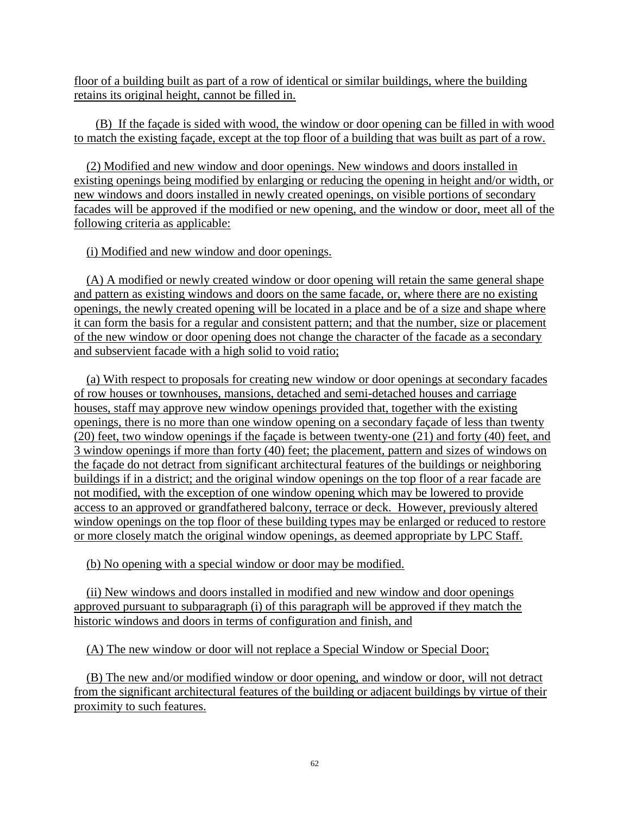floor of a building built as part of a row of identical or similar buildings, where the building retains its original height, cannot be filled in.

 (B) If the façade is sided with wood, the window or door opening can be filled in with wood to match the existing façade, except at the top floor of a building that was built as part of a row.

 (2) Modified and new window and door openings. New windows and doors installed in existing openings being modified by enlarging or reducing the opening in height and/or width, or new windows and doors installed in newly created openings, on visible portions of secondary facades will be approved if the modified or new opening, and the window or door, meet all of the following criteria as applicable:

(i) Modified and new window and door openings.

 (A) A modified or newly created window or door opening will retain the same general shape and pattern as existing windows and doors on the same facade, or, where there are no existing openings, the newly created opening will be located in a place and be of a size and shape where it can form the basis for a regular and consistent pattern; and that the number, size or placement of the new window or door opening does not change the character of the facade as a secondary and subservient facade with a high solid to void ratio;

 (a) With respect to proposals for creating new window or door openings at secondary facades of row houses or townhouses, mansions, detached and semi-detached houses and carriage houses, staff may approve new window openings provided that, together with the existing openings, there is no more than one window opening on a secondary façade of less than twenty (20) feet, two window openings if the façade is between twenty-one (21) and forty (40) feet, and 3 window openings if more than forty (40) feet; the placement, pattern and sizes of windows on the façade do not detract from significant architectural features of the buildings or neighboring buildings if in a district; and the original window openings on the top floor of a rear facade are not modified, with the exception of one window opening which may be lowered to provide access to an approved or grandfathered balcony, terrace or deck. However, previously altered window openings on the top floor of these building types may be enlarged or reduced to restore or more closely match the original window openings, as deemed appropriate by LPC Staff.

(b) No opening with a special window or door may be modified.

 (ii) New windows and doors installed in modified and new window and door openings approved pursuant to subparagraph (i) of this paragraph will be approved if they match the historic windows and doors in terms of configuration and finish, and

(A) The new window or door will not replace a Special Window or Special Door;

 (B) The new and/or modified window or door opening, and window or door, will not detract from the significant architectural features of the building or adjacent buildings by virtue of their proximity to such features.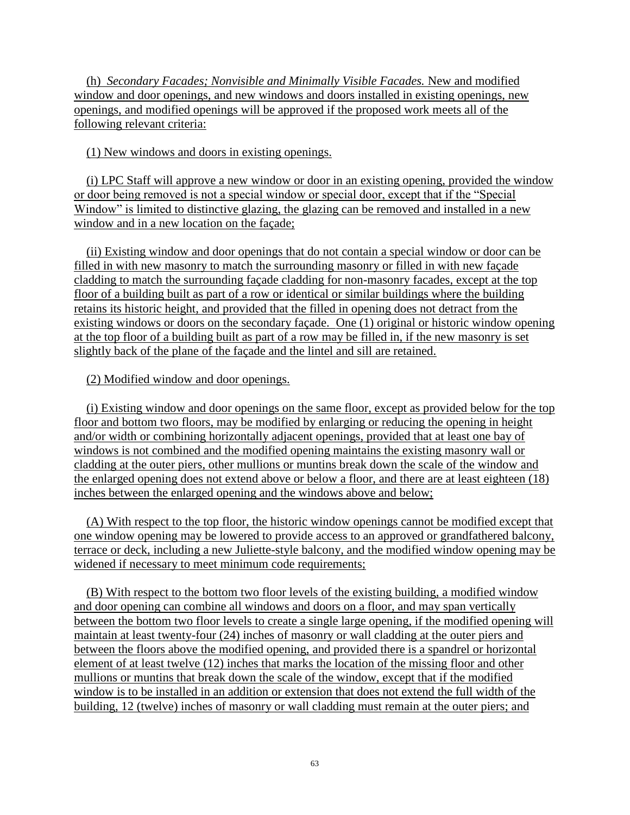(h) *Secondary Facades; Nonvisible and Minimally Visible Facades.* New and modified window and door openings, and new windows and doors installed in existing openings, new openings, and modified openings will be approved if the proposed work meets all of the following relevant criteria:

### (1) New windows and doors in existing openings.

 (i) LPC Staff will approve a new window or door in an existing opening, provided the window or door being removed is not a special window or special door, except that if the "Special Window" is limited to distinctive glazing, the glazing can be removed and installed in a new window and in a new location on the façade;

 (ii) Existing window and door openings that do not contain a special window or door can be filled in with new masonry to match the surrounding masonry or filled in with new façade cladding to match the surrounding façade cladding for non-masonry facades, except at the top floor of a building built as part of a row or identical or similar buildings where the building retains its historic height, and provided that the filled in opening does not detract from the existing windows or doors on the secondary façade. One (1) original or historic window opening at the top floor of a building built as part of a row may be filled in, if the new masonry is set slightly back of the plane of the façade and the lintel and sill are retained.

### (2) Modified window and door openings.

 (i) Existing window and door openings on the same floor, except as provided below for the top floor and bottom two floors, may be modified by enlarging or reducing the opening in height and/or width or combining horizontally adjacent openings, provided that at least one bay of windows is not combined and the modified opening maintains the existing masonry wall or cladding at the outer piers, other mullions or muntins break down the scale of the window and the enlarged opening does not extend above or below a floor, and there are at least eighteen (18) inches between the enlarged opening and the windows above and below;

 (A) With respect to the top floor, the historic window openings cannot be modified except that one window opening may be lowered to provide access to an approved or grandfathered balcony, terrace or deck, including a new Juliette-style balcony, and the modified window opening may be widened if necessary to meet minimum code requirements;

 (B) With respect to the bottom two floor levels of the existing building, a modified window and door opening can combine all windows and doors on a floor, and may span vertically between the bottom two floor levels to create a single large opening, if the modified opening will maintain at least twenty-four (24) inches of masonry or wall cladding at the outer piers and between the floors above the modified opening, and provided there is a spandrel or horizontal element of at least twelve (12) inches that marks the location of the missing floor and other mullions or muntins that break down the scale of the window, except that if the modified window is to be installed in an addition or extension that does not extend the full width of the building, 12 (twelve) inches of masonry or wall cladding must remain at the outer piers; and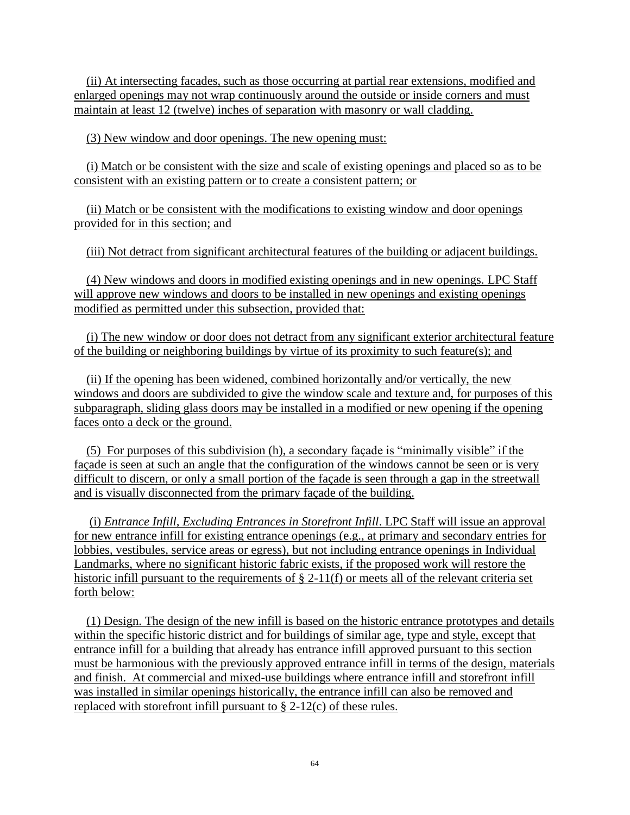(ii) At intersecting facades, such as those occurring at partial rear extensions, modified and enlarged openings may not wrap continuously around the outside or inside corners and must maintain at least 12 (twelve) inches of separation with masonry or wall cladding.

(3) New window and door openings. The new opening must:

 (i) Match or be consistent with the size and scale of existing openings and placed so as to be consistent with an existing pattern or to create a consistent pattern; or

 (ii) Match or be consistent with the modifications to existing window and door openings provided for in this section; and

(iii) Not detract from significant architectural features of the building or adjacent buildings.

 (4) New windows and doors in modified existing openings and in new openings. LPC Staff will approve new windows and doors to be installed in new openings and existing openings modified as permitted under this subsection, provided that:

 (i) The new window or door does not detract from any significant exterior architectural feature of the building or neighboring buildings by virtue of its proximity to such feature(s); and

 (ii) If the opening has been widened, combined horizontally and/or vertically, the new windows and doors are subdivided to give the window scale and texture and, for purposes of this subparagraph, sliding glass doors may be installed in a modified or new opening if the opening faces onto a deck or the ground.

 (5) For purposes of this subdivision (h), a secondary façade is "minimally visible" if the façade is seen at such an angle that the configuration of the windows cannot be seen or is very difficult to discern, or only a small portion of the façade is seen through a gap in the streetwall and is visually disconnected from the primary façade of the building.

 (i) *Entrance Infill, Excluding Entrances in Storefront Infill*. LPC Staff will issue an approval for new entrance infill for existing entrance openings (e.g., at primary and secondary entries for lobbies, vestibules, service areas or egress), but not including entrance openings in Individual Landmarks, where no significant historic fabric exists, if the proposed work will restore the historic infill pursuant to the requirements of  $\S 2-11(f)$  or meets all of the relevant criteria set forth below:

 (1) Design. The design of the new infill is based on the historic entrance prototypes and details within the specific historic district and for buildings of similar age, type and style, except that entrance infill for a building that already has entrance infill approved pursuant to this section must be harmonious with the previously approved entrance infill in terms of the design, materials and finish. At commercial and mixed-use buildings where entrance infill and storefront infill was installed in similar openings historically, the entrance infill can also be removed and replaced with storefront infill pursuant to § 2-12(c) of these rules.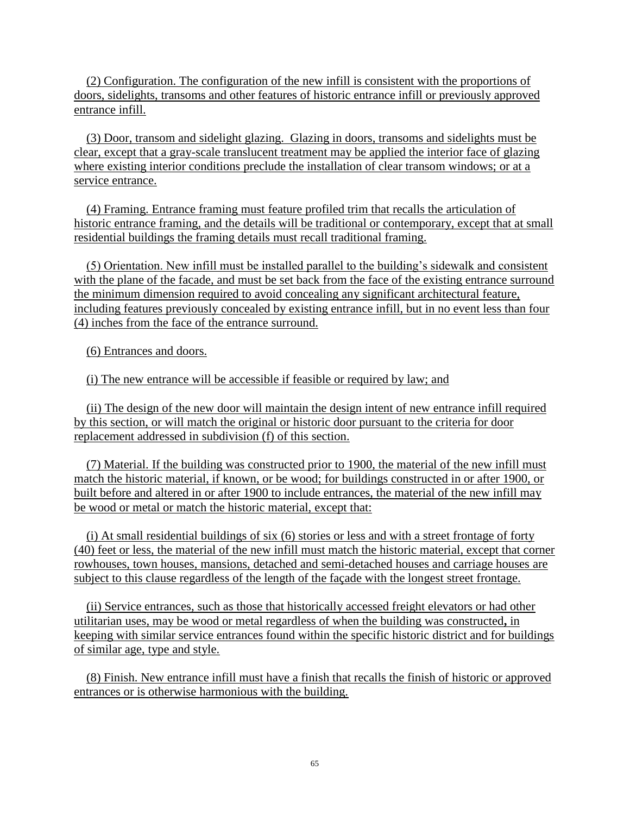(2) Configuration. The configuration of the new infill is consistent with the proportions of doors, sidelights, transoms and other features of historic entrance infill or previously approved entrance infill.

 (3) Door, transom and sidelight glazing. Glazing in doors, transoms and sidelights must be clear, except that a gray-scale translucent treatment may be applied the interior face of glazing where existing interior conditions preclude the installation of clear transom windows; or at a service entrance.

 (4) Framing. Entrance framing must feature profiled trim that recalls the articulation of historic entrance framing, and the details will be traditional or contemporary, except that at small residential buildings the framing details must recall traditional framing.

 (5) Orientation. New infill must be installed parallel to the building's sidewalk and consistent with the plane of the facade, and must be set back from the face of the existing entrance surround the minimum dimension required to avoid concealing any significant architectural feature, including features previously concealed by existing entrance infill, but in no event less than four (4) inches from the face of the entrance surround.

(6) Entrances and doors.

(i) The new entrance will be accessible if feasible or required by law; and

 (ii) The design of the new door will maintain the design intent of new entrance infill required by this section, or will match the original or historic door pursuant to the criteria for door replacement addressed in subdivision (f) of this section.

 (7) Material. If the building was constructed prior to 1900, the material of the new infill must match the historic material, if known, or be wood; for buildings constructed in or after 1900, or built before and altered in or after 1900 to include entrances, the material of the new infill may be wood or metal or match the historic material, except that:

 (i) At small residential buildings of six (6) stories or less and with a street frontage of forty (40) feet or less, the material of the new infill must match the historic material, except that corner rowhouses, town houses, mansions, detached and semi-detached houses and carriage houses are subject to this clause regardless of the length of the façade with the longest street frontage.

 (ii) Service entrances, such as those that historically accessed freight elevators or had other utilitarian uses, may be wood or metal regardless of when the building was constructed**,** in keeping with similar service entrances found within the specific historic district and for buildings of similar age, type and style.

 (8) Finish. New entrance infill must have a finish that recalls the finish of historic or approved entrances or is otherwise harmonious with the building.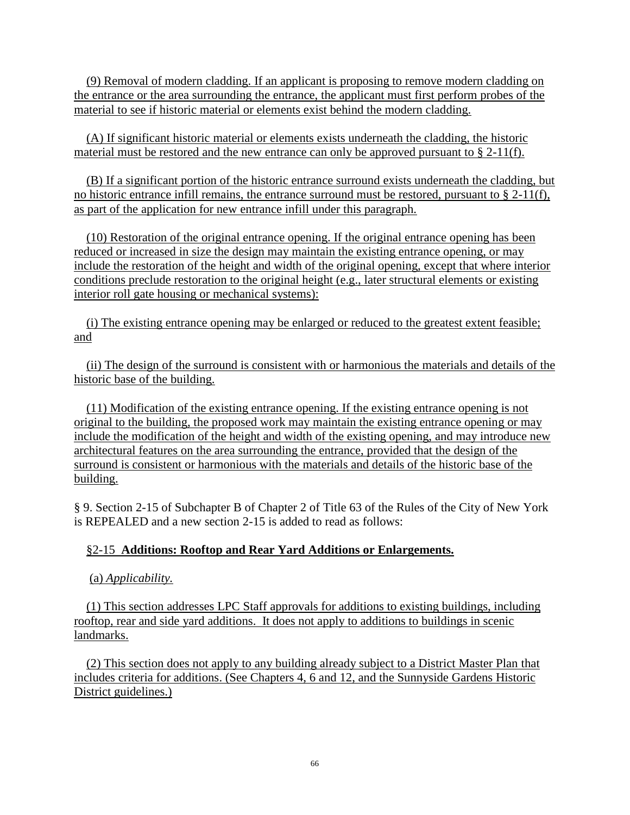(9) Removal of modern cladding. If an applicant is proposing to remove modern cladding on the entrance or the area surrounding the entrance, the applicant must first perform probes of the material to see if historic material or elements exist behind the modern cladding.

 (A) If significant historic material or elements exists underneath the cladding, the historic material must be restored and the new entrance can only be approved pursuant to § 2-11(f).

 (B) If a significant portion of the historic entrance surround exists underneath the cladding, but no historic entrance infill remains, the entrance surround must be restored, pursuant to  $\S 2-11(f)$ , as part of the application for new entrance infill under this paragraph.

 (10) Restoration of the original entrance opening. If the original entrance opening has been reduced or increased in size the design may maintain the existing entrance opening, or may include the restoration of the height and width of the original opening, except that where interior conditions preclude restoration to the original height (e.g., later structural elements or existing interior roll gate housing or mechanical systems):

 (i) The existing entrance opening may be enlarged or reduced to the greatest extent feasible; and

 (ii) The design of the surround is consistent with or harmonious the materials and details of the historic base of the building.

 (11) Modification of the existing entrance opening. If the existing entrance opening is not original to the building, the proposed work may maintain the existing entrance opening or may include the modification of the height and width of the existing opening, and may introduce new architectural features on the area surrounding the entrance, provided that the design of the surround is consistent or harmonious with the materials and details of the historic base of the building.

§ 9. Section 2-15 of Subchapter B of Chapter 2 of Title 63 of the Rules of the City of New York is REPEALED and a new section 2-15 is added to read as follows:

# §2-15 **Additions: Rooftop and Rear Yard Additions or Enlargements.**

(a) *Applicability.*

 (1) This section addresses LPC Staff approvals for additions to existing buildings, including rooftop, rear and side yard additions. It does not apply to additions to buildings in scenic landmarks.

 (2) This section does not apply to any building already subject to a District Master Plan that includes criteria for additions. (See Chapters 4, 6 and 12, and the Sunnyside Gardens Historic District guidelines.)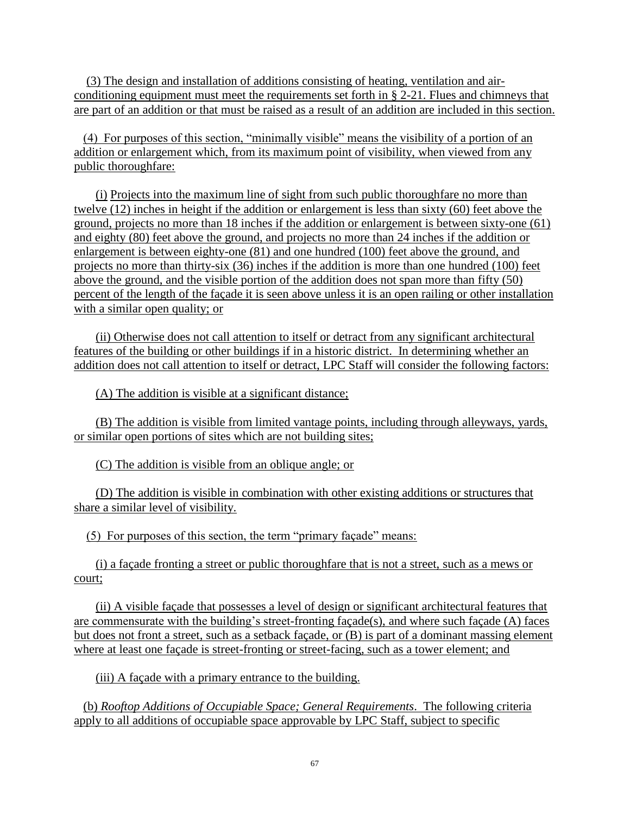(3) The design and installation of additions consisting of heating, ventilation and airconditioning equipment must meet the requirements set forth in § 2-21. Flues and chimneys that are part of an addition or that must be raised as a result of an addition are included in this section.

 (4) For purposes of this section, "minimally visible" means the visibility of a portion of an addition or enlargement which, from its maximum point of visibility, when viewed from any public thoroughfare:

 (i) Projects into the maximum line of sight from such public thoroughfare no more than twelve (12) inches in height if the addition or enlargement is less than sixty (60) feet above the ground, projects no more than 18 inches if the addition or enlargement is between sixty-one (61) and eighty (80) feet above the ground, and projects no more than 24 inches if the addition or enlargement is between eighty-one (81) and one hundred (100) feet above the ground, and projects no more than thirty-six (36) inches if the addition is more than one hundred (100) feet above the ground, and the visible portion of the addition does not span more than fifty (50) percent of the length of the façade it is seen above unless it is an open railing or other installation with a similar open quality; or

 (ii) Otherwise does not call attention to itself or detract from any significant architectural features of the building or other buildings if in a historic district. In determining whether an addition does not call attention to itself or detract, LPC Staff will consider the following factors:

(A) The addition is visible at a significant distance;

 (B) The addition is visible from limited vantage points, including through alleyways, yards, or similar open portions of sites which are not building sites;

(C) The addition is visible from an oblique angle; or

 (D) The addition is visible in combination with other existing additions or structures that share a similar level of visibility.

(5) For purposes of this section, the term "primary façade" means:

 (i) a façade fronting a street or public thoroughfare that is not a street, such as a mews or court;

 (ii) A visible façade that possesses a level of design or significant architectural features that are commensurate with the building's street-fronting façade(s), and where such façade (A) faces but does not front a street, such as a setback façade, or (B) is part of a dominant massing element where at least one façade is street-fronting or street-facing, such as a tower element; and

(iii) A façade with a primary entrance to the building.

 (b) *Rooftop Additions of Occupiable Space; General Requirements*. The following criteria apply to all additions of occupiable space approvable by LPC Staff, subject to specific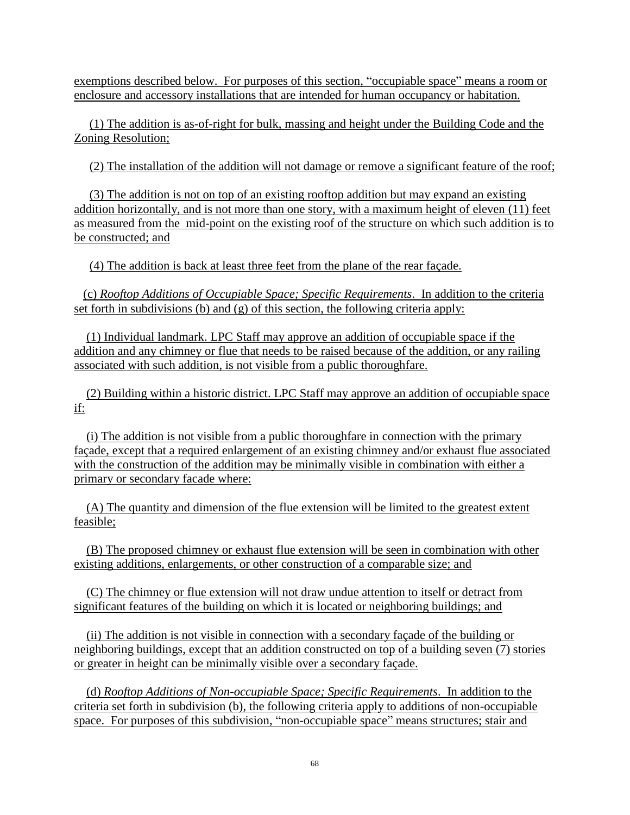exemptions described below. For purposes of this section, "occupiable space" means a room or enclosure and accessory installations that are intended for human occupancy or habitation.

 (1) The addition is as-of-right for bulk, massing and height under the Building Code and the Zoning Resolution;

(2) The installation of the addition will not damage or remove a significant feature of the roof;

 (3) The addition is not on top of an existing rooftop addition but may expand an existing addition horizontally, and is not more than one story, with a maximum height of eleven (11) feet as measured from the mid-point on the existing roof of the structure on which such addition is to be constructed; and

(4) The addition is back at least three feet from the plane of the rear façade.

 (c) *Rooftop Additions of Occupiable Space; Specific Requirements*. In addition to the criteria set forth in subdivisions (b) and  $(g)$  of this section, the following criteria apply:

 (1) Individual landmark. LPC Staff may approve an addition of occupiable space if the addition and any chimney or flue that needs to be raised because of the addition, or any railing associated with such addition, is not visible from a public thoroughfare.

 (2) Building within a historic district. LPC Staff may approve an addition of occupiable space if:

 (i) The addition is not visible from a public thoroughfare in connection with the primary façade, except that a required enlargement of an existing chimney and/or exhaust flue associated with the construction of the addition may be minimally visible in combination with either a primary or secondary facade where:

 (A) The quantity and dimension of the flue extension will be limited to the greatest extent feasible;

 (B) The proposed chimney or exhaust flue extension will be seen in combination with other existing additions, enlargements, or other construction of a comparable size; and

 (C) The chimney or flue extension will not draw undue attention to itself or detract from significant features of the building on which it is located or neighboring buildings; and

 (ii) The addition is not visible in connection with a secondary façade of the building or neighboring buildings, except that an addition constructed on top of a building seven (7) stories or greater in height can be minimally visible over a secondary façade.

 (d) *Rooftop Additions of Non-occupiable Space; Specific Requirements*. In addition to the criteria set forth in subdivision (b), the following criteria apply to additions of non-occupiable space. For purposes of this subdivision, "non-occupiable space" means structures; stair and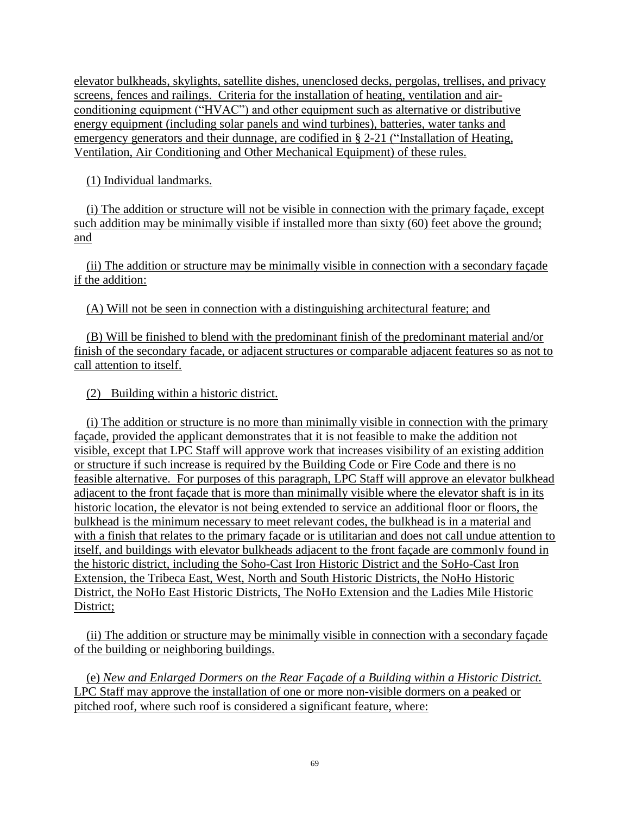elevator bulkheads, skylights, satellite dishes, unenclosed decks, pergolas, trellises, and privacy screens, fences and railings. Criteria for the installation of heating, ventilation and airconditioning equipment ("HVAC") and other equipment such as alternative or distributive energy equipment (including solar panels and wind turbines), batteries, water tanks and emergency generators and their dunnage, are codified in § 2-21 ("Installation of Heating, Ventilation, Air Conditioning and Other Mechanical Equipment) of these rules.

(1) Individual landmarks.

 (i) The addition or structure will not be visible in connection with the primary façade, except such addition may be minimally visible if installed more than sixty (60) feet above the ground; and

 (ii) The addition or structure may be minimally visible in connection with a secondary façade if the addition:

(A) Will not be seen in connection with a distinguishing architectural feature; and

 (B) Will be finished to blend with the predominant finish of the predominant material and/or finish of the secondary facade, or adjacent structures or comparable adjacent features so as not to call attention to itself.

(2) Building within a historic district.

 (i) The addition or structure is no more than minimally visible in connection with the primary façade, provided the applicant demonstrates that it is not feasible to make the addition not visible, except that LPC Staff will approve work that increases visibility of an existing addition or structure if such increase is required by the Building Code or Fire Code and there is no feasible alternative. For purposes of this paragraph, LPC Staff will approve an elevator bulkhead adjacent to the front façade that is more than minimally visible where the elevator shaft is in its historic location, the elevator is not being extended to service an additional floor or floors, the bulkhead is the minimum necessary to meet relevant codes, the bulkhead is in a material and with a finish that relates to the primary façade or is utilitarian and does not call undue attention to itself, and buildings with elevator bulkheads adjacent to the front façade are commonly found in the historic district, including the Soho-Cast Iron Historic District and the SoHo-Cast Iron Extension, the Tribeca East, West, North and South Historic Districts, the NoHo Historic District, the NoHo East Historic Districts, The NoHo Extension and the Ladies Mile Historic District;

 (ii) The addition or structure may be minimally visible in connection with a secondary façade of the building or neighboring buildings.

 (e) *New and Enlarged Dormers on the Rear Façade of a Building within a Historic District.* LPC Staff may approve the installation of one or more non-visible dormers on a peaked or pitched roof, where such roof is considered a significant feature, where: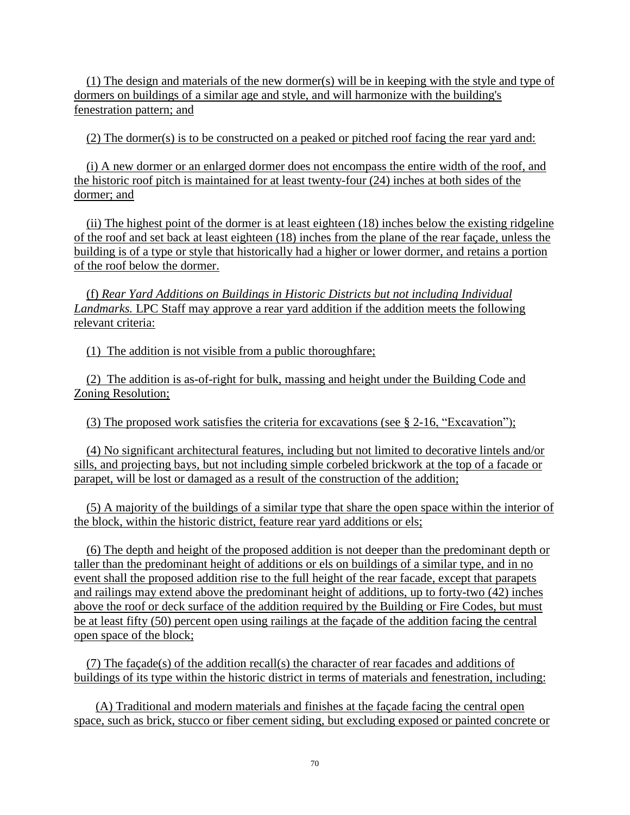(1) The design and materials of the new dormer(s) will be in keeping with the style and type of dormers on buildings of a similar age and style, and will harmonize with the building's fenestration pattern; and

(2) The dormer(s) is to be constructed on a peaked or pitched roof facing the rear yard and:

 (i) A new dormer or an enlarged dormer does not encompass the entire width of the roof, and the historic roof pitch is maintained for at least twenty-four (24) inches at both sides of the dormer; and

 (ii) The highest point of the dormer is at least eighteen (18) inches below the existing ridgeline of the roof and set back at least eighteen (18) inches from the plane of the rear façade, unless the building is of a type or style that historically had a higher or lower dormer, and retains a portion of the roof below the dormer.

 (f) *Rear Yard Additions on Buildings in Historic Districts but not including Individual Landmarks.* LPC Staff may approve a rear yard addition if the addition meets the following relevant criteria:

(1) The addition is not visible from a public thoroughfare;

 (2) The addition is as-of-right for bulk, massing and height under the Building Code and Zoning Resolution;

(3) The proposed work satisfies the criteria for excavations (see § 2-16, "Excavation");

 (4) No significant architectural features, including but not limited to decorative lintels and/or sills, and projecting bays, but not including simple corbeled brickwork at the top of a facade or parapet, will be lost or damaged as a result of the construction of the addition;

 (5) A majority of the buildings of a similar type that share the open space within the interior of the block, within the historic district, feature rear yard additions or els;

 (6) The depth and height of the proposed addition is not deeper than the predominant depth or taller than the predominant height of additions or els on buildings of a similar type, and in no event shall the proposed addition rise to the full height of the rear facade, except that parapets and railings may extend above the predominant height of additions, up to forty-two (42) inches above the roof or deck surface of the addition required by the Building or Fire Codes, but must be at least fifty (50) percent open using railings at the façade of the addition facing the central open space of the block;

 (7) The façade(s) of the addition recall(s) the character of rear facades and additions of buildings of its type within the historic district in terms of materials and fenestration, including:

 (A) Traditional and modern materials and finishes at the façade facing the central open space, such as brick, stucco or fiber cement siding, but excluding exposed or painted concrete or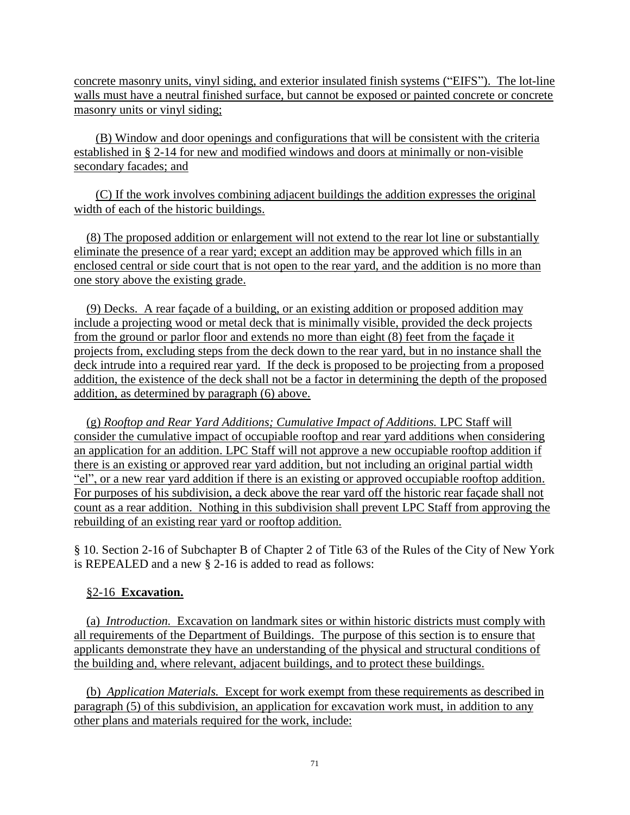concrete masonry units, vinyl siding, and exterior insulated finish systems ("EIFS"). The lot-line walls must have a neutral finished surface, but cannot be exposed or painted concrete or concrete masonry units or vinyl siding;

 (B) Window and door openings and configurations that will be consistent with the criteria established in § 2-14 for new and modified windows and doors at minimally or non-visible secondary facades; and

 (C) If the work involves combining adjacent buildings the addition expresses the original width of each of the historic buildings.

 (8) The proposed addition or enlargement will not extend to the rear lot line or substantially eliminate the presence of a rear yard; except an addition may be approved which fills in an enclosed central or side court that is not open to the rear yard, and the addition is no more than one story above the existing grade.

 (9) Decks. A rear façade of a building, or an existing addition or proposed addition may include a projecting wood or metal deck that is minimally visible, provided the deck projects from the ground or parlor floor and extends no more than eight (8) feet from the façade it projects from, excluding steps from the deck down to the rear yard, but in no instance shall the deck intrude into a required rear yard. If the deck is proposed to be projecting from a proposed addition, the existence of the deck shall not be a factor in determining the depth of the proposed addition, as determined by paragraph (6) above.

 (g) *Rooftop and Rear Yard Additions; Cumulative Impact of Additions.* LPC Staff will consider the cumulative impact of occupiable rooftop and rear yard additions when considering an application for an addition. LPC Staff will not approve a new occupiable rooftop addition if there is an existing or approved rear yard addition, but not including an original partial width "el", or a new rear yard addition if there is an existing or approved occupiable rooftop addition. For purposes of his subdivision, a deck above the rear yard off the historic rear façade shall not count as a rear addition. Nothing in this subdivision shall prevent LPC Staff from approving the rebuilding of an existing rear yard or rooftop addition.

§ 10. Section 2-16 of Subchapter B of Chapter 2 of Title 63 of the Rules of the City of New York is REPEALED and a new § 2-16 is added to read as follows:

### §2-16 **Excavation.**

 (a) *Introduction.* Excavation on landmark sites or within historic districts must comply with all requirements of the Department of Buildings. The purpose of this section is to ensure that applicants demonstrate they have an understanding of the physical and structural conditions of the building and, where relevant, adjacent buildings, and to protect these buildings.

 (b) *Application Materials.* Except for work exempt from these requirements as described in paragraph (5) of this subdivision, an application for excavation work must, in addition to any other plans and materials required for the work, include: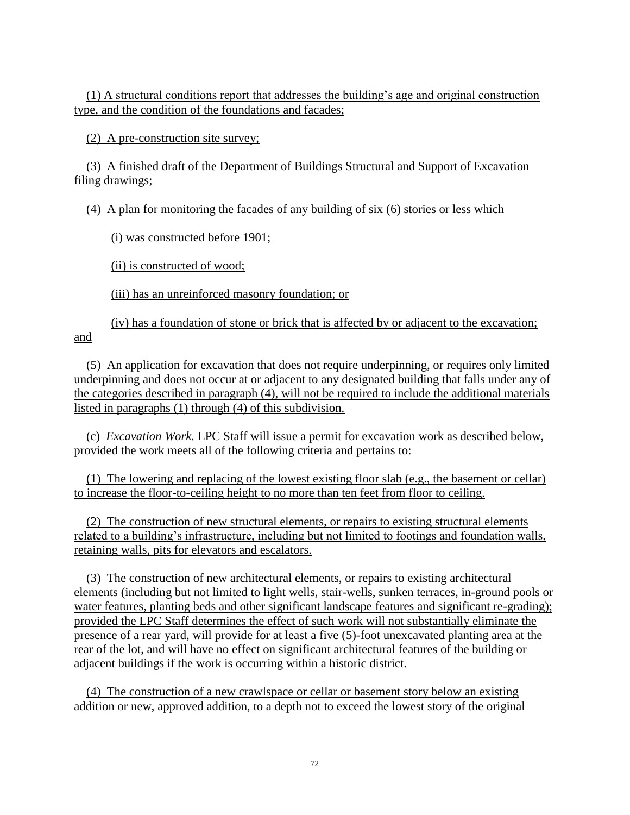(1) A structural conditions report that addresses the building's age and original construction type, and the condition of the foundations and facades;

(2) A pre-construction site survey;

 (3) A finished draft of the Department of Buildings Structural and Support of Excavation filing drawings;

(4) A plan for monitoring the facades of any building of six (6) stories or less which

(i) was constructed before 1901;

(ii) is constructed of wood;

(iii) has an unreinforced masonry foundation; or

(iv) has a foundation of stone or brick that is affected by or adjacent to the excavation; and

 (5) An application for excavation that does not require underpinning, or requires only limited underpinning and does not occur at or adjacent to any designated building that falls under any of the categories described in paragraph (4), will not be required to include the additional materials listed in paragraphs (1) through (4) of this subdivision.

 (c) *Excavation Work.* LPC Staff will issue a permit for excavation work as described below, provided the work meets all of the following criteria and pertains to:

 (1) The lowering and replacing of the lowest existing floor slab (e.g., the basement or cellar) to increase the floor-to-ceiling height to no more than ten feet from floor to ceiling.

 (2) The construction of new structural elements, or repairs to existing structural elements related to a building's infrastructure, including but not limited to footings and foundation walls, retaining walls, pits for elevators and escalators.

 (3) The construction of new architectural elements, or repairs to existing architectural elements (including but not limited to light wells, stair-wells, sunken terraces, in-ground pools or water features, planting beds and other significant landscape features and significant re-grading); provided the LPC Staff determines the effect of such work will not substantially eliminate the presence of a rear yard, will provide for at least a five (5)-foot unexcavated planting area at the rear of the lot, and will have no effect on significant architectural features of the building or adjacent buildings if the work is occurring within a historic district.

 (4) The construction of a new crawlspace or cellar or basement story below an existing addition or new, approved addition, to a depth not to exceed the lowest story of the original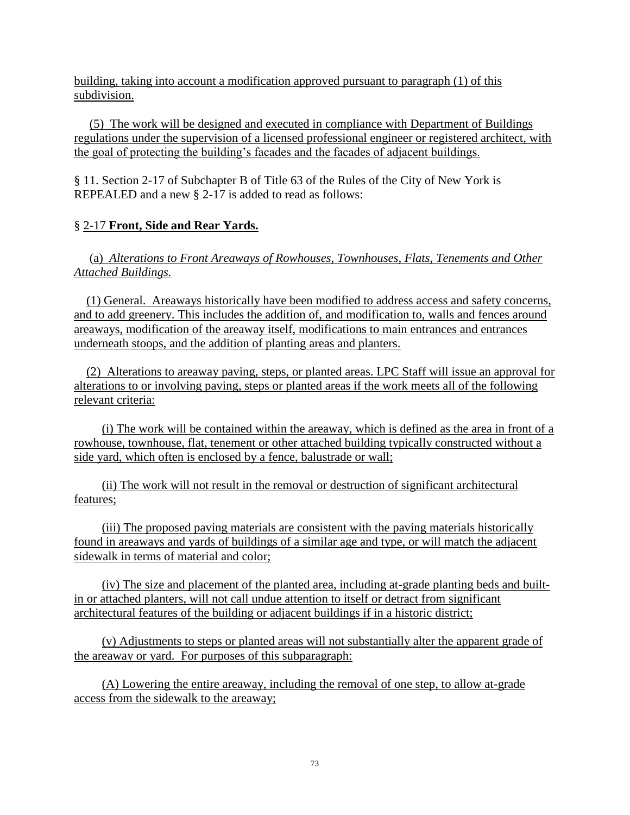building, taking into account a modification approved pursuant to paragraph (1) of this subdivision.

 (5) The work will be designed and executed in compliance with Department of Buildings regulations under the supervision of a licensed professional engineer or registered architect, with the goal of protecting the building's facades and the facades of adjacent buildings.

§ 11. Section 2-17 of Subchapter B of Title 63 of the Rules of the City of New York is REPEALED and a new § 2-17 is added to read as follows:

#### § 2-17 **Front, Side and Rear Yards.**

 (a) *Alterations to Front Areaways of Rowhouses, Townhouses, Flats, Tenements and Other Attached Buildings.* 

 (1) General. Areaways historically have been modified to address access and safety concerns, and to add greenery. This includes the addition of, and modification to, walls and fences around areaways, modification of the areaway itself, modifications to main entrances and entrances underneath stoops, and the addition of planting areas and planters.

 (2) Alterations to areaway paving, steps, or planted areas. LPC Staff will issue an approval for alterations to or involving paving, steps or planted areas if the work meets all of the following relevant criteria:

 (i) The work will be contained within the areaway, which is defined as the area in front of a rowhouse, townhouse, flat, tenement or other attached building typically constructed without a side yard, which often is enclosed by a fence, balustrade or wall;

 (ii) The work will not result in the removal or destruction of significant architectural features;

 (iii) The proposed paving materials are consistent with the paving materials historically found in areaways and yards of buildings of a similar age and type, or will match the adjacent sidewalk in terms of material and color;

 (iv) The size and placement of the planted area, including at-grade planting beds and builtin or attached planters, will not call undue attention to itself or detract from significant architectural features of the building or adjacent buildings if in a historic district;

 (v) Adjustments to steps or planted areas will not substantially alter the apparent grade of the areaway or yard. For purposes of this subparagraph:

 (A) Lowering the entire areaway, including the removal of one step, to allow at-grade access from the sidewalk to the areaway;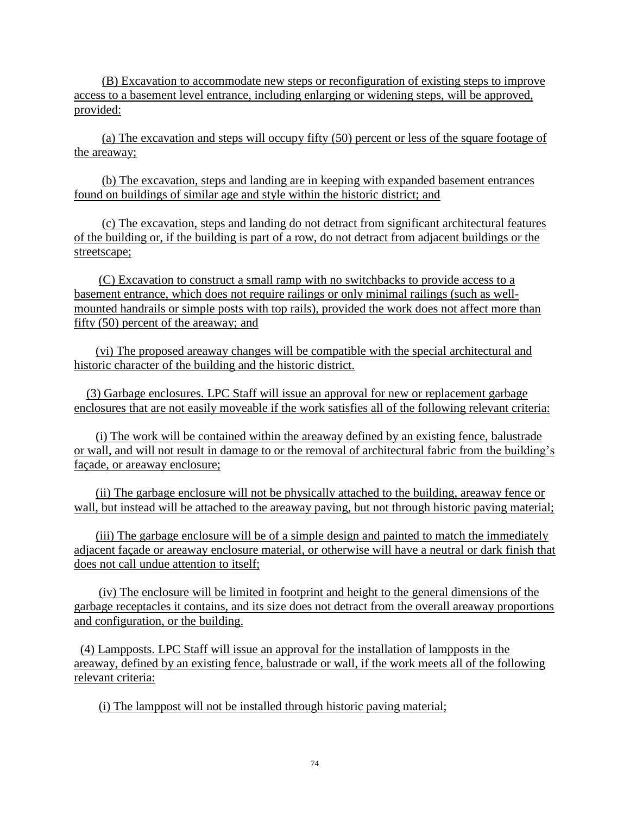(B) Excavation to accommodate new steps or reconfiguration of existing steps to improve access to a basement level entrance, including enlarging or widening steps, will be approved, provided:

 (a) The excavation and steps will occupy fifty (50) percent or less of the square footage of the areaway;

 (b) The excavation, steps and landing are in keeping with expanded basement entrances found on buildings of similar age and style within the historic district; and

 (c) The excavation, steps and landing do not detract from significant architectural features of the building or, if the building is part of a row, do not detract from adjacent buildings or the streetscape;

 (C) Excavation to construct a small ramp with no switchbacks to provide access to a basement entrance, which does not require railings or only minimal railings (such as wellmounted handrails or simple posts with top rails), provided the work does not affect more than fifty (50) percent of the areaway; and

 (vi) The proposed areaway changes will be compatible with the special architectural and historic character of the building and the historic district.

 (3) Garbage enclosures. LPC Staff will issue an approval for new or replacement garbage enclosures that are not easily moveable if the work satisfies all of the following relevant criteria:

 (i) The work will be contained within the areaway defined by an existing fence, balustrade or wall, and will not result in damage to or the removal of architectural fabric from the building's façade, or areaway enclosure;

 (ii) The garbage enclosure will not be physically attached to the building, areaway fence or wall, but instead will be attached to the areaway paving, but not through historic paving material;

 (iii) The garbage enclosure will be of a simple design and painted to match the immediately adjacent façade or areaway enclosure material, or otherwise will have a neutral or dark finish that does not call undue attention to itself;

 (iv) The enclosure will be limited in footprint and height to the general dimensions of the garbage receptacles it contains, and its size does not detract from the overall areaway proportions and configuration, or the building.

 (4) Lampposts. LPC Staff will issue an approval for the installation of lampposts in the areaway, defined by an existing fence, balustrade or wall, if the work meets all of the following relevant criteria:

(i) The lamppost will not be installed through historic paving material;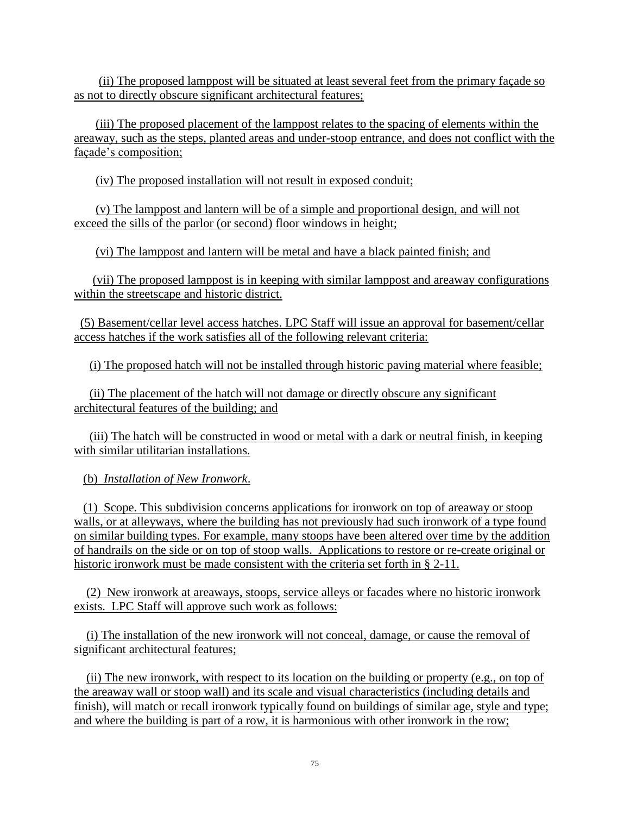(ii) The proposed lamppost will be situated at least several feet from the primary façade so as not to directly obscure significant architectural features;

 (iii) The proposed placement of the lamppost relates to the spacing of elements within the areaway, such as the steps, planted areas and under-stoop entrance, and does not conflict with the façade's composition;

(iv) The proposed installation will not result in exposed conduit;

 (v) The lamppost and lantern will be of a simple and proportional design, and will not exceed the sills of the parlor (or second) floor windows in height;

(vi) The lamppost and lantern will be metal and have a black painted finish; and

 (vii) The proposed lamppost is in keeping with similar lamppost and areaway configurations within the streetscape and historic district.

 (5) Basement/cellar level access hatches. LPC Staff will issue an approval for basement/cellar access hatches if the work satisfies all of the following relevant criteria:

(i) The proposed hatch will not be installed through historic paving material where feasible;

 (ii) The placement of the hatch will not damage or directly obscure any significant architectural features of the building; and

 (iii) The hatch will be constructed in wood or metal with a dark or neutral finish, in keeping with similar utilitarian installations.

(b) *Installation of New Ironwork*.

 (1) Scope. This subdivision concerns applications for ironwork on top of areaway or stoop walls, or at alleyways, where the building has not previously had such ironwork of a type found on similar building types. For example, many stoops have been altered over time by the addition of handrails on the side or on top of stoop walls. Applications to restore or re-create original or historic ironwork must be made consistent with the criteria set forth in § 2-11.

 (2) New ironwork at areaways, stoops, service alleys or facades where no historic ironwork exists. LPC Staff will approve such work as follows:

 (i) The installation of the new ironwork will not conceal, damage, or cause the removal of significant architectural features;

 (ii) The new ironwork, with respect to its location on the building or property (e.g., on top of the areaway wall or stoop wall) and its scale and visual characteristics (including details and finish), will match or recall ironwork typically found on buildings of similar age, style and type; and where the building is part of a row, it is harmonious with other ironwork in the row;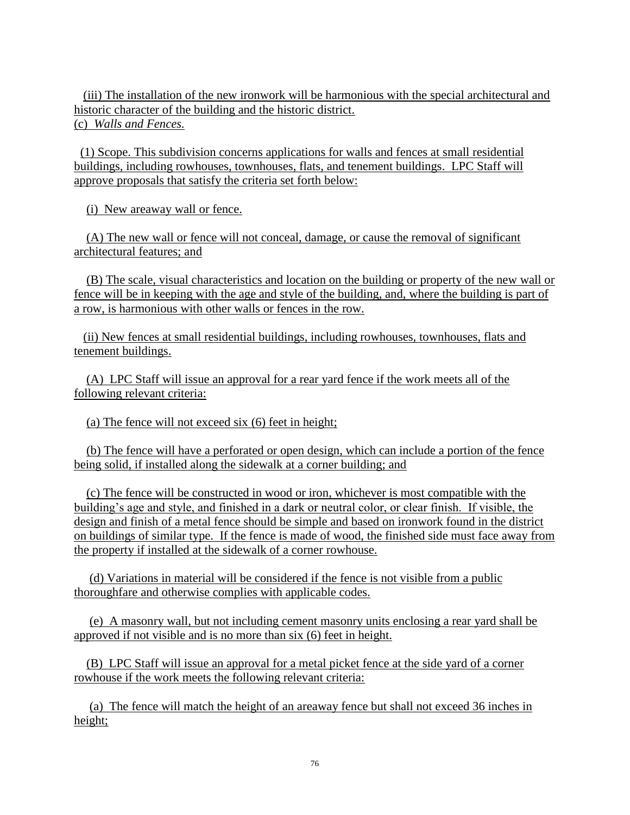(iii) The installation of the new ironwork will be harmonious with the special architectural and historic character of the building and the historic district. (c) *Walls and Fences.*

 (1) Scope. This subdivision concerns applications for walls and fences at small residential buildings, including rowhouses, townhouses, flats, and tenement buildings. LPC Staff will approve proposals that satisfy the criteria set forth below:

(i) New areaway wall or fence.

 (A) The new wall or fence will not conceal, damage, or cause the removal of significant architectural features; and

 (B) The scale, visual characteristics and location on the building or property of the new wall or fence will be in keeping with the age and style of the building, and, where the building is part of a row, is harmonious with other walls or fences in the row.

 (ii) New fences at small residential buildings, including rowhouses, townhouses, flats and tenement buildings.

 (A) LPC Staff will issue an approval for a rear yard fence if the work meets all of the following relevant criteria:

(a) The fence will not exceed six (6) feet in height;

 (b) The fence will have a perforated or open design, which can include a portion of the fence being solid, if installed along the sidewalk at a corner building; and

 (c) The fence will be constructed in wood or iron, whichever is most compatible with the building's age and style, and finished in a dark or neutral color, or clear finish. If visible, the design and finish of a metal fence should be simple and based on ironwork found in the district on buildings of similar type. If the fence is made of wood, the finished side must face away from the property if installed at the sidewalk of a corner rowhouse.

 (d) Variations in material will be considered if the fence is not visible from a public thoroughfare and otherwise complies with applicable codes.

 (e) A masonry wall, but not including cement masonry units enclosing a rear yard shall be approved if not visible and is no more than six (6) feet in height.

 (B) LPC Staff will issue an approval for a metal picket fence at the side yard of a corner rowhouse if the work meets the following relevant criteria:

 (a) The fence will match the height of an areaway fence but shall not exceed 36 inches in height;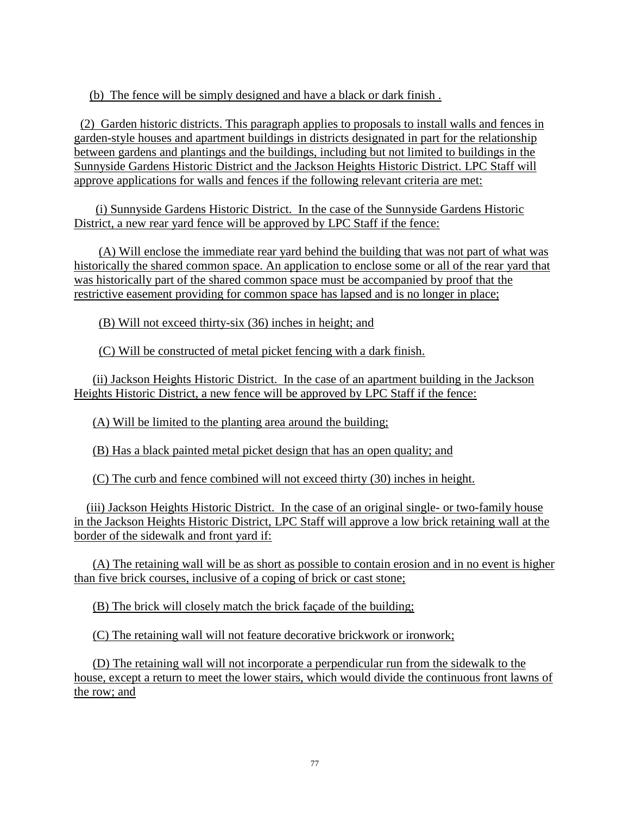(b) The fence will be simply designed and have a black or dark finish .

 (2) Garden historic districts. This paragraph applies to proposals to install walls and fences in garden-style houses and apartment buildings in districts designated in part for the relationship between gardens and plantings and the buildings, including but not limited to buildings in the Sunnyside Gardens Historic District and the Jackson Heights Historic District. LPC Staff will approve applications for walls and fences if the following relevant criteria are met:

 (i) Sunnyside Gardens Historic District. In the case of the Sunnyside Gardens Historic District, a new rear yard fence will be approved by LPC Staff if the fence:

 (A) Will enclose the immediate rear yard behind the building that was not part of what was historically the shared common space. An application to enclose some or all of the rear yard that was historically part of the shared common space must be accompanied by proof that the restrictive easement providing for common space has lapsed and is no longer in place;

(B) Will not exceed thirty-six (36) inches in height; and

(C) Will be constructed of metal picket fencing with a dark finish.

 (ii) Jackson Heights Historic District. In the case of an apartment building in the Jackson Heights Historic District, a new fence will be approved by LPC Staff if the fence:

(A) Will be limited to the planting area around the building;

(B) Has a black painted metal picket design that has an open quality; and

(C) The curb and fence combined will not exceed thirty (30) inches in height.

 (iii) Jackson Heights Historic District. In the case of an original single- or two-family house in the Jackson Heights Historic District, LPC Staff will approve a low brick retaining wall at the border of the sidewalk and front yard if:

 (A) The retaining wall will be as short as possible to contain erosion and in no event is higher than five brick courses, inclusive of a coping of brick or cast stone;

(B) The brick will closely match the brick façade of the building;

(C) The retaining wall will not feature decorative brickwork or ironwork;

 (D) The retaining wall will not incorporate a perpendicular run from the sidewalk to the house, except a return to meet the lower stairs, which would divide the continuous front lawns of the row; and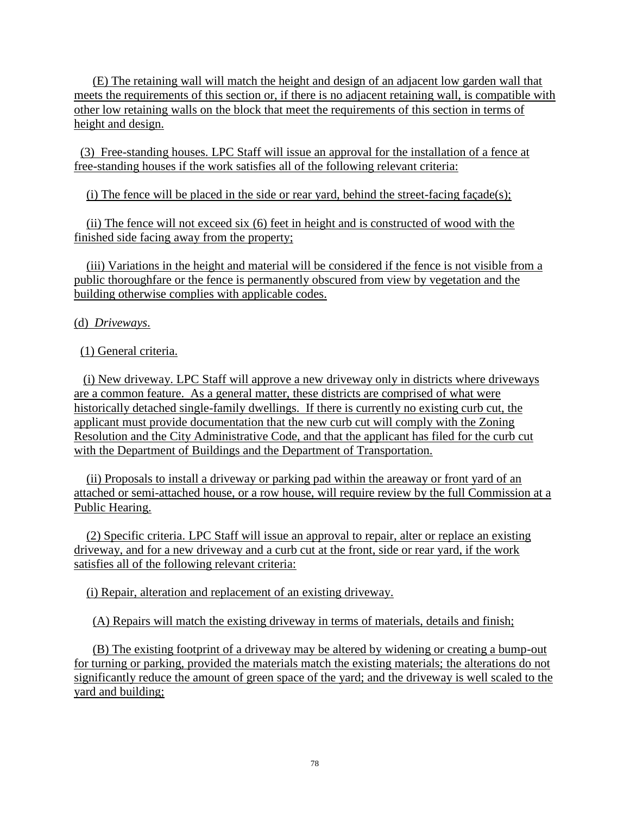(E) The retaining wall will match the height and design of an adjacent low garden wall that meets the requirements of this section or, if there is no adjacent retaining wall, is compatible with other low retaining walls on the block that meet the requirements of this section in terms of height and design.

 (3) Free-standing houses. LPC Staff will issue an approval for the installation of a fence at free-standing houses if the work satisfies all of the following relevant criteria:

(i) The fence will be placed in the side or rear yard, behind the street-facing façade(s);

 (ii) The fence will not exceed six (6) feet in height and is constructed of wood with the finished side facing away from the property;

 (iii) Variations in the height and material will be considered if the fence is not visible from a public thoroughfare or the fence is permanently obscured from view by vegetation and the building otherwise complies with applicable codes.

(d) *Driveways*.

(1) General criteria.

 (i) New driveway. LPC Staff will approve a new driveway only in districts where driveways are a common feature. As a general matter, these districts are comprised of what were historically detached single-family dwellings. If there is currently no existing curb cut, the applicant must provide documentation that the new curb cut will comply with the Zoning Resolution and the City Administrative Code, and that the applicant has filed for the curb cut with the Department of Buildings and the Department of Transportation.

 (ii) Proposals to install a driveway or parking pad within the areaway or front yard of an attached or semi-attached house, or a row house, will require review by the full Commission at a Public Hearing.

 (2) Specific criteria. LPC Staff will issue an approval to repair, alter or replace an existing driveway, and for a new driveway and a curb cut at the front, side or rear yard, if the work satisfies all of the following relevant criteria:

(i) Repair, alteration and replacement of an existing driveway.

(A) Repairs will match the existing driveway in terms of materials, details and finish;

 (B) The existing footprint of a driveway may be altered by widening or creating a bump-out for turning or parking, provided the materials match the existing materials; the alterations do not significantly reduce the amount of green space of the yard; and the driveway is well scaled to the yard and building;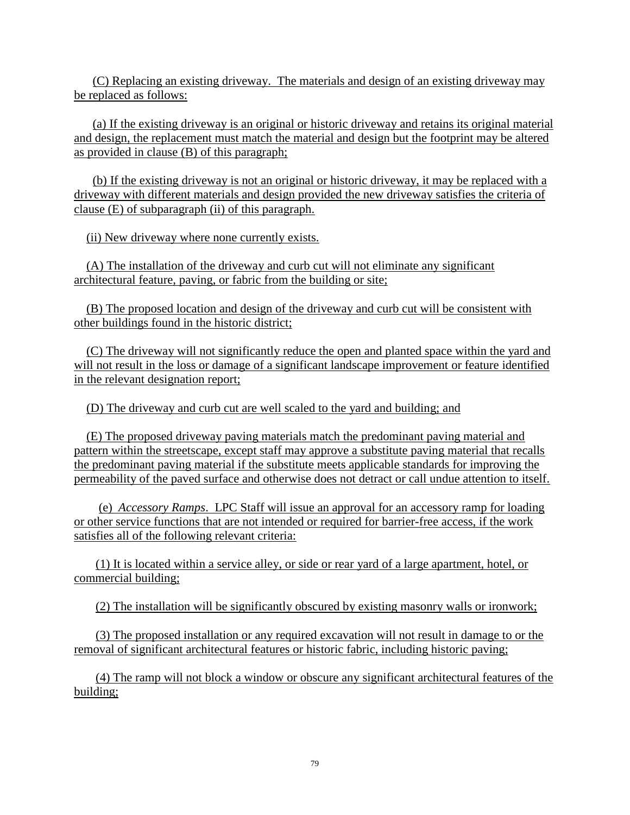(C) Replacing an existing driveway. The materials and design of an existing driveway may be replaced as follows:

 (a) If the existing driveway is an original or historic driveway and retains its original material and design, the replacement must match the material and design but the footprint may be altered as provided in clause (B) of this paragraph;

 (b) If the existing driveway is not an original or historic driveway, it may be replaced with a driveway with different materials and design provided the new driveway satisfies the criteria of clause (E) of subparagraph (ii) of this paragraph.

(ii) New driveway where none currently exists.

 (A) The installation of the driveway and curb cut will not eliminate any significant architectural feature, paving, or fabric from the building or site;

 (B) The proposed location and design of the driveway and curb cut will be consistent with other buildings found in the historic district;

 (C) The driveway will not significantly reduce the open and planted space within the yard and will not result in the loss or damage of a significant landscape improvement or feature identified in the relevant designation report;

(D) The driveway and curb cut are well scaled to the yard and building; and

 (E) The proposed driveway paving materials match the predominant paving material and pattern within the streetscape, except staff may approve a substitute paving material that recalls the predominant paving material if the substitute meets applicable standards for improving the permeability of the paved surface and otherwise does not detract or call undue attention to itself.

 (e) *Accessory Ramps*. LPC Staff will issue an approval for an accessory ramp for loading or other service functions that are not intended or required for barrier-free access, if the work satisfies all of the following relevant criteria:

 (1) It is located within a service alley, or side or rear yard of a large apartment, hotel, or commercial building;

(2) The installation will be significantly obscured by existing masonry walls or ironwork;

 (3) The proposed installation or any required excavation will not result in damage to or the removal of significant architectural features or historic fabric, including historic paving;

 (4) The ramp will not block a window or obscure any significant architectural features of the building;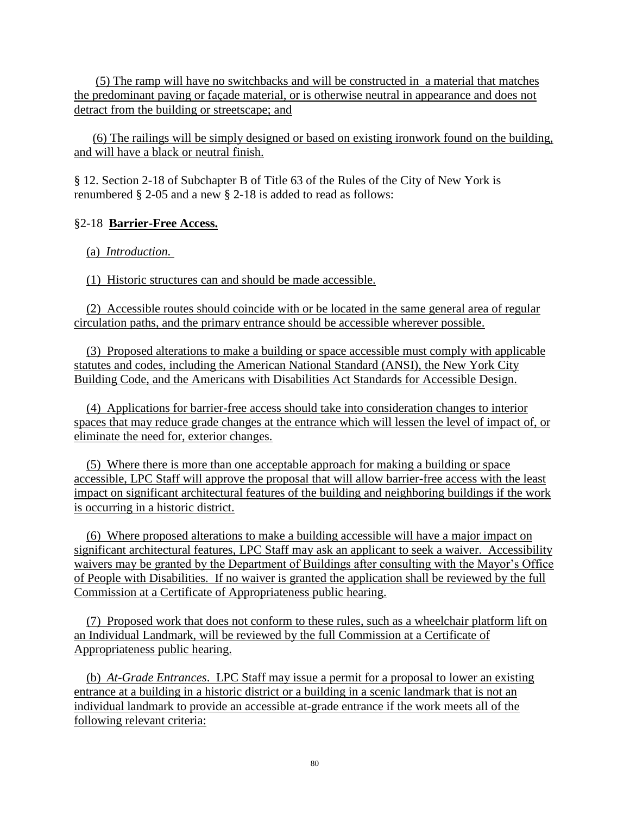(5) The ramp will have no switchbacks and will be constructed in a material that matches the predominant paving or façade material, or is otherwise neutral in appearance and does not detract from the building or streetscape; and

 (6) The railings will be simply designed or based on existing ironwork found on the building, and will have a black or neutral finish.

§ 12. Section 2-18 of Subchapter B of Title 63 of the Rules of the City of New York is renumbered § 2-05 and a new § 2-18 is added to read as follows:

#### §2-18 **Barrier-Free Access.**

(a) *Introduction.*

(1) Historic structures can and should be made accessible.

 (2) Accessible routes should coincide with or be located in the same general area of regular circulation paths, and the primary entrance should be accessible wherever possible.

 (3) Proposed alterations to make a building or space accessible must comply with applicable statutes and codes, including the American National Standard (ANSI), the New York City Building Code, and the Americans with Disabilities Act Standards for Accessible Design.

 (4) Applications for barrier-free access should take into consideration changes to interior spaces that may reduce grade changes at the entrance which will lessen the level of impact of, or eliminate the need for, exterior changes.

 (5) Where there is more than one acceptable approach for making a building or space accessible, LPC Staff will approve the proposal that will allow barrier-free access with the least impact on significant architectural features of the building and neighboring buildings if the work is occurring in a historic district.

 (6) Where proposed alterations to make a building accessible will have a major impact on significant architectural features, LPC Staff may ask an applicant to seek a waiver. Accessibility waivers may be granted by the Department of Buildings after consulting with the Mayor's Office of People with Disabilities. If no waiver is granted the application shall be reviewed by the full Commission at a Certificate of Appropriateness public hearing.

 (7) Proposed work that does not conform to these rules, such as a wheelchair platform lift on an Individual Landmark, will be reviewed by the full Commission at a Certificate of Appropriateness public hearing.

 (b) *At-Grade Entrances*. LPC Staff may issue a permit for a proposal to lower an existing entrance at a building in a historic district or a building in a scenic landmark that is not an individual landmark to provide an accessible at-grade entrance if the work meets all of the following relevant criteria: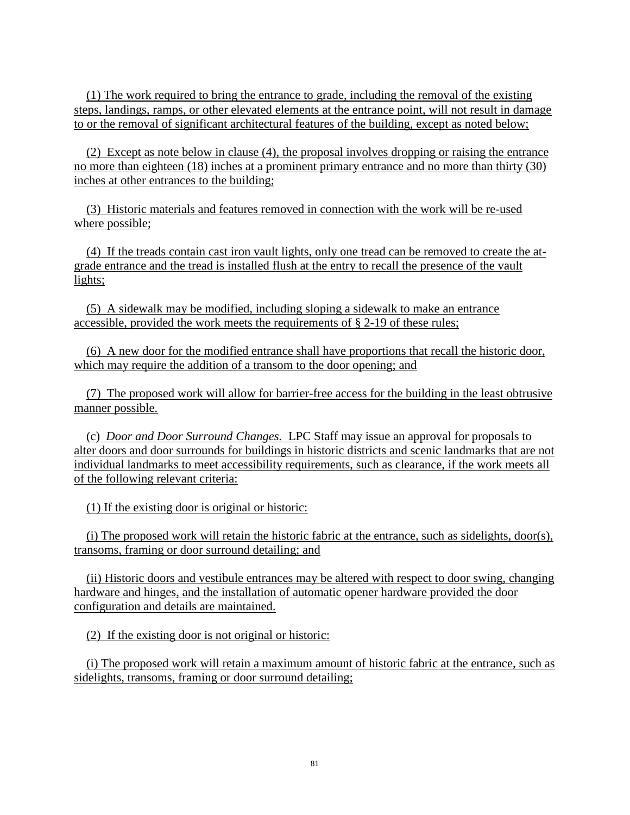(1) The work required to bring the entrance to grade, including the removal of the existing steps, landings, ramps, or other elevated elements at the entrance point, will not result in damage to or the removal of significant architectural features of the building, except as noted below;

 (2) Except as note below in clause (4), the proposal involves dropping or raising the entrance no more than eighteen (18) inches at a prominent primary entrance and no more than thirty (30) inches at other entrances to the building;

 (3) Historic materials and features removed in connection with the work will be re-used where possible;

 (4) If the treads contain cast iron vault lights, only one tread can be removed to create the atgrade entrance and the tread is installed flush at the entry to recall the presence of the vault lights;

 (5) A sidewalk may be modified, including sloping a sidewalk to make an entrance accessible, provided the work meets the requirements of § 2-19 of these rules;

 (6) A new door for the modified entrance shall have proportions that recall the historic door, which may require the addition of a transom to the door opening; and

 (7) The proposed work will allow for barrier-free access for the building in the least obtrusive manner possible.

 (c) *Door and Door Surround Changes.* LPC Staff may issue an approval for proposals to alter doors and door surrounds for buildings in historic districts and scenic landmarks that are not individual landmarks to meet accessibility requirements, such as clearance, if the work meets all of the following relevant criteria:

(1) If the existing door is original or historic:

 (i) The proposed work will retain the historic fabric at the entrance, such as sidelights, door(s), transoms, framing or door surround detailing; and

 (ii) Historic doors and vestibule entrances may be altered with respect to door swing, changing hardware and hinges, and the installation of automatic opener hardware provided the door configuration and details are maintained.

(2) If the existing door is not original or historic:

 (i) The proposed work will retain a maximum amount of historic fabric at the entrance, such as sidelights, transoms, framing or door surround detailing;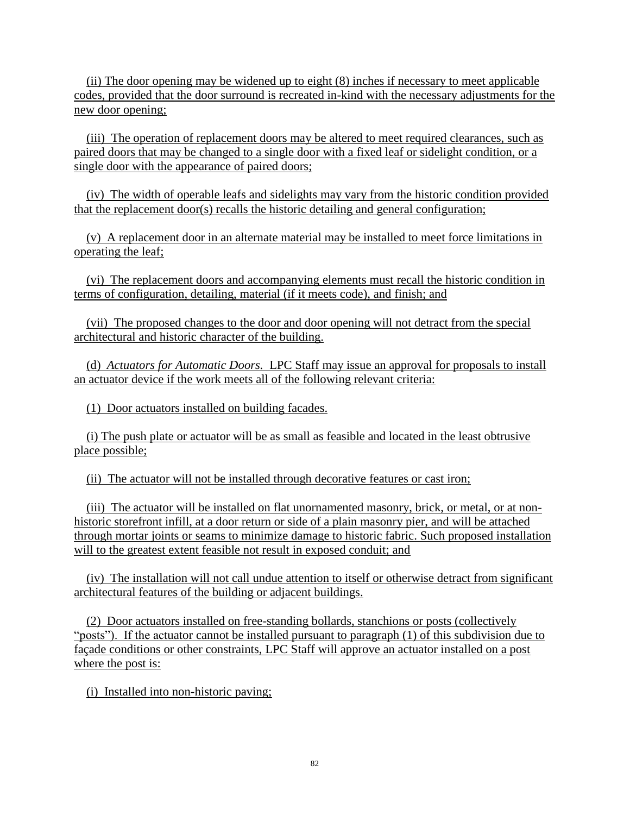(ii) The door opening may be widened up to eight (8) inches if necessary to meet applicable codes, provided that the door surround is recreated in-kind with the necessary adjustments for the new door opening;

 (iii) The operation of replacement doors may be altered to meet required clearances, such as paired doors that may be changed to a single door with a fixed leaf or sidelight condition, or a single door with the appearance of paired doors;

 (iv) The width of operable leafs and sidelights may vary from the historic condition provided that the replacement door(s) recalls the historic detailing and general configuration;

 (v) A replacement door in an alternate material may be installed to meet force limitations in operating the leaf;

 (vi) The replacement doors and accompanying elements must recall the historic condition in terms of configuration, detailing, material (if it meets code), and finish; and

 (vii) The proposed changes to the door and door opening will not detract from the special architectural and historic character of the building.

 (d) *Actuators for Automatic Doors.* LPC Staff may issue an approval for proposals to install an actuator device if the work meets all of the following relevant criteria:

(1) Door actuators installed on building facades.

 (i) The push plate or actuator will be as small as feasible and located in the least obtrusive place possible;

(ii) The actuator will not be installed through decorative features or cast iron;

 (iii) The actuator will be installed on flat unornamented masonry, brick, or metal, or at nonhistoric storefront infill, at a door return or side of a plain masonry pier, and will be attached through mortar joints or seams to minimize damage to historic fabric. Such proposed installation will to the greatest extent feasible not result in exposed conduit; and

 (iv) The installation will not call undue attention to itself or otherwise detract from significant architectural features of the building or adjacent buildings.

 (2) Door actuators installed on free-standing bollards, stanchions or posts (collectively "posts"). If the actuator cannot be installed pursuant to paragraph (1) of this subdivision due to façade conditions or other constraints, LPC Staff will approve an actuator installed on a post where the post is:

(i) Installed into non-historic paving;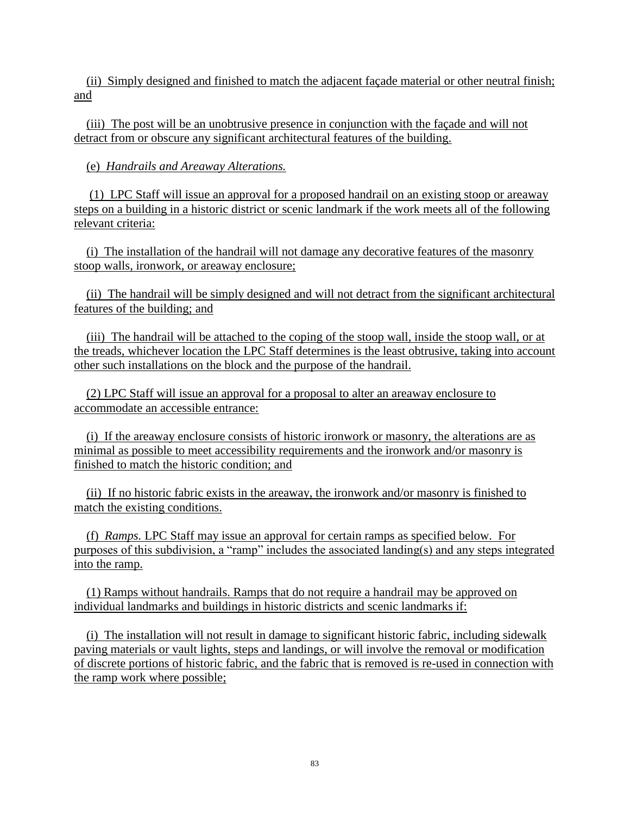(ii) Simply designed and finished to match the adjacent façade material or other neutral finish; and

 (iii) The post will be an unobtrusive presence in conjunction with the façade and will not detract from or obscure any significant architectural features of the building.

(e) *Handrails and Areaway Alterations.*

 (1) LPC Staff will issue an approval for a proposed handrail on an existing stoop or areaway steps on a building in a historic district or scenic landmark if the work meets all of the following relevant criteria:

 (i) The installation of the handrail will not damage any decorative features of the masonry stoop walls, ironwork, or areaway enclosure;

 (ii) The handrail will be simply designed and will not detract from the significant architectural features of the building; and

 (iii) The handrail will be attached to the coping of the stoop wall, inside the stoop wall, or at the treads, whichever location the LPC Staff determines is the least obtrusive, taking into account other such installations on the block and the purpose of the handrail.

 (2) LPC Staff will issue an approval for a proposal to alter an areaway enclosure to accommodate an accessible entrance:

 (i) If the areaway enclosure consists of historic ironwork or masonry, the alterations are as minimal as possible to meet accessibility requirements and the ironwork and/or masonry is finished to match the historic condition; and

 (ii) If no historic fabric exists in the areaway, the ironwork and/or masonry is finished to match the existing conditions.

 (f) *Ramps.* LPC Staff may issue an approval for certain ramps as specified below. For purposes of this subdivision, a "ramp" includes the associated landing(s) and any steps integrated into the ramp.

 (1) Ramps without handrails. Ramps that do not require a handrail may be approved on individual landmarks and buildings in historic districts and scenic landmarks if:

 (i) The installation will not result in damage to significant historic fabric, including sidewalk paving materials or vault lights, steps and landings, or will involve the removal or modification of discrete portions of historic fabric, and the fabric that is removed is re-used in connection with the ramp work where possible;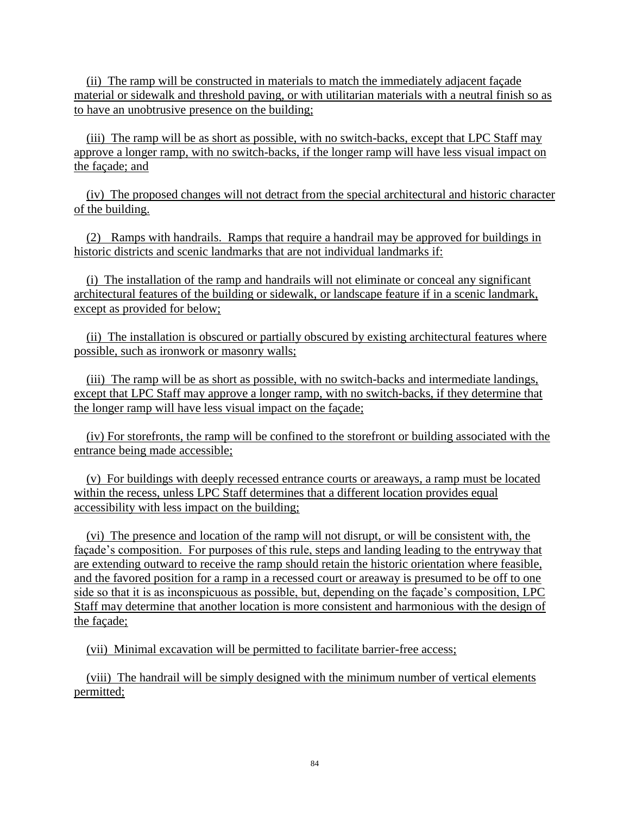(ii) The ramp will be constructed in materials to match the immediately adjacent façade material or sidewalk and threshold paving, or with utilitarian materials with a neutral finish so as to have an unobtrusive presence on the building;

 (iii) The ramp will be as short as possible, with no switch-backs, except that LPC Staff may approve a longer ramp, with no switch-backs, if the longer ramp will have less visual impact on the façade; and

 (iv) The proposed changes will not detract from the special architectural and historic character of the building.

 (2) Ramps with handrails. Ramps that require a handrail may be approved for buildings in historic districts and scenic landmarks that are not individual landmarks if:

 (i) The installation of the ramp and handrails will not eliminate or conceal any significant architectural features of the building or sidewalk, or landscape feature if in a scenic landmark, except as provided for below;

 (ii) The installation is obscured or partially obscured by existing architectural features where possible, such as ironwork or masonry walls;

 (iii) The ramp will be as short as possible, with no switch-backs and intermediate landings, except that LPC Staff may approve a longer ramp, with no switch-backs, if they determine that the longer ramp will have less visual impact on the façade;

 (iv) For storefronts, the ramp will be confined to the storefront or building associated with the entrance being made accessible;

 (v) For buildings with deeply recessed entrance courts or areaways, a ramp must be located within the recess, unless LPC Staff determines that a different location provides equal accessibility with less impact on the building;

 (vi) The presence and location of the ramp will not disrupt, or will be consistent with, the façade's composition. For purposes of this rule, steps and landing leading to the entryway that are extending outward to receive the ramp should retain the historic orientation where feasible, and the favored position for a ramp in a recessed court or areaway is presumed to be off to one side so that it is as inconspicuous as possible, but, depending on the façade's composition, LPC Staff may determine that another location is more consistent and harmonious with the design of the façade;

(vii) Minimal excavation will be permitted to facilitate barrier-free access;

 (viii) The handrail will be simply designed with the minimum number of vertical elements permitted;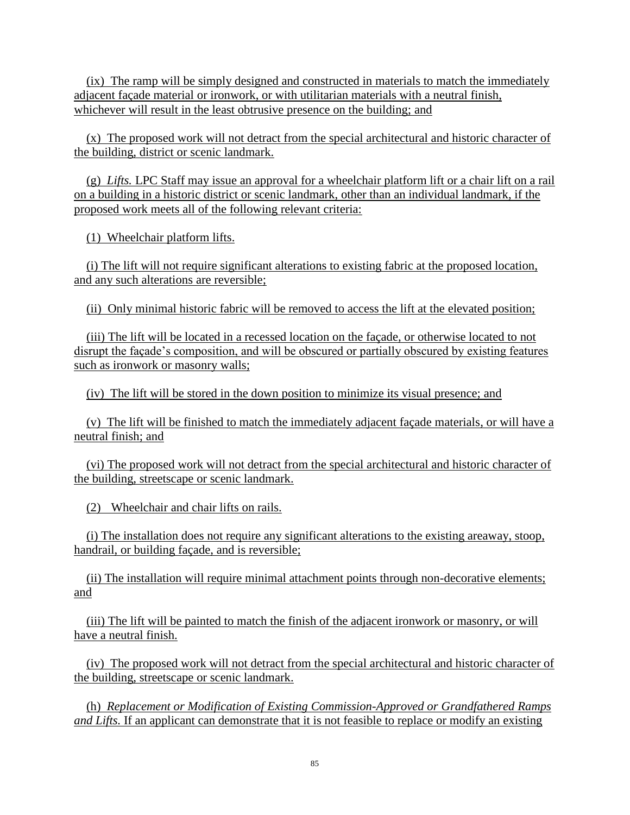(ix) The ramp will be simply designed and constructed in materials to match the immediately adjacent façade material or ironwork, or with utilitarian materials with a neutral finish, whichever will result in the least obtrusive presence on the building; and

 (x) The proposed work will not detract from the special architectural and historic character of the building, district or scenic landmark.

 (g) *Lifts.* LPC Staff may issue an approval for a wheelchair platform lift or a chair lift on a rail on a building in a historic district or scenic landmark, other than an individual landmark, if the proposed work meets all of the following relevant criteria:

(1) Wheelchair platform lifts.

 (i) The lift will not require significant alterations to existing fabric at the proposed location, and any such alterations are reversible;

(ii) Only minimal historic fabric will be removed to access the lift at the elevated position;

 (iii) The lift will be located in a recessed location on the façade, or otherwise located to not disrupt the façade's composition, and will be obscured or partially obscured by existing features such as ironwork or masonry walls;

(iv) The lift will be stored in the down position to minimize its visual presence; and

 (v) The lift will be finished to match the immediately adjacent façade materials, or will have a neutral finish; and

 (vi) The proposed work will not detract from the special architectural and historic character of the building, streetscape or scenic landmark.

(2) Wheelchair and chair lifts on rails.

 (i) The installation does not require any significant alterations to the existing areaway, stoop, handrail, or building façade, and is reversible;

 (ii) The installation will require minimal attachment points through non-decorative elements; and

 (iii) The lift will be painted to match the finish of the adjacent ironwork or masonry, or will have a neutral finish.

 (iv) The proposed work will not detract from the special architectural and historic character of the building, streetscape or scenic landmark.

 (h) *Replacement or Modification of Existing Commission-Approved or Grandfathered Ramps and Lifts.* If an applicant can demonstrate that it is not feasible to replace or modify an existing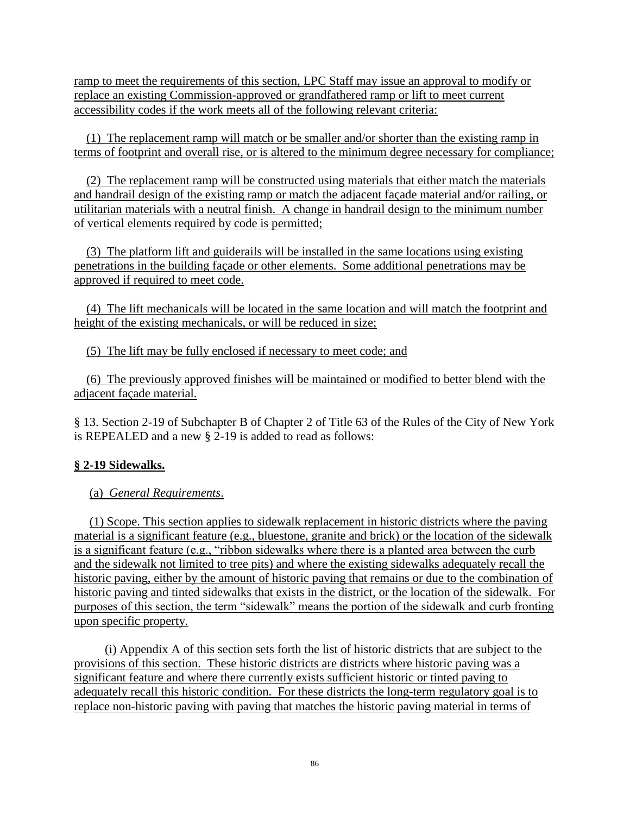ramp to meet the requirements of this section, LPC Staff may issue an approval to modify or replace an existing Commission-approved or grandfathered ramp or lift to meet current accessibility codes if the work meets all of the following relevant criteria:

 (1) The replacement ramp will match or be smaller and/or shorter than the existing ramp in terms of footprint and overall rise, or is altered to the minimum degree necessary for compliance;

 (2) The replacement ramp will be constructed using materials that either match the materials and handrail design of the existing ramp or match the adjacent façade material and/or railing, or utilitarian materials with a neutral finish. A change in handrail design to the minimum number of vertical elements required by code is permitted;

 (3) The platform lift and guiderails will be installed in the same locations using existing penetrations in the building façade or other elements. Some additional penetrations may be approved if required to meet code.

 (4) The lift mechanicals will be located in the same location and will match the footprint and height of the existing mechanicals, or will be reduced in size;

(5) The lift may be fully enclosed if necessary to meet code; and

 (6) The previously approved finishes will be maintained or modified to better blend with the adjacent façade material.

§ 13. Section 2-19 of Subchapter B of Chapter 2 of Title 63 of the Rules of the City of New York is REPEALED and a new § 2-19 is added to read as follows:

#### **§ 2-19 Sidewalks.**

(a) *General Requirements*.

 (1) Scope. This section applies to sidewalk replacement in historic districts where the paving material is a significant feature (e.g., bluestone, granite and brick) or the location of the sidewalk is a significant feature (e.g., "ribbon sidewalks where there is a planted area between the curb and the sidewalk not limited to tree pits) and where the existing sidewalks adequately recall the historic paving, either by the amount of historic paving that remains or due to the combination of historic paving and tinted sidewalks that exists in the district, or the location of the sidewalk. For purposes of this section, the term "sidewalk" means the portion of the sidewalk and curb fronting upon specific property.

 (i) Appendix A of this section sets forth the list of historic districts that are subject to the provisions of this section. These historic districts are districts where historic paving was a significant feature and where there currently exists sufficient historic or tinted paving to adequately recall this historic condition. For these districts the long-term regulatory goal is to replace non-historic paving with paving that matches the historic paving material in terms of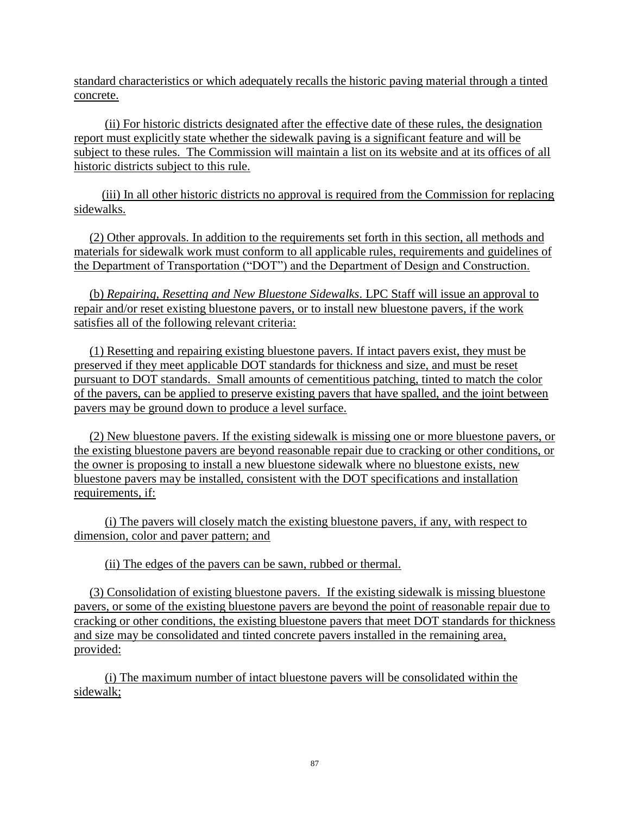standard characteristics or which adequately recalls the historic paving material through a tinted concrete.

 (ii) For historic districts designated after the effective date of these rules, the designation report must explicitly state whether the sidewalk paving is a significant feature and will be subject to these rules. The Commission will maintain a list on its website and at its offices of all historic districts subject to this rule.

 (iii) In all other historic districts no approval is required from the Commission for replacing sidewalks.

 (2) Other approvals. In addition to the requirements set forth in this section, all methods and materials for sidewalk work must conform to all applicable rules, requirements and guidelines of the Department of Transportation ("DOT") and the Department of Design and Construction.

 (b) *Repairing, Resetting and New Bluestone Sidewalks*. LPC Staff will issue an approval to repair and/or reset existing bluestone pavers, or to install new bluestone pavers, if the work satisfies all of the following relevant criteria:

 (1) Resetting and repairing existing bluestone pavers. If intact pavers exist, they must be preserved if they meet applicable DOT standards for thickness and size, and must be reset pursuant to DOT standards. Small amounts of cementitious patching, tinted to match the color of the pavers, can be applied to preserve existing pavers that have spalled, and the joint between pavers may be ground down to produce a level surface.

 (2) New bluestone pavers. If the existing sidewalk is missing one or more bluestone pavers, or the existing bluestone pavers are beyond reasonable repair due to cracking or other conditions, or the owner is proposing to install a new bluestone sidewalk where no bluestone exists, new bluestone pavers may be installed, consistent with the DOT specifications and installation requirements, if:

 (i) The pavers will closely match the existing bluestone pavers, if any, with respect to dimension, color and paver pattern; and

(ii) The edges of the pavers can be sawn, rubbed or thermal.

 (3) Consolidation of existing bluestone pavers. If the existing sidewalk is missing bluestone pavers, or some of the existing bluestone pavers are beyond the point of reasonable repair due to cracking or other conditions, the existing bluestone pavers that meet DOT standards for thickness and size may be consolidated and tinted concrete pavers installed in the remaining area, provided:

 (i) The maximum number of intact bluestone pavers will be consolidated within the sidewalk;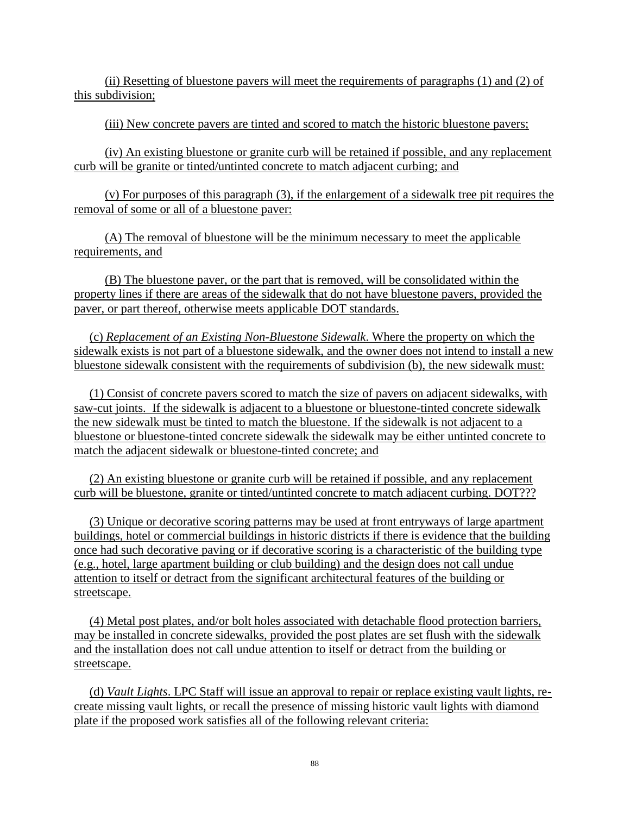(ii) Resetting of bluestone pavers will meet the requirements of paragraphs (1) and (2) of this subdivision;

(iii) New concrete pavers are tinted and scored to match the historic bluestone pavers;

 (iv) An existing bluestone or granite curb will be retained if possible, and any replacement curb will be granite or tinted/untinted concrete to match adjacent curbing; and

 (v) For purposes of this paragraph (3), if the enlargement of a sidewalk tree pit requires the removal of some or all of a bluestone paver:

 (A) The removal of bluestone will be the minimum necessary to meet the applicable requirements, and

 (B) The bluestone paver, or the part that is removed, will be consolidated within the property lines if there are areas of the sidewalk that do not have bluestone pavers, provided the paver, or part thereof, otherwise meets applicable DOT standards.

 (c) *Replacement of an Existing Non-Bluestone Sidewalk*. Where the property on which the sidewalk exists is not part of a bluestone sidewalk, and the owner does not intend to install a new bluestone sidewalk consistent with the requirements of subdivision (b), the new sidewalk must:

 (1) Consist of concrete pavers scored to match the size of pavers on adjacent sidewalks, with saw-cut joints. If the sidewalk is adjacent to a bluestone or bluestone-tinted concrete sidewalk the new sidewalk must be tinted to match the bluestone. If the sidewalk is not adjacent to a bluestone or bluestone-tinted concrete sidewalk the sidewalk may be either untinted concrete to match the adjacent sidewalk or bluestone-tinted concrete; and

 (2) An existing bluestone or granite curb will be retained if possible, and any replacement curb will be bluestone, granite or tinted/untinted concrete to match adjacent curbing. DOT???

 (3) Unique or decorative scoring patterns may be used at front entryways of large apartment buildings, hotel or commercial buildings in historic districts if there is evidence that the building once had such decorative paving or if decorative scoring is a characteristic of the building type (e.g., hotel, large apartment building or club building) and the design does not call undue attention to itself or detract from the significant architectural features of the building or streetscape.

 (4) Metal post plates, and/or bolt holes associated with detachable flood protection barriers, may be installed in concrete sidewalks, provided the post plates are set flush with the sidewalk and the installation does not call undue attention to itself or detract from the building or streetscape.

 (d) *Vault Lights*. LPC Staff will issue an approval to repair or replace existing vault lights, recreate missing vault lights, or recall the presence of missing historic vault lights with diamond plate if the proposed work satisfies all of the following relevant criteria: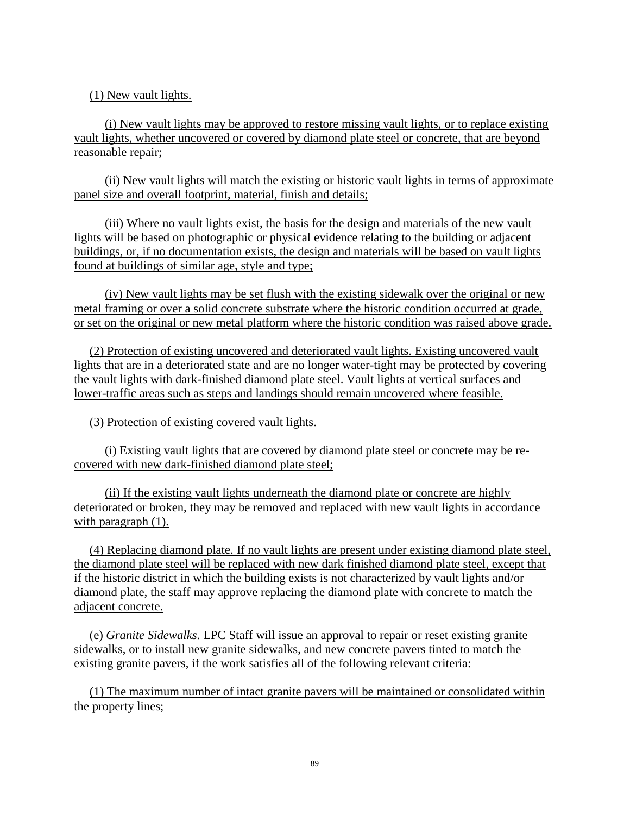(1) New vault lights.

 (i) New vault lights may be approved to restore missing vault lights, or to replace existing vault lights, whether uncovered or covered by diamond plate steel or concrete, that are beyond reasonable repair;

 (ii) New vault lights will match the existing or historic vault lights in terms of approximate panel size and overall footprint, material, finish and details;

 (iii) Where no vault lights exist, the basis for the design and materials of the new vault lights will be based on photographic or physical evidence relating to the building or adjacent buildings, or, if no documentation exists, the design and materials will be based on vault lights found at buildings of similar age, style and type;

 (iv) New vault lights may be set flush with the existing sidewalk over the original or new metal framing or over a solid concrete substrate where the historic condition occurred at grade, or set on the original or new metal platform where the historic condition was raised above grade.

 (2) Protection of existing uncovered and deteriorated vault lights. Existing uncovered vault lights that are in a deteriorated state and are no longer water-tight may be protected by covering the vault lights with dark-finished diamond plate steel. Vault lights at vertical surfaces and lower-traffic areas such as steps and landings should remain uncovered where feasible.

(3) Protection of existing covered vault lights.

 (i) Existing vault lights that are covered by diamond plate steel or concrete may be recovered with new dark-finished diamond plate steel;

 (ii) If the existing vault lights underneath the diamond plate or concrete are highly deteriorated or broken, they may be removed and replaced with new vault lights in accordance with paragraph  $(1)$ .

 (4) Replacing diamond plate. If no vault lights are present under existing diamond plate steel, the diamond plate steel will be replaced with new dark finished diamond plate steel, except that if the historic district in which the building exists is not characterized by vault lights and/or diamond plate, the staff may approve replacing the diamond plate with concrete to match the adjacent concrete.

 (e) *Granite Sidewalks*. LPC Staff will issue an approval to repair or reset existing granite sidewalks, or to install new granite sidewalks, and new concrete pavers tinted to match the existing granite pavers, if the work satisfies all of the following relevant criteria:

 (1) The maximum number of intact granite pavers will be maintained or consolidated within the property lines;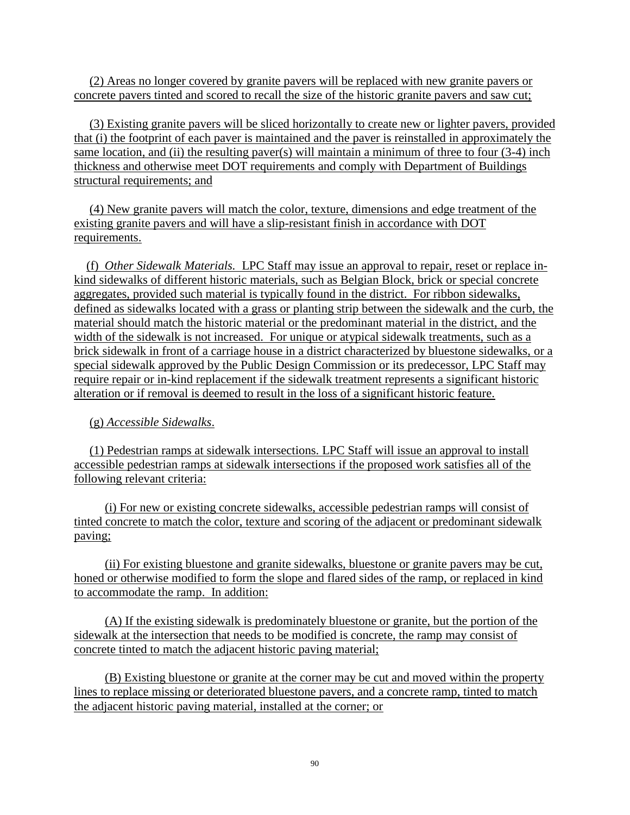(2) Areas no longer covered by granite pavers will be replaced with new granite pavers or concrete pavers tinted and scored to recall the size of the historic granite pavers and saw cut;

 (3) Existing granite pavers will be sliced horizontally to create new or lighter pavers, provided that (i) the footprint of each paver is maintained and the paver is reinstalled in approximately the same location, and (ii) the resulting paver(s) will maintain a minimum of three to four  $(3-4)$  inch thickness and otherwise meet DOT requirements and comply with Department of Buildings structural requirements; and

 (4) New granite pavers will match the color, texture, dimensions and edge treatment of the existing granite pavers and will have a slip-resistant finish in accordance with DOT requirements.

 (f) *Other Sidewalk Materials.* LPC Staff may issue an approval to repair, reset or replace inkind sidewalks of different historic materials, such as Belgian Block, brick or special concrete aggregates, provided such material is typically found in the district. For ribbon sidewalks, defined as sidewalks located with a grass or planting strip between the sidewalk and the curb, the material should match the historic material or the predominant material in the district, and the width of the sidewalk is not increased. For unique or atypical sidewalk treatments, such as a brick sidewalk in front of a carriage house in a district characterized by bluestone sidewalks, or a special sidewalk approved by the Public Design Commission or its predecessor, LPC Staff may require repair or in-kind replacement if the sidewalk treatment represents a significant historic alteration or if removal is deemed to result in the loss of a significant historic feature.

## (g) *Accessible Sidewalks*.

 (1) Pedestrian ramps at sidewalk intersections. LPC Staff will issue an approval to install accessible pedestrian ramps at sidewalk intersections if the proposed work satisfies all of the following relevant criteria:

 (i) For new or existing concrete sidewalks, accessible pedestrian ramps will consist of tinted concrete to match the color, texture and scoring of the adjacent or predominant sidewalk paving;

 (ii) For existing bluestone and granite sidewalks, bluestone or granite pavers may be cut, honed or otherwise modified to form the slope and flared sides of the ramp, or replaced in kind to accommodate the ramp. In addition:

 (A) If the existing sidewalk is predominately bluestone or granite, but the portion of the sidewalk at the intersection that needs to be modified is concrete, the ramp may consist of concrete tinted to match the adjacent historic paving material;

 (B) Existing bluestone or granite at the corner may be cut and moved within the property lines to replace missing or deteriorated bluestone pavers, and a concrete ramp, tinted to match the adjacent historic paving material, installed at the corner; or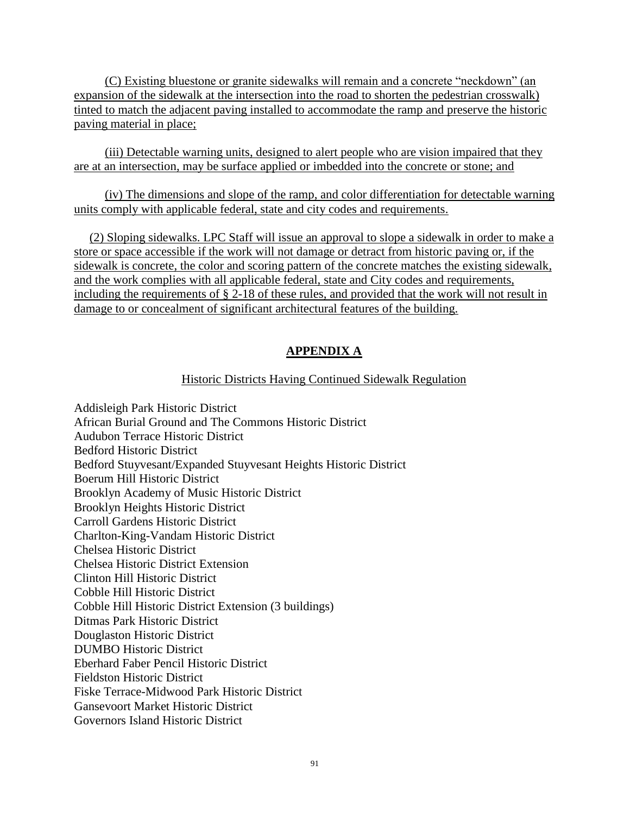(C) Existing bluestone or granite sidewalks will remain and a concrete "neckdown" (an expansion of the sidewalk at the intersection into the road to shorten the pedestrian crosswalk) tinted to match the adjacent paving installed to accommodate the ramp and preserve the historic paving material in place;

 (iii) Detectable warning units, designed to alert people who are vision impaired that they are at an intersection, may be surface applied or imbedded into the concrete or stone; and

 (iv) The dimensions and slope of the ramp, and color differentiation for detectable warning units comply with applicable federal, state and city codes and requirements.

 (2) Sloping sidewalks. LPC Staff will issue an approval to slope a sidewalk in order to make a store or space accessible if the work will not damage or detract from historic paving or, if the sidewalk is concrete, the color and scoring pattern of the concrete matches the existing sidewalk, and the work complies with all applicable federal, state and City codes and requirements, including the requirements of § 2-18 of these rules, and provided that the work will not result in damage to or concealment of significant architectural features of the building.

# **APPENDIX A**

#### Historic Districts Having Continued Sidewalk Regulation

Addisleigh Park Historic District African Burial Ground and The Commons Historic District Audubon Terrace Historic District Bedford Historic District Bedford Stuyvesant/Expanded Stuyvesant Heights Historic District Boerum Hill Historic District Brooklyn Academy of Music Historic District Brooklyn Heights Historic District Carroll Gardens Historic District Charlton-King-Vandam Historic District Chelsea Historic District Chelsea Historic District Extension Clinton Hill Historic District Cobble Hill Historic District Cobble Hill Historic District Extension (3 buildings) Ditmas Park Historic District Douglaston Historic District DUMBO Historic District Eberhard Faber Pencil Historic District Fieldston Historic District Fiske Terrace-Midwood Park Historic District Gansevoort Market Historic District Governors Island Historic District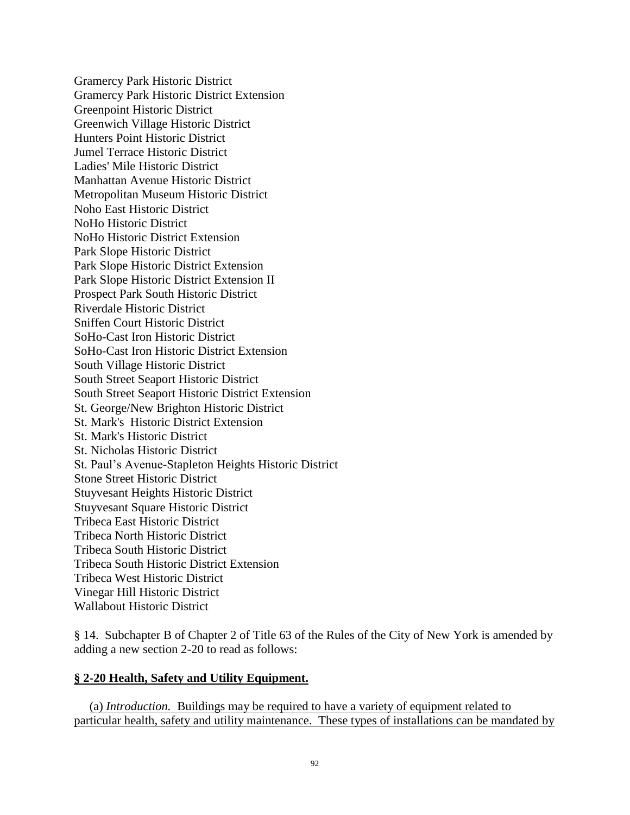Gramercy Park Historic District Gramercy Park Historic District Extension Greenpoint Historic District Greenwich Village Historic District Hunters Point Historic District Jumel Terrace Historic District Ladies' Mile Historic District Manhattan Avenue Historic District Metropolitan Museum Historic District Noho East Historic District NoHo Historic District NoHo Historic District Extension Park Slope Historic District Park Slope Historic District Extension Park Slope Historic District Extension II Prospect Park South Historic District Riverdale Historic District Sniffen Court Historic District SoHo-Cast Iron Historic District SoHo-Cast Iron Historic District Extension South Village Historic District South Street Seaport Historic District South Street Seaport Historic District Extension St. George/New Brighton Historic District St. Mark's Historic District Extension St. Mark's Historic District St. Nicholas Historic District St. Paul's Avenue-Stapleton Heights Historic District Stone Street Historic District Stuyvesant Heights Historic District Stuyvesant Square Historic District Tribeca East Historic District Tribeca North Historic District Tribeca South Historic District Tribeca South Historic District Extension Tribeca West Historic District Vinegar Hill Historic District Wallabout Historic District

§ 14. Subchapter B of Chapter 2 of Title 63 of the Rules of the City of New York is amended by adding a new section 2-20 to read as follows:

#### **§ 2-20 Health, Safety and Utility Equipment.**

 (a) *Introduction.* Buildings may be required to have a variety of equipment related to particular health, safety and utility maintenance. These types of installations can be mandated by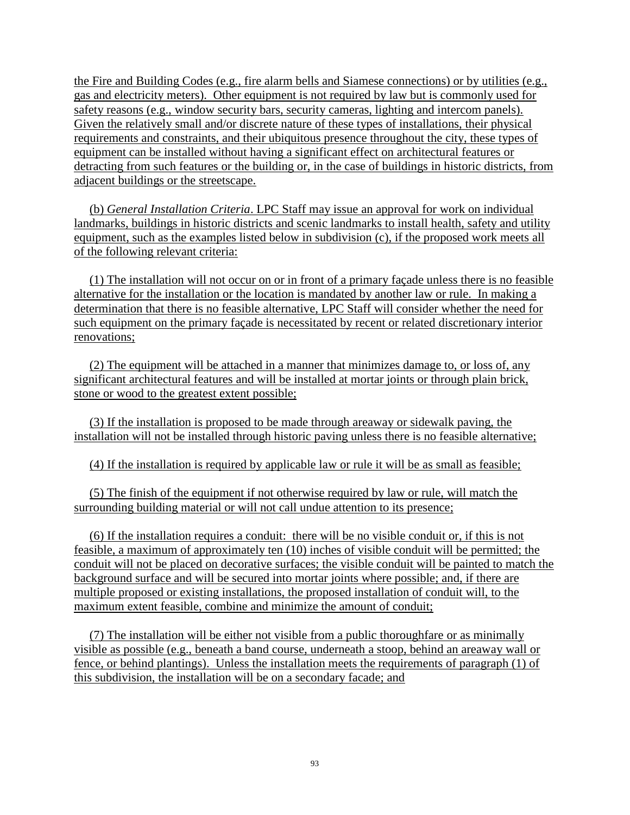the Fire and Building Codes (e.g., fire alarm bells and Siamese connections) or by utilities (e.g., gas and electricity meters). Other equipment is not required by law but is commonly used for safety reasons (e.g., window security bars, security cameras, lighting and intercom panels). Given the relatively small and/or discrete nature of these types of installations, their physical requirements and constraints, and their ubiquitous presence throughout the city, these types of equipment can be installed without having a significant effect on architectural features or detracting from such features or the building or, in the case of buildings in historic districts, from adjacent buildings or the streetscape.

 (b) *General Installation Criteria*. LPC Staff may issue an approval for work on individual landmarks, buildings in historic districts and scenic landmarks to install health, safety and utility equipment, such as the examples listed below in subdivision (c), if the proposed work meets all of the following relevant criteria:

 (1) The installation will not occur on or in front of a primary façade unless there is no feasible alternative for the installation or the location is mandated by another law or rule. In making a determination that there is no feasible alternative, LPC Staff will consider whether the need for such equipment on the primary façade is necessitated by recent or related discretionary interior renovations;

 (2) The equipment will be attached in a manner that minimizes damage to, or loss of, any significant architectural features and will be installed at mortar joints or through plain brick, stone or wood to the greatest extent possible;

 (3) If the installation is proposed to be made through areaway or sidewalk paving, the installation will not be installed through historic paving unless there is no feasible alternative;

(4) If the installation is required by applicable law or rule it will be as small as feasible;

 (5) The finish of the equipment if not otherwise required by law or rule, will match the surrounding building material or will not call undue attention to its presence;

 (6) If the installation requires a conduit: there will be no visible conduit or, if this is not feasible, a maximum of approximately ten (10) inches of visible conduit will be permitted; the conduit will not be placed on decorative surfaces; the visible conduit will be painted to match the background surface and will be secured into mortar joints where possible; and, if there are multiple proposed or existing installations, the proposed installation of conduit will, to the maximum extent feasible, combine and minimize the amount of conduit;

 (7) The installation will be either not visible from a public thoroughfare or as minimally visible as possible (e.g., beneath a band course, underneath a stoop, behind an areaway wall or fence, or behind plantings). Unless the installation meets the requirements of paragraph (1) of this subdivision, the installation will be on a secondary facade; and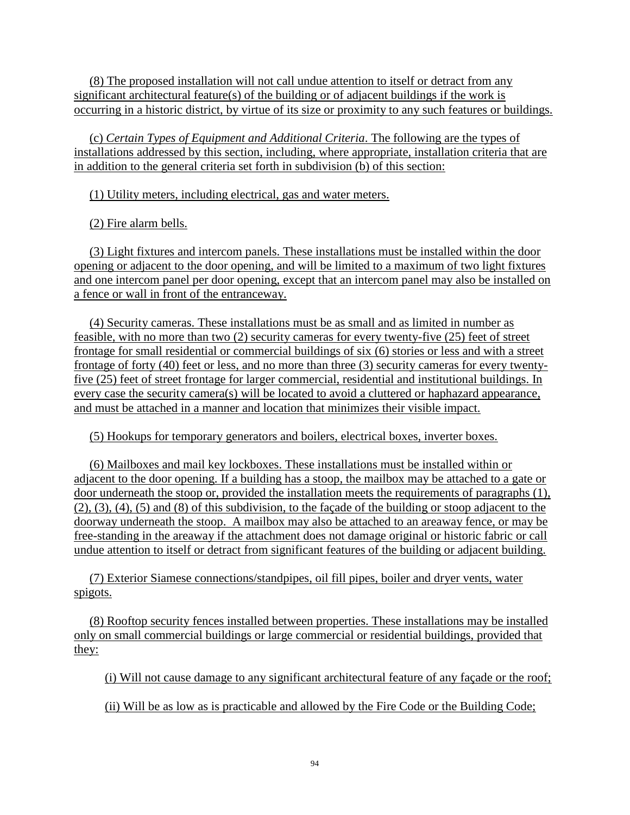(8) The proposed installation will not call undue attention to itself or detract from any significant architectural feature(s) of the building or of adjacent buildings if the work is occurring in a historic district, by virtue of its size or proximity to any such features or buildings.

 (c) *Certain Types of Equipment and Additional Criteria*. The following are the types of installations addressed by this section, including, where appropriate, installation criteria that are in addition to the general criteria set forth in subdivision (b) of this section:

(1) Utility meters, including electrical, gas and water meters.

(2) Fire alarm bells.

 (3) Light fixtures and intercom panels. These installations must be installed within the door opening or adjacent to the door opening, and will be limited to a maximum of two light fixtures and one intercom panel per door opening, except that an intercom panel may also be installed on a fence or wall in front of the entranceway.

 (4) Security cameras. These installations must be as small and as limited in number as feasible, with no more than two (2) security cameras for every twenty-five (25) feet of street frontage for small residential or commercial buildings of six (6) stories or less and with a street frontage of forty (40) feet or less, and no more than three (3) security cameras for every twentyfive (25) feet of street frontage for larger commercial, residential and institutional buildings. In every case the security camera(s) will be located to avoid a cluttered or haphazard appearance, and must be attached in a manner and location that minimizes their visible impact.

(5) Hookups for temporary generators and boilers, electrical boxes, inverter boxes.

 (6) Mailboxes and mail key lockboxes. These installations must be installed within or adjacent to the door opening. If a building has a stoop, the mailbox may be attached to a gate or door underneath the stoop or, provided the installation meets the requirements of paragraphs (1), (2), (3), (4), (5) and (8) of this subdivision, to the façade of the building or stoop adjacent to the doorway underneath the stoop. A mailbox may also be attached to an areaway fence, or may be free-standing in the areaway if the attachment does not damage original or historic fabric or call undue attention to itself or detract from significant features of the building or adjacent building.

 (7) Exterior Siamese connections/standpipes, oil fill pipes, boiler and dryer vents, water spigots.

 (8) Rooftop security fences installed between properties. These installations may be installed only on small commercial buildings or large commercial or residential buildings, provided that they:

(i) Will not cause damage to any significant architectural feature of any façade or the roof;

(ii) Will be as low as is practicable and allowed by the Fire Code or the Building Code;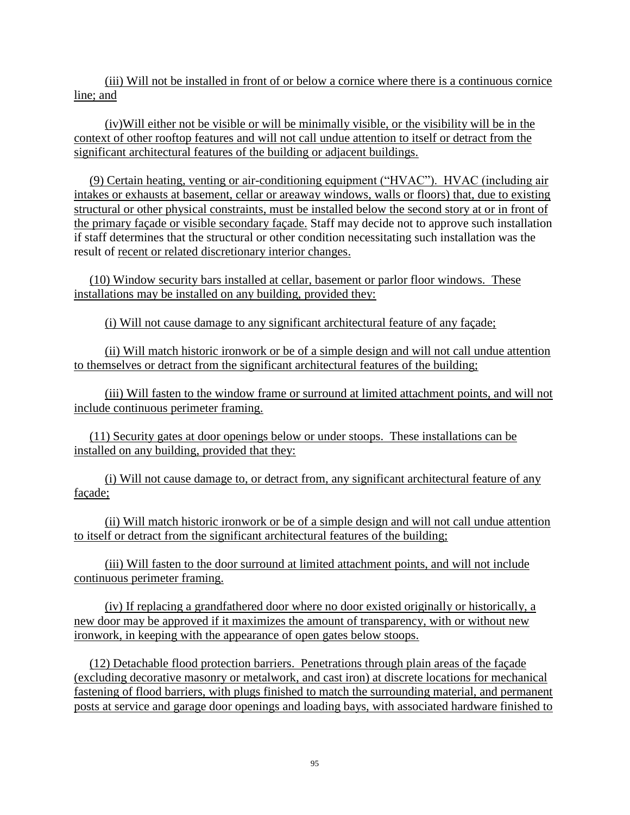(iii) Will not be installed in front of or below a cornice where there is a continuous cornice line; and

 (iv)Will either not be visible or will be minimally visible, or the visibility will be in the context of other rooftop features and will not call undue attention to itself or detract from the significant architectural features of the building or adjacent buildings.

 (9) Certain heating, venting or air-conditioning equipment ("HVAC"). HVAC (including air intakes or exhausts at basement, cellar or areaway windows, walls or floors) that, due to existing structural or other physical constraints, must be installed below the second story at or in front of the primary façade or visible secondary façade. Staff may decide not to approve such installation if staff determines that the structural or other condition necessitating such installation was the result of recent or related discretionary interior changes.

 (10) Window security bars installed at cellar, basement or parlor floor windows. These installations may be installed on any building, provided they:

(i) Will not cause damage to any significant architectural feature of any façade;

 (ii) Will match historic ironwork or be of a simple design and will not call undue attention to themselves or detract from the significant architectural features of the building;

 (iii) Will fasten to the window frame or surround at limited attachment points, and will not include continuous perimeter framing.

 (11) Security gates at door openings below or under stoops. These installations can be installed on any building, provided that they:

 (i) Will not cause damage to, or detract from, any significant architectural feature of any façade;

 (ii) Will match historic ironwork or be of a simple design and will not call undue attention to itself or detract from the significant architectural features of the building;

 (iii) Will fasten to the door surround at limited attachment points, and will not include continuous perimeter framing.

 (iv) If replacing a grandfathered door where no door existed originally or historically, a new door may be approved if it maximizes the amount of transparency, with or without new ironwork, in keeping with the appearance of open gates below stoops.

 (12) Detachable flood protection barriers. Penetrations through plain areas of the façade (excluding decorative masonry or metalwork, and cast iron) at discrete locations for mechanical fastening of flood barriers, with plugs finished to match the surrounding material, and permanent posts at service and garage door openings and loading bays, with associated hardware finished to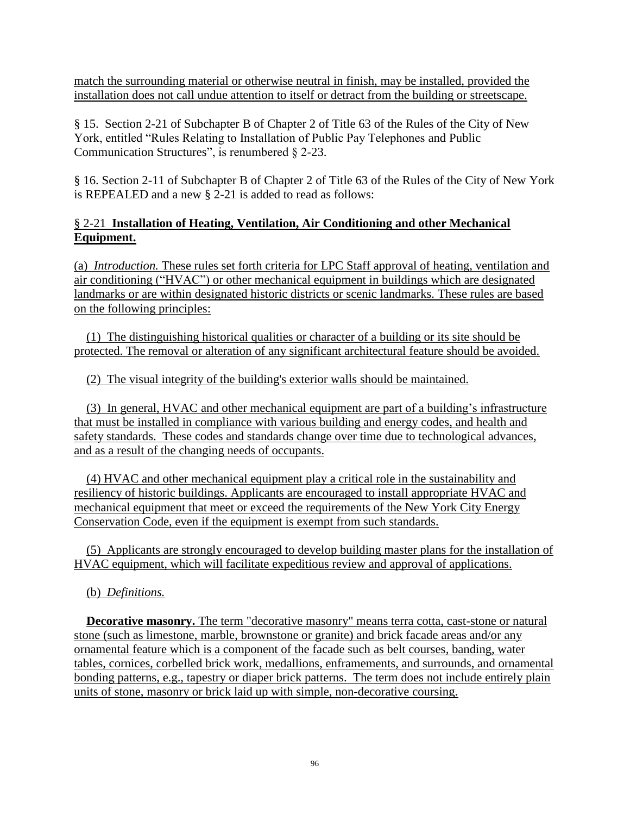match the surrounding material or otherwise neutral in finish, may be installed, provided the installation does not call undue attention to itself or detract from the building or streetscape.

§ 15. Section 2-21 of Subchapter B of Chapter 2 of Title 63 of the Rules of the City of New York, entitled "Rules Relating to Installation of Public Pay Telephones and Public Communication Structures", is renumbered § 2-23.

§ 16. Section 2-11 of Subchapter B of Chapter 2 of Title 63 of the Rules of the City of New York is REPEALED and a new § 2-21 is added to read as follows:

## § 2-21 **Installation of Heating, Ventilation, Air Conditioning and other Mechanical Equipment.**

(a) *Introduction.* These rules set forth criteria for LPC Staff approval of heating, ventilation and air conditioning ("HVAC") or other mechanical equipment in buildings which are designated landmarks or are within designated historic districts or scenic landmarks. These rules are based on the following principles:

(1) The distinguishing historical qualities or character of a building or its site should be protected. The removal or alteration of any significant architectural feature should be avoided.

(2) The visual integrity of the building's exterior walls should be maintained.

 (3) In general, HVAC and other mechanical equipment are part of a building's infrastructure that must be installed in compliance with various building and energy codes, and health and safety standards. These codes and standards change over time due to technological advances, and as a result of the changing needs of occupants.

 (4) HVAC and other mechanical equipment play a critical role in the sustainability and resiliency of historic buildings. Applicants are encouraged to install appropriate HVAC and mechanical equipment that meet or exceed the requirements of the New York City Energy Conservation Code, even if the equipment is exempt from such standards.

 (5) Applicants are strongly encouraged to develop building master plans for the installation of HVAC equipment, which will facilitate expeditious review and approval of applications.

(b) *Definitions.*

**Decorative masonry.** The term "decorative masonry" means terra cotta, cast-stone or natural stone (such as limestone, marble, brownstone or granite) and brick facade areas and/or any ornamental feature which is a component of the facade such as belt courses, banding, water tables, cornices, corbelled brick work, medallions, enframements, and surrounds, and ornamental bonding patterns, e.g., tapestry or diaper brick patterns. The term does not include entirely plain units of stone, masonry or brick laid up with simple, non-decorative coursing.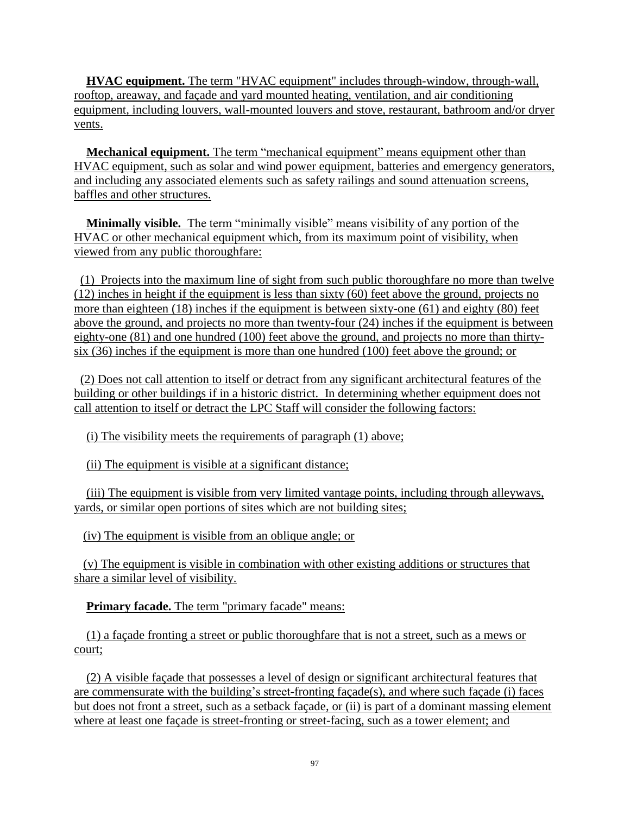**HVAC equipment.** The term "HVAC equipment" includes through-window, through-wall, rooftop, areaway, and façade and yard mounted heating, ventilation, and air conditioning equipment, including louvers, wall-mounted louvers and stove, restaurant, bathroom and/or dryer vents.

**Mechanical equipment.** The term "mechanical equipment" means equipment other than HVAC equipment, such as solar and wind power equipment, batteries and emergency generators, and including any associated elements such as safety railings and sound attenuation screens, baffles and other structures.

 **Minimally visible.** The term "minimally visible" means visibility of any portion of the HVAC or other mechanical equipment which, from its maximum point of visibility, when viewed from any public thoroughfare:

 (1) Projects into the maximum line of sight from such public thoroughfare no more than twelve (12) inches in height if the equipment is less than sixty (60) feet above the ground, projects no more than eighteen (18) inches if the equipment is between sixty-one (61) and eighty (80) feet above the ground, and projects no more than twenty-four (24) inches if the equipment is between eighty-one (81) and one hundred (100) feet above the ground, and projects no more than thirtysix (36) inches if the equipment is more than one hundred (100) feet above the ground; or

 (2) Does not call attention to itself or detract from any significant architectural features of the building or other buildings if in a historic district. In determining whether equipment does not call attention to itself or detract the LPC Staff will consider the following factors:

(i) The visibility meets the requirements of paragraph (1) above;

(ii) The equipment is visible at a significant distance;

 (iii) The equipment is visible from very limited vantage points, including through alleyways, yards, or similar open portions of sites which are not building sites;

(iv) The equipment is visible from an oblique angle; or

 (v) The equipment is visible in combination with other existing additions or structures that share a similar level of visibility.

**Primary facade.** The term "primary facade" means:

 (1) a façade fronting a street or public thoroughfare that is not a street, such as a mews or court;

 (2) A visible façade that possesses a level of design or significant architectural features that are commensurate with the building's street-fronting façade(s), and where such façade (i) faces but does not front a street, such as a setback façade, or (ii) is part of a dominant massing element where at least one façade is street-fronting or street-facing, such as a tower element; and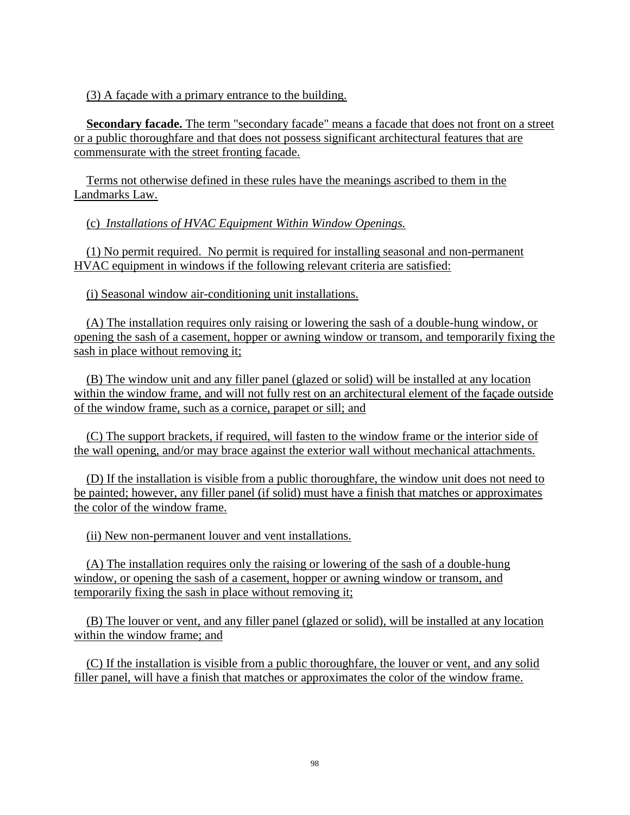(3) A façade with a primary entrance to the building.

**Secondary facade.** The term "secondary facade" means a facade that does not front on a street or a public thoroughfare and that does not possess significant architectural features that are commensurate with the street fronting facade.

Terms not otherwise defined in these rules have the meanings ascribed to them in the Landmarks Law.

(c) *Installations of HVAC Equipment Within Window Openings.*

 (1) No permit required. No permit is required for installing seasonal and non-permanent HVAC equipment in windows if the following relevant criteria are satisfied:

(i) Seasonal window air-conditioning unit installations.

 (A) The installation requires only raising or lowering the sash of a double-hung window, or opening the sash of a casement, hopper or awning window or transom, and temporarily fixing the sash in place without removing it;

 (B) The window unit and any filler panel (glazed or solid) will be installed at any location within the window frame, and will not fully rest on an architectural element of the façade outside of the window frame, such as a cornice, parapet or sill; and

 (C) The support brackets, if required, will fasten to the window frame or the interior side of the wall opening, and/or may brace against the exterior wall without mechanical attachments.

 (D) If the installation is visible from a public thoroughfare, the window unit does not need to be painted; however, any filler panel (if solid) must have a finish that matches or approximates the color of the window frame.

(ii) New non-permanent louver and vent installations.

 (A) The installation requires only the raising or lowering of the sash of a double-hung window, or opening the sash of a casement, hopper or awning window or transom, and temporarily fixing the sash in place without removing it;

 (B) The louver or vent, and any filler panel (glazed or solid), will be installed at any location within the window frame; and

 (C) If the installation is visible from a public thoroughfare, the louver or vent, and any solid filler panel, will have a finish that matches or approximates the color of the window frame.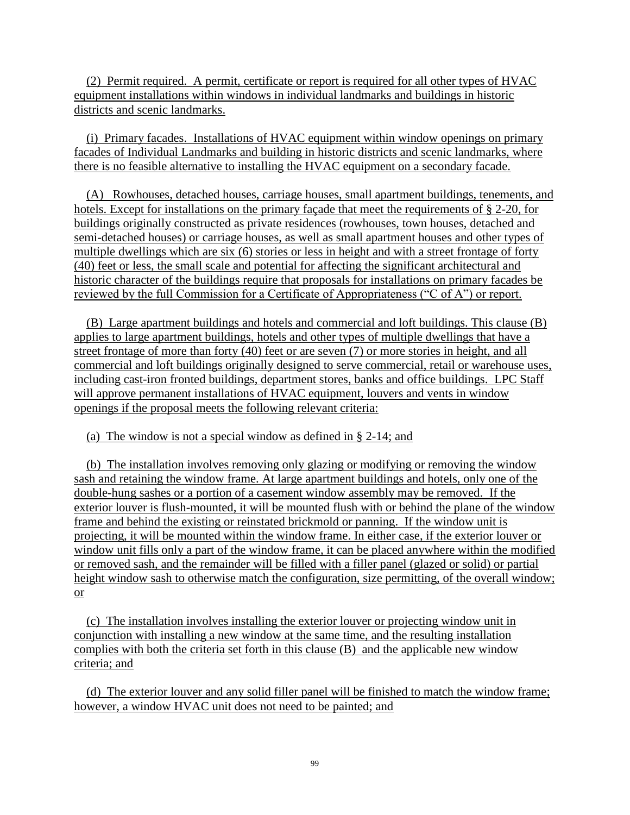(2) Permit required. A permit, certificate or report is required for all other types of HVAC equipment installations within windows in individual landmarks and buildings in historic districts and scenic landmarks.

(i) Primary facades. Installations of HVAC equipment within window openings on primary facades of Individual Landmarks and building in historic districts and scenic landmarks, where there is no feasible alternative to installing the HVAC equipment on a secondary facade.

(A) Rowhouses, detached houses, carriage houses, small apartment buildings, tenements, and hotels. Except for installations on the primary façade that meet the requirements of § 2-20, for buildings originally constructed as private residences (rowhouses, town houses, detached and semi-detached houses) or carriage houses, as well as small apartment houses and other types of multiple dwellings which are six (6) stories or less in height and with a street frontage of forty (40) feet or less, the small scale and potential for affecting the significant architectural and historic character of the buildings require that proposals for installations on primary facades be reviewed by the full Commission for a Certificate of Appropriateness ("C of A") or report.

 (B) Large apartment buildings and hotels and commercial and loft buildings. This clause (B) applies to large apartment buildings, hotels and other types of multiple dwellings that have a street frontage of more than forty (40) feet or are seven (7) or more stories in height, and all commercial and loft buildings originally designed to serve commercial, retail or warehouse uses, including cast-iron fronted buildings, department stores, banks and office buildings. LPC Staff will approve permanent installations of HVAC equipment, louvers and vents in window openings if the proposal meets the following relevant criteria:

(a) The window is not a special window as defined in § 2-14; and

(b) The installation involves removing only glazing or modifying or removing the window sash and retaining the window frame. At large apartment buildings and hotels, only one of the double-hung sashes or a portion of a casement window assembly may be removed. If the exterior louver is flush-mounted, it will be mounted flush with or behind the plane of the window frame and behind the existing or reinstated brickmold or panning. If the window unit is projecting, it will be mounted within the window frame. In either case, if the exterior louver or window unit fills only a part of the window frame, it can be placed anywhere within the modified or removed sash, and the remainder will be filled with a filler panel (glazed or solid) or partial height window sash to otherwise match the configuration, size permitting, of the overall window; or

 (c) The installation involves installing the exterior louver or projecting window unit in conjunction with installing a new window at the same time, and the resulting installation complies with both the criteria set forth in this clause (B) and the applicable new window criteria; and

 (d) The exterior louver and any solid filler panel will be finished to match the window frame; however, a window HVAC unit does not need to be painted; and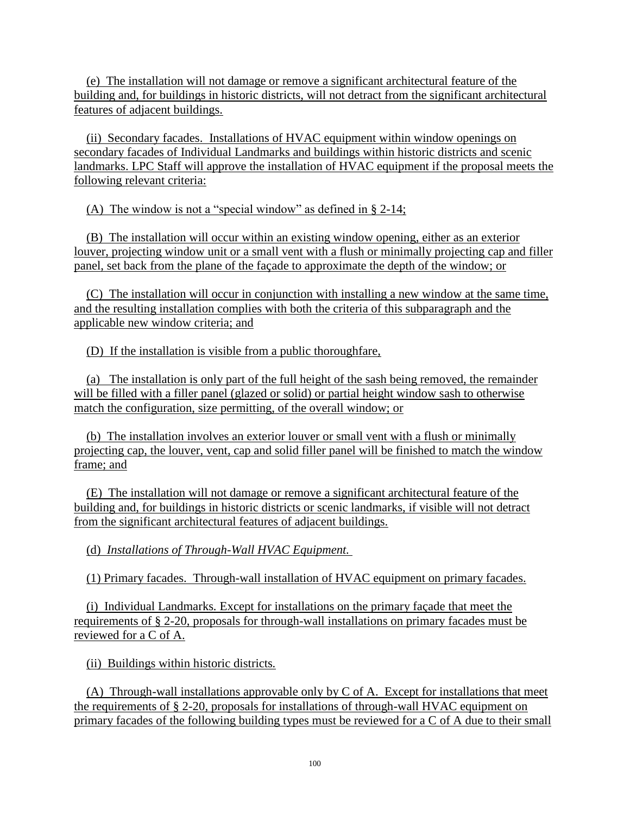(e) The installation will not damage or remove a significant architectural feature of the building and, for buildings in historic districts, will not detract from the significant architectural features of adjacent buildings.

(ii) Secondary facades. Installations of HVAC equipment within window openings on secondary facades of Individual Landmarks and buildings within historic districts and scenic landmarks. LPC Staff will approve the installation of HVAC equipment if the proposal meets the following relevant criteria:

(A) The window is not a "special window" as defined in § 2-14;

 (B) The installation will occur within an existing window opening, either as an exterior louver, projecting window unit or a small vent with a flush or minimally projecting cap and filler panel, set back from the plane of the façade to approximate the depth of the window; or

 (C) The installation will occur in conjunction with installing a new window at the same time, and the resulting installation complies with both the criteria of this subparagraph and the applicable new window criteria; and

(D) If the installation is visible from a public thoroughfare,

 (a) The installation is only part of the full height of the sash being removed, the remainder will be filled with a filler panel (glazed or solid) or partial height window sash to otherwise match the configuration, size permitting, of the overall window; or

 (b) The installation involves an exterior louver or small vent with a flush or minimally projecting cap, the louver, vent, cap and solid filler panel will be finished to match the window frame; and

 (E) The installation will not damage or remove a significant architectural feature of the building and, for buildings in historic districts or scenic landmarks, if visible will not detract from the significant architectural features of adjacent buildings.

(d) *Installations of Through-Wall HVAC Equipment.*

(1) Primary facades. Through-wall installation of HVAC equipment on primary facades.

(i) Individual Landmarks*.* Except for installations on the primary façade that meet the requirements of § 2-20, proposals for through-wall installations on primary facades must be reviewed for a C of A.

(ii) Buildings within historic districts*.*

(A) Through-wall installations approvable only by C of A. Except for installations that meet the requirements of § 2-20, proposals for installations of through-wall HVAC equipment on primary facades of the following building types must be reviewed for a C of A due to their small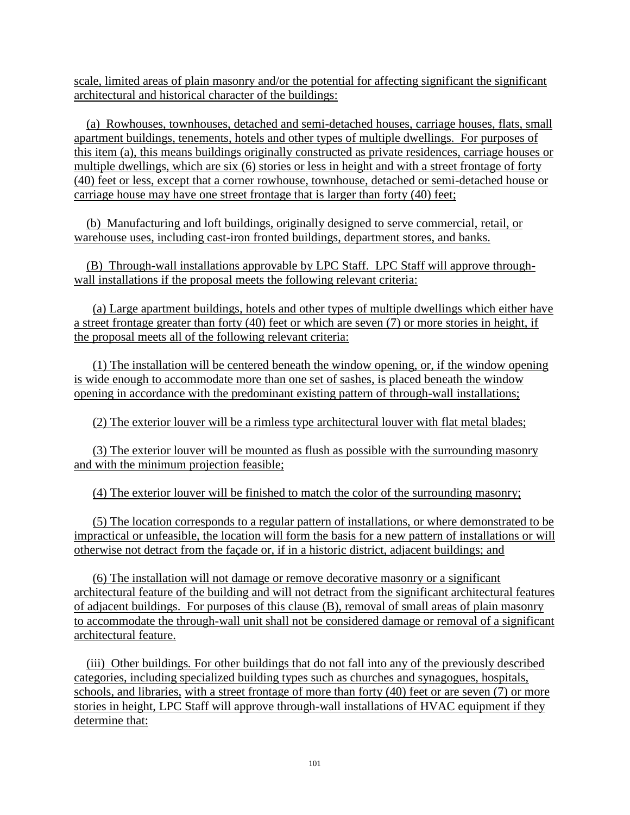scale, limited areas of plain masonry and/or the potential for affecting significant the significant architectural and historical character of the buildings:

(a) Rowhouses, townhouses, detached and semi-detached houses, carriage houses, flats, small apartment buildings, tenements, hotels and other types of multiple dwellings. For purposes of this item (a), this means buildings originally constructed as private residences, carriage houses or multiple dwellings, which are six (6) stories or less in height and with a street frontage of forty (40) feet or less, except that a corner rowhouse, townhouse, detached or semi-detached house or carriage house may have one street frontage that is larger than forty (40) feet;

 (b) Manufacturing and loft buildings, originally designed to serve commercial, retail, or warehouse uses, including cast-iron fronted buildings, department stores, and banks.

(B) Through-wall installations approvable by LPC Staff. LPC Staff will approve throughwall installations if the proposal meets the following relevant criteria:

 (a) Large apartment buildings, hotels and other types of multiple dwellings which either have a street frontage greater than forty (40) feet or which are seven (7) or more stories in height, if the proposal meets all of the following relevant criteria:

 (1) The installation will be centered beneath the window opening, or, if the window opening is wide enough to accommodate more than one set of sashes, is placed beneath the window opening in accordance with the predominant existing pattern of through-wall installations;

(2) The exterior louver will be a rimless type architectural louver with flat metal blades;

 (3) The exterior louver will be mounted as flush as possible with the surrounding masonry and with the minimum projection feasible;

(4) The exterior louver will be finished to match the color of the surrounding masonry;

 (5) The location corresponds to a regular pattern of installations, or where demonstrated to be impractical or unfeasible, the location will form the basis for a new pattern of installations or will otherwise not detract from the façade or, if in a historic district, adjacent buildings; and

(6) The installation will not damage or remove decorative masonry or a significant architectural feature of the building and will not detract from the significant architectural features of adjacent buildings. For purposes of this clause (B), removal of small areas of plain masonry to accommodate the through-wall unit shall not be considered damage or removal of a significant architectural feature.

(iii) Other buildings*.* For other buildings that do not fall into any of the previously described categories, including specialized building types such as churches and synagogues, hospitals, schools, and libraries, with a street frontage of more than forty (40) feet or are seven (7) or more stories in height, LPC Staff will approve through-wall installations of HVAC equipment if they determine that: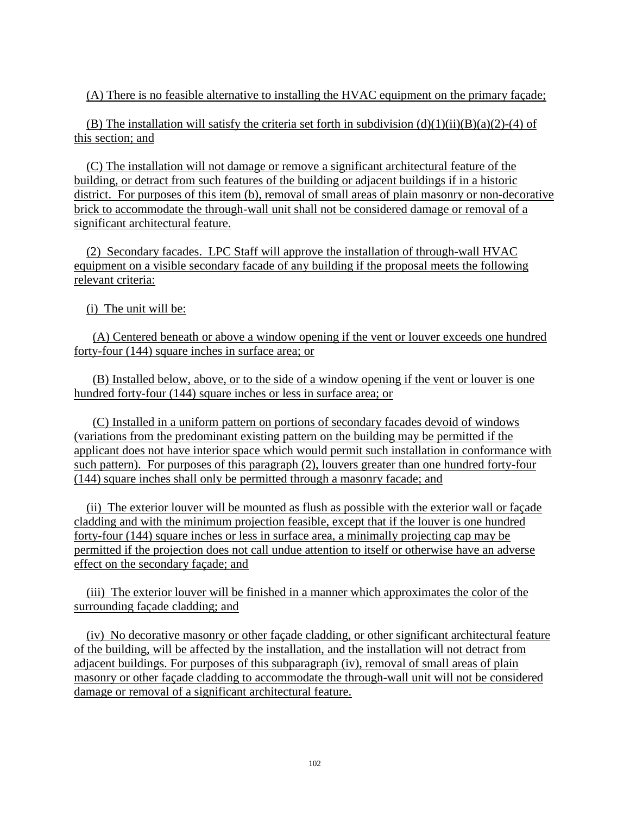(A) There is no feasible alternative to installing the HVAC equipment on the primary façade;

(B) The installation will satisfy the criteria set forth in subdivision  $(d)(1)(ii)(B)(a)(2)-(4)$  of this section; and

 (C) The installation will not damage or remove a significant architectural feature of the building, or detract from such features of the building or adjacent buildings if in a historic district. For purposes of this item (b), removal of small areas of plain masonry or non-decorative brick to accommodate the through-wall unit shall not be considered damage or removal of a significant architectural feature.

(2) Secondary facades. LPC Staff will approve the installation of through-wall HVAC equipment on a visible secondary facade of any building if the proposal meets the following relevant criteria:

(i) The unit will be:

 (A) Centered beneath or above a window opening if the vent or louver exceeds one hundred forty-four (144) square inches in surface area; or

 (B) Installed below, above, or to the side of a window opening if the vent or louver is one hundred forty-four (144) square inches or less in surface area; or

 (C) Installed in a uniform pattern on portions of secondary facades devoid of windows (variations from the predominant existing pattern on the building may be permitted if the applicant does not have interior space which would permit such installation in conformance with such pattern). For purposes of this paragraph (2), louvers greater than one hundred forty-four (144) square inches shall only be permitted through a masonry facade; and

(ii) The exterior louver will be mounted as flush as possible with the exterior wall or façade cladding and with the minimum projection feasible, except that if the louver is one hundred forty-four (144) square inches or less in surface area, a minimally projecting cap may be permitted if the projection does not call undue attention to itself or otherwise have an adverse effect on the secondary façade; and

(iii) The exterior louver will be finished in a manner which approximates the color of the surrounding façade cladding; and

(iv) No decorative masonry or other façade cladding, or other significant architectural feature of the building, will be affected by the installation, and the installation will not detract from adjacent buildings. For purposes of this subparagraph (iv), removal of small areas of plain masonry or other façade cladding to accommodate the through-wall unit will not be considered damage or removal of a significant architectural feature.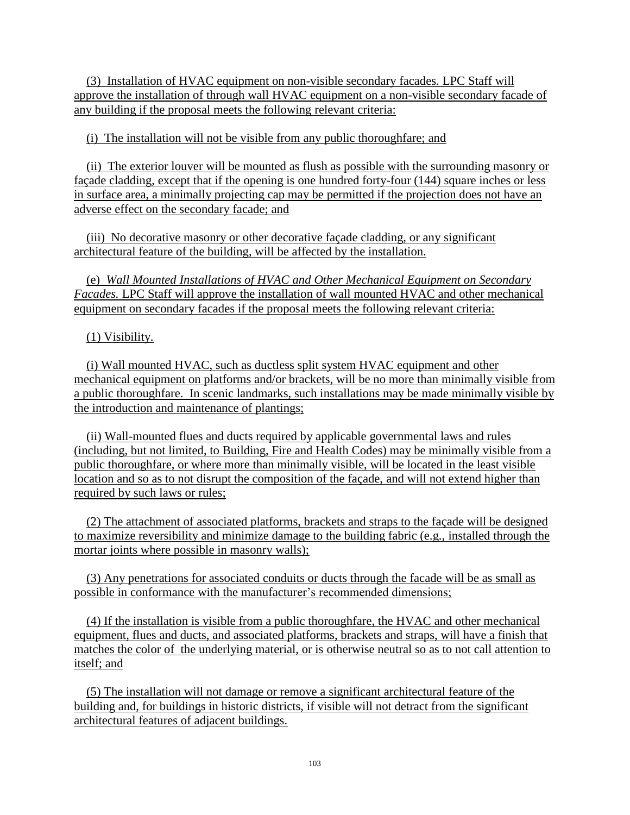(3) Installation of HVAC equipment on non-visible secondary facades*.* LPC Staff will approve the installation of through wall HVAC equipment on a non-visible secondary facade of any building if the proposal meets the following relevant criteria:

(i) The installation will not be visible from any public thoroughfare; and

(ii) The exterior louver will be mounted as flush as possible with the surrounding masonry or façade cladding, except that if the opening is one hundred forty-four (144) square inches or less in surface area, a minimally projecting cap may be permitted if the projection does not have an adverse effect on the secondary facade; and

(iii) No decorative masonry or other decorative façade cladding, or any significant architectural feature of the building, will be affected by the installation.

(e) *Wall Mounted Installations of HVAC and Other Mechanical Equipment on Secondary Facades.* LPC Staff will approve the installation of wall mounted HVAC and other mechanical equipment on secondary facades if the proposal meets the following relevant criteria:

#### (1) Visibility.

 (i) Wall mounted HVAC, such as ductless split system HVAC equipment and other mechanical equipment on platforms and/or brackets, will be no more than minimally visible from a public thoroughfare. In scenic landmarks, such installations may be made minimally visible by the introduction and maintenance of plantings;

 (ii) Wall-mounted flues and ducts required by applicable governmental laws and rules (including, but not limited, to Building, Fire and Health Codes) may be minimally visible from a public thoroughfare, or where more than minimally visible, will be located in the least visible location and so as to not disrupt the composition of the façade, and will not extend higher than required by such laws or rules;

 (2) The attachment of associated platforms, brackets and straps to the façade will be designed to maximize reversibility and minimize damage to the building fabric (e.g., installed through the mortar joints where possible in masonry walls);

 (3) Any penetrations for associated conduits or ducts through the facade will be as small as possible in conformance with the manufacturer's recommended dimensions;

 (4) If the installation is visible from a public thoroughfare, the HVAC and other mechanical equipment, flues and ducts, and associated platforms, brackets and straps, will have a finish that matches the color of the underlying material, or is otherwise neutral so as to not call attention to itself; and

 (5) The installation will not damage or remove a significant architectural feature of the building and, for buildings in historic districts, if visible will not detract from the significant architectural features of adjacent buildings.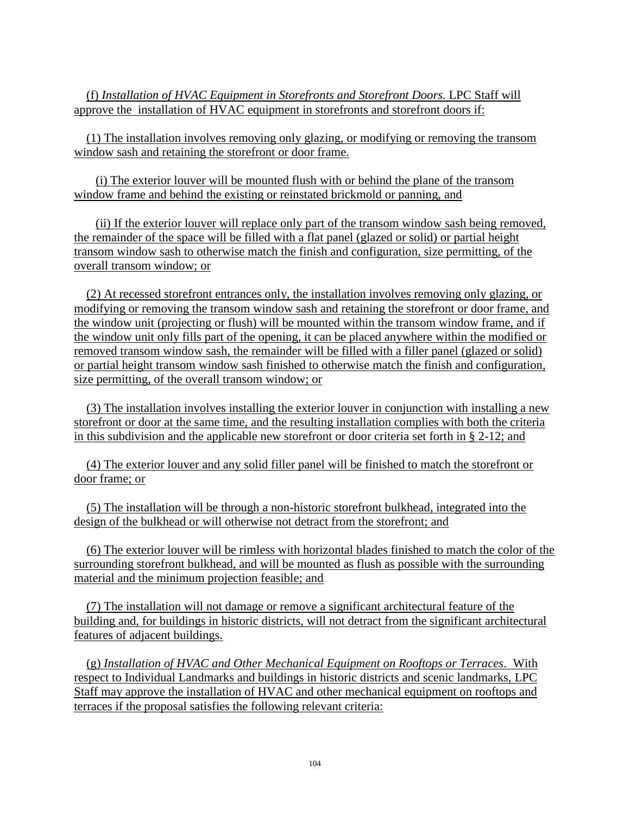(f) *Installation of HVAC Equipment in Storefronts and Storefront Doors.* LPC Staff will approve the installation of HVAC equipment in storefronts and storefront doors if:

(1) The installation involves removing only glazing, or modifying or removing the transom window sash and retaining the storefront or door frame.

 (i) The exterior louver will be mounted flush with or behind the plane of the transom window frame and behind the existing or reinstated brickmold or panning, and

 (ii) If the exterior louver will replace only part of the transom window sash being removed, the remainder of the space will be filled with a flat panel (glazed or solid) or partial height transom window sash to otherwise match the finish and configuration, size permitting, of the overall transom window; or

 (2) At recessed storefront entrances only, the installation involves removing only glazing, or modifying or removing the transom window sash and retaining the storefront or door frame, and the window unit (projecting or flush) will be mounted within the transom window frame, and if the window unit only fills part of the opening, it can be placed anywhere within the modified or removed transom window sash, the remainder will be filled with a filler panel (glazed or solid) or partial height transom window sash finished to otherwise match the finish and configuration, size permitting, of the overall transom window; or

 (3) The installation involves installing the exterior louver in conjunction with installing a new storefront or door at the same time, and the resulting installation complies with both the criteria in this subdivision and the applicable new storefront or door criteria set forth in § 2-12; and

 (4) The exterior louver and any solid filler panel will be finished to match the storefront or door frame; or

 (5) The installation will be through a non-historic storefront bulkhead, integrated into the design of the bulkhead or will otherwise not detract from the storefront; and

 (6) The exterior louver will be rimless with horizontal blades finished to match the color of the surrounding storefront bulkhead, and will be mounted as flush as possible with the surrounding material and the minimum projection feasible; and

 (7) The installation will not damage or remove a significant architectural feature of the building and, for buildings in historic districts, will not detract from the significant architectural features of adjacent buildings.

(g) *Installation of HVAC and Other Mechanical Equipment on Rooftops or Terraces*. With respect to Individual Landmarks and buildings in historic districts and scenic landmarks, LPC Staff may approve the installation of HVAC and other mechanical equipment on rooftops and terraces if the proposal satisfies the following relevant criteria: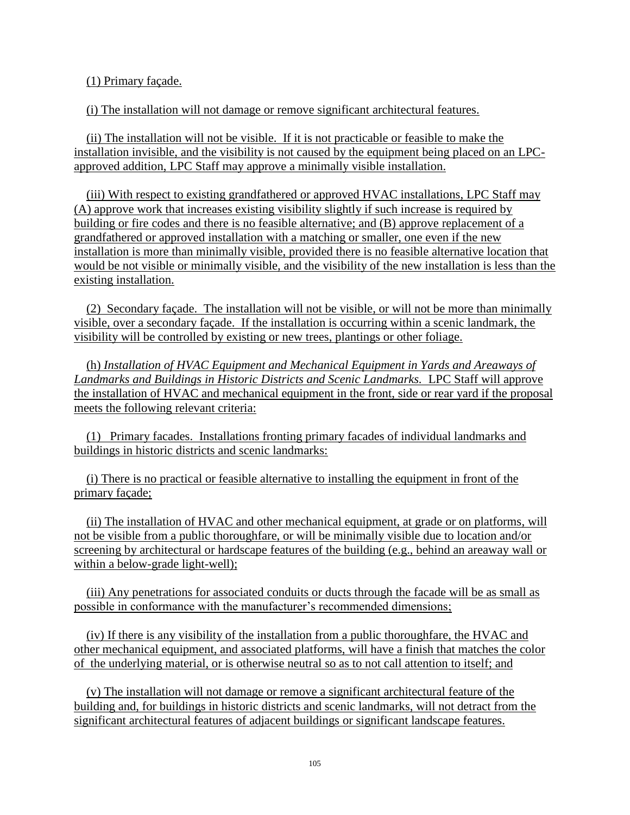(1) Primary façade.

(i) The installation will not damage or remove significant architectural features.

 (ii) The installation will not be visible. If it is not practicable or feasible to make the installation invisible, and the visibility is not caused by the equipment being placed on an LPCapproved addition, LPC Staff may approve a minimally visible installation.

 (iii) With respect to existing grandfathered or approved HVAC installations, LPC Staff may (A) approve work that increases existing visibility slightly if such increase is required by building or fire codes and there is no feasible alternative; and (B) approve replacement of a grandfathered or approved installation with a matching or smaller, one even if the new installation is more than minimally visible, provided there is no feasible alternative location that would be not visible or minimally visible, and the visibility of the new installation is less than the existing installation.

 (2) Secondary façade. The installation will not be visible, or will not be more than minimally visible, over a secondary façade. If the installation is occurring within a scenic landmark, the visibility will be controlled by existing or new trees, plantings or other foliage.

 (h) *Installation of HVAC Equipment and Mechanical Equipment in Yards and Areaways of Landmarks and Buildings in Historic Districts and Scenic Landmarks.* LPC Staff will approve the installation of HVAC and mechanical equipment in the front, side or rear yard if the proposal meets the following relevant criteria:

(1) Primary facades. Installations fronting primary facades of individual landmarks and buildings in historic districts and scenic landmarks:

 (i) There is no practical or feasible alternative to installing the equipment in front of the primary façade;

 (ii) The installation of HVAC and other mechanical equipment, at grade or on platforms, will not be visible from a public thoroughfare, or will be minimally visible due to location and/or screening by architectural or hardscape features of the building (e.g., behind an areaway wall or within a below-grade light-well);

 (iii) Any penetrations for associated conduits or ducts through the facade will be as small as possible in conformance with the manufacturer's recommended dimensions;

 (iv) If there is any visibility of the installation from a public thoroughfare, the HVAC and other mechanical equipment, and associated platforms, will have a finish that matches the color of the underlying material, or is otherwise neutral so as to not call attention to itself; and

 (v) The installation will not damage or remove a significant architectural feature of the building and, for buildings in historic districts and scenic landmarks, will not detract from the significant architectural features of adjacent buildings or significant landscape features.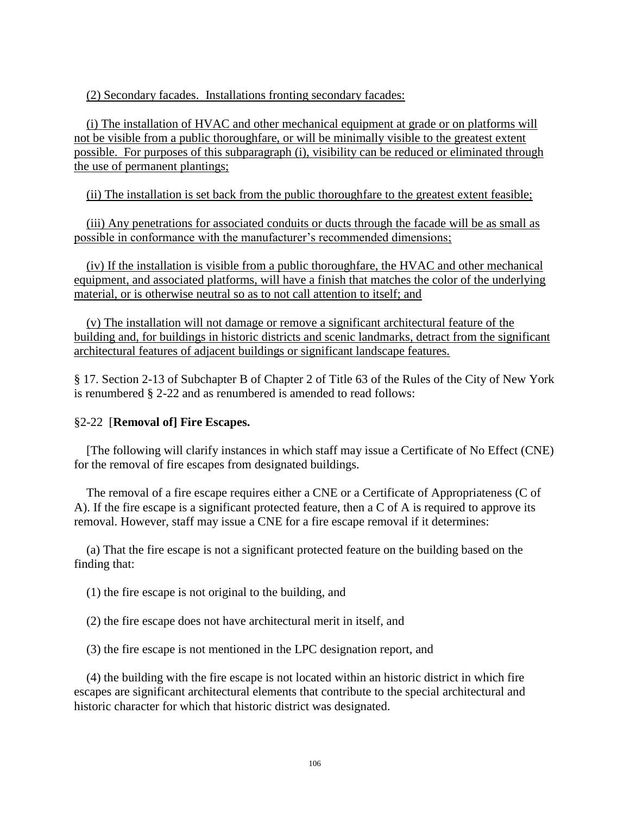(2) Secondary facades. Installations fronting secondary facades:

 (i) The installation of HVAC and other mechanical equipment at grade or on platforms will not be visible from a public thoroughfare, or will be minimally visible to the greatest extent possible. For purposes of this subparagraph (i), visibility can be reduced or eliminated through the use of permanent plantings;

(ii) The installation is set back from the public thoroughfare to the greatest extent feasible;

 (iii) Any penetrations for associated conduits or ducts through the facade will be as small as possible in conformance with the manufacturer's recommended dimensions;

 (iv) If the installation is visible from a public thoroughfare, the HVAC and other mechanical equipment, and associated platforms, will have a finish that matches the color of the underlying material, or is otherwise neutral so as to not call attention to itself; and

 (v) The installation will not damage or remove a significant architectural feature of the building and, for buildings in historic districts and scenic landmarks, detract from the significant architectural features of adjacent buildings or significant landscape features.

§ 17. Section 2-13 of Subchapter B of Chapter 2 of Title 63 of the Rules of the City of New York is renumbered § 2-22 and as renumbered is amended to read follows:

#### §2-22 [**Removal of] Fire Escapes.**

[The following will clarify instances in which staff may issue a Certificate of No Effect (CNE) for the removal of fire escapes from designated buildings.

The removal of a fire escape requires either a CNE or a Certificate of Appropriateness (C of A). If the fire escape is a significant protected feature, then a C of A is required to approve its removal. However, staff may issue a CNE for a fire escape removal if it determines:

(a) That the fire escape is not a significant protected feature on the building based on the finding that:

(1) the fire escape is not original to the building, and

(2) the fire escape does not have architectural merit in itself, and

(3) the fire escape is not mentioned in the LPC designation report, and

(4) the building with the fire escape is not located within an historic district in which fire escapes are significant architectural elements that contribute to the special architectural and historic character for which that historic district was designated.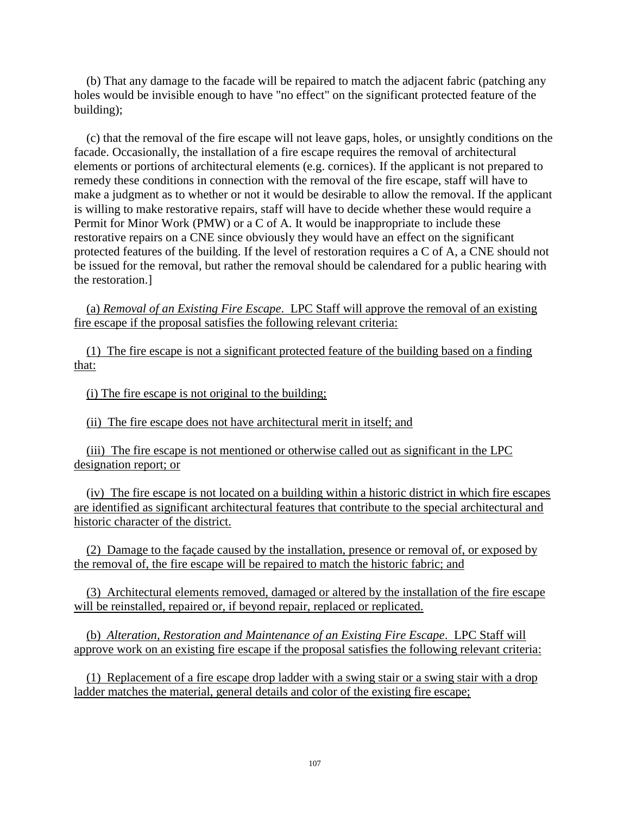(b) That any damage to the facade will be repaired to match the adjacent fabric (patching any holes would be invisible enough to have "no effect" on the significant protected feature of the building);

(c) that the removal of the fire escape will not leave gaps, holes, or unsightly conditions on the facade. Occasionally, the installation of a fire escape requires the removal of architectural elements or portions of architectural elements (e.g. cornices). If the applicant is not prepared to remedy these conditions in connection with the removal of the fire escape, staff will have to make a judgment as to whether or not it would be desirable to allow the removal. If the applicant is willing to make restorative repairs, staff will have to decide whether these would require a Permit for Minor Work (PMW) or a C of A. It would be inappropriate to include these restorative repairs on a CNE since obviously they would have an effect on the significant protected features of the building. If the level of restoration requires a C of A, a CNE should not be issued for the removal, but rather the removal should be calendared for a public hearing with the restoration.]

 (a) *Removal of an Existing Fire Escape*. LPC Staff will approve the removal of an existing fire escape if the proposal satisfies the following relevant criteria:

 (1) The fire escape is not a significant protected feature of the building based on a finding that:

(i) The fire escape is not original to the building;

(ii) The fire escape does not have architectural merit in itself; and

 (iii) The fire escape is not mentioned or otherwise called out as significant in the LPC designation report; or

 (iv) The fire escape is not located on a building within a historic district in which fire escapes are identified as significant architectural features that contribute to the special architectural and historic character of the district.

 (2) Damage to the façade caused by the installation, presence or removal of, or exposed by the removal of, the fire escape will be repaired to match the historic fabric; and

 (3) Architectural elements removed, damaged or altered by the installation of the fire escape will be reinstalled, repaired or, if beyond repair, replaced or replicated.

 (b) *Alteration, Restoration and Maintenance of an Existing Fire Escape*. LPC Staff will approve work on an existing fire escape if the proposal satisfies the following relevant criteria:

 (1) Replacement of a fire escape drop ladder with a swing stair or a swing stair with a drop ladder matches the material, general details and color of the existing fire escape;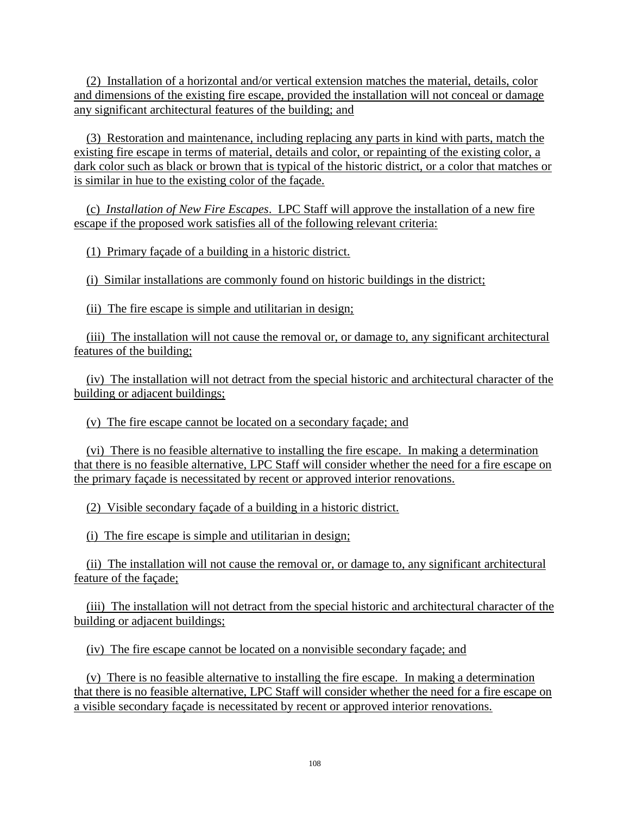(2) Installation of a horizontal and/or vertical extension matches the material, details, color and dimensions of the existing fire escape, provided the installation will not conceal or damage any significant architectural features of the building; and

 (3) Restoration and maintenance, including replacing any parts in kind with parts, match the existing fire escape in terms of material, details and color, or repainting of the existing color, a dark color such as black or brown that is typical of the historic district, or a color that matches or is similar in hue to the existing color of the façade.

 (c) *Installation of New Fire Escapes*. LPC Staff will approve the installation of a new fire escape if the proposed work satisfies all of the following relevant criteria:

(1) Primary façade of a building in a historic district.

(i) Similar installations are commonly found on historic buildings in the district;

(ii) The fire escape is simple and utilitarian in design;

 (iii) The installation will not cause the removal or, or damage to, any significant architectural features of the building;

 (iv) The installation will not detract from the special historic and architectural character of the building or adjacent buildings;

(v) The fire escape cannot be located on a secondary façade; and

 (vi) There is no feasible alternative to installing the fire escape. In making a determination that there is no feasible alternative, LPC Staff will consider whether the need for a fire escape on the primary façade is necessitated by recent or approved interior renovations.

(2) Visible secondary façade of a building in a historic district.

(i) The fire escape is simple and utilitarian in design;

 (ii) The installation will not cause the removal or, or damage to, any significant architectural feature of the façade;

 (iii) The installation will not detract from the special historic and architectural character of the building or adjacent buildings;

(iv) The fire escape cannot be located on a nonvisible secondary façade; and

 (v) There is no feasible alternative to installing the fire escape. In making a determination that there is no feasible alternative, LPC Staff will consider whether the need for a fire escape on a visible secondary façade is necessitated by recent or approved interior renovations.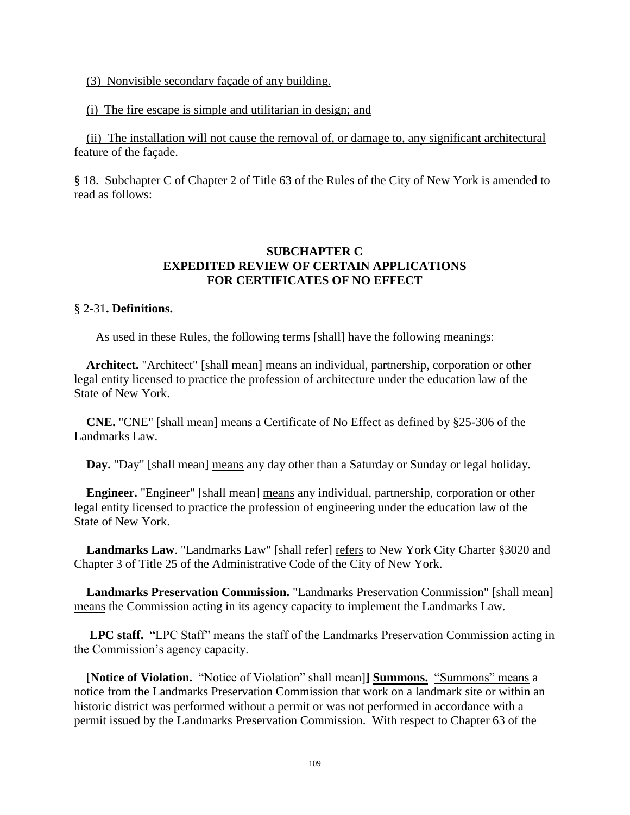(3) Nonvisible secondary façade of any building.

#### (i) The fire escape is simple and utilitarian in design; and

 (ii) The installation will not cause the removal of, or damage to, any significant architectural feature of the façade.

§ 18. Subchapter C of Chapter 2 of Title 63 of the Rules of the City of New York is amended to read as follows:

## **SUBCHAPTER C EXPEDITED REVIEW OF CERTAIN APPLICATIONS FOR CERTIFICATES OF NO EFFECT**

#### § 2-31**. Definitions.**

As used in these Rules, the following terms [shall] have the following meanings:

**Architect.** "Architect" [shall mean] means an individual, partnership, corporation or other legal entity licensed to practice the profession of architecture under the education law of the State of New York.

**CNE.** "CNE" [shall mean] means a Certificate of No Effect as defined by §25-306 of the Landmarks Law.

**Day.** "Day" [shall mean] means any day other than a Saturday or Sunday or legal holiday.

**Engineer.** "Engineer" [shall mean] means any individual, partnership, corporation or other legal entity licensed to practice the profession of engineering under the education law of the State of New York.

Landmarks Law. "Landmarks Law" [shall refer] refers to New York City Charter §3020 and Chapter 3 of Title 25 of the Administrative Code of the City of New York.

**Landmarks Preservation Commission.** "Landmarks Preservation Commission" [shall mean] means the Commission acting in its agency capacity to implement the Landmarks Law.

 **LPC staff.** "LPC Staff" means the staff of the Landmarks Preservation Commission acting in the Commission's agency capacity.

[**Notice of Violation.** "Notice of Violation" shall mean]**] Summons.** "Summons" means a notice from the Landmarks Preservation Commission that work on a landmark site or within an historic district was performed without a permit or was not performed in accordance with a permit issued by the Landmarks Preservation Commission. With respect to Chapter 63 of the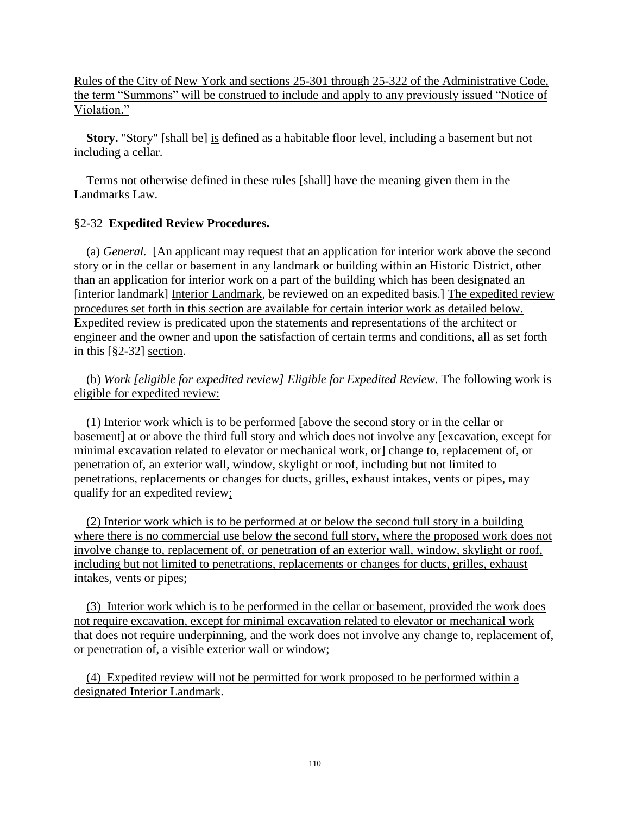Rules of the City of New York and sections 25-301 through 25-322 of the Administrative Code, the term "Summons" will be construed to include and apply to any previously issued "Notice of Violation."

**Story.** "Story" [shall be] is defined as a habitable floor level, including a basement but not including a cellar.

Terms not otherwise defined in these rules [shall] have the meaning given them in the Landmarks Law.

# §2-32 **Expedited Review Procedures.**

(a) *General.* [An applicant may request that an application for interior work above the second story or in the cellar or basement in any landmark or building within an Historic District, other than an application for interior work on a part of the building which has been designated an [interior landmark] Interior Landmark, be reviewed on an expedited basis.] The expedited review procedures set forth in this section are available for certain interior work as detailed below. Expedited review is predicated upon the statements and representations of the architect or engineer and the owner and upon the satisfaction of certain terms and conditions, all as set forth in this [§2-32] section.

(b) *Work [eligible for expedited review] Eligible for Expedited Review.* The following work is eligible for expedited review:

 (1) Interior work which is to be performed [above the second story or in the cellar or basement] at or above the third full story and which does not involve any [excavation, except for minimal excavation related to elevator or mechanical work, or] change to, replacement of, or penetration of, an exterior wall, window, skylight or roof, including but not limited to penetrations, replacements or changes for ducts, grilles, exhaust intakes, vents or pipes, may qualify for an expedited review;

 (2) Interior work which is to be performed at or below the second full story in a building where there is no commercial use below the second full story, where the proposed work does not involve change to, replacement of, or penetration of an exterior wall, window, skylight or roof, including but not limited to penetrations, replacements or changes for ducts, grilles, exhaust intakes, vents or pipes;

 (3) Interior work which is to be performed in the cellar or basement, provided the work does not require excavation, except for minimal excavation related to elevator or mechanical work that does not require underpinning, and the work does not involve any change to, replacement of, or penetration of, a visible exterior wall or window;

 (4) Expedited review will not be permitted for work proposed to be performed within a designated Interior Landmark.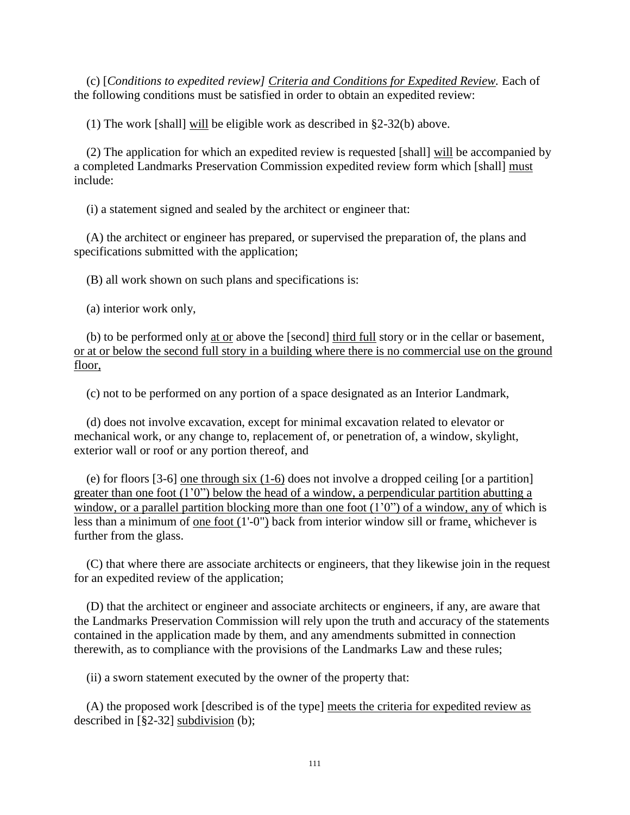(c) [*Conditions to expedited review] Criteria and Conditions for Expedited Review.* Each of the following conditions must be satisfied in order to obtain an expedited review:

(1) The work [shall] will be eligible work as described in §2-32(b) above.

(2) The application for which an expedited review is requested [shall] will be accompanied by a completed Landmarks Preservation Commission expedited review form which [shall] must include:

(i) a statement signed and sealed by the architect or engineer that:

(A) the architect or engineer has prepared, or supervised the preparation of, the plans and specifications submitted with the application;

(B) all work shown on such plans and specifications is:

(a) interior work only,

(b) to be performed only at or above the [second] third full story or in the cellar or basement, or at or below the second full story in a building where there is no commercial use on the ground floor,

(c) not to be performed on any portion of a space designated as an Interior Landmark,

(d) does not involve excavation, except for minimal excavation related to elevator or mechanical work, or any change to, replacement of, or penetration of, a window, skylight, exterior wall or roof or any portion thereof, and

(e) for floors [3-6] one through six (1-6) does not involve a dropped ceiling [or a partition] greater than one foot  $(1'0'')$  below the head of a window, a perpendicular partition abutting a window, or a parallel partition blocking more than one foot  $(1'0'')$  of a window, any of which is less than a minimum of one foot (1'-0") back from interior window sill or frame, whichever is further from the glass.

(C) that where there are associate architects or engineers, that they likewise join in the request for an expedited review of the application;

(D) that the architect or engineer and associate architects or engineers, if any, are aware that the Landmarks Preservation Commission will rely upon the truth and accuracy of the statements contained in the application made by them, and any amendments submitted in connection therewith, as to compliance with the provisions of the Landmarks Law and these rules;

(ii) a sworn statement executed by the owner of the property that:

(A) the proposed work [described is of the type] meets the criteria for expedited review as described in [§2-32] subdivision (b);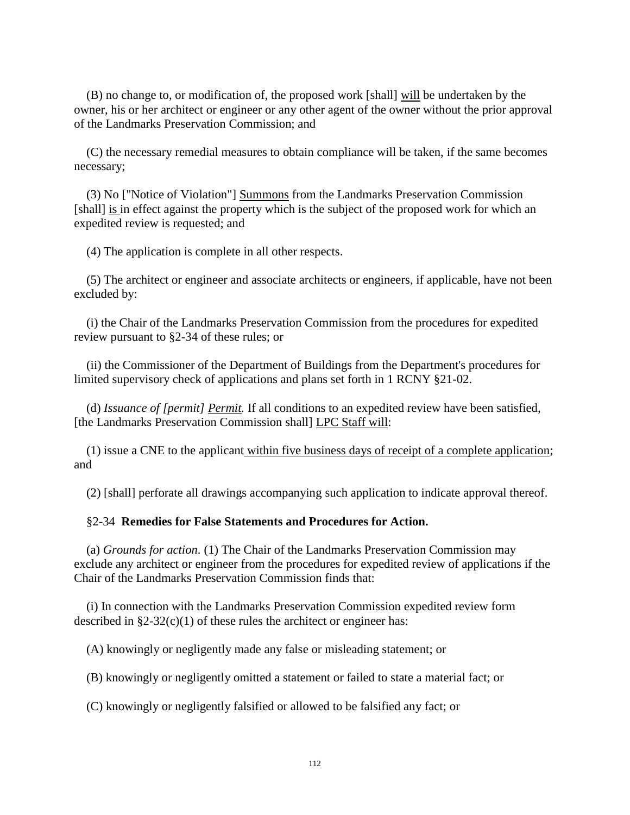(B) no change to, or modification of, the proposed work [shall] will be undertaken by the owner, his or her architect or engineer or any other agent of the owner without the prior approval of the Landmarks Preservation Commission; and

(C) the necessary remedial measures to obtain compliance will be taken, if the same becomes necessary;

(3) No ["Notice of Violation"] Summons from the Landmarks Preservation Commission [shall] is in effect against the property which is the subject of the proposed work for which an expedited review is requested; and

(4) The application is complete in all other respects.

(5) The architect or engineer and associate architects or engineers, if applicable, have not been excluded by:

(i) the Chair of the Landmarks Preservation Commission from the procedures for expedited review pursuant to §2-34 of these rules; or

(ii) the Commissioner of the Department of Buildings from the Department's procedures for limited supervisory check of applications and plans set forth in 1 RCNY §21-02.

(d) *Issuance of [permit] Permit.* If all conditions to an expedited review have been satisfied, [the Landmarks Preservation Commission shall] LPC Staff will:

(1) issue a CNE to the applicant within five business days of receipt of a complete application; and

(2) [shall] perforate all drawings accompanying such application to indicate approval thereof.

#### §2-34 **Remedies for False Statements and Procedures for Action.**

(a) *Grounds for action.* (1) The Chair of the Landmarks Preservation Commission may exclude any architect or engineer from the procedures for expedited review of applications if the Chair of the Landmarks Preservation Commission finds that:

(i) In connection with the Landmarks Preservation Commission expedited review form described in  $\S2-32(c)(1)$  of these rules the architect or engineer has:

(A) knowingly or negligently made any false or misleading statement; or

(B) knowingly or negligently omitted a statement or failed to state a material fact; or

(C) knowingly or negligently falsified or allowed to be falsified any fact; or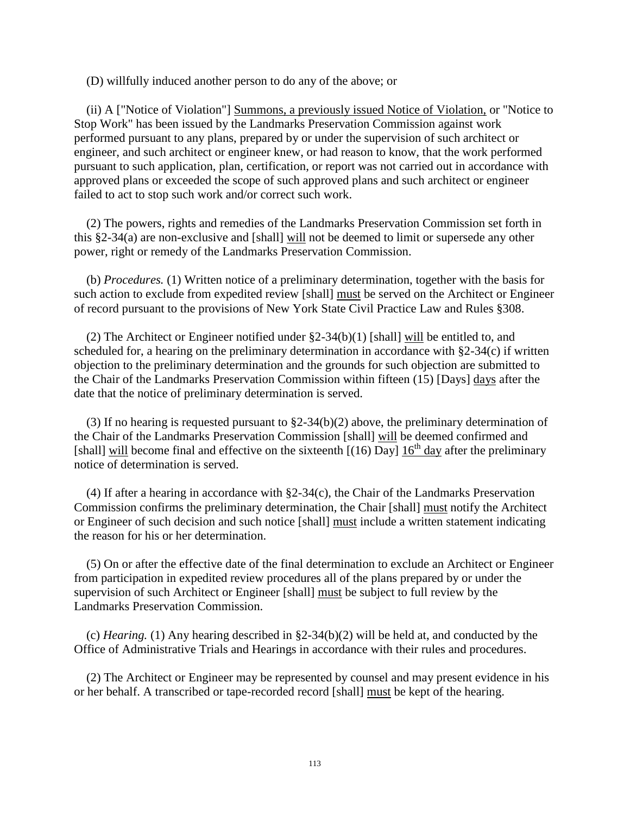(D) willfully induced another person to do any of the above; or

(ii) A ["Notice of Violation"] Summons, a previously issued Notice of Violation, or "Notice to Stop Work" has been issued by the Landmarks Preservation Commission against work performed pursuant to any plans, prepared by or under the supervision of such architect or engineer, and such architect or engineer knew, or had reason to know, that the work performed pursuant to such application, plan, certification, or report was not carried out in accordance with approved plans or exceeded the scope of such approved plans and such architect or engineer failed to act to stop such work and/or correct such work.

(2) The powers, rights and remedies of the Landmarks Preservation Commission set forth in this §2-34(a) are non-exclusive and [shall] will not be deemed to limit or supersede any other power, right or remedy of the Landmarks Preservation Commission.

(b) *Procedures.* (1) Written notice of a preliminary determination, together with the basis for such action to exclude from expedited review [shall] must be served on the Architect or Engineer of record pursuant to the provisions of New York State Civil Practice Law and Rules §308.

(2) The Architect or Engineer notified under §2-34(b)(1) [shall] will be entitled to, and scheduled for, a hearing on the preliminary determination in accordance with §2-34(c) if written objection to the preliminary determination and the grounds for such objection are submitted to the Chair of the Landmarks Preservation Commission within fifteen (15) [Days] days after the date that the notice of preliminary determination is served.

(3) If no hearing is requested pursuant to §2-34(b)(2) above, the preliminary determination of the Chair of the Landmarks Preservation Commission [shall] will be deemed confirmed and [shall] will become final and effective on the sixteenth  $[(16)$  Day]  $16<sup>th</sup>$  day after the preliminary notice of determination is served.

(4) If after a hearing in accordance with §2-34(c), the Chair of the Landmarks Preservation Commission confirms the preliminary determination, the Chair [shall] must notify the Architect or Engineer of such decision and such notice [shall] must include a written statement indicating the reason for his or her determination.

(5) On or after the effective date of the final determination to exclude an Architect or Engineer from participation in expedited review procedures all of the plans prepared by or under the supervision of such Architect or Engineer [shall] must be subject to full review by the Landmarks Preservation Commission.

(c) *Hearing.* (1) Any hearing described in §2-34(b)(2) will be held at, and conducted by the Office of Administrative Trials and Hearings in accordance with their rules and procedures.

(2) The Architect or Engineer may be represented by counsel and may present evidence in his or her behalf. A transcribed or tape-recorded record [shall] must be kept of the hearing.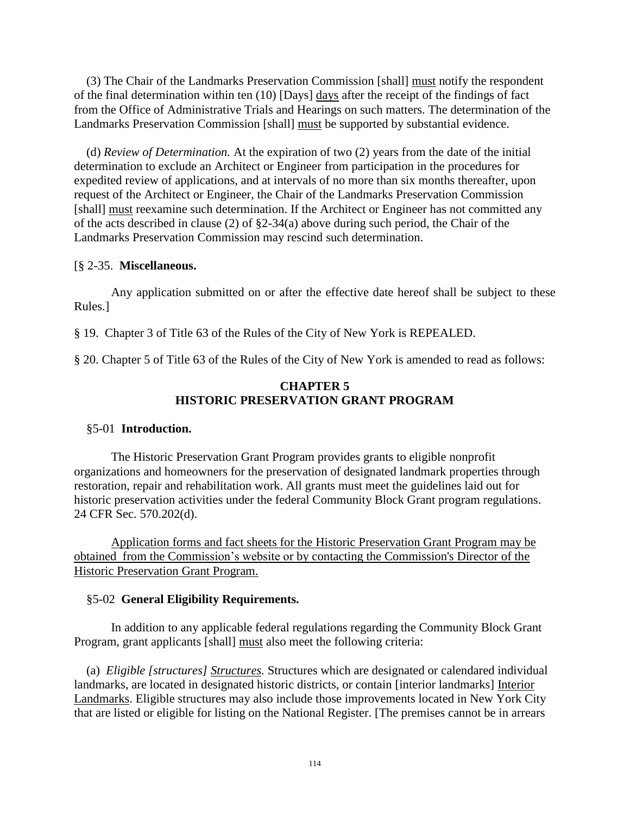(3) The Chair of the Landmarks Preservation Commission [shall] must notify the respondent of the final determination within ten (10) [Days] days after the receipt of the findings of fact from the Office of Administrative Trials and Hearings on such matters. The determination of the Landmarks Preservation Commission [shall] must be supported by substantial evidence.

(d) *Review of Determination.* At the expiration of two (2) years from the date of the initial determination to exclude an Architect or Engineer from participation in the procedures for expedited review of applications, and at intervals of no more than six months thereafter, upon request of the Architect or Engineer, the Chair of the Landmarks Preservation Commission [shall] must reexamine such determination. If the Architect or Engineer has not committed any of the acts described in clause (2) of §2-34(a) above during such period, the Chair of the Landmarks Preservation Commission may rescind such determination.

#### [§ 2-35. **Miscellaneous.**

Any application submitted on or after the effective date hereof shall be subject to these Rules.]

§ 19. Chapter 3 of Title 63 of the Rules of the City of New York is REPEALED.

§ 20. Chapter 5 of Title 63 of the Rules of the City of New York is amended to read as follows:

#### **CHAPTER 5 HISTORIC PRESERVATION GRANT PROGRAM**

#### §5-01 **Introduction.**

The Historic Preservation Grant Program provides grants to eligible nonprofit organizations and homeowners for the preservation of designated landmark properties through restoration, repair and rehabilitation work. All grants must meet the guidelines laid out for historic preservation activities under the federal Community Block Grant program regulations. 24 CFR Sec. 570.202(d).

Application forms and fact sheets for the Historic Preservation Grant Program may be obtained from the Commission's website or by contacting the Commission's Director of the Historic Preservation Grant Program.

## §5-02 **General Eligibility Requirements.**

In addition to any applicable federal regulations regarding the Community Block Grant Program, grant applicants [shall] must also meet the following criteria:

(a) *Eligible [structures] Structures.* Structures which are designated or calendared individual landmarks, are located in designated historic districts, or contain [interior landmarks] Interior Landmarks. Eligible structures may also include those improvements located in New York City that are listed or eligible for listing on the National Register. [The premises cannot be in arrears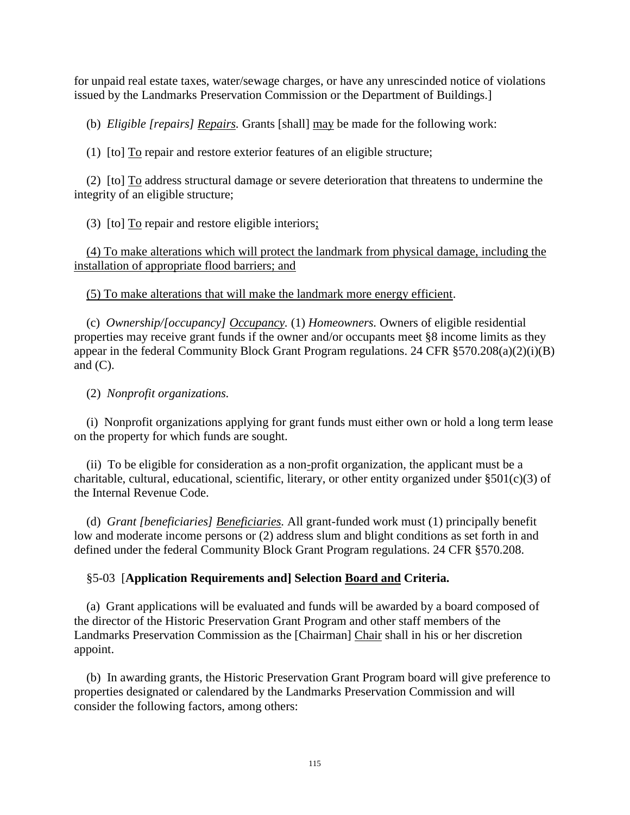for unpaid real estate taxes, water/sewage charges, or have any unrescinded notice of violations issued by the Landmarks Preservation Commission or the Department of Buildings.]

(b) *Eligible [repairs] Repairs.* Grants [shall] may be made for the following work:

(1) [to] To repair and restore exterior features of an eligible structure;

(2) [to] To address structural damage or severe deterioration that threatens to undermine the integrity of an eligible structure;

(3) [to] To repair and restore eligible interiors;

 (4) To make alterations which will protect the landmark from physical damage, including the installation of appropriate flood barriers; and

(5) To make alterations that will make the landmark more energy efficient.

(c) *Ownership/[occupancy] Occupancy.* (1) *Homeowners.* Owners of eligible residential properties may receive grant funds if the owner and/or occupants meet §8 income limits as they appear in the federal Community Block Grant Program regulations. 24 CFR §570.208(a)(2)(i)(B) and  $(C)$ .

(2) *Nonprofit organizations.*

(i) Nonprofit organizations applying for grant funds must either own or hold a long term lease on the property for which funds are sought.

(ii) To be eligible for consideration as a non-profit organization, the applicant must be a charitable, cultural, educational, scientific, literary, or other entity organized under  $\S501(c)(3)$  of the Internal Revenue Code.

(d) *Grant [beneficiaries] Beneficiaries.* All grant-funded work must (1) principally benefit low and moderate income persons or (2) address slum and blight conditions as set forth in and defined under the federal Community Block Grant Program regulations. 24 CFR §570.208.

#### §5-03 [**Application Requirements and] Selection Board and Criteria.**

(a) Grant applications will be evaluated and funds will be awarded by a board composed of the director of the Historic Preservation Grant Program and other staff members of the Landmarks Preservation Commission as the [Chairman] Chair shall in his or her discretion appoint.

(b) In awarding grants, the Historic Preservation Grant Program board will give preference to properties designated or calendared by the Landmarks Preservation Commission and will consider the following factors, among others: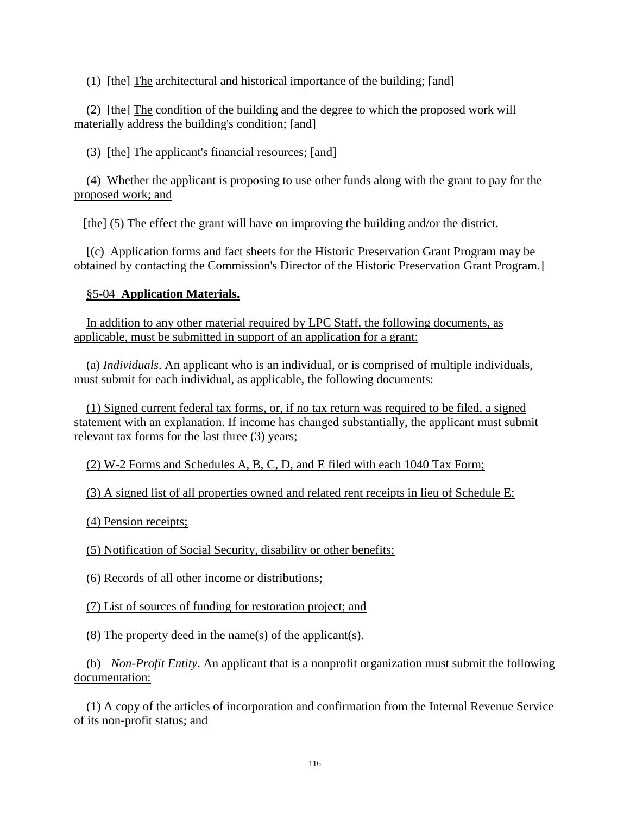(1) [the] The architectural and historical importance of the building; [and]

(2) [the] The condition of the building and the degree to which the proposed work will materially address the building's condition; [and]

(3) [the] The applicant's financial resources; [and]

(4) Whether the applicant is proposing to use other funds along with the grant to pay for the proposed work; and

[the] (5) The effect the grant will have on improving the building and/or the district.

[(c) Application forms and fact sheets for the Historic Preservation Grant Program may be obtained by contacting the Commission's Director of the Historic Preservation Grant Program.]

## §5-04 **Application Materials.**

 In addition to any other material required by LPC Staff, the following documents, as applicable, must be submitted in support of an application for a grant:

 (a) *Individuals*. An applicant who is an individual, or is comprised of multiple individuals, must submit for each individual, as applicable, the following documents:

 (1) Signed current federal tax forms, or, if no tax return was required to be filed, a signed statement with an explanation. If income has changed substantially, the applicant must submit relevant tax forms for the last three (3) years;

(2) W-2 Forms and Schedules A, B, C, D, and E filed with each 1040 Tax Form;

(3) A signed list of all properties owned and related rent receipts in lieu of Schedule E;

(4) Pension receipts;

(5) Notification of Social Security, disability or other benefits;

(6) Records of all other income or distributions;

(7) List of sources of funding for restoration project; and

(8) The property deed in the name(s) of the applicant(s).

 (b) *Non-Profit Entity*. An applicant that is a nonprofit organization must submit the following documentation:

 (1) A copy of the articles of incorporation and confirmation from the Internal Revenue Service of its non-profit status; and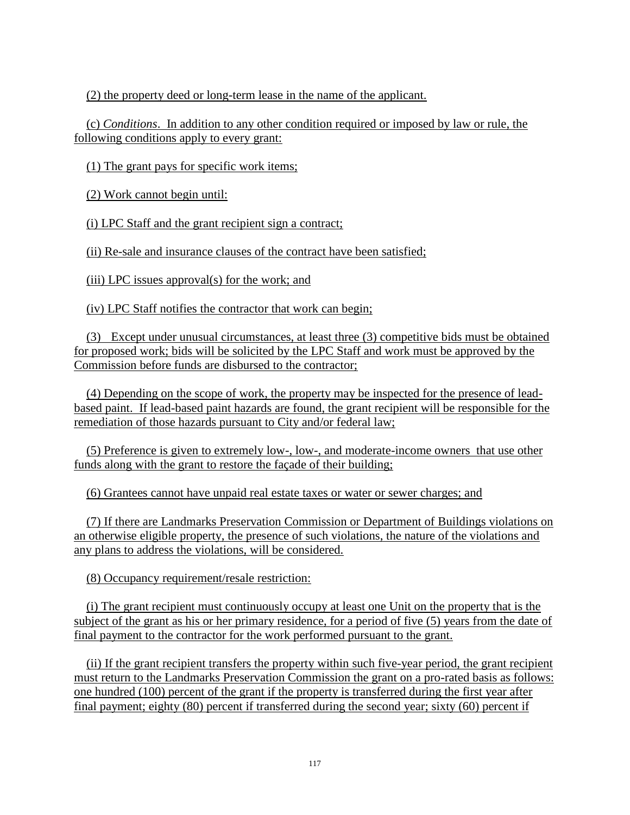(2) the property deed or long-term lease in the name of the applicant.

 (c) *Conditions*. In addition to any other condition required or imposed by law or rule, the following conditions apply to every grant:

(1) The grant pays for specific work items;

(2) Work cannot begin until:

(i) LPC Staff and the grant recipient sign a contract;

(ii) Re-sale and insurance clauses of the contract have been satisfied;

(iii) LPC issues approval(s) for the work; and

(iv) LPC Staff notifies the contractor that work can begin;

 (3) Except under unusual circumstances, at least three (3) competitive bids must be obtained for proposed work; bids will be solicited by the LPC Staff and work must be approved by the Commission before funds are disbursed to the contractor;

 (4) Depending on the scope of work, the property may be inspected for the presence of leadbased paint. If lead-based paint hazards are found, the grant recipient will be responsible for the remediation of those hazards pursuant to City and/or federal law;

 (5) Preference is given to extremely low-, low-, and moderate-income owners that use other funds along with the grant to restore the façade of their building;

(6) Grantees cannot have unpaid real estate taxes or water or sewer charges; and

 (7) If there are Landmarks Preservation Commission or Department of Buildings violations on an otherwise eligible property, the presence of such violations, the nature of the violations and any plans to address the violations, will be considered.

(8) Occupancy requirement/resale restriction:

 (i) The grant recipient must continuously occupy at least one Unit on the property that is the subject of the grant as his or her primary residence, for a period of five (5) years from the date of final payment to the contractor for the work performed pursuant to the grant.

 (ii) If the grant recipient transfers the property within such five-year period, the grant recipient must return to the Landmarks Preservation Commission the grant on a pro-rated basis as follows: one hundred (100) percent of the grant if the property is transferred during the first year after final payment; eighty (80) percent if transferred during the second year; sixty (60) percent if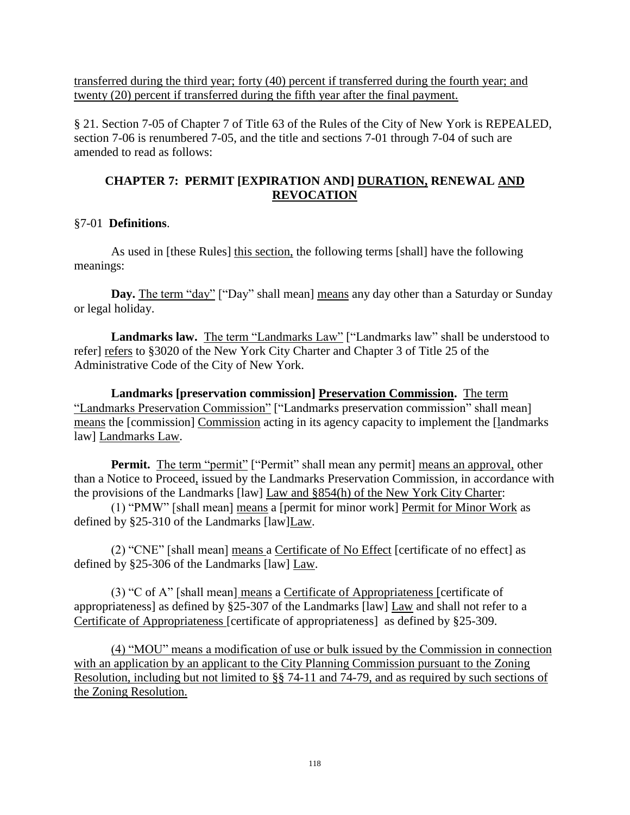transferred during the third year; forty (40) percent if transferred during the fourth year; and twenty (20) percent if transferred during the fifth year after the final payment.

§ 21. Section 7-05 of Chapter 7 of Title 63 of the Rules of the City of New York is REPEALED, section 7-06 is renumbered 7-05, and the title and sections 7-01 through 7-04 of such are amended to read as follows:

## **CHAPTER 7: PERMIT [EXPIRATION AND] DURATION, RENEWAL AND REVOCATION**

## §7-01 **Definitions**.

As used in [these Rules] this section, the following terms [shall] have the following meanings:

Day. The term "day" ["Day" shall mean] means any day other than a Saturday or Sunday or legal holiday.

Landmarks law. The term "Landmarks Law" ["Landmarks law" shall be understood to refer] refers to §3020 of the New York City Charter and Chapter 3 of Title 25 of the Administrative Code of the City of New York.

**Landmarks [preservation commission] Preservation Commission.** The term "Landmarks Preservation Commission" ["Landmarks preservation commission" shall mean] means the [commission] Commission acting in its agency capacity to implement the [landmarks law] Landmarks Law.

**Permit.** The term "permit" ["Permit" shall mean any permit] means an approval, other than a Notice to Proceed, issued by the Landmarks Preservation Commission, in accordance with the provisions of the Landmarks [law] Law and §854(h) of the New York City Charter:

(1) "PMW" [shall mean] means a [permit for minor work] Permit for Minor Work as defined by §25-310 of the Landmarks [law]Law.

(2) "CNE" [shall mean] means a Certificate of No Effect [certificate of no effect] as defined by §25-306 of the Landmarks [law] Law.

(3) "C of A" [shall mean] means a Certificate of Appropriateness [certificate of appropriateness] as defined by §25-307 of the Landmarks [law] Law and shall not refer to a Certificate of Appropriateness [certificate of appropriateness] as defined by §25-309.

(4) "MOU" means a modification of use or bulk issued by the Commission in connection with an application by an applicant to the City Planning Commission pursuant to the Zoning Resolution, including but not limited to §§ 74-11 and 74-79, and as required by such sections of the Zoning Resolution.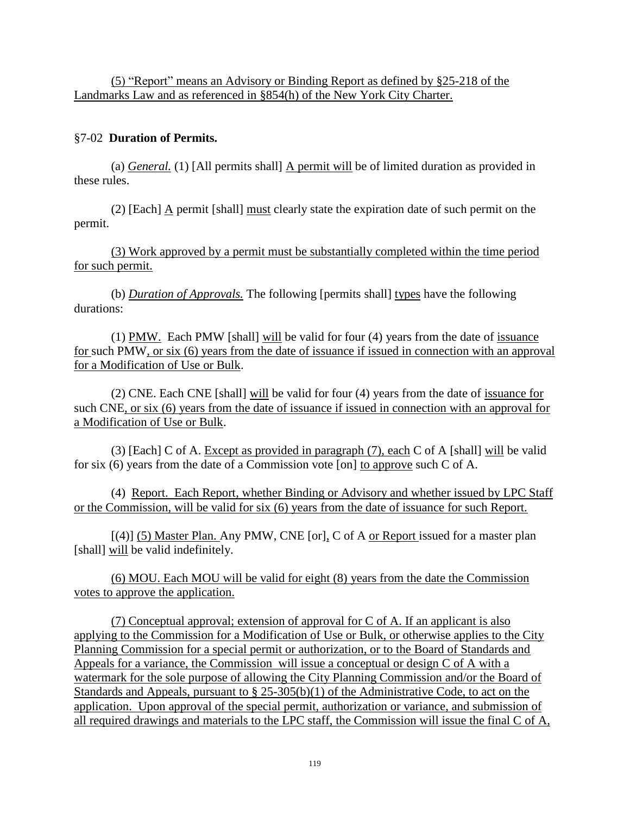(5) "Report" means an Advisory or Binding Report as defined by §25-218 of the Landmarks Law and as referenced in §854(h) of the New York City Charter.

## §7-02 **Duration of Permits.**

(a) *General.* (1) [All permits shall] A permit will be of limited duration as provided in these rules.

(2) [Each]  $\Delta$  permit [shall] must clearly state the expiration date of such permit on the permit.

 (3) Work approved by a permit must be substantially completed within the time period for such permit.

(b) *Duration of Approvals.* The following [permits shall] types have the following durations:

(1) PMW. Each PMW [shall] will be valid for four (4) years from the date of issuance for such PMW, or six (6) years from the date of issuance if issued in connection with an approval for a Modification of Use or Bulk.

(2) CNE. Each CNE [shall] will be valid for four (4) years from the date of issuance for such CNE, or six (6) years from the date of issuance if issued in connection with an approval for a Modification of Use or Bulk.

(3) [Each] C of A. Except as provided in paragraph (7), each C of A [shall] will be valid for six (6) years from the date of a Commission vote [on] to approve such C of A.

 (4) Report. Each Report, whether Binding or Advisory and whether issued by LPC Staff or the Commission, will be valid for six (6) years from the date of issuance for such Report.

[(4)] (5) Master Plan. Any PMW, CNE [or], C of A or Report issued for a master plan [shall] will be valid indefinitely.

 (6) MOU. Each MOU will be valid for eight (8) years from the date the Commission votes to approve the application.

 (7) Conceptual approval; extension of approval for C of A. If an applicant is also applying to the Commission for a Modification of Use or Bulk, or otherwise applies to the City Planning Commission for a special permit or authorization, or to the Board of Standards and Appeals for a variance, the Commission will issue a conceptual or design C of A with a watermark for the sole purpose of allowing the City Planning Commission and/or the Board of Standards and Appeals, pursuant to  $\S 25-305(b)(1)$  of the Administrative Code, to act on the application. Upon approval of the special permit, authorization or variance, and submission of all required drawings and materials to the LPC staff, the Commission will issue the final C of A,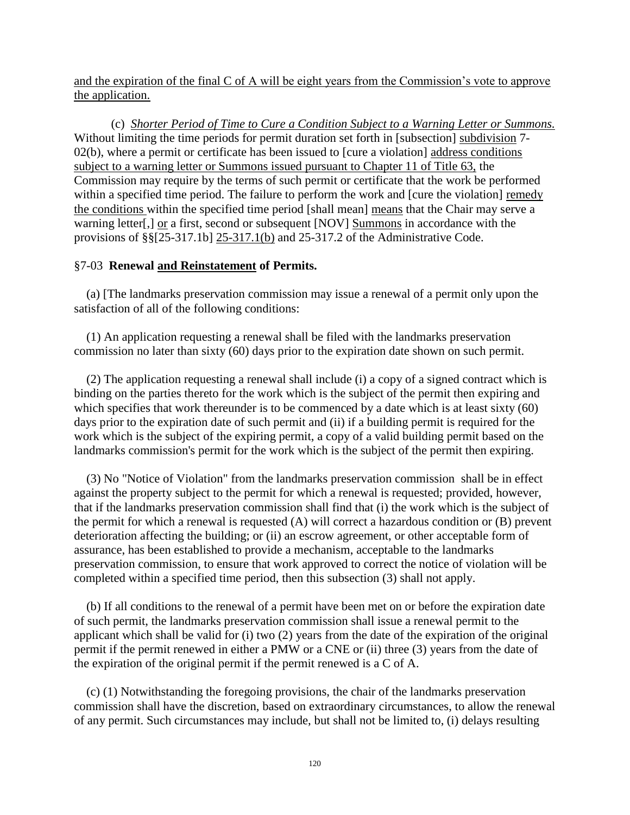and the expiration of the final C of A will be eight years from the Commission's vote to approve the application.

 (c) *Shorter Period of Time to Cure a Condition Subject to a Warning Letter or Summons.* Without limiting the time periods for permit duration set forth in [subsection] subdivision 7-02(b), where a permit or certificate has been issued to [cure a violation] address conditions subject to a warning letter or Summons issued pursuant to Chapter 11 of Title 63, the Commission may require by the terms of such permit or certificate that the work be performed within a specified time period. The failure to perform the work and [cure the violation] remedy the conditions within the specified time period [shall mean] means that the Chair may serve a warning letter[,] or a first, second or subsequent [NOV] Summons in accordance with the provisions of  $\S\S[25-317.1b]$   $25-317.1(b)$  and 25-317.2 of the Administrative Code.

## §7-03 **Renewal and Reinstatement of Permits.**

(a) [The landmarks preservation commission may issue a renewal of a permit only upon the satisfaction of all of the following conditions:

(1) An application requesting a renewal shall be filed with the landmarks preservation commission no later than sixty (60) days prior to the expiration date shown on such permit.

(2) The application requesting a renewal shall include (i) a copy of a signed contract which is binding on the parties thereto for the work which is the subject of the permit then expiring and which specifies that work thereunder is to be commenced by a date which is at least sixty (60) days prior to the expiration date of such permit and (ii) if a building permit is required for the work which is the subject of the expiring permit, a copy of a valid building permit based on the landmarks commission's permit for the work which is the subject of the permit then expiring.

(3) No "Notice of Violation" from the landmarks preservation commission shall be in effect against the property subject to the permit for which a renewal is requested; provided, however, that if the landmarks preservation commission shall find that (i) the work which is the subject of the permit for which a renewal is requested (A) will correct a hazardous condition or (B) prevent deterioration affecting the building; or (ii) an escrow agreement, or other acceptable form of assurance, has been established to provide a mechanism, acceptable to the landmarks preservation commission, to ensure that work approved to correct the notice of violation will be completed within a specified time period, then this subsection (3) shall not apply.

(b) If all conditions to the renewal of a permit have been met on or before the expiration date of such permit, the landmarks preservation commission shall issue a renewal permit to the applicant which shall be valid for (i) two (2) years from the date of the expiration of the original permit if the permit renewed in either a PMW or a CNE or (ii) three (3) years from the date of the expiration of the original permit if the permit renewed is a C of A.

(c) (1) Notwithstanding the foregoing provisions, the chair of the landmarks preservation commission shall have the discretion, based on extraordinary circumstances, to allow the renewal of any permit. Such circumstances may include, but shall not be limited to, (i) delays resulting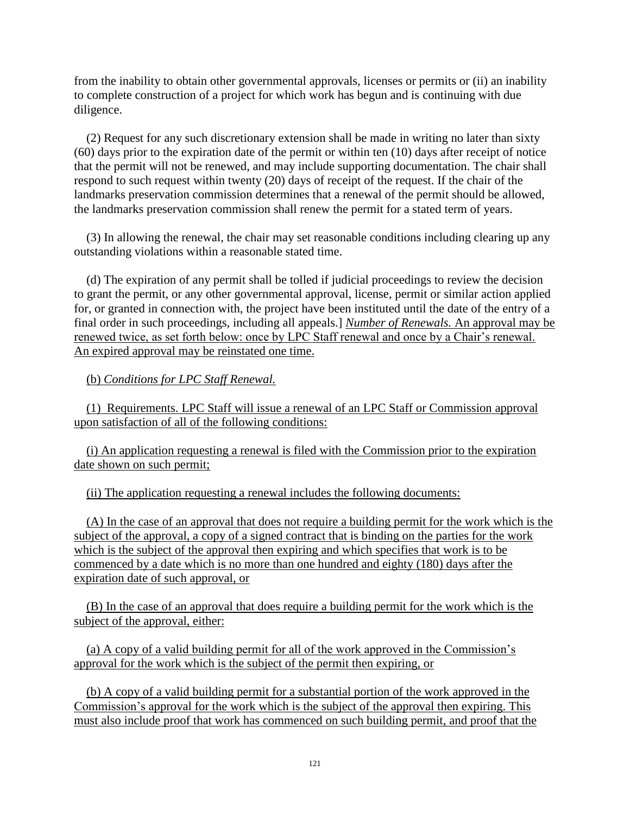from the inability to obtain other governmental approvals, licenses or permits or (ii) an inability to complete construction of a project for which work has begun and is continuing with due diligence.

(2) Request for any such discretionary extension shall be made in writing no later than sixty (60) days prior to the expiration date of the permit or within ten (10) days after receipt of notice that the permit will not be renewed, and may include supporting documentation. The chair shall respond to such request within twenty (20) days of receipt of the request. If the chair of the landmarks preservation commission determines that a renewal of the permit should be allowed, the landmarks preservation commission shall renew the permit for a stated term of years.

(3) In allowing the renewal, the chair may set reasonable conditions including clearing up any outstanding violations within a reasonable stated time.

(d) The expiration of any permit shall be tolled if judicial proceedings to review the decision to grant the permit, or any other governmental approval, license, permit or similar action applied for, or granted in connection with, the project have been instituted until the date of the entry of a final order in such proceedings, including all appeals.] *Number of Renewals.* An approval may be renewed twice, as set forth below: once by LPC Staff renewal and once by a Chair's renewal. An expired approval may be reinstated one time.

(b) *Conditions for LPC Staff Renewal.*

 (1) Requirements. LPC Staff will issue a renewal of an LPC Staff or Commission approval upon satisfaction of all of the following conditions:

 (i) An application requesting a renewal is filed with the Commission prior to the expiration date shown on such permit;

(ii) The application requesting a renewal includes the following documents:

 (A) In the case of an approval that does not require a building permit for the work which is the subject of the approval, a copy of a signed contract that is binding on the parties for the work which is the subject of the approval then expiring and which specifies that work is to be commenced by a date which is no more than one hundred and eighty (180) days after the expiration date of such approval, or

 (B) In the case of an approval that does require a building permit for the work which is the subject of the approval, either:

 (a) A copy of a valid building permit for all of the work approved in the Commission's approval for the work which is the subject of the permit then expiring, or

 (b) A copy of a valid building permit for a substantial portion of the work approved in the Commission's approval for the work which is the subject of the approval then expiring. This must also include proof that work has commenced on such building permit, and proof that the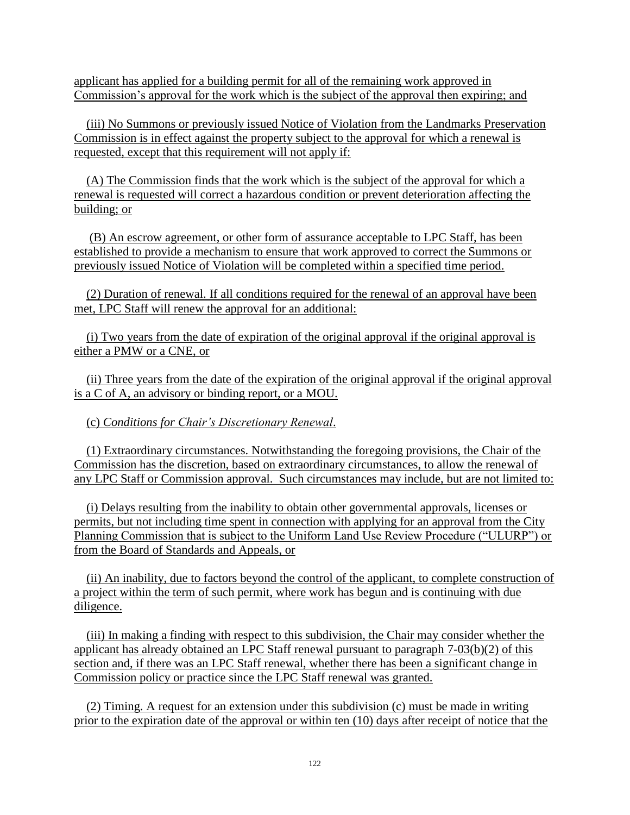applicant has applied for a building permit for all of the remaining work approved in Commission's approval for the work which is the subject of the approval then expiring; and

 (iii) No Summons or previously issued Notice of Violation from the Landmarks Preservation Commission is in effect against the property subject to the approval for which a renewal is requested, except that this requirement will not apply if:

 (A) The Commission finds that the work which is the subject of the approval for which a renewal is requested will correct a hazardous condition or prevent deterioration affecting the building; or

(B) An escrow agreement, or other form of assurance acceptable to LPC Staff, has been established to provide a mechanism to ensure that work approved to correct the Summons or previously issued Notice of Violation will be completed within a specified time period.

 (2) Duration of renewal. If all conditions required for the renewal of an approval have been met, LPC Staff will renew the approval for an additional:

 (i) Two years from the date of expiration of the original approval if the original approval is either a PMW or a CNE, or

 (ii) Three years from the date of the expiration of the original approval if the original approval is a C of A, an advisory or binding report, or a MOU.

(c) *Conditions for Chair's Discretionary Renewal*.

 (1) Extraordinary circumstances. Notwithstanding the foregoing provisions, the Chair of the Commission has the discretion, based on extraordinary circumstances, to allow the renewal of any LPC Staff or Commission approval. Such circumstances may include, but are not limited to:

 (i) Delays resulting from the inability to obtain other governmental approvals, licenses or permits, but not including time spent in connection with applying for an approval from the City Planning Commission that is subject to the Uniform Land Use Review Procedure ("ULURP") or from the Board of Standards and Appeals, or

 (ii) An inability, due to factors beyond the control of the applicant, to complete construction of a project within the term of such permit, where work has begun and is continuing with due diligence.

 (iii) In making a finding with respect to this subdivision, the Chair may consider whether the applicant has already obtained an LPC Staff renewal pursuant to paragraph 7-03(b)(2) of this section and, if there was an LPC Staff renewal, whether there has been a significant change in Commission policy or practice since the LPC Staff renewal was granted.

 (2) Timing. A request for an extension under this subdivision (c) must be made in writing prior to the expiration date of the approval or within ten (10) days after receipt of notice that the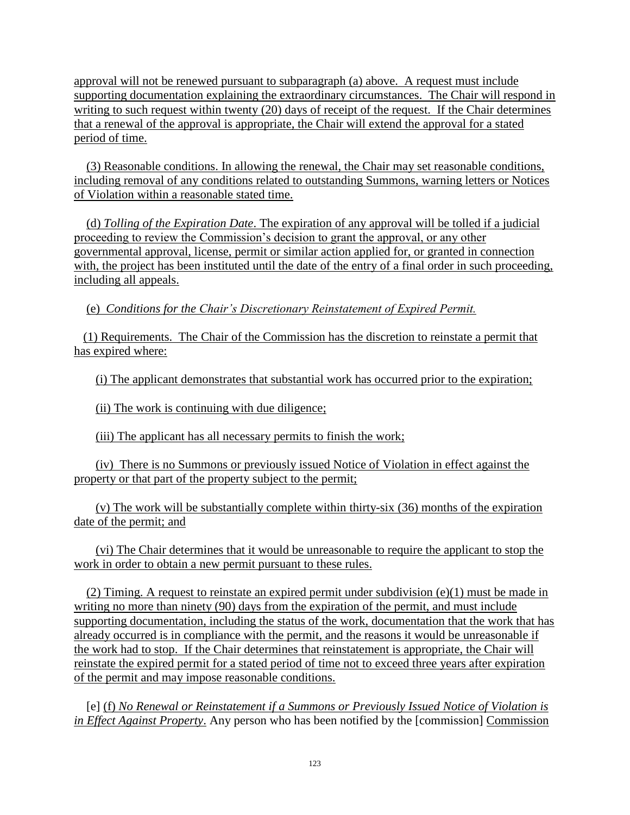approval will not be renewed pursuant to subparagraph (a) above. A request must include supporting documentation explaining the extraordinary circumstances. The Chair will respond in writing to such request within twenty (20) days of receipt of the request. If the Chair determines that a renewal of the approval is appropriate, the Chair will extend the approval for a stated period of time.

 (3) Reasonable conditions. In allowing the renewal, the Chair may set reasonable conditions, including removal of any conditions related to outstanding Summons, warning letters or Notices of Violation within a reasonable stated time.

 (d) *Tolling of the Expiration Date*. The expiration of any approval will be tolled if a judicial proceeding to review the Commission's decision to grant the approval, or any other governmental approval, license, permit or similar action applied for, or granted in connection with, the project has been instituted until the date of the entry of a final order in such proceeding, including all appeals.

(e) *Conditions for the Chair's Discretionary Reinstatement of Expired Permit.*

 (1) Requirements. The Chair of the Commission has the discretion to reinstate a permit that has expired where:

(i) The applicant demonstrates that substantial work has occurred prior to the expiration;

(ii) The work is continuing with due diligence;

(iii) The applicant has all necessary permits to finish the work;

 (iv) There is no Summons or previously issued Notice of Violation in effect against the property or that part of the property subject to the permit;

 (v) The work will be substantially complete within thirty-six (36) months of the expiration date of the permit; and

 (vi) The Chair determines that it would be unreasonable to require the applicant to stop the work in order to obtain a new permit pursuant to these rules.

(2) Timing. A request to reinstate an expired permit under subdivision  $(e)(1)$  must be made in writing no more than ninety (90) days from the expiration of the permit, and must include supporting documentation, including the status of the work, documentation that the work that has already occurred is in compliance with the permit, and the reasons it would be unreasonable if the work had to stop. If the Chair determines that reinstatement is appropriate, the Chair will reinstate the expired permit for a stated period of time not to exceed three years after expiration of the permit and may impose reasonable conditions.

[e] (f) *No Renewal or Reinstatement if a Summons or Previously Issued Notice of Violation is in Effect Against Property*. Any person who has been notified by the [commission] Commission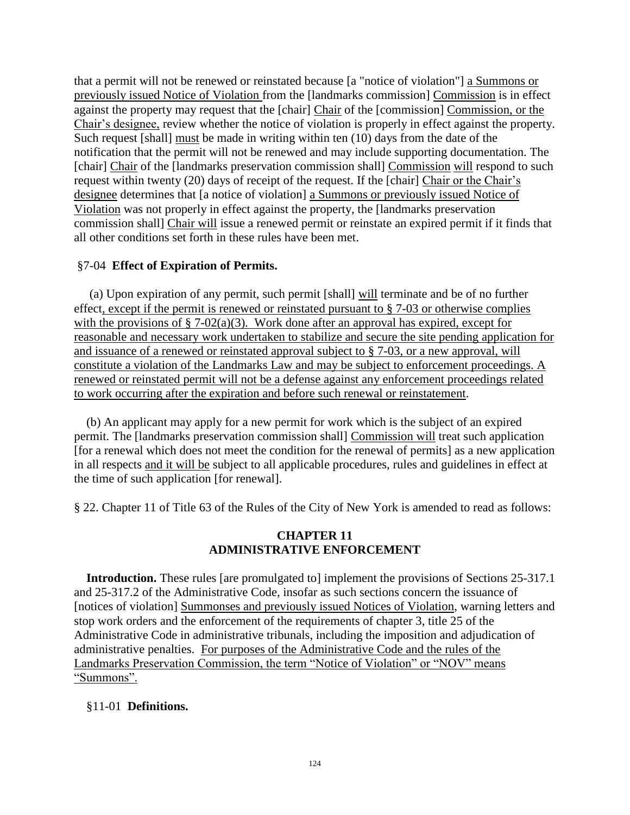that a permit will not be renewed or reinstated because [a "notice of violation"] a Summons or previously issued Notice of Violation from the [landmarks commission] Commission is in effect against the property may request that the [chair] Chair of the [commission] Commission, or the Chair's designee, review whether the notice of violation is properly in effect against the property. Such request [shall] must be made in writing within ten (10) days from the date of the notification that the permit will not be renewed and may include supporting documentation. The [chair] Chair of the [landmarks preservation commission shall] Commission will respond to such request within twenty (20) days of receipt of the request. If the [chair] Chair or the Chair's designee determines that [a notice of violation] a Summons or previously issued Notice of Violation was not properly in effect against the property, the [landmarks preservation commission shall] Chair will issue a renewed permit or reinstate an expired permit if it finds that all other conditions set forth in these rules have been met.

## §7-04 **Effect of Expiration of Permits.**

 (a) Upon expiration of any permit, such permit [shall] will terminate and be of no further effect, except if the permit is renewed or reinstated pursuant to § 7-03 or otherwise complies with the provisions of  $\S$  7-02(a)(3). Work done after an approval has expired, except for reasonable and necessary work undertaken to stabilize and secure the site pending application for and issuance of a renewed or reinstated approval subject to § 7-03, or a new approval, will constitute a violation of the Landmarks Law and may be subject to enforcement proceedings. A renewed or reinstated permit will not be a defense against any enforcement proceedings related to work occurring after the expiration and before such renewal or reinstatement.

 (b) An applicant may apply for a new permit for work which is the subject of an expired permit. The [landmarks preservation commission shall] Commission will treat such application [for a renewal which does not meet the condition for the renewal of permits] as a new application in all respects and it will be subject to all applicable procedures, rules and guidelines in effect at the time of such application [for renewal].

§ 22. Chapter 11 of Title 63 of the Rules of the City of New York is amended to read as follows:

## **CHAPTER 11 ADMINISTRATIVE ENFORCEMENT**

**Introduction.** These rules [are promulgated to] implement the provisions of Sections 25-317.1 and 25-317.2 of the Administrative Code, insofar as such sections concern the issuance of [notices of violation] Summonses and previously issued Notices of Violation, warning letters and stop work orders and the enforcement of the requirements of chapter 3, title 25 of the Administrative Code in administrative tribunals, including the imposition and adjudication of administrative penalties. For purposes of the Administrative Code and the rules of the Landmarks Preservation Commission, the term "Notice of Violation" or "NOV" means "Summons".

## §11-01 **Definitions.**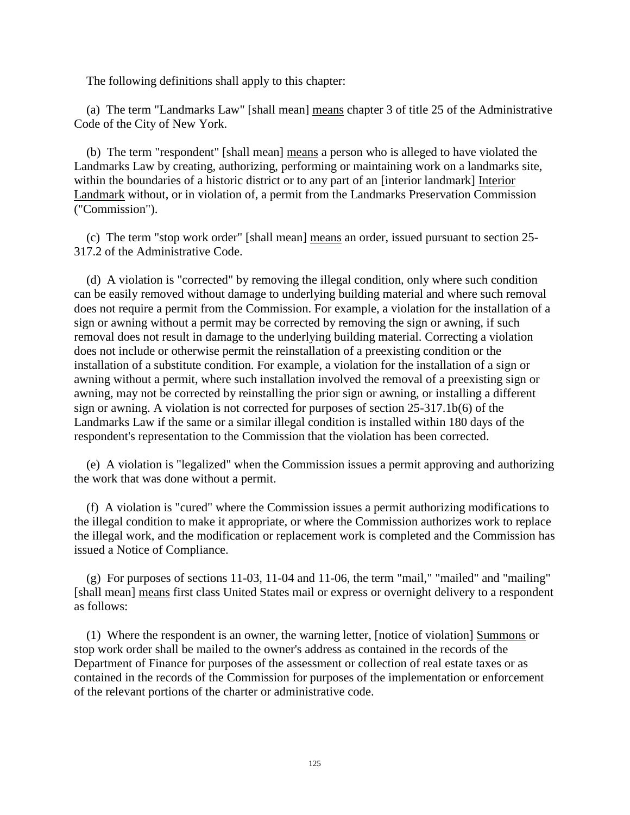The following definitions shall apply to this chapter:

(a) The term "Landmarks Law" [shall mean] means chapter 3 of title 25 of the Administrative Code of the City of New York.

(b) The term "respondent" [shall mean] means a person who is alleged to have violated the Landmarks Law by creating, authorizing, performing or maintaining work on a landmarks site, within the boundaries of a historic district or to any part of an [interior landmark] Interior Landmark without, or in violation of, a permit from the Landmarks Preservation Commission ("Commission").

(c) The term "stop work order" [shall mean] means an order, issued pursuant to section 25- 317.2 of the Administrative Code.

(d) A violation is "corrected" by removing the illegal condition, only where such condition can be easily removed without damage to underlying building material and where such removal does not require a permit from the Commission. For example, a violation for the installation of a sign or awning without a permit may be corrected by removing the sign or awning, if such removal does not result in damage to the underlying building material. Correcting a violation does not include or otherwise permit the reinstallation of a preexisting condition or the installation of a substitute condition. For example, a violation for the installation of a sign or awning without a permit, where such installation involved the removal of a preexisting sign or awning, may not be corrected by reinstalling the prior sign or awning, or installing a different sign or awning. A violation is not corrected for purposes of section 25-317.1b(6) of the Landmarks Law if the same or a similar illegal condition is installed within 180 days of the respondent's representation to the Commission that the violation has been corrected.

(e) A violation is "legalized" when the Commission issues a permit approving and authorizing the work that was done without a permit.

(f) A violation is "cured" where the Commission issues a permit authorizing modifications to the illegal condition to make it appropriate, or where the Commission authorizes work to replace the illegal work, and the modification or replacement work is completed and the Commission has issued a Notice of Compliance.

(g) For purposes of sections 11-03, 11-04 and 11-06, the term "mail," "mailed" and "mailing" [shall mean] means first class United States mail or express or overnight delivery to a respondent as follows:

(1) Where the respondent is an owner, the warning letter, [notice of violation] Summons or stop work order shall be mailed to the owner's address as contained in the records of the Department of Finance for purposes of the assessment or collection of real estate taxes or as contained in the records of the Commission for purposes of the implementation or enforcement of the relevant portions of the charter or administrative code.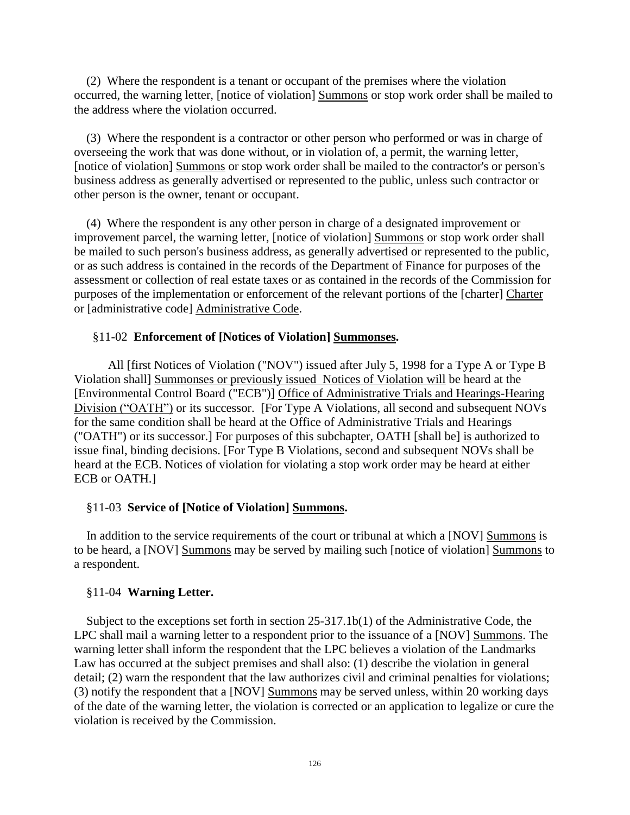(2) Where the respondent is a tenant or occupant of the premises where the violation occurred, the warning letter, [notice of violation] Summons or stop work order shall be mailed to the address where the violation occurred.

(3) Where the respondent is a contractor or other person who performed or was in charge of overseeing the work that was done without, or in violation of, a permit, the warning letter, [notice of violation] Summons or stop work order shall be mailed to the contractor's or person's business address as generally advertised or represented to the public, unless such contractor or other person is the owner, tenant or occupant.

(4) Where the respondent is any other person in charge of a designated improvement or improvement parcel, the warning letter, [notice of violation] Summons or stop work order shall be mailed to such person's business address, as generally advertised or represented to the public, or as such address is contained in the records of the Department of Finance for purposes of the assessment or collection of real estate taxes or as contained in the records of the Commission for purposes of the implementation or enforcement of the relevant portions of the [charter] Charter or [administrative code] Administrative Code.

## §11-02 **Enforcement of [Notices of Violation] Summonses.**

 All [first Notices of Violation ("NOV") issued after July 5, 1998 for a Type A or Type B Violation shall] Summonses or previously issued Notices of Violation will be heard at the [Environmental Control Board ("ECB")] Office of Administrative Trials and Hearings-Hearing Division ("OATH") or its successor. [For Type A Violations, all second and subsequent NOVs for the same condition shall be heard at the Office of Administrative Trials and Hearings ("OATH") or its successor.] For purposes of this subchapter, OATH [shall be] is authorized to issue final, binding decisions. [For Type B Violations, second and subsequent NOVs shall be heard at the ECB. Notices of violation for violating a stop work order may be heard at either ECB or OATH.]

#### §11-03 **Service of [Notice of Violation] Summons.**

In addition to the service requirements of the court or tribunal at which a [NOV] Summons is to be heard, a [NOV] Summons may be served by mailing such [notice of violation] Summons to a respondent.

#### §11-04 **Warning Letter.**

Subject to the exceptions set forth in section 25-317.1b(1) of the Administrative Code, the LPC shall mail a warning letter to a respondent prior to the issuance of a [NOV] Summons. The warning letter shall inform the respondent that the LPC believes a violation of the Landmarks Law has occurred at the subject premises and shall also: (1) describe the violation in general detail; (2) warn the respondent that the law authorizes civil and criminal penalties for violations; (3) notify the respondent that a [NOV] Summons may be served unless, within 20 working days of the date of the warning letter, the violation is corrected or an application to legalize or cure the violation is received by the Commission.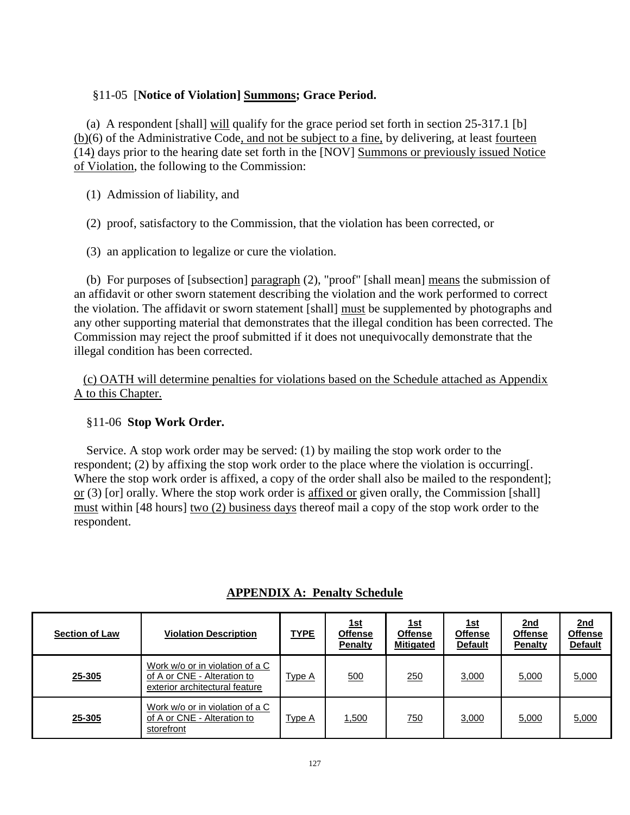## §11-05 [**Notice of Violation] Summons; Grace Period.**

(a) A respondent [shall] will qualify for the grace period set forth in section 25-317.1 [b] (b)(6) of the Administrative Code, and not be subject to a fine, by delivering, at least fourteen (14) days prior to the hearing date set forth in the [NOV] Summons or previously issued Notice of Violation, the following to the Commission:

- (1) Admission of liability, and
- (2) proof, satisfactory to the Commission, that the violation has been corrected, or
- (3) an application to legalize or cure the violation.

(b) For purposes of [subsection] paragraph (2), "proof" [shall mean] means the submission of an affidavit or other sworn statement describing the violation and the work performed to correct the violation. The affidavit or sworn statement [shall] must be supplemented by photographs and any other supporting material that demonstrates that the illegal condition has been corrected. The Commission may reject the proof submitted if it does not unequivocally demonstrate that the illegal condition has been corrected.

 (c) OATH will determine penalties for violations based on the Schedule attached as Appendix A to this Chapter.

#### §11-06 **Stop Work Order.**

Service. A stop work order may be served: (1) by mailing the stop work order to the respondent; (2) by affixing the stop work order to the place where the violation is occurring[. Where the stop work order is affixed, a copy of the order shall also be mailed to the respondent]; or (3) [or] orally. Where the stop work order is affixed or given orally, the Commission [shall] must within [48 hours] two (2) business days thereof mail a copy of the stop work order to the respondent.

| <b>Section of Law</b> | <b>Violation Description</b>                                                                     | <u>TYPE</u>   | <u>1st</u><br><b>Offense</b><br><b>Penalty</b> | <u> 1st</u><br><b>Offense</b><br><b>Mitigated</b> | <u> 1st</u><br><b>Offense</b><br><b>Default</b> | <u>2nd</u><br><b>Offense</b><br><b>Penalty</b> | <u>2nd</u><br><b>Offense</b><br><b>Default</b> |
|-----------------------|--------------------------------------------------------------------------------------------------|---------------|------------------------------------------------|---------------------------------------------------|-------------------------------------------------|------------------------------------------------|------------------------------------------------|
| 25-305                | Work w/o or in violation of a C<br>of A or CNE - Alteration to<br>exterior architectural feature | Type A        | 500                                            | 250                                               | 3,000                                           | 5,000                                          | 5,000                                          |
| 25-305                | Work w/o or in violation of a C<br>of A or CNE - Alteration to<br>storefront                     | <u>Type A</u> | 1,500                                          | 750                                               | 3,000                                           | 5,000                                          | 5,000                                          |

# **APPENDIX A: Penalty Schedule**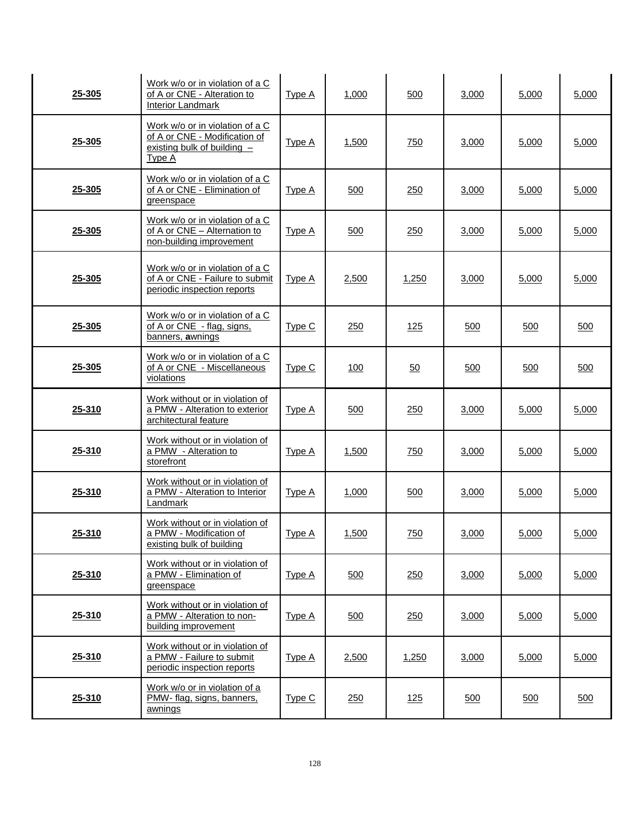| 25-305 | Work w/o or in violation of a C<br>of A or CNE - Alteration to<br><b>Interior Landmark</b>                  | Type A        | 1,000      | 500        | 3,000 | 5,000 | 5,000 |
|--------|-------------------------------------------------------------------------------------------------------------|---------------|------------|------------|-------|-------|-------|
| 25-305 | Work w/o or in violation of a C<br>of A or CNE - Modification of<br>existing bulk of building $-$<br>Type A | <b>Type A</b> | 1,500      | 750        | 3,000 | 5,000 | 5,000 |
| 25-305 | Work w/o or in violation of a C<br>of A or CNE - Elimination of<br>greenspace                               | <u>Type A</u> | 500        | 250        | 3,000 | 5,000 | 5,000 |
| 25-305 | Work w/o or in violation of a C<br>of A or CNE - Alternation to<br>non-building improvement                 | <b>Type A</b> | 500        | 250        | 3,000 | 5,000 | 5,000 |
| 25-305 | Work w/o or in violation of a C<br>of A or CNE - Failure to submit<br>periodic inspection reports           | Type A        | 2,500      | 1,250      | 3,000 | 5,000 | 5,000 |
| 25-305 | Work w/o or in violation of a C<br>of A or CNE - flag, signs,<br>banners, awnings                           | Type C        | 250        | 125        | 500   | 500   | 500   |
| 25-305 | Work w/o or in violation of a C<br>of A or CNE - Miscellaneous<br>violations                                | <u>Type C</u> | <u>100</u> | 50         | 500   | 500   | 500   |
| 25-310 | Work without or in violation of<br>a PMW - Alteration to exterior<br>architectural feature                  | Type A        | 500        | 250        | 3,000 | 5,000 | 5,000 |
| 25-310 | Work without or in violation of<br>a PMW - Alteration to<br>storefront                                      | <u>Type A</u> | 1,500      | <u>750</u> | 3,000 | 5,000 | 5,000 |
| 25-310 | Work without or in violation of<br>a PMW - Alteration to Interior<br>Landmark                               | <b>Type A</b> | 1,000      | 500        | 3,000 | 5,000 | 5,000 |
| 25-310 | Work without or in violation of<br>a PMW - Modification of<br>existing bulk of building                     | <b>Type A</b> | 1,500      | <u>750</u> | 3,000 | 5,000 | 5.000 |
| 25-310 | Work without or in violation of<br>a PMW - Elimination of<br>greenspace                                     | <b>Type A</b> | 500        | 250        | 3,000 | 5,000 | 5,000 |
| 25-310 | Work without or in violation of<br>a PMW - Alteration to non-<br>building improvement                       | <b>Type A</b> | 500        | 250        | 3,000 | 5,000 | 5,000 |
| 25-310 | Work without or in violation of<br>a PMW - Failure to submit<br>periodic inspection reports                 | <b>Type A</b> | 2,500      | 1,250      | 3,000 | 5,000 | 5,000 |
| 25-310 | Work w/o or in violation of a<br>PMW- flag, signs, banners,<br>awnings                                      | Type C        | 250        | 125        | 500   | 500   | 500   |